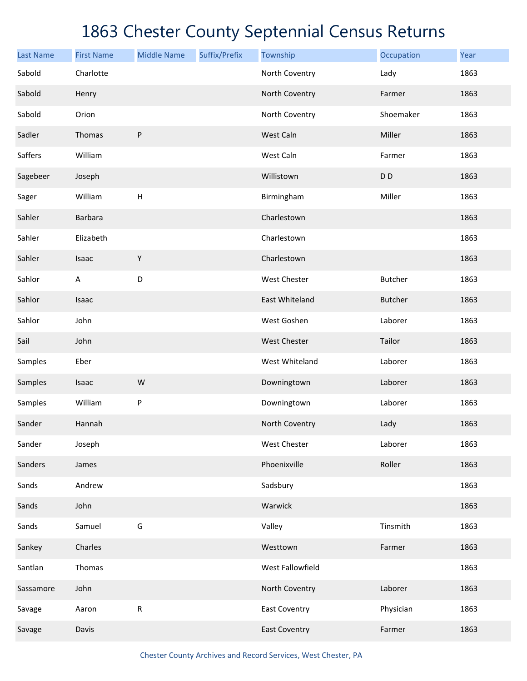| <b>Last Name</b> | <b>First Name</b> | <b>Middle Name</b>        | Suffix/Prefix | Township             | Occupation     | Year |
|------------------|-------------------|---------------------------|---------------|----------------------|----------------|------|
| Sabold           | Charlotte         |                           |               | North Coventry       | Lady           | 1863 |
| Sabold           | Henry             |                           |               | North Coventry       | Farmer         | 1863 |
| Sabold           | Orion             |                           |               | North Coventry       | Shoemaker      | 1863 |
| Sadler           | Thomas            | P                         |               | West Caln            | Miller         | 1863 |
| Saffers          | William           |                           |               | West Caln            | Farmer         | 1863 |
| Sagebeer         | Joseph            |                           |               | Willistown           | D <sub>D</sub> | 1863 |
| Sager            | William           | $\boldsymbol{\mathsf{H}}$ |               | Birmingham           | Miller         | 1863 |
| Sahler           | <b>Barbara</b>    |                           |               | Charlestown          |                | 1863 |
| Sahler           | Elizabeth         |                           |               | Charlestown          |                | 1863 |
| Sahler           | Isaac             | $\mathsf Y$               |               | Charlestown          |                | 1863 |
| Sahlor           | A                 | $\mathsf D$               |               | West Chester         | <b>Butcher</b> | 1863 |
| Sahlor           | Isaac             |                           |               | East Whiteland       | <b>Butcher</b> | 1863 |
| Sahlor           | John              |                           |               | West Goshen          | Laborer        | 1863 |
| Sail             | John              |                           |               | West Chester         | Tailor         | 1863 |
| Samples          | Eber              |                           |               | West Whiteland       | Laborer        | 1863 |
| Samples          | Isaac             | W                         |               | Downingtown          | Laborer        | 1863 |
| Samples          | William           | P                         |               | Downingtown          | Laborer        | 1863 |
| Sander           | Hannah            |                           |               | North Coventry       | Lady           | 1863 |
| Sander           | Joseph            |                           |               | West Chester         | Laborer        | 1863 |
| Sanders          | James             |                           |               | Phoenixville         | Roller         | 1863 |
| Sands            | Andrew            |                           |               | Sadsbury             |                | 1863 |
| Sands            | John              |                           |               | Warwick              |                | 1863 |
| Sands            | Samuel            | G                         |               | Valley               | Tinsmith       | 1863 |
| Sankey           | Charles           |                           |               | Westtown             | Farmer         | 1863 |
| Santlan          | Thomas            |                           |               | West Fallowfield     |                | 1863 |
| Sassamore        | John              |                           |               | North Coventry       | Laborer        | 1863 |
| Savage           | Aaron             | ${\sf R}$                 |               | <b>East Coventry</b> | Physician      | 1863 |
| Savage           | Davis             |                           |               | <b>East Coventry</b> | Farmer         | 1863 |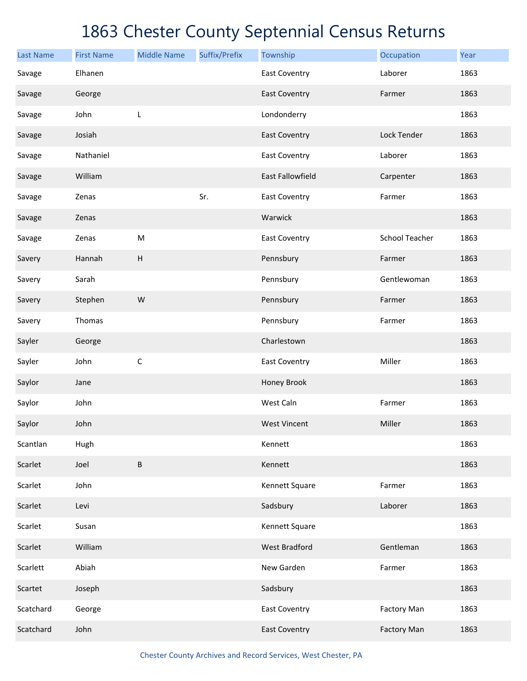| <b>Last Name</b> | <b>First Name</b> | <b>Middle Name</b>        | Suffix/Prefix | Township                | Occupation            | Year |
|------------------|-------------------|---------------------------|---------------|-------------------------|-----------------------|------|
| Savage           | Elhanen           |                           |               | <b>East Coventry</b>    | Laborer               | 1863 |
| Savage           | George            |                           |               | <b>East Coventry</b>    | Farmer                | 1863 |
| Savage           | John              | L                         |               | Londonderry             |                       | 1863 |
| Savage           | Josiah            |                           |               | <b>East Coventry</b>    | Lock Tender           | 1863 |
| Savage           | Nathaniel         |                           |               | <b>East Coventry</b>    | Laborer               | 1863 |
| Savage           | William           |                           |               | <b>East Fallowfield</b> | Carpenter             | 1863 |
| Savage           | Zenas             |                           | Sr.           | <b>East Coventry</b>    | Farmer                | 1863 |
| Savage           | Zenas             |                           |               | Warwick                 |                       | 1863 |
| Savage           | Zenas             | ${\sf M}$                 |               | <b>East Coventry</b>    | <b>School Teacher</b> | 1863 |
| Savery           | Hannah            | $\boldsymbol{\mathsf{H}}$ |               | Pennsbury               | Farmer                | 1863 |
| Savery           | Sarah             |                           |               | Pennsbury               | Gentlewoman           | 1863 |
| Savery           | Stephen           | W                         |               | Pennsbury               | Farmer                | 1863 |
| Savery           | Thomas            |                           |               | Pennsbury               | Farmer                | 1863 |
| Sayler           | George            |                           |               | Charlestown             |                       | 1863 |
| Sayler           | John              | $\mathsf C$               |               | <b>East Coventry</b>    | Miller                | 1863 |
| Saylor           | Jane              |                           |               | Honey Brook             |                       | 1863 |
| Saylor           | John              |                           |               | West Caln               | Farmer                | 1863 |
| Saylor           | John              |                           |               | <b>West Vincent</b>     | Miller                | 1863 |
| Scantlan         | Hugh              |                           |               | Kennett                 |                       | 1863 |
| Scarlet          | Joel              | $\sf B$                   |               | Kennett                 |                       | 1863 |
| Scarlet          | John              |                           |               | Kennett Square          | Farmer                | 1863 |
| Scarlet          | Levi              |                           |               | Sadsbury                | Laborer               | 1863 |
| Scarlet          | Susan             |                           |               | Kennett Square          |                       | 1863 |
| Scarlet          | William           |                           |               | <b>West Bradford</b>    | Gentleman             | 1863 |
| Scarlett         | Abiah             |                           |               | New Garden              | Farmer                | 1863 |
| Scartet          | Joseph            |                           |               | Sadsbury                |                       | 1863 |
| Scatchard        | George            |                           |               | <b>East Coventry</b>    | <b>Factory Man</b>    | 1863 |
| Scatchard        | John              |                           |               | <b>East Coventry</b>    | <b>Factory Man</b>    | 1863 |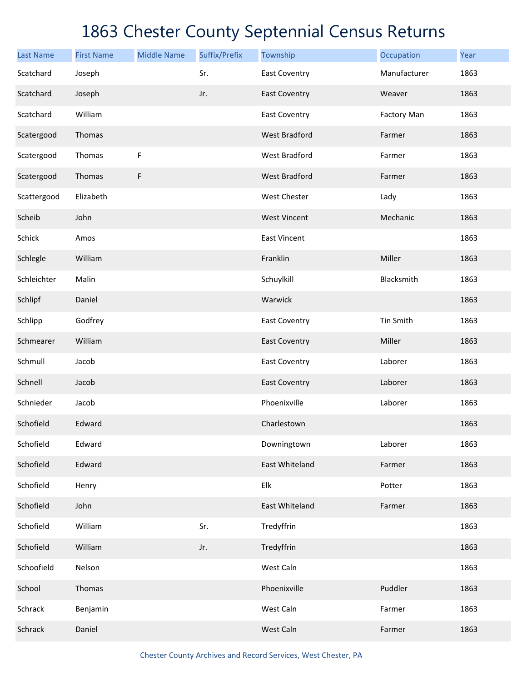| <b>Last Name</b> | <b>First Name</b> | <b>Middle Name</b> | Suffix/Prefix | Township             | Occupation         | Year |
|------------------|-------------------|--------------------|---------------|----------------------|--------------------|------|
| Scatchard        | Joseph            |                    | Sr.           | <b>East Coventry</b> | Manufacturer       | 1863 |
| Scatchard        | Joseph            |                    | Jr.           | <b>East Coventry</b> | Weaver             | 1863 |
| Scatchard        | William           |                    |               | <b>East Coventry</b> | <b>Factory Man</b> | 1863 |
| Scatergood       | Thomas            |                    |               | <b>West Bradford</b> | Farmer             | 1863 |
| Scatergood       | Thomas            | F                  |               | West Bradford        | Farmer             | 1863 |
| Scatergood       | Thomas            | F                  |               | <b>West Bradford</b> | Farmer             | 1863 |
| Scattergood      | Elizabeth         |                    |               | West Chester         | Lady               | 1863 |
| Scheib           | John              |                    |               | <b>West Vincent</b>  | Mechanic           | 1863 |
| Schick           | Amos              |                    |               | <b>East Vincent</b>  |                    | 1863 |
| Schlegle         | William           |                    |               | Franklin             | Miller             | 1863 |
| Schleichter      | Malin             |                    |               | Schuylkill           | Blacksmith         | 1863 |
| Schlipf          | Daniel            |                    |               | Warwick              |                    | 1863 |
| Schlipp          | Godfrey           |                    |               | East Coventry        | Tin Smith          | 1863 |
| Schmearer        | William           |                    |               | <b>East Coventry</b> | Miller             | 1863 |
| Schmull          | Jacob             |                    |               | East Coventry        | Laborer            | 1863 |
| Schnell          | Jacob             |                    |               | <b>East Coventry</b> | Laborer            | 1863 |
| Schnieder        | Jacob             |                    |               | Phoenixville         | Laborer            | 1863 |
| Schofield        | Edward            |                    |               | Charlestown          |                    | 1863 |
| Schofield        | Edward            |                    |               | Downingtown          | Laborer            | 1863 |
| Schofield        | Edward            |                    |               | East Whiteland       | Farmer             | 1863 |
| Schofield        | Henry             |                    |               | Elk                  | Potter             | 1863 |
| Schofield        | John              |                    |               | East Whiteland       | Farmer             | 1863 |
| Schofield        | William           |                    | Sr.           | Tredyffrin           |                    | 1863 |
| Schofield        | William           |                    | Jr.           | Tredyffrin           |                    | 1863 |
| Schoofield       | Nelson            |                    |               | West Caln            |                    | 1863 |
| School           | Thomas            |                    |               | Phoenixville         | Puddler            | 1863 |
| Schrack          | Benjamin          |                    |               | West Caln            | Farmer             | 1863 |
| Schrack          | Daniel            |                    |               | West Caln            | Farmer             | 1863 |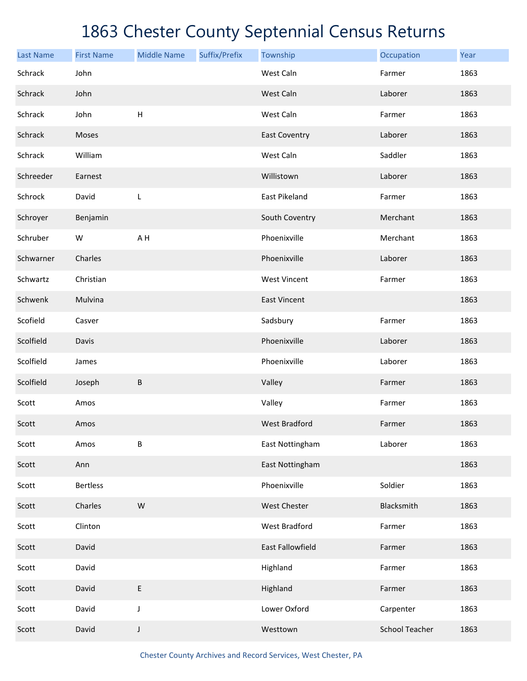| <b>Last Name</b> | <b>First Name</b> | <b>Middle Name</b> | Suffix/Prefix | Township             | Occupation            | Year |
|------------------|-------------------|--------------------|---------------|----------------------|-----------------------|------|
| Schrack          | John              |                    |               | West Caln            | Farmer                | 1863 |
| Schrack          | John              |                    |               | West Caln            | Laborer               | 1863 |
| Schrack          | John              | H                  |               | West Caln            | Farmer                | 1863 |
| Schrack          | Moses             |                    |               | <b>East Coventry</b> | Laborer               | 1863 |
| Schrack          | William           |                    |               | West Caln            | Saddler               | 1863 |
| Schreeder        | Earnest           |                    |               | Willistown           | Laborer               | 1863 |
| Schrock          | David             | L                  |               | East Pikeland        | Farmer                | 1863 |
| Schroyer         | Benjamin          |                    |               | South Coventry       | Merchant              | 1863 |
| Schruber         | W                 | A H                |               | Phoenixville         | Merchant              | 1863 |
| Schwarner        | Charles           |                    |               | Phoenixville         | Laborer               | 1863 |
| Schwartz         | Christian         |                    |               | <b>West Vincent</b>  | Farmer                | 1863 |
| Schwenk          | Mulvina           |                    |               | <b>East Vincent</b>  |                       | 1863 |
| Scofield         | Casver            |                    |               | Sadsbury             | Farmer                | 1863 |
| Scolfield        | Davis             |                    |               | Phoenixville         | Laborer               | 1863 |
| Scolfield        | James             |                    |               | Phoenixville         | Laborer               | 1863 |
| Scolfield        | Joseph            | $\sf B$            |               | Valley               | Farmer                | 1863 |
| Scott            | Amos              |                    |               | Valley               | Farmer                | 1863 |
| Scott            | Amos              |                    |               | <b>West Bradford</b> | Farmer                | 1863 |
| Scott            | Amos              | B                  |               | East Nottingham      | Laborer               | 1863 |
| Scott            | Ann               |                    |               | East Nottingham      |                       | 1863 |
| Scott            | <b>Bertless</b>   |                    |               | Phoenixville         | Soldier               | 1863 |
| Scott            | Charles           | W                  |               | West Chester         | Blacksmith            | 1863 |
| Scott            | Clinton           |                    |               | <b>West Bradford</b> | Farmer                | 1863 |
| Scott            | David             |                    |               | East Fallowfield     | Farmer                | 1863 |
| Scott            | David             |                    |               | Highland             | Farmer                | 1863 |
| Scott            | David             | E                  |               | Highland             | Farmer                | 1863 |
| Scott            | David             | J                  |               | Lower Oxford         | Carpenter             | 1863 |
| Scott            | David             | J                  |               | Westtown             | <b>School Teacher</b> | 1863 |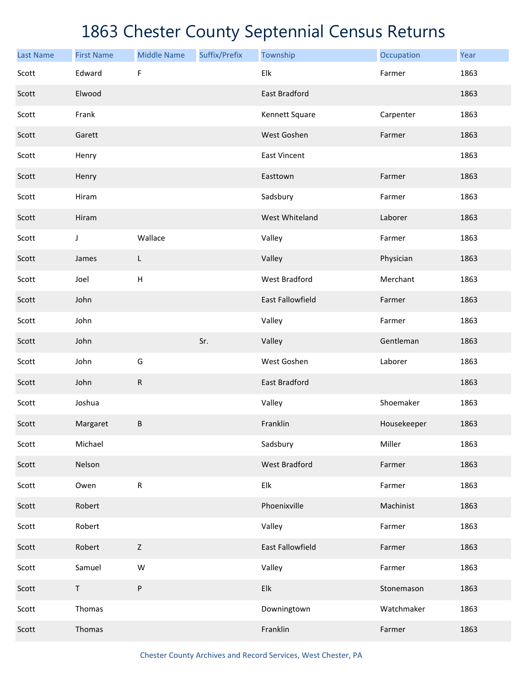| <b>Last Name</b> | <b>First Name</b> | <b>Middle Name</b>        | Suffix/Prefix | Township                  | Occupation  | Year |
|------------------|-------------------|---------------------------|---------------|---------------------------|-------------|------|
| Scott            | Edward            | F                         |               | Elk                       | Farmer      | 1863 |
| Scott            | Elwood            |                           |               | East Bradford             |             | 1863 |
| Scott            | Frank             |                           |               | Kennett Square            | Carpenter   | 1863 |
| Scott            | Garett            |                           |               | West Goshen               | Farmer      | 1863 |
| Scott            | Henry             |                           |               | <b>East Vincent</b>       |             | 1863 |
| Scott            | Henry             |                           |               | Easttown                  | Farmer      | 1863 |
| Scott            | Hiram             |                           |               | Sadsbury                  | Farmer      | 1863 |
| Scott            | Hiram             |                           |               | West Whiteland            | Laborer     | 1863 |
| Scott            | J                 | Wallace                   |               | Valley                    | Farmer      | 1863 |
| Scott            | James             | L                         |               | Valley                    | Physician   | 1863 |
| Scott            | Joel              | $\boldsymbol{\mathsf{H}}$ |               | West Bradford             | Merchant    | 1863 |
| Scott            | John              |                           |               | East Fallowfield          | Farmer      | 1863 |
| Scott            | John              |                           |               | Valley                    | Farmer      | 1863 |
| Scott            | John              |                           | Sr.           | Valley                    | Gentleman   | 1863 |
| Scott            | John              | G                         |               | West Goshen               | Laborer     | 1863 |
| Scott            | John              | R                         |               | East Bradford             |             | 1863 |
| Scott            | Joshua            |                           |               | Valley                    | Shoemaker   | 1863 |
| Scott            | Margaret          | B                         |               | Franklin                  | Housekeeper | 1863 |
| Scott            | Michael           |                           |               | Sadsbury                  | Miller      | 1863 |
| Scott            | Nelson            |                           |               | <b>West Bradford</b>      | Farmer      | 1863 |
| Scott            | Owen              | ${\sf R}$                 |               | Elk                       | Farmer      | 1863 |
| Scott            | Robert            |                           |               | Phoenixville              | Machinist   | 1863 |
| Scott            | Robert            |                           |               | Valley                    | Farmer      | 1863 |
| Scott            | Robert            | $\mathsf Z$               |               | East Fallowfield          | Farmer      | 1863 |
| Scott            | Samuel            | W                         |               | Valley                    | Farmer      | 1863 |
| Scott            | $\mathsf T$       | ${\sf P}$                 |               | ${\sf E} {\sf I} {\sf k}$ | Stonemason  | 1863 |
| Scott            | Thomas            |                           |               | Downingtown               | Watchmaker  | 1863 |
| Scott            | Thomas            |                           |               | Franklin                  | Farmer      | 1863 |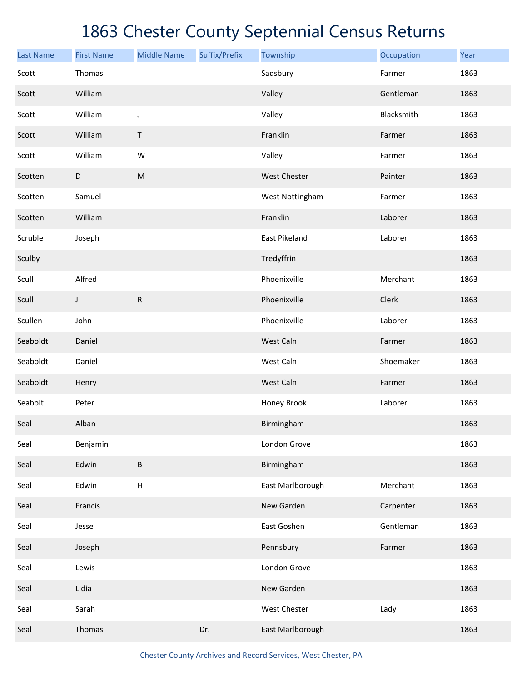| <b>Last Name</b> | <b>First Name</b> | <b>Middle Name</b> | Suffix/Prefix | Township         | Occupation | Year |
|------------------|-------------------|--------------------|---------------|------------------|------------|------|
| Scott            | Thomas            |                    |               | Sadsbury         | Farmer     | 1863 |
| Scott            | William           |                    |               | Valley           | Gentleman  | 1863 |
| Scott            | William           | J                  |               | Valley           | Blacksmith | 1863 |
| Scott            | William           | T                  |               | Franklin         | Farmer     | 1863 |
| Scott            | William           | W                  |               | Valley           | Farmer     | 1863 |
| Scotten          | D                 | ${\sf M}$          |               | West Chester     | Painter    | 1863 |
| Scotten          | Samuel            |                    |               | West Nottingham  | Farmer     | 1863 |
| Scotten          | William           |                    |               | Franklin         | Laborer    | 1863 |
| Scruble          | Joseph            |                    |               | East Pikeland    | Laborer    | 1863 |
| Sculby           |                   |                    |               | Tredyffrin       |            | 1863 |
| Scull            | Alfred            |                    |               | Phoenixville     | Merchant   | 1863 |
| Scull            | J                 | ${\sf R}$          |               | Phoenixville     | Clerk      | 1863 |
| Scullen          | John              |                    |               | Phoenixville     | Laborer    | 1863 |
| Seaboldt         | Daniel            |                    |               | West Caln        | Farmer     | 1863 |
| Seaboldt         | Daniel            |                    |               | West Caln        | Shoemaker  | 1863 |
| Seaboldt         | Henry             |                    |               | West Caln        | Farmer     | 1863 |
| Seabolt          | Peter             |                    |               | Honey Brook      | Laborer    | 1863 |
| Seal             | Alban             |                    |               | Birmingham       |            | 1863 |
| Seal             | Benjamin          |                    |               | London Grove     |            | 1863 |
| Seal             | Edwin             | B                  |               | Birmingham       |            | 1863 |
| Seal             | Edwin             | $\sf H$            |               | East Marlborough | Merchant   | 1863 |
| Seal             | Francis           |                    |               | New Garden       | Carpenter  | 1863 |
| Seal             | Jesse             |                    |               | East Goshen      | Gentleman  | 1863 |
| Seal             | Joseph            |                    |               | Pennsbury        | Farmer     | 1863 |
| Seal             | Lewis             |                    |               | London Grove     |            | 1863 |
| Seal             | Lidia             |                    |               | New Garden       |            | 1863 |
| Seal             | Sarah             |                    |               | West Chester     | Lady       | 1863 |
| Seal             | Thomas            |                    | Dr.           | East Marlborough |            | 1863 |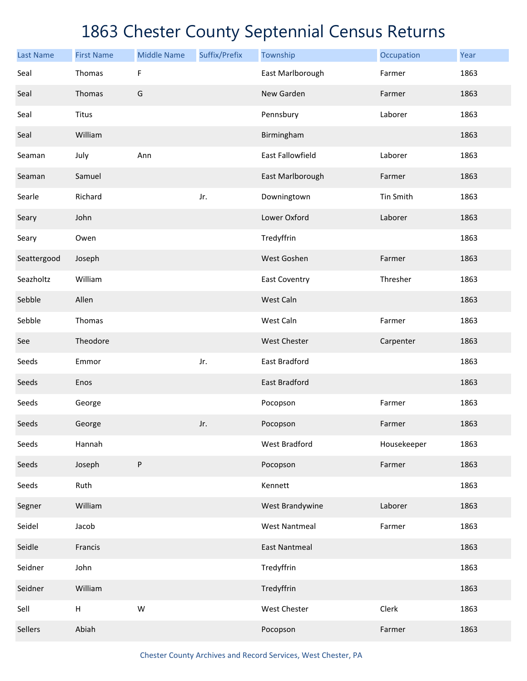| <b>Last Name</b> | <b>First Name</b>         | <b>Middle Name</b> | Suffix/Prefix | Township             | Occupation  | Year |
|------------------|---------------------------|--------------------|---------------|----------------------|-------------|------|
| Seal             | Thomas                    | F                  |               | East Marlborough     | Farmer      | 1863 |
| Seal             | Thomas                    | G                  |               | New Garden           | Farmer      | 1863 |
| Seal             | Titus                     |                    |               | Pennsbury            | Laborer     | 1863 |
| Seal             | William                   |                    |               | Birmingham           |             | 1863 |
| Seaman           | July                      | Ann                |               | East Fallowfield     | Laborer     | 1863 |
| Seaman           | Samuel                    |                    |               | East Marlborough     | Farmer      | 1863 |
| Searle           | Richard                   |                    | Jr.           | Downingtown          | Tin Smith   | 1863 |
| Seary            | John                      |                    |               | Lower Oxford         | Laborer     | 1863 |
| Seary            | Owen                      |                    |               | Tredyffrin           |             | 1863 |
| Seattergood      | Joseph                    |                    |               | West Goshen          | Farmer      | 1863 |
| Seazholtz        | William                   |                    |               | <b>East Coventry</b> | Thresher    | 1863 |
| Sebble           | Allen                     |                    |               | West Caln            |             | 1863 |
| Sebble           | Thomas                    |                    |               | West Caln            | Farmer      | 1863 |
| See              | Theodore                  |                    |               | West Chester         | Carpenter   | 1863 |
| Seeds            | Emmor                     |                    | Jr.           | East Bradford        |             | 1863 |
| Seeds            | Enos                      |                    |               | East Bradford        |             | 1863 |
| Seeds            | George                    |                    |               | Pocopson             | Farmer      | 1863 |
| Seeds            | George                    |                    | Jr.           | Pocopson             | Farmer      | 1863 |
| Seeds            | Hannah                    |                    |               | West Bradford        | Housekeeper | 1863 |
| Seeds            | Joseph                    | ${\sf P}$          |               | Pocopson             | Farmer      | 1863 |
| Seeds            | Ruth                      |                    |               | Kennett              |             | 1863 |
| Segner           | William                   |                    |               | West Brandywine      | Laborer     | 1863 |
| Seidel           | Jacob                     |                    |               | <b>West Nantmeal</b> | Farmer      | 1863 |
| Seidle           | Francis                   |                    |               | <b>East Nantmeal</b> |             | 1863 |
| Seidner          | John                      |                    |               | Tredyffrin           |             | 1863 |
| Seidner          | William                   |                    |               | Tredyffrin           |             | 1863 |
| Sell             | $\boldsymbol{\mathsf{H}}$ | W                  |               | West Chester         | Clerk       | 1863 |
| Sellers          | Abiah                     |                    |               | Pocopson             | Farmer      | 1863 |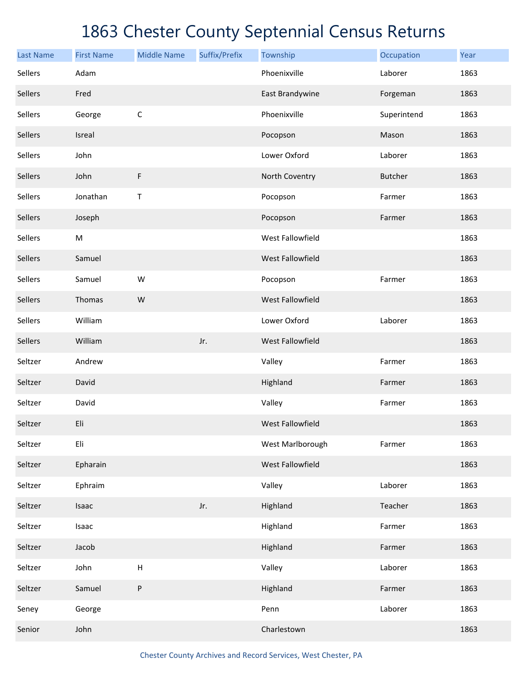| <b>Last Name</b> | <b>First Name</b> | <b>Middle Name</b>        | Suffix/Prefix | Township                | Occupation     | Year |
|------------------|-------------------|---------------------------|---------------|-------------------------|----------------|------|
| Sellers          | Adam              |                           |               | Phoenixville            | Laborer        | 1863 |
| Sellers          | Fred              |                           |               | East Brandywine         | Forgeman       | 1863 |
| Sellers          | George            | $\mathsf C$               |               | Phoenixville            | Superintend    | 1863 |
| Sellers          | Isreal            |                           |               | Pocopson                | Mason          | 1863 |
| Sellers          | John              |                           |               | Lower Oxford            | Laborer        | 1863 |
| Sellers          | John              | F                         |               | North Coventry          | <b>Butcher</b> | 1863 |
| Sellers          | Jonathan          | $\mathsf T$               |               | Pocopson                | Farmer         | 1863 |
| Sellers          | Joseph            |                           |               | Pocopson                | Farmer         | 1863 |
| <b>Sellers</b>   | ${\sf M}$         |                           |               | West Fallowfield        |                | 1863 |
| Sellers          | Samuel            |                           |               | West Fallowfield        |                | 1863 |
| Sellers          | Samuel            | W                         |               | Pocopson                | Farmer         | 1863 |
| Sellers          | Thomas            | W                         |               | West Fallowfield        |                | 1863 |
| Sellers          | William           |                           |               | Lower Oxford            | Laborer        | 1863 |
| Sellers          | William           |                           | Jr.           | West Fallowfield        |                | 1863 |
| Seltzer          | Andrew            |                           |               | Valley                  | Farmer         | 1863 |
| Seltzer          | David             |                           |               | Highland                | Farmer         | 1863 |
| Seltzer          | David             |                           |               | Valley                  | Farmer         | 1863 |
| Seltzer          | Eli               |                           |               | <b>West Fallowfield</b> |                | 1863 |
| Seltzer          | Eli               |                           |               | West Marlborough        | Farmer         | 1863 |
| Seltzer          | Epharain          |                           |               | West Fallowfield        |                | 1863 |
| Seltzer          | Ephraim           |                           |               | Valley                  | Laborer        | 1863 |
| Seltzer          | Isaac             |                           | Jr.           | Highland                | Teacher        | 1863 |
| Seltzer          | Isaac             |                           |               | Highland                | Farmer         | 1863 |
| Seltzer          | Jacob             |                           |               | Highland                | Farmer         | 1863 |
| Seltzer          | John              | $\boldsymbol{\mathsf{H}}$ |               | Valley                  | Laborer        | 1863 |
| Seltzer          | Samuel            | P                         |               | Highland                | Farmer         | 1863 |
| Seney            | George            |                           |               | Penn                    | Laborer        | 1863 |
| Senior           | John              |                           |               | Charlestown             |                | 1863 |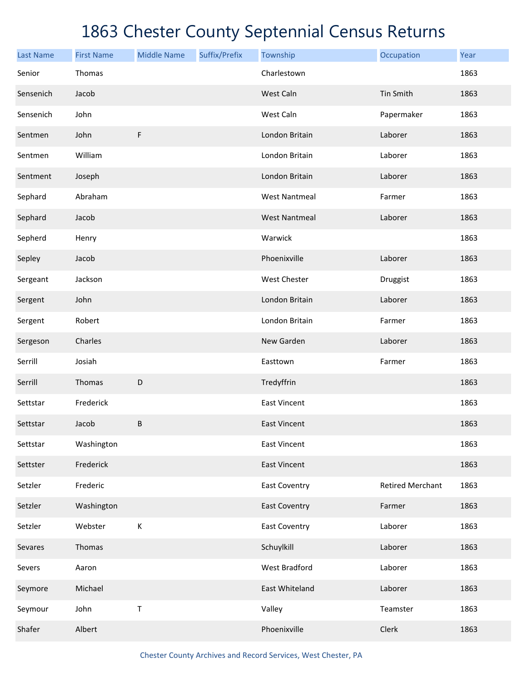| <b>Last Name</b> | <b>First Name</b> | <b>Middle Name</b> | Suffix/Prefix | Township             | Occupation              | Year |
|------------------|-------------------|--------------------|---------------|----------------------|-------------------------|------|
| Senior           | Thomas            |                    |               | Charlestown          |                         | 1863 |
| Sensenich        | Jacob             |                    |               | West Caln            | Tin Smith               | 1863 |
| Sensenich        | John              |                    |               | West Caln            | Papermaker              | 1863 |
| Sentmen          | John              | $\mathsf F$        |               | London Britain       | Laborer                 | 1863 |
| Sentmen          | William           |                    |               | London Britain       | Laborer                 | 1863 |
| Sentment         | Joseph            |                    |               | London Britain       | Laborer                 | 1863 |
| Sephard          | Abraham           |                    |               | <b>West Nantmeal</b> | Farmer                  | 1863 |
| Sephard          | Jacob             |                    |               | <b>West Nantmeal</b> | Laborer                 | 1863 |
| Sepherd          | Henry             |                    |               | Warwick              |                         | 1863 |
| Sepley           | Jacob             |                    |               | Phoenixville         | Laborer                 | 1863 |
| Sergeant         | Jackson           |                    |               | West Chester         | Druggist                | 1863 |
| Sergent          | John              |                    |               | London Britain       | Laborer                 | 1863 |
| Sergent          | Robert            |                    |               | London Britain       | Farmer                  | 1863 |
| Sergeson         | Charles           |                    |               | New Garden           | Laborer                 | 1863 |
| Serrill          | Josiah            |                    |               | Easttown             | Farmer                  | 1863 |
| Serrill          | Thomas            | D                  |               | Tredyffrin           |                         | 1863 |
| Settstar         | Frederick         |                    |               | <b>East Vincent</b>  |                         | 1863 |
| Settstar         | Jacob             | B                  |               | <b>East Vincent</b>  |                         | 1863 |
| Settstar         | Washington        |                    |               | <b>East Vincent</b>  |                         | 1863 |
| Settster         | Frederick         |                    |               | <b>East Vincent</b>  |                         | 1863 |
| Setzler          | Frederic          |                    |               | <b>East Coventry</b> | <b>Retired Merchant</b> | 1863 |
| Setzler          | Washington        |                    |               | <b>East Coventry</b> | Farmer                  | 1863 |
| Setzler          | Webster           | К                  |               | <b>East Coventry</b> | Laborer                 | 1863 |
| Sevares          | Thomas            |                    |               | Schuylkill           | Laborer                 | 1863 |
| Severs           | Aaron             |                    |               | West Bradford        | Laborer                 | 1863 |
| Seymore          | Michael           |                    |               | East Whiteland       | Laborer                 | 1863 |
| Seymour          | John              | T                  |               | Valley               | Teamster                | 1863 |
| Shafer           | Albert            |                    |               | Phoenixville         | Clerk                   | 1863 |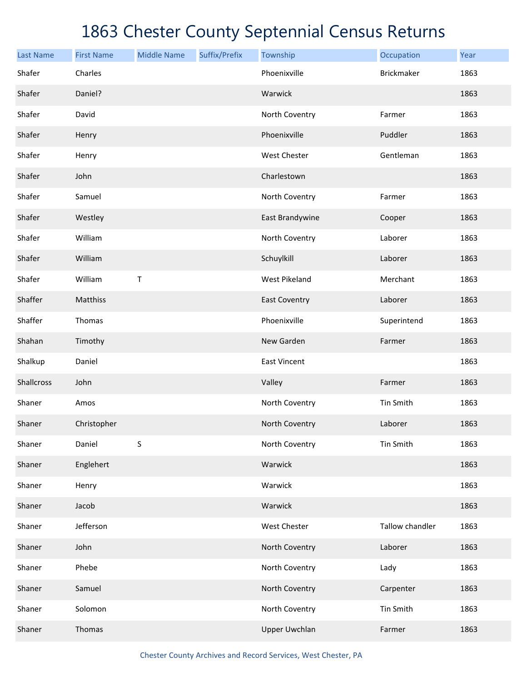| <b>Last Name</b> | <b>First Name</b> | <b>Middle Name</b> | Suffix/Prefix | Township             | Occupation        | Year |
|------------------|-------------------|--------------------|---------------|----------------------|-------------------|------|
| Shafer           | Charles           |                    |               | Phoenixville         | <b>Brickmaker</b> | 1863 |
| Shafer           | Daniel?           |                    |               | Warwick              |                   | 1863 |
| Shafer           | David             |                    |               | North Coventry       | Farmer            | 1863 |
| Shafer           | Henry             |                    |               | Phoenixville         | Puddler           | 1863 |
| Shafer           | Henry             |                    |               | West Chester         | Gentleman         | 1863 |
| Shafer           | John              |                    |               | Charlestown          |                   | 1863 |
| Shafer           | Samuel            |                    |               | North Coventry       | Farmer            | 1863 |
| Shafer           | Westley           |                    |               | East Brandywine      | Cooper            | 1863 |
| Shafer           | William           |                    |               | North Coventry       | Laborer           | 1863 |
| Shafer           | William           |                    |               | Schuylkill           | Laborer           | 1863 |
| Shafer           | William           | Τ                  |               | <b>West Pikeland</b> | Merchant          | 1863 |
| Shaffer          | Matthiss          |                    |               | <b>East Coventry</b> | Laborer           | 1863 |
| Shaffer          | Thomas            |                    |               | Phoenixville         | Superintend       | 1863 |
| Shahan           | Timothy           |                    |               | New Garden           | Farmer            | 1863 |
| Shalkup          | Daniel            |                    |               | <b>East Vincent</b>  |                   | 1863 |
| Shallcross       | John              |                    |               | Valley               | Farmer            | 1863 |
| Shaner           | Amos              |                    |               | North Coventry       | Tin Smith         | 1863 |
| Shaner           | Christopher       |                    |               | North Coventry       | Laborer           | 1863 |
| Shaner           | Daniel            | S                  |               | North Coventry       | Tin Smith         | 1863 |
| Shaner           | Englehert         |                    |               | Warwick              |                   | 1863 |
| Shaner           | Henry             |                    |               | Warwick              |                   | 1863 |
| Shaner           | Jacob             |                    |               | Warwick              |                   | 1863 |
| Shaner           | Jefferson         |                    |               | West Chester         | Tallow chandler   | 1863 |
| Shaner           | John              |                    |               | North Coventry       | Laborer           | 1863 |
| Shaner           | Phebe             |                    |               | North Coventry       | Lady              | 1863 |
| Shaner           | Samuel            |                    |               | North Coventry       | Carpenter         | 1863 |
| Shaner           | Solomon           |                    |               | North Coventry       | Tin Smith         | 1863 |
| Shaner           | Thomas            |                    |               | <b>Upper Uwchlan</b> | Farmer            | 1863 |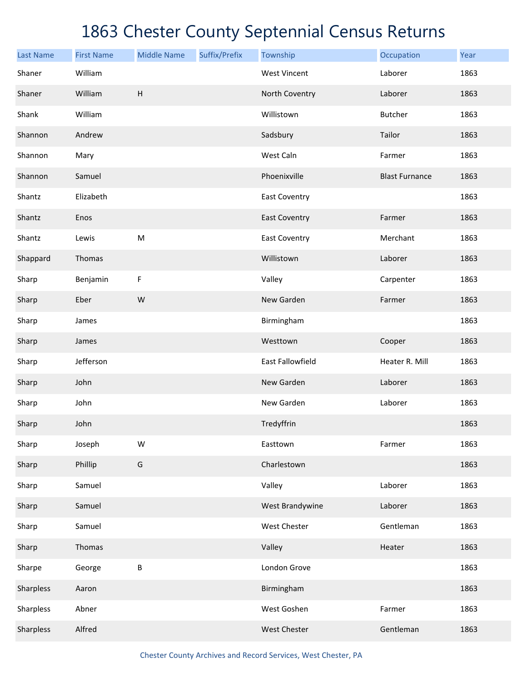| <b>Last Name</b> | <b>First Name</b> | <b>Middle Name</b>                                                                                         | Suffix/Prefix | Township                | Occupation            | Year |
|------------------|-------------------|------------------------------------------------------------------------------------------------------------|---------------|-------------------------|-----------------------|------|
| Shaner           | William           |                                                                                                            |               | <b>West Vincent</b>     | Laborer               | 1863 |
| Shaner           | William           | H                                                                                                          |               | North Coventry          | Laborer               | 1863 |
| Shank            | William           |                                                                                                            |               | Willistown              | Butcher               | 1863 |
| Shannon          | Andrew            |                                                                                                            |               | Sadsbury                | Tailor                | 1863 |
| Shannon          | Mary              |                                                                                                            |               | West Caln               | Farmer                | 1863 |
| Shannon          | Samuel            |                                                                                                            |               | Phoenixville            | <b>Blast Furnance</b> | 1863 |
| Shantz           | Elizabeth         |                                                                                                            |               | <b>East Coventry</b>    |                       | 1863 |
| Shantz           | Enos              |                                                                                                            |               | <b>East Coventry</b>    | Farmer                | 1863 |
| Shantz           | Lewis             | $\mathsf{M}% _{T}=\mathsf{M}_{T}\!\left( a,b\right) ,\ \mathsf{M}_{T}=\mathsf{M}_{T}\!\left( a,b\right) ,$ |               | <b>East Coventry</b>    | Merchant              | 1863 |
| Shappard         | Thomas            |                                                                                                            |               | Willistown              | Laborer               | 1863 |
| Sharp            | Benjamin          | F                                                                                                          |               | Valley                  | Carpenter             | 1863 |
| Sharp            | Eber              | ${\sf W}$                                                                                                  |               | New Garden              | Farmer                | 1863 |
| Sharp            | James             |                                                                                                            |               | Birmingham              |                       | 1863 |
| Sharp            | James             |                                                                                                            |               | Westtown                | Cooper                | 1863 |
| Sharp            | Jefferson         |                                                                                                            |               | <b>East Fallowfield</b> | Heater R. Mill        | 1863 |
| Sharp            | John              |                                                                                                            |               | New Garden              | Laborer               | 1863 |
| Sharp            | John              |                                                                                                            |               | New Garden              | Laborer               | 1863 |
| Sharp            | John              |                                                                                                            |               | Tredyffrin              |                       | 1863 |
| Sharp            | Joseph            | W                                                                                                          |               | Easttown                | Farmer                | 1863 |
| Sharp            | Phillip           | G                                                                                                          |               | Charlestown             |                       | 1863 |
| Sharp            | Samuel            |                                                                                                            |               | Valley                  | Laborer               | 1863 |
| Sharp            | Samuel            |                                                                                                            |               | West Brandywine         | Laborer               | 1863 |
| Sharp            | Samuel            |                                                                                                            |               | West Chester            | Gentleman             | 1863 |
| Sharp            | Thomas            |                                                                                                            |               | Valley                  | Heater                | 1863 |
| Sharpe           | George            | B                                                                                                          |               | London Grove            |                       | 1863 |
| Sharpless        | Aaron             |                                                                                                            |               | Birmingham              |                       | 1863 |
| Sharpless        | Abner             |                                                                                                            |               | West Goshen             | Farmer                | 1863 |
| Sharpless        | Alfred            |                                                                                                            |               | West Chester            | Gentleman             | 1863 |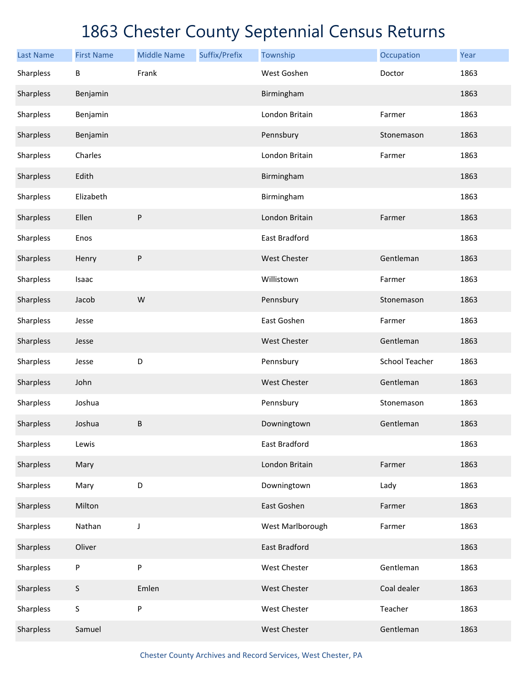| <b>Last Name</b> | <b>First Name</b> | <b>Middle Name</b> | Suffix/Prefix | Township            | Occupation            | Year |
|------------------|-------------------|--------------------|---------------|---------------------|-----------------------|------|
| Sharpless        | B                 | Frank              |               | West Goshen         | Doctor                | 1863 |
| Sharpless        | Benjamin          |                    |               | Birmingham          |                       | 1863 |
| Sharpless        | Benjamin          |                    |               | London Britain      | Farmer                | 1863 |
| Sharpless        | Benjamin          |                    |               | Pennsbury           | Stonemason            | 1863 |
| Sharpless        | Charles           |                    |               | London Britain      | Farmer                | 1863 |
| Sharpless        | Edith             |                    |               | Birmingham          |                       | 1863 |
| Sharpless        | Elizabeth         |                    |               | Birmingham          |                       | 1863 |
| Sharpless        | Ellen             | ${\sf P}$          |               | London Britain      | Farmer                | 1863 |
| Sharpless        | Enos              |                    |               | East Bradford       |                       | 1863 |
| Sharpless        | Henry             | ${\sf P}$          |               | <b>West Chester</b> | Gentleman             | 1863 |
| Sharpless        | Isaac             |                    |               | Willistown          | Farmer                | 1863 |
| Sharpless        | Jacob             | ${\sf W}$          |               | Pennsbury           | Stonemason            | 1863 |
| Sharpless        | Jesse             |                    |               | East Goshen         | Farmer                | 1863 |
| Sharpless        | Jesse             |                    |               | <b>West Chester</b> | Gentleman             | 1863 |
| Sharpless        | Jesse             | D                  |               | Pennsbury           | <b>School Teacher</b> | 1863 |
| Sharpless        | John              |                    |               | <b>West Chester</b> | Gentleman             | 1863 |
| Sharpless        | Joshua            |                    |               | Pennsbury           | Stonemason            | 1863 |
| Sharpless        | Joshua            | $\sf B$            |               | Downingtown         | Gentleman             | 1863 |
| Sharpless        | Lewis             |                    |               | East Bradford       |                       | 1863 |
| Sharpless        | Mary              |                    |               | London Britain      | Farmer                | 1863 |
| Sharpless        | Mary              | $\mathsf D$        |               | Downingtown         | Lady                  | 1863 |
| Sharpless        | Milton            |                    |               | East Goshen         | Farmer                | 1863 |
| Sharpless        | Nathan            | $\mathsf J$        |               | West Marlborough    | Farmer                | 1863 |
| Sharpless        | Oliver            |                    |               | East Bradford       |                       | 1863 |
| Sharpless        | P                 | P                  |               | West Chester        | Gentleman             | 1863 |
| Sharpless        | $\mathsf S$       | Emlen              |               | West Chester        | Coal dealer           | 1863 |
| Sharpless        | $\sf S$           | $\sf P$            |               | West Chester        | Teacher               | 1863 |
| Sharpless        | Samuel            |                    |               | <b>West Chester</b> | Gentleman             | 1863 |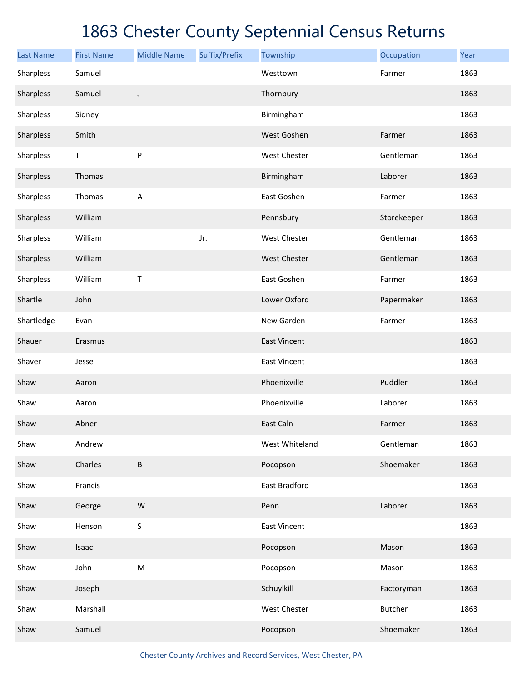| <b>Last Name</b> | <b>First Name</b> | <b>Middle Name</b>                                                                                         | Suffix/Prefix | Township            | Occupation     | Year |
|------------------|-------------------|------------------------------------------------------------------------------------------------------------|---------------|---------------------|----------------|------|
| Sharpless        | Samuel            |                                                                                                            |               | Westtown            | Farmer         | 1863 |
| Sharpless        | Samuel            | J                                                                                                          |               | Thornbury           |                | 1863 |
| Sharpless        | Sidney            |                                                                                                            |               | Birmingham          |                | 1863 |
| Sharpless        | Smith             |                                                                                                            |               | West Goshen         | Farmer         | 1863 |
| Sharpless        | $\mathsf T$       | ${\sf P}$                                                                                                  |               | West Chester        | Gentleman      | 1863 |
| Sharpless        | Thomas            |                                                                                                            |               | Birmingham          | Laborer        | 1863 |
| Sharpless        | Thomas            | $\mathsf A$                                                                                                |               | East Goshen         | Farmer         | 1863 |
| Sharpless        | William           |                                                                                                            |               | Pennsbury           | Storekeeper    | 1863 |
| Sharpless        | William           |                                                                                                            | Jr.           | <b>West Chester</b> | Gentleman      | 1863 |
| Sharpless        | William           |                                                                                                            |               | <b>West Chester</b> | Gentleman      | 1863 |
| Sharpless        | William           | Τ                                                                                                          |               | East Goshen         | Farmer         | 1863 |
| Shartle          | John              |                                                                                                            |               | Lower Oxford        | Papermaker     | 1863 |
| Shartledge       | Evan              |                                                                                                            |               | New Garden          | Farmer         | 1863 |
| Shauer           | Erasmus           |                                                                                                            |               | <b>East Vincent</b> |                | 1863 |
| Shaver           | Jesse             |                                                                                                            |               | <b>East Vincent</b> |                | 1863 |
| Shaw             | Aaron             |                                                                                                            |               | Phoenixville        | Puddler        | 1863 |
| Shaw             | Aaron             |                                                                                                            |               | Phoenixville        | Laborer        | 1863 |
| Shaw             | Abner             |                                                                                                            |               | East Caln           | Farmer         | 1863 |
| Shaw             | Andrew            |                                                                                                            |               | West Whiteland      | Gentleman      | 1863 |
| Shaw             | Charles           | $\sf B$                                                                                                    |               | Pocopson            | Shoemaker      | 1863 |
| Shaw             | Francis           |                                                                                                            |               | East Bradford       |                | 1863 |
| Shaw             | George            | ${\sf W}$                                                                                                  |               | Penn                | Laborer        | 1863 |
| Shaw             | Henson            | S                                                                                                          |               | <b>East Vincent</b> |                | 1863 |
| Shaw             | Isaac             |                                                                                                            |               | Pocopson            | Mason          | 1863 |
| Shaw             | John              | $\mathsf{M}% _{T}=\mathsf{M}_{T}\!\left( a,b\right) ,\ \mathsf{M}_{T}=\mathsf{M}_{T}\!\left( a,b\right) ,$ |               | Pocopson            | Mason          | 1863 |
| Shaw             | Joseph            |                                                                                                            |               | Schuylkill          | Factoryman     | 1863 |
| Shaw             | Marshall          |                                                                                                            |               | West Chester        | <b>Butcher</b> | 1863 |
| Shaw             | Samuel            |                                                                                                            |               | Pocopson            | Shoemaker      | 1863 |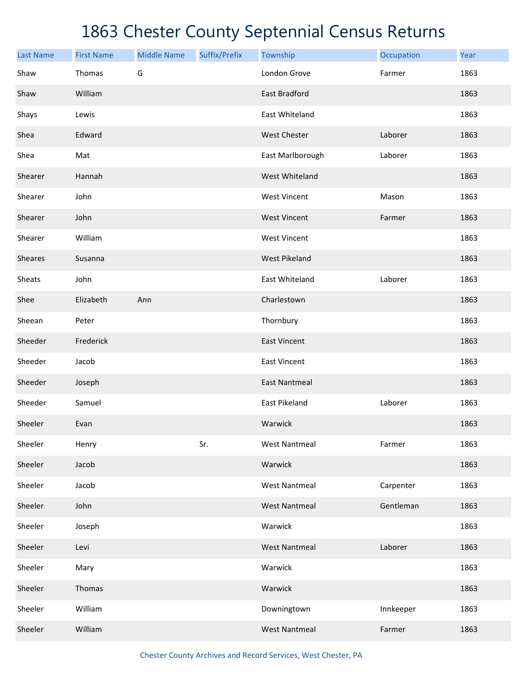| <b>Last Name</b> | <b>First Name</b> | <b>Middle Name</b> | Suffix/Prefix | Township             | Occupation | Year |
|------------------|-------------------|--------------------|---------------|----------------------|------------|------|
| Shaw             | Thomas            | G                  |               | London Grove         | Farmer     | 1863 |
| Shaw             | William           |                    |               | East Bradford        |            | 1863 |
| Shays            | Lewis             |                    |               | East Whiteland       |            | 1863 |
| Shea             | Edward            |                    |               | <b>West Chester</b>  | Laborer    | 1863 |
| Shea             | Mat               |                    |               | East Marlborough     | Laborer    | 1863 |
| Shearer          | Hannah            |                    |               | West Whiteland       |            | 1863 |
| Shearer          | John              |                    |               | <b>West Vincent</b>  | Mason      | 1863 |
| Shearer          | John              |                    |               | <b>West Vincent</b>  | Farmer     | 1863 |
| Shearer          | William           |                    |               | <b>West Vincent</b>  |            | 1863 |
| Sheares          | Susanna           |                    |               | <b>West Pikeland</b> |            | 1863 |
| Sheats           | John              |                    |               | East Whiteland       | Laborer    | 1863 |
| Shee             | Elizabeth         | Ann                |               | Charlestown          |            | 1863 |
| Sheean           | Peter             |                    |               | Thornbury            |            | 1863 |
| Sheeder          | Frederick         |                    |               | <b>East Vincent</b>  |            | 1863 |
| Sheeder          | Jacob             |                    |               | <b>East Vincent</b>  |            | 1863 |
| Sheeder          | Joseph            |                    |               | <b>East Nantmeal</b> |            | 1863 |
| Sheeder          | Samuel            |                    |               | East Pikeland        | Laborer    | 1863 |
| Sheeler          | Evan              |                    |               | Warwick              |            | 1863 |
| Sheeler          | Henry             |                    | Sr.           | <b>West Nantmeal</b> | Farmer     | 1863 |
| Sheeler          | Jacob             |                    |               | Warwick              |            | 1863 |
| Sheeler          | Jacob             |                    |               | <b>West Nantmeal</b> | Carpenter  | 1863 |
| Sheeler          | John              |                    |               | <b>West Nantmeal</b> | Gentleman  | 1863 |
| Sheeler          | Joseph            |                    |               | Warwick              |            | 1863 |
| Sheeler          | Levi              |                    |               | <b>West Nantmeal</b> | Laborer    | 1863 |
| Sheeler          | Mary              |                    |               | Warwick              |            | 1863 |
| Sheeler          | Thomas            |                    |               | Warwick              |            | 1863 |
| Sheeler          | William           |                    |               | Downingtown          | Innkeeper  | 1863 |
| Sheeler          | William           |                    |               | <b>West Nantmeal</b> | Farmer     | 1863 |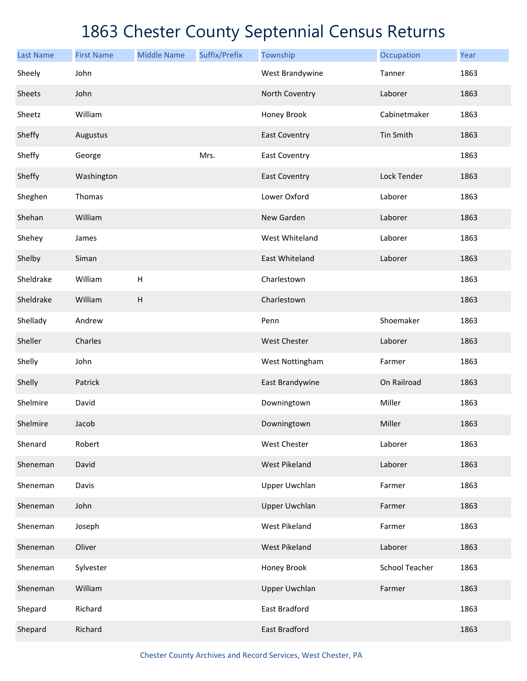| <b>Last Name</b> | <b>First Name</b> | <b>Middle Name</b>        | Suffix/Prefix | Township             | Occupation            | Year |
|------------------|-------------------|---------------------------|---------------|----------------------|-----------------------|------|
| Sheely           | John              |                           |               | West Brandywine      | Tanner                | 1863 |
| Sheets           | John              |                           |               | North Coventry       | Laborer               | 1863 |
| Sheetz           | William           |                           |               | Honey Brook          | Cabinetmaker          | 1863 |
| Sheffy           | Augustus          |                           |               | <b>East Coventry</b> | Tin Smith             | 1863 |
| Sheffy           | George            |                           | Mrs.          | <b>East Coventry</b> |                       | 1863 |
| Sheffy           | Washington        |                           |               | <b>East Coventry</b> | Lock Tender           | 1863 |
| Sheghen          | Thomas            |                           |               | Lower Oxford         | Laborer               | 1863 |
| Shehan           | William           |                           |               | New Garden           | Laborer               | 1863 |
| Shehey           | James             |                           |               | West Whiteland       | Laborer               | 1863 |
| Shelby           | Siman             |                           |               | East Whiteland       | Laborer               | 1863 |
| Sheldrake        | William           | $\mathsf H$               |               | Charlestown          |                       | 1863 |
| Sheldrake        | William           | $\boldsymbol{\mathsf{H}}$ |               | Charlestown          |                       | 1863 |
| Shellady         | Andrew            |                           |               | Penn                 | Shoemaker             | 1863 |
| Sheller          | Charles           |                           |               | West Chester         | Laborer               | 1863 |
| Shelly           | John              |                           |               | West Nottingham      | Farmer                | 1863 |
| Shelly           | Patrick           |                           |               | East Brandywine      | On Railroad           | 1863 |
| Shelmire         | David             |                           |               | Downingtown          | Miller                | 1863 |
| Shelmire         | Jacob             |                           |               | Downingtown          | Miller                | 1863 |
| Shenard          | Robert            |                           |               | West Chester         | Laborer               | 1863 |
| Sheneman         | David             |                           |               | <b>West Pikeland</b> | Laborer               | 1863 |
| Sheneman         | Davis             |                           |               | Upper Uwchlan        | Farmer                | 1863 |
| Sheneman         | John              |                           |               | <b>Upper Uwchlan</b> | Farmer                | 1863 |
| Sheneman         | Joseph            |                           |               | <b>West Pikeland</b> | Farmer                | 1863 |
| Sheneman         | Oliver            |                           |               | <b>West Pikeland</b> | Laborer               | 1863 |
| Sheneman         | Sylvester         |                           |               | Honey Brook          | <b>School Teacher</b> | 1863 |
| Sheneman         | William           |                           |               | <b>Upper Uwchlan</b> | Farmer                | 1863 |
| Shepard          | Richard           |                           |               | East Bradford        |                       | 1863 |
| Shepard          | Richard           |                           |               | East Bradford        |                       | 1863 |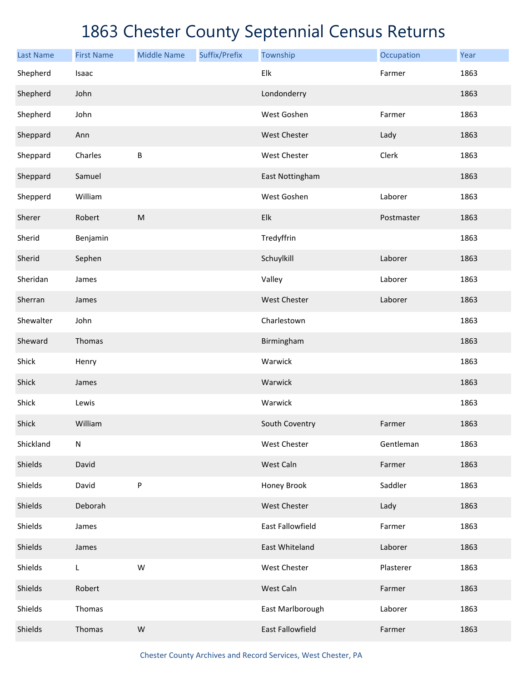| <b>Last Name</b> | <b>First Name</b> | <b>Middle Name</b> | Suffix/Prefix | Township                | Occupation | Year |
|------------------|-------------------|--------------------|---------------|-------------------------|------------|------|
| Shepherd         | Isaac             |                    |               | Elk                     | Farmer     | 1863 |
| Shepherd         | John              |                    |               | Londonderry             |            | 1863 |
| Shepherd         | John              |                    |               | West Goshen             | Farmer     | 1863 |
| Sheppard         | Ann               |                    |               | <b>West Chester</b>     | Lady       | 1863 |
| Sheppard         | Charles           | $\sf B$            |               | West Chester            | Clerk      | 1863 |
| Sheppard         | Samuel            |                    |               | East Nottingham         |            | 1863 |
| Shepperd         | William           |                    |               | West Goshen             | Laborer    | 1863 |
| Sherer           | Robert            | ${\sf M}$          |               | Elk                     | Postmaster | 1863 |
| Sherid           | Benjamin          |                    |               | Tredyffrin              |            | 1863 |
| Sherid           | Sephen            |                    |               | Schuylkill              | Laborer    | 1863 |
| Sheridan         | James             |                    |               | Valley                  | Laborer    | 1863 |
| Sherran          | James             |                    |               | <b>West Chester</b>     | Laborer    | 1863 |
| Shewalter        | John              |                    |               | Charlestown             |            | 1863 |
| Sheward          | Thomas            |                    |               | Birmingham              |            | 1863 |
| Shick            | Henry             |                    |               | Warwick                 |            | 1863 |
| Shick            | James             |                    |               | Warwick                 |            | 1863 |
| Shick            | Lewis             |                    |               | Warwick                 |            | 1863 |
| Shick            | William           |                    |               | South Coventry          | Farmer     | 1863 |
| Shickland        | ${\sf N}$         |                    |               | West Chester            | Gentleman  | 1863 |
| Shields          | David             |                    |               | West Caln               | Farmer     | 1863 |
| Shields          | David             | ${\sf P}$          |               | Honey Brook             | Saddler    | 1863 |
| Shields          | Deborah           |                    |               | West Chester            | Lady       | 1863 |
| Shields          | James             |                    |               | <b>East Fallowfield</b> | Farmer     | 1863 |
| Shields          | James             |                    |               | East Whiteland          | Laborer    | 1863 |
| Shields          | L                 | ${\sf W}$          |               | West Chester            | Plasterer  | 1863 |
| Shields          | Robert            |                    |               | West Caln               | Farmer     | 1863 |
| Shields          | Thomas            |                    |               | East Marlborough        | Laborer    | 1863 |
| Shields          | Thomas            | W                  |               | East Fallowfield        | Farmer     | 1863 |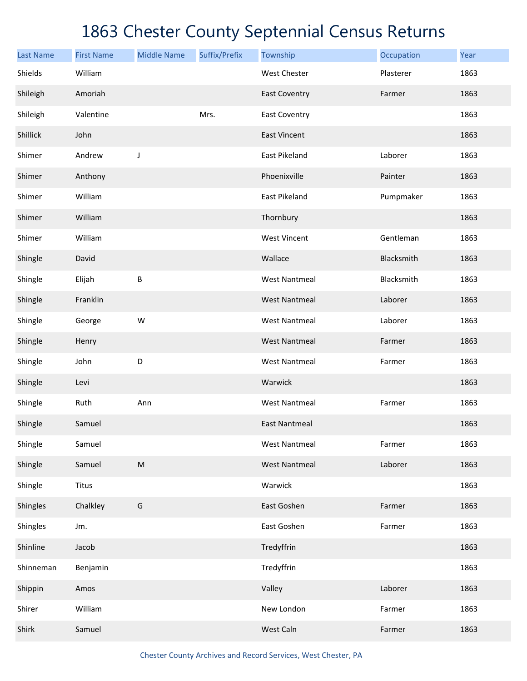| <b>Last Name</b> | <b>First Name</b> | <b>Middle Name</b> | Suffix/Prefix | Township             | Occupation | Year |
|------------------|-------------------|--------------------|---------------|----------------------|------------|------|
| Shields          | William           |                    |               | <b>West Chester</b>  | Plasterer  | 1863 |
| Shileigh         | Amoriah           |                    |               | <b>East Coventry</b> | Farmer     | 1863 |
| Shileigh         | Valentine         |                    | Mrs.          | <b>East Coventry</b> |            | 1863 |
| Shillick         | John              |                    |               | <b>East Vincent</b>  |            | 1863 |
| Shimer           | Andrew            | J                  |               | East Pikeland        | Laborer    | 1863 |
| Shimer           | Anthony           |                    |               | Phoenixville         | Painter    | 1863 |
| Shimer           | William           |                    |               | East Pikeland        | Pumpmaker  | 1863 |
| Shimer           | William           |                    |               | Thornbury            |            | 1863 |
| Shimer           | William           |                    |               | <b>West Vincent</b>  | Gentleman  | 1863 |
| Shingle          | David             |                    |               | Wallace              | Blacksmith | 1863 |
| Shingle          | Elijah            | B                  |               | <b>West Nantmeal</b> | Blacksmith | 1863 |
| Shingle          | Franklin          |                    |               | <b>West Nantmeal</b> | Laborer    | 1863 |
| Shingle          | George            | W                  |               | <b>West Nantmeal</b> | Laborer    | 1863 |
| Shingle          | Henry             |                    |               | <b>West Nantmeal</b> | Farmer     | 1863 |
| Shingle          | John              | D                  |               | <b>West Nantmeal</b> | Farmer     | 1863 |
| Shingle          | Levi              |                    |               | Warwick              |            | 1863 |
| Shingle          | Ruth              | Ann                |               | <b>West Nantmeal</b> | Farmer     | 1863 |
| Shingle          | Samuel            |                    |               | <b>East Nantmeal</b> |            | 1863 |
| Shingle          | Samuel            |                    |               | <b>West Nantmeal</b> | Farmer     | 1863 |
| Shingle          | Samuel            | ${\sf M}$          |               | <b>West Nantmeal</b> | Laborer    | 1863 |
| Shingle          | <b>Titus</b>      |                    |               | Warwick              |            | 1863 |
| Shingles         | Chalkley          | G                  |               | East Goshen          | Farmer     | 1863 |
| Shingles         | Jm.               |                    |               | East Goshen          | Farmer     | 1863 |
| Shinline         | Jacob             |                    |               | Tredyffrin           |            | 1863 |
| Shinneman        | Benjamin          |                    |               | Tredyffrin           |            | 1863 |
| Shippin          | Amos              |                    |               | Valley               | Laborer    | 1863 |
| Shirer           | William           |                    |               | New London           | Farmer     | 1863 |
| Shirk            | Samuel            |                    |               | West Caln            | Farmer     | 1863 |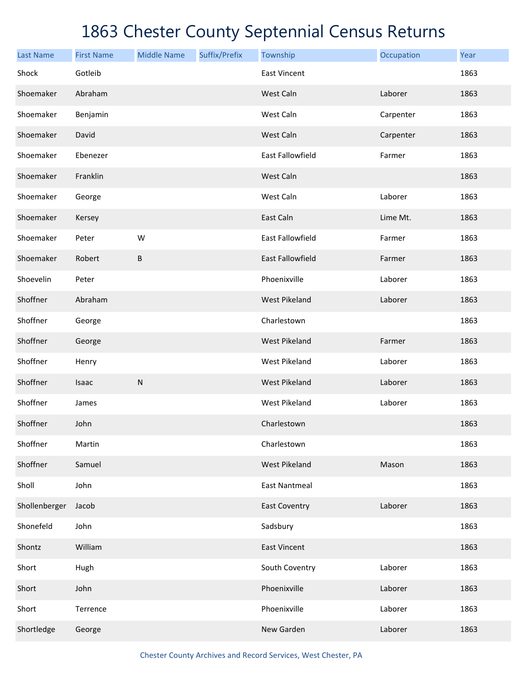| <b>Last Name</b> | <b>First Name</b> | <b>Middle Name</b> | Suffix/Prefix | Township                | Occupation | Year |
|------------------|-------------------|--------------------|---------------|-------------------------|------------|------|
| Shock            | Gotleib           |                    |               | <b>East Vincent</b>     |            | 1863 |
| Shoemaker        | Abraham           |                    |               | West Caln               | Laborer    | 1863 |
| Shoemaker        | Benjamin          |                    |               | West Caln               | Carpenter  | 1863 |
| Shoemaker        | David             |                    |               | West Caln               | Carpenter  | 1863 |
| Shoemaker        | Ebenezer          |                    |               | East Fallowfield        | Farmer     | 1863 |
| Shoemaker        | Franklin          |                    |               | West Caln               |            | 1863 |
| Shoemaker        | George            |                    |               | West Caln               | Laborer    | 1863 |
| Shoemaker        | Kersey            |                    |               | East Caln               | Lime Mt.   | 1863 |
| Shoemaker        | Peter             | W                  |               | <b>East Fallowfield</b> | Farmer     | 1863 |
| Shoemaker        | Robert            | $\sf B$            |               | <b>East Fallowfield</b> | Farmer     | 1863 |
| Shoevelin        | Peter             |                    |               | Phoenixville            | Laborer    | 1863 |
| Shoffner         | Abraham           |                    |               | <b>West Pikeland</b>    | Laborer    | 1863 |
| Shoffner         | George            |                    |               | Charlestown             |            | 1863 |
| Shoffner         | George            |                    |               | <b>West Pikeland</b>    | Farmer     | 1863 |
| Shoffner         | Henry             |                    |               | West Pikeland           | Laborer    | 1863 |
| Shoffner         | Isaac             | ${\sf N}$          |               | <b>West Pikeland</b>    | Laborer    | 1863 |
| Shoffner         | James             |                    |               | West Pikeland           | Laborer    | 1863 |
| Shoffner         | John              |                    |               | Charlestown             |            | 1863 |
| Shoffner         | Martin            |                    |               | Charlestown             |            | 1863 |
| Shoffner         | Samuel            |                    |               | <b>West Pikeland</b>    | Mason      | 1863 |
| Sholl            | John              |                    |               | <b>East Nantmeal</b>    |            | 1863 |
| Shollenberger    | Jacob             |                    |               | <b>East Coventry</b>    | Laborer    | 1863 |
| Shonefeld        | John              |                    |               | Sadsbury                |            | 1863 |
| Shontz           | William           |                    |               | <b>East Vincent</b>     |            | 1863 |
| Short            | Hugh              |                    |               | South Coventry          | Laborer    | 1863 |
| Short            | John              |                    |               | Phoenixville            | Laborer    | 1863 |
| Short            | Terrence          |                    |               | Phoenixville            | Laborer    | 1863 |
| Shortledge       | George            |                    |               | New Garden              | Laborer    | 1863 |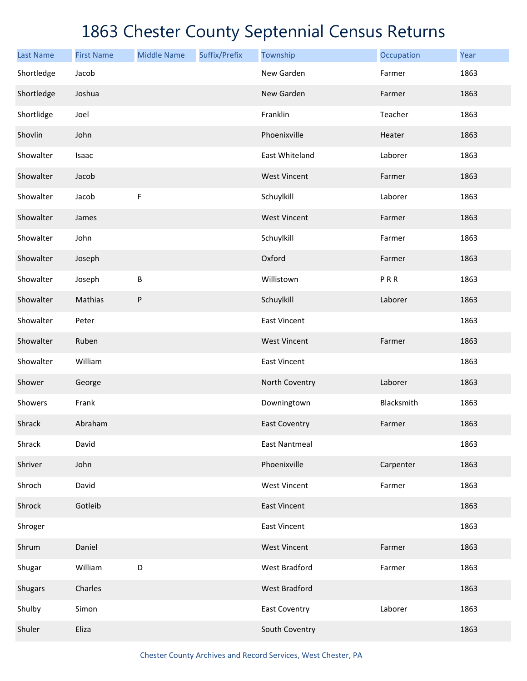| <b>Last Name</b> | <b>First Name</b> | <b>Middle Name</b> | Suffix/Prefix | Township             | Occupation | Year |
|------------------|-------------------|--------------------|---------------|----------------------|------------|------|
| Shortledge       | Jacob             |                    |               | New Garden           | Farmer     | 1863 |
| Shortledge       | Joshua            |                    |               | New Garden           | Farmer     | 1863 |
| Shortlidge       | Joel              |                    |               | Franklin             | Teacher    | 1863 |
| Shovlin          | John              |                    |               | Phoenixville         | Heater     | 1863 |
| Showalter        | Isaac             |                    |               | East Whiteland       | Laborer    | 1863 |
| Showalter        | Jacob             |                    |               | <b>West Vincent</b>  | Farmer     | 1863 |
| Showalter        | Jacob             | F                  |               | Schuylkill           | Laborer    | 1863 |
| Showalter        | James             |                    |               | <b>West Vincent</b>  | Farmer     | 1863 |
| Showalter        | John              |                    |               | Schuylkill           | Farmer     | 1863 |
| Showalter        | Joseph            |                    |               | Oxford               | Farmer     | 1863 |
| Showalter        | Joseph            | B                  |               | Willistown           | PRR        | 1863 |
| Showalter        | Mathias           | P                  |               | Schuylkill           | Laborer    | 1863 |
| Showalter        | Peter             |                    |               | <b>East Vincent</b>  |            | 1863 |
| Showalter        | Ruben             |                    |               | <b>West Vincent</b>  | Farmer     | 1863 |
| Showalter        | William           |                    |               | <b>East Vincent</b>  |            | 1863 |
| Shower           | George            |                    |               | North Coventry       | Laborer    | 1863 |
| Showers          | Frank             |                    |               | Downingtown          | Blacksmith | 1863 |
| Shrack           | Abraham           |                    |               | <b>East Coventry</b> | Farmer     | 1863 |
| Shrack           | David             |                    |               | <b>East Nantmeal</b> |            | 1863 |
| Shriver          | John              |                    |               | Phoenixville         | Carpenter  | 1863 |
| Shroch           | David             |                    |               | <b>West Vincent</b>  | Farmer     | 1863 |
| Shrock           | Gotleib           |                    |               | <b>East Vincent</b>  |            | 1863 |
| Shroger          |                   |                    |               | <b>East Vincent</b>  |            | 1863 |
| Shrum            | Daniel            |                    |               | <b>West Vincent</b>  | Farmer     | 1863 |
| Shugar           | William           | D                  |               | West Bradford        | Farmer     | 1863 |
| Shugars          | Charles           |                    |               | <b>West Bradford</b> |            | 1863 |
| Shulby           | Simon             |                    |               | <b>East Coventry</b> | Laborer    | 1863 |
| Shuler           | Eliza             |                    |               | South Coventry       |            | 1863 |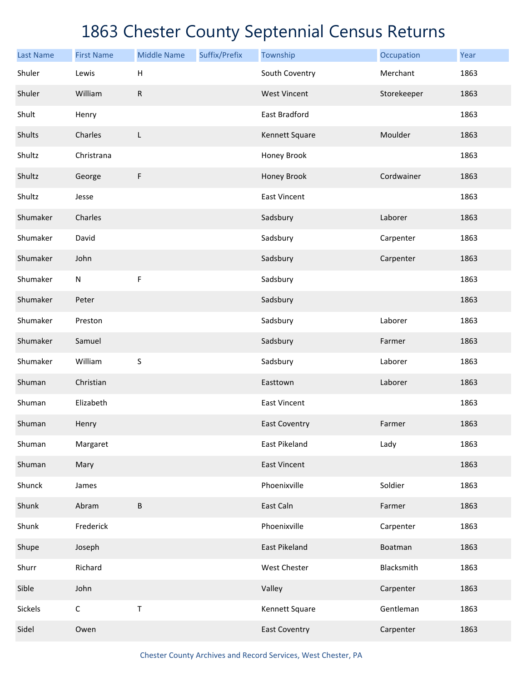| <b>Last Name</b> | <b>First Name</b> | <b>Middle Name</b> | Suffix/Prefix | Township             | Occupation  | Year |
|------------------|-------------------|--------------------|---------------|----------------------|-------------|------|
| Shuler           | Lewis             | Н                  |               | South Coventry       | Merchant    | 1863 |
| Shuler           | William           | ${\sf R}$          |               | <b>West Vincent</b>  | Storekeeper | 1863 |
| Shult            | Henry             |                    |               | East Bradford        |             | 1863 |
| Shults           | Charles           | L                  |               | Kennett Square       | Moulder     | 1863 |
| Shultz           | Christrana        |                    |               | Honey Brook          |             | 1863 |
| Shultz           | George            | F                  |               | Honey Brook          | Cordwainer  | 1863 |
| Shultz           | Jesse             |                    |               | <b>East Vincent</b>  |             | 1863 |
| Shumaker         | Charles           |                    |               | Sadsbury             | Laborer     | 1863 |
| Shumaker         | David             |                    |               | Sadsbury             | Carpenter   | 1863 |
| Shumaker         | John              |                    |               | Sadsbury             | Carpenter   | 1863 |
| Shumaker         | ${\sf N}$         | F                  |               | Sadsbury             |             | 1863 |
| Shumaker         | Peter             |                    |               | Sadsbury             |             | 1863 |
| Shumaker         | Preston           |                    |               | Sadsbury             | Laborer     | 1863 |
| Shumaker         | Samuel            |                    |               | Sadsbury             | Farmer      | 1863 |
| Shumaker         | William           | S                  |               | Sadsbury             | Laborer     | 1863 |
| Shuman           | Christian         |                    |               | Easttown             | Laborer     | 1863 |
| Shuman           | Elizabeth         |                    |               | <b>East Vincent</b>  |             | 1863 |
| Shuman           | Henry             |                    |               | <b>East Coventry</b> | Farmer      | 1863 |
| Shuman           | Margaret          |                    |               | East Pikeland        | Lady        | 1863 |
| Shuman           | Mary              |                    |               | <b>East Vincent</b>  |             | 1863 |
| Shunck           | James             |                    |               | Phoenixville         | Soldier     | 1863 |
| Shunk            | Abram             | B                  |               | East Caln            | Farmer      | 1863 |
| Shunk            | Frederick         |                    |               | Phoenixville         | Carpenter   | 1863 |
| Shupe            | Joseph            |                    |               | East Pikeland        | Boatman     | 1863 |
| Shurr            | Richard           |                    |               | West Chester         | Blacksmith  | 1863 |
| Sible            | John              |                    |               | Valley               | Carpenter   | 1863 |
| Sickels          | $\mathsf C$       | Τ                  |               | Kennett Square       | Gentleman   | 1863 |
| Sidel            | Owen              |                    |               | <b>East Coventry</b> | Carpenter   | 1863 |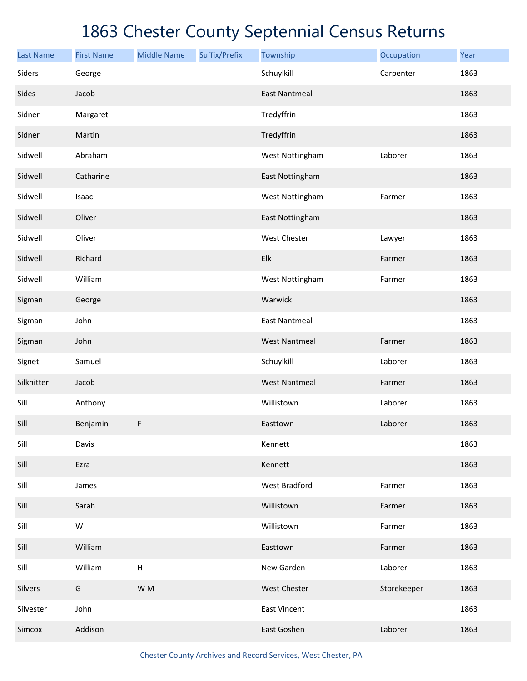| <b>Last Name</b> | <b>First Name</b> | <b>Middle Name</b>        | Suffix/Prefix | Township             | Occupation  | Year |
|------------------|-------------------|---------------------------|---------------|----------------------|-------------|------|
| Siders           | George            |                           |               | Schuylkill           | Carpenter   | 1863 |
| Sides            | Jacob             |                           |               | <b>East Nantmeal</b> |             | 1863 |
| Sidner           | Margaret          |                           |               | Tredyffrin           |             | 1863 |
| Sidner           | Martin            |                           |               | Tredyffrin           |             | 1863 |
| Sidwell          | Abraham           |                           |               | West Nottingham      | Laborer     | 1863 |
| Sidwell          | Catharine         |                           |               | East Nottingham      |             | 1863 |
| Sidwell          | Isaac             |                           |               | West Nottingham      | Farmer      | 1863 |
| Sidwell          | Oliver            |                           |               | East Nottingham      |             | 1863 |
| Sidwell          | Oliver            |                           |               | West Chester         | Lawyer      | 1863 |
| Sidwell          | Richard           |                           |               | Elk                  | Farmer      | 1863 |
| Sidwell          | William           |                           |               | West Nottingham      | Farmer      | 1863 |
| Sigman           | George            |                           |               | Warwick              |             | 1863 |
| Sigman           | John              |                           |               | <b>East Nantmeal</b> |             | 1863 |
| Sigman           | John              |                           |               | <b>West Nantmeal</b> | Farmer      | 1863 |
| Signet           | Samuel            |                           |               | Schuylkill           | Laborer     | 1863 |
| Silknitter       | Jacob             |                           |               | <b>West Nantmeal</b> | Farmer      | 1863 |
| Sill             | Anthony           |                           |               | Willistown           | Laborer     | 1863 |
| Sill             | Benjamin          | F                         |               | Easttown             | Laborer     | 1863 |
| Sill             | Davis             |                           |               | Kennett              |             | 1863 |
| Sill             | Ezra              |                           |               | Kennett              |             | 1863 |
| Sill             | James             |                           |               | West Bradford        | Farmer      | 1863 |
| Sill             | Sarah             |                           |               | Willistown           | Farmer      | 1863 |
| Sill             | ${\sf W}$         |                           |               | Willistown           | Farmer      | 1863 |
| Sill             | William           |                           |               | Easttown             | Farmer      | 1863 |
| Sill             | William           | $\boldsymbol{\mathsf{H}}$ |               | New Garden           | Laborer     | 1863 |
| Silvers          | G                 | W M                       |               | West Chester         | Storekeeper | 1863 |
| Silvester        | John              |                           |               | <b>East Vincent</b>  |             | 1863 |
| Simcox           | Addison           |                           |               | East Goshen          | Laborer     | 1863 |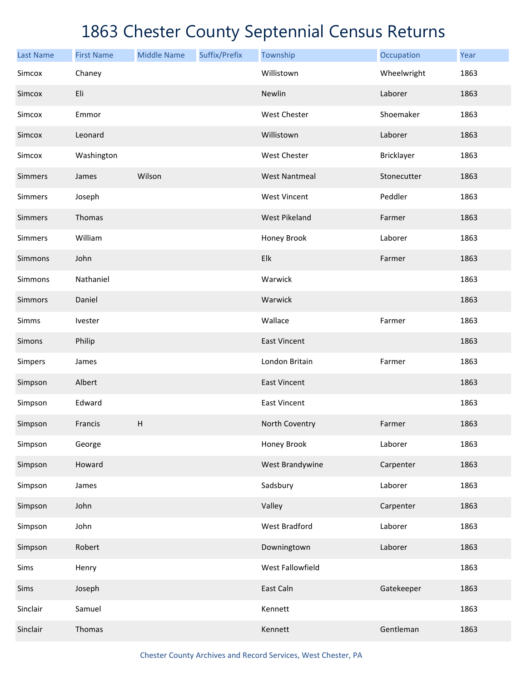| <b>Last Name</b> | <b>First Name</b> | <b>Middle Name</b> | Suffix/Prefix | Township             | Occupation  | Year |
|------------------|-------------------|--------------------|---------------|----------------------|-------------|------|
| Simcox           | Chaney            |                    |               | Willistown           | Wheelwright | 1863 |
| Simcox           | Eli               |                    |               | Newlin               | Laborer     | 1863 |
| Simcox           | Emmor             |                    |               | West Chester         | Shoemaker   | 1863 |
| Simcox           | Leonard           |                    |               | Willistown           | Laborer     | 1863 |
| Simcox           | Washington        |                    |               | West Chester         | Bricklayer  | 1863 |
| Simmers          | James             | Wilson             |               | <b>West Nantmeal</b> | Stonecutter | 1863 |
| Simmers          | Joseph            |                    |               | <b>West Vincent</b>  | Peddler     | 1863 |
| Simmers          | Thomas            |                    |               | <b>West Pikeland</b> | Farmer      | 1863 |
| Simmers          | William           |                    |               | Honey Brook          | Laborer     | 1863 |
| Simmons          | John              |                    |               | Elk                  | Farmer      | 1863 |
| Simmons          | Nathaniel         |                    |               | Warwick              |             | 1863 |
| Simmors          | Daniel            |                    |               | Warwick              |             | 1863 |
| Simms            | Ivester           |                    |               | Wallace              | Farmer      | 1863 |
| Simons           | Philip            |                    |               | <b>East Vincent</b>  |             | 1863 |
| Simpers          | James             |                    |               | London Britain       | Farmer      | 1863 |
| Simpson          | Albert            |                    |               | <b>East Vincent</b>  |             | 1863 |
| Simpson          | Edward            |                    |               | <b>East Vincent</b>  |             | 1863 |
| Simpson          | Francis           | $\sf H$            |               | North Coventry       | Farmer      | 1863 |
| Simpson          | George            |                    |               | Honey Brook          | Laborer     | 1863 |
| Simpson          | Howard            |                    |               | West Brandywine      | Carpenter   | 1863 |
| Simpson          | James             |                    |               | Sadsbury             | Laborer     | 1863 |
| Simpson          | John              |                    |               | Valley               | Carpenter   | 1863 |
| Simpson          | John              |                    |               | <b>West Bradford</b> | Laborer     | 1863 |
| Simpson          | Robert            |                    |               | Downingtown          | Laborer     | 1863 |
| Sims             | Henry             |                    |               | West Fallowfield     |             | 1863 |
| Sims             | Joseph            |                    |               | East Caln            | Gatekeeper  | 1863 |
| Sinclair         | Samuel            |                    |               | Kennett              |             | 1863 |
| Sinclair         | Thomas            |                    |               | Kennett              | Gentleman   | 1863 |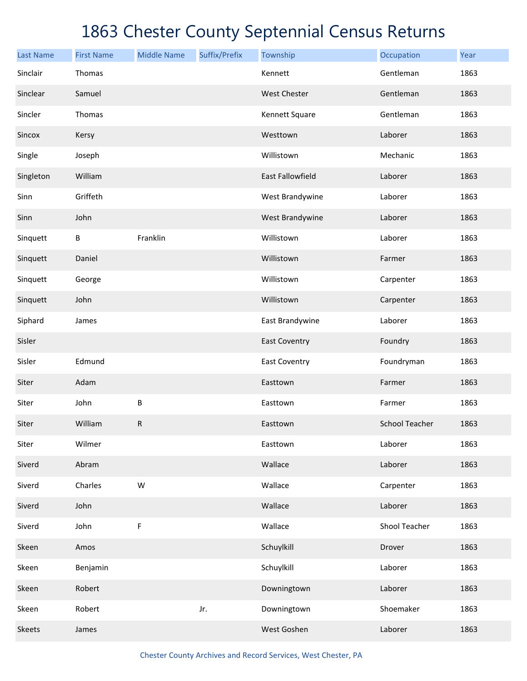| <b>Last Name</b> | <b>First Name</b> | <b>Middle Name</b> | Suffix/Prefix | Township                | Occupation            | Year |
|------------------|-------------------|--------------------|---------------|-------------------------|-----------------------|------|
| Sinclair         | Thomas            |                    |               | Kennett                 | Gentleman             | 1863 |
| Sinclear         | Samuel            |                    |               | <b>West Chester</b>     | Gentleman             | 1863 |
| Sincler          | Thomas            |                    |               | Kennett Square          | Gentleman             | 1863 |
| Sincox           | Kersy             |                    |               | Westtown                | Laborer               | 1863 |
| Single           | Joseph            |                    |               | Willistown              | Mechanic              | 1863 |
| Singleton        | William           |                    |               | <b>East Fallowfield</b> | Laborer               | 1863 |
| Sinn             | Griffeth          |                    |               | West Brandywine         | Laborer               | 1863 |
| Sinn             | John              |                    |               | West Brandywine         | Laborer               | 1863 |
| Sinquett         | В                 | Franklin           |               | Willistown              | Laborer               | 1863 |
| Sinquett         | Daniel            |                    |               | Willistown              | Farmer                | 1863 |
| Sinquett         | George            |                    |               | Willistown              | Carpenter             | 1863 |
| Sinquett         | John              |                    |               | Willistown              | Carpenter             | 1863 |
| Siphard          | James             |                    |               | East Brandywine         | Laborer               | 1863 |
| Sisler           |                   |                    |               | <b>East Coventry</b>    | Foundry               | 1863 |
| Sisler           | Edmund            |                    |               | <b>East Coventry</b>    | Foundryman            | 1863 |
| Siter            | Adam              |                    |               | Easttown                | Farmer                | 1863 |
| Siter            | John              | B                  |               | Easttown                | Farmer                | 1863 |
| Siter            | William           | ${\sf R}$          |               | Easttown                | <b>School Teacher</b> | 1863 |
| Siter            | Wilmer            |                    |               | Easttown                | Laborer               | 1863 |
| Siverd           | Abram             |                    |               | Wallace                 | Laborer               | 1863 |
| Siverd           | Charles           | W                  |               | Wallace                 | Carpenter             | 1863 |
| Siverd           | John              |                    |               | Wallace                 | Laborer               | 1863 |
| Siverd           | John              | F                  |               | Wallace                 | Shool Teacher         | 1863 |
| Skeen            | Amos              |                    |               | Schuylkill              | Drover                | 1863 |
| Skeen            | Benjamin          |                    |               | Schuylkill              | Laborer               | 1863 |
| Skeen            | Robert            |                    |               | Downingtown             | Laborer               | 1863 |
| Skeen            | Robert            |                    | Jr.           | Downingtown             | Shoemaker             | 1863 |
| Skeets           | James             |                    |               | West Goshen             | Laborer               | 1863 |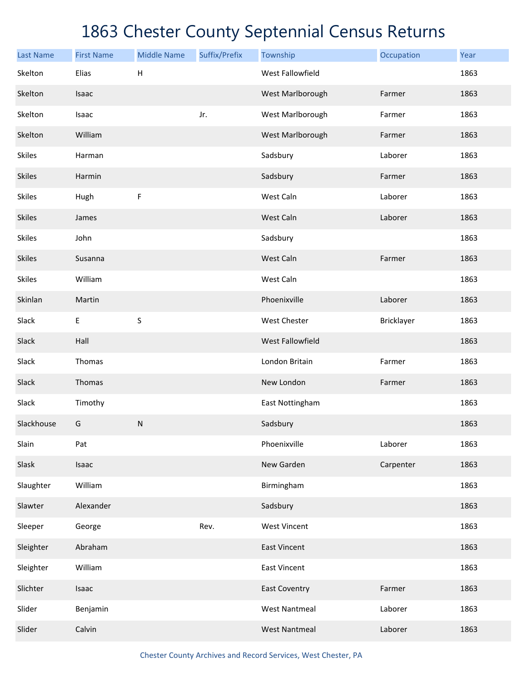| <b>Last Name</b> | <b>First Name</b> | <b>Middle Name</b>        | Suffix/Prefix | Township             | Occupation | Year |
|------------------|-------------------|---------------------------|---------------|----------------------|------------|------|
| Skelton          | Elias             | $\boldsymbol{\mathsf{H}}$ |               | West Fallowfield     |            | 1863 |
| Skelton          | Isaac             |                           |               | West Marlborough     | Farmer     | 1863 |
| Skelton          | Isaac             |                           | Jr.           | West Marlborough     | Farmer     | 1863 |
| Skelton          | William           |                           |               | West Marlborough     | Farmer     | 1863 |
| <b>Skiles</b>    | Harman            |                           |               | Sadsbury             | Laborer    | 1863 |
| <b>Skiles</b>    | Harmin            |                           |               | Sadsbury             | Farmer     | 1863 |
| <b>Skiles</b>    | Hugh              | $\mathsf F$               |               | West Caln            | Laborer    | 1863 |
| <b>Skiles</b>    | James             |                           |               | West Caln            | Laborer    | 1863 |
| <b>Skiles</b>    | John              |                           |               | Sadsbury             |            | 1863 |
| <b>Skiles</b>    | Susanna           |                           |               | West Caln            | Farmer     | 1863 |
| <b>Skiles</b>    | William           |                           |               | West Caln            |            | 1863 |
| Skinlan          | Martin            |                           |               | Phoenixville         | Laborer    | 1863 |
| Slack            | Е                 | $\sf S$                   |               | West Chester         | Bricklayer | 1863 |
| Slack            | Hall              |                           |               | West Fallowfield     |            | 1863 |
| Slack            | Thomas            |                           |               | London Britain       | Farmer     | 1863 |
| Slack            | Thomas            |                           |               | New London           | Farmer     | 1863 |
| Slack            | Timothy           |                           |               | East Nottingham      |            | 1863 |
| Slackhouse       | G                 | ${\sf N}$                 |               | Sadsbury             |            | 1863 |
| Slain            | Pat               |                           |               | Phoenixville         | Laborer    | 1863 |
| Slask            | Isaac             |                           |               | New Garden           | Carpenter  | 1863 |
| Slaughter        | William           |                           |               | Birmingham           |            | 1863 |
| Slawter          | Alexander         |                           |               | Sadsbury             |            | 1863 |
| Sleeper          | George            |                           | Rev.          | <b>West Vincent</b>  |            | 1863 |
| Sleighter        | Abraham           |                           |               | <b>East Vincent</b>  |            | 1863 |
| Sleighter        | William           |                           |               | <b>East Vincent</b>  |            | 1863 |
| Slichter         | Isaac             |                           |               | <b>East Coventry</b> | Farmer     | 1863 |
| Slider           | Benjamin          |                           |               | <b>West Nantmeal</b> | Laborer    | 1863 |
| Slider           | Calvin            |                           |               | <b>West Nantmeal</b> | Laborer    | 1863 |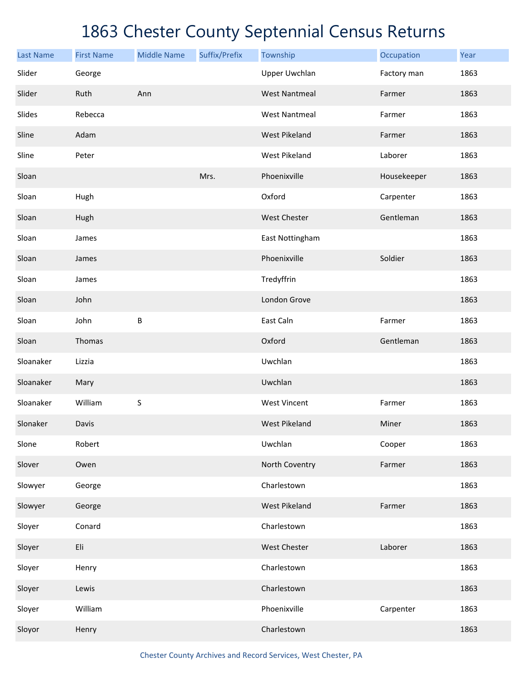| <b>Last Name</b> | <b>First Name</b> | <b>Middle Name</b> | Suffix/Prefix | Township             | Occupation  | Year |
|------------------|-------------------|--------------------|---------------|----------------------|-------------|------|
| Slider           | George            |                    |               | <b>Upper Uwchlan</b> | Factory man | 1863 |
| Slider           | Ruth              | Ann                |               | <b>West Nantmeal</b> | Farmer      | 1863 |
| Slides           | Rebecca           |                    |               | <b>West Nantmeal</b> | Farmer      | 1863 |
| Sline            | Adam              |                    |               | <b>West Pikeland</b> | Farmer      | 1863 |
| Sline            | Peter             |                    |               | West Pikeland        | Laborer     | 1863 |
| Sloan            |                   |                    | Mrs.          | Phoenixville         | Housekeeper | 1863 |
| Sloan            | Hugh              |                    |               | Oxford               | Carpenter   | 1863 |
| Sloan            | Hugh              |                    |               | <b>West Chester</b>  | Gentleman   | 1863 |
| Sloan            | James             |                    |               | East Nottingham      |             | 1863 |
| Sloan            | James             |                    |               | Phoenixville         | Soldier     | 1863 |
| Sloan            | James             |                    |               | Tredyffrin           |             | 1863 |
| Sloan            | John              |                    |               | London Grove         |             | 1863 |
| Sloan            | John              | B                  |               | East Caln            | Farmer      | 1863 |
| Sloan            | Thomas            |                    |               | Oxford               | Gentleman   | 1863 |
| Sloanaker        | Lizzia            |                    |               | Uwchlan              |             | 1863 |
| Sloanaker        | Mary              |                    |               | Uwchlan              |             | 1863 |
| Sloanaker        | William           | S                  |               | <b>West Vincent</b>  | Farmer      | 1863 |
| Slonaker         | Davis             |                    |               | <b>West Pikeland</b> | Miner       | 1863 |
| Slone            | Robert            |                    |               | Uwchlan              | Cooper      | 1863 |
| Slover           | Owen              |                    |               | North Coventry       | Farmer      | 1863 |
| Slowyer          | George            |                    |               | Charlestown          |             | 1863 |
| Slowyer          | George            |                    |               | <b>West Pikeland</b> | Farmer      | 1863 |
| Sloyer           | Conard            |                    |               | Charlestown          |             | 1863 |
| Sloyer           | Eli               |                    |               | West Chester         | Laborer     | 1863 |
| Sloyer           | Henry             |                    |               | Charlestown          |             | 1863 |
| Sloyer           | Lewis             |                    |               | Charlestown          |             | 1863 |
| Sloyer           | William           |                    |               | Phoenixville         | Carpenter   | 1863 |
| Sloyor           | Henry             |                    |               | Charlestown          |             | 1863 |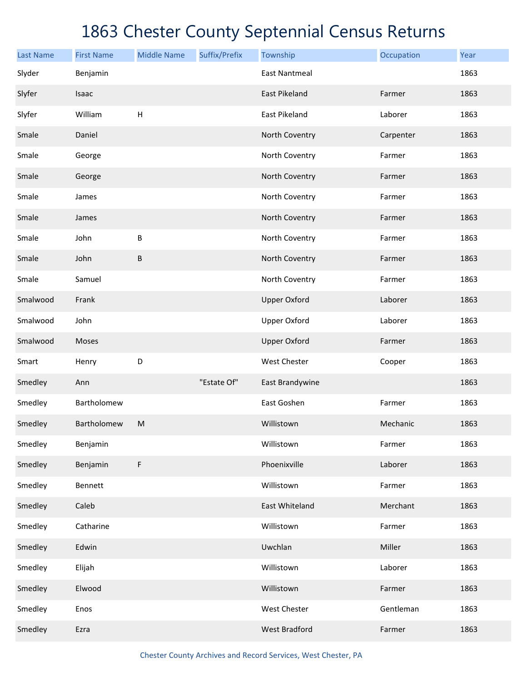| <b>Last Name</b> | <b>First Name</b> | <b>Middle Name</b> | Suffix/Prefix | Township             | Occupation | Year |
|------------------|-------------------|--------------------|---------------|----------------------|------------|------|
| Slyder           | Benjamin          |                    |               | <b>East Nantmeal</b> |            | 1863 |
| Slyfer           | Isaac             |                    |               | East Pikeland        | Farmer     | 1863 |
| Slyfer           | William           | $\sf H$            |               | East Pikeland        | Laborer    | 1863 |
| Smale            | Daniel            |                    |               | North Coventry       | Carpenter  | 1863 |
| Smale            | George            |                    |               | North Coventry       | Farmer     | 1863 |
| Smale            | George            |                    |               | North Coventry       | Farmer     | 1863 |
| Smale            | James             |                    |               | North Coventry       | Farmer     | 1863 |
| Smale            | James             |                    |               | North Coventry       | Farmer     | 1863 |
| Smale            | John              | B                  |               | North Coventry       | Farmer     | 1863 |
| Smale            | John              | B                  |               | North Coventry       | Farmer     | 1863 |
| Smale            | Samuel            |                    |               | North Coventry       | Farmer     | 1863 |
| Smalwood         | Frank             |                    |               | <b>Upper Oxford</b>  | Laborer    | 1863 |
| Smalwood         | John              |                    |               | <b>Upper Oxford</b>  | Laborer    | 1863 |
| Smalwood         | Moses             |                    |               | <b>Upper Oxford</b>  | Farmer     | 1863 |
| Smart            | Henry             | D                  |               | West Chester         | Cooper     | 1863 |
| Smedley          | Ann               |                    | "Estate Of"   | East Brandywine      |            | 1863 |
| Smedley          | Bartholomew       |                    |               | East Goshen          | Farmer     | 1863 |
| Smedley          | Bartholomew       | M                  |               | Willistown           | Mechanic   | 1863 |
| Smedley          | Benjamin          |                    |               | Willistown           | Farmer     | 1863 |
| Smedley          | Benjamin          | F                  |               | Phoenixville         | Laborer    | 1863 |
| Smedley          | Bennett           |                    |               | Willistown           | Farmer     | 1863 |
| Smedley          | Caleb             |                    |               | East Whiteland       | Merchant   | 1863 |
| Smedley          | Catharine         |                    |               | Willistown           | Farmer     | 1863 |
| Smedley          | Edwin             |                    |               | Uwchlan              | Miller     | 1863 |
| Smedley          | Elijah            |                    |               | Willistown           | Laborer    | 1863 |
| Smedley          | Elwood            |                    |               | Willistown           | Farmer     | 1863 |
| Smedley          | Enos              |                    |               | West Chester         | Gentleman  | 1863 |
| Smedley          | Ezra              |                    |               | <b>West Bradford</b> | Farmer     | 1863 |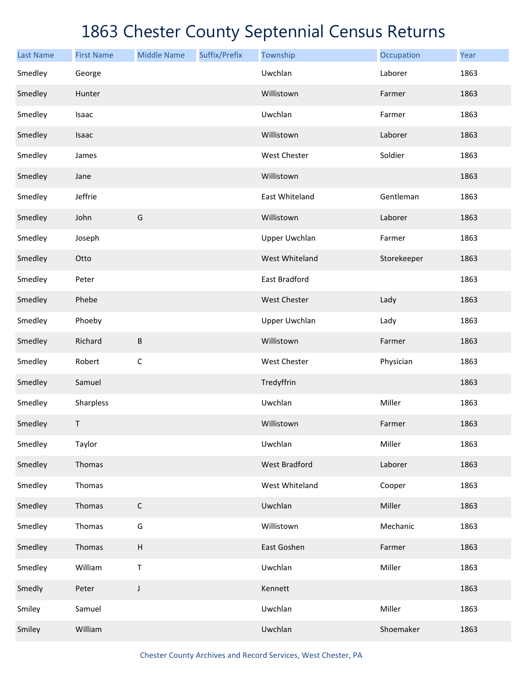| <b>Last Name</b> | <b>First Name</b> | <b>Middle Name</b> | Suffix/Prefix | Township             | Occupation  | Year |
|------------------|-------------------|--------------------|---------------|----------------------|-------------|------|
| Smedley          | George            |                    |               | Uwchlan              | Laborer     | 1863 |
| Smedley          | Hunter            |                    |               | Willistown           | Farmer      | 1863 |
| Smedley          | Isaac             |                    |               | Uwchlan              | Farmer      | 1863 |
| Smedley          | Isaac             |                    |               | Willistown           | Laborer     | 1863 |
| Smedley          | James             |                    |               | West Chester         | Soldier     | 1863 |
| Smedley          | Jane              |                    |               | Willistown           |             | 1863 |
| Smedley          | Jeffrie           |                    |               | East Whiteland       | Gentleman   | 1863 |
| Smedley          | John              | G                  |               | Willistown           | Laborer     | 1863 |
| Smedley          | Joseph            |                    |               | Upper Uwchlan        | Farmer      | 1863 |
| Smedley          | Otto              |                    |               | West Whiteland       | Storekeeper | 1863 |
| Smedley          | Peter             |                    |               | East Bradford        |             | 1863 |
| Smedley          | Phebe             |                    |               | West Chester         | Lady        | 1863 |
| Smedley          | Phoeby            |                    |               | Upper Uwchlan        | Lady        | 1863 |
| Smedley          | Richard           | B                  |               | Willistown           | Farmer      | 1863 |
| Smedley          | Robert            | $\mathsf C$        |               | West Chester         | Physician   | 1863 |
| Smedley          | Samuel            |                    |               | Tredyffrin           |             | 1863 |
| Smedley          | Sharpless         |                    |               | Uwchlan              | Miller      | 1863 |
| Smedley          | Τ                 |                    |               | Willistown           | Farmer      | 1863 |
| Smedley          | Taylor            |                    |               | Uwchlan              | Miller      | 1863 |
| Smedley          | Thomas            |                    |               | <b>West Bradford</b> | Laborer     | 1863 |
| Smedley          | Thomas            |                    |               | West Whiteland       | Cooper      | 1863 |
| Smedley          | Thomas            | $\mathsf C$        |               | Uwchlan              | Miller      | 1863 |
| Smedley          | Thomas            | G                  |               | Willistown           | Mechanic    | 1863 |
| Smedley          | Thomas            | $\sf H$            |               | East Goshen          | Farmer      | 1863 |
| Smedley          | William           | $\sf T$            |               | Uwchlan              | Miller      | 1863 |
| Smedly           | Peter             | $\mathsf J$        |               | Kennett              |             | 1863 |
| Smiley           | Samuel            |                    |               | Uwchlan              | Miller      | 1863 |
| Smiley           | William           |                    |               | Uwchlan              | Shoemaker   | 1863 |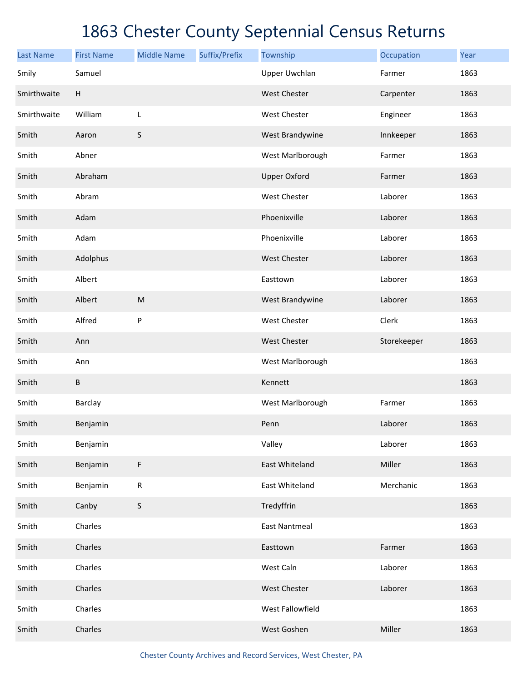| <b>Last Name</b> | <b>First Name</b> | <b>Middle Name</b> | Suffix/Prefix | Township             | Occupation  | Year |
|------------------|-------------------|--------------------|---------------|----------------------|-------------|------|
| Smily            | Samuel            |                    |               | <b>Upper Uwchlan</b> | Farmer      | 1863 |
| Smirthwaite      | H                 |                    |               | West Chester         | Carpenter   | 1863 |
| Smirthwaite      | William           | L                  |               | West Chester         | Engineer    | 1863 |
| Smith            | Aaron             | $\mathsf S$        |               | West Brandywine      | Innkeeper   | 1863 |
| Smith            | Abner             |                    |               | West Marlborough     | Farmer      | 1863 |
| Smith            | Abraham           |                    |               | <b>Upper Oxford</b>  | Farmer      | 1863 |
| Smith            | Abram             |                    |               | West Chester         | Laborer     | 1863 |
| Smith            | Adam              |                    |               | Phoenixville         | Laborer     | 1863 |
| Smith            | Adam              |                    |               | Phoenixville         | Laborer     | 1863 |
| Smith            | Adolphus          |                    |               | West Chester         | Laborer     | 1863 |
| Smith            | Albert            |                    |               | Easttown             | Laborer     | 1863 |
| Smith            | Albert            | M                  |               | West Brandywine      | Laborer     | 1863 |
| Smith            | Alfred            | P                  |               | West Chester         | Clerk       | 1863 |
| Smith            | Ann               |                    |               | West Chester         | Storekeeper | 1863 |
| Smith            | Ann               |                    |               | West Marlborough     |             | 1863 |
| Smith            | B                 |                    |               | Kennett              |             | 1863 |
| Smith            | <b>Barclay</b>    |                    |               | West Marlborough     | Farmer      | 1863 |
| Smith            | Benjamin          |                    |               | Penn                 | Laborer     | 1863 |
| Smith            | Benjamin          |                    |               | Valley               | Laborer     | 1863 |
| Smith            | Benjamin          | F                  |               | East Whiteland       | Miller      | 1863 |
| Smith            | Benjamin          | ${\sf R}$          |               | East Whiteland       | Merchanic   | 1863 |
| Smith            | Canby             | $\sf S$            |               | Tredyffrin           |             | 1863 |
| Smith            | Charles           |                    |               | <b>East Nantmeal</b> |             | 1863 |
| Smith            | Charles           |                    |               | Easttown             | Farmer      | 1863 |
| Smith            | Charles           |                    |               | West Caln            | Laborer     | 1863 |
| Smith            | Charles           |                    |               | West Chester         | Laborer     | 1863 |
| Smith            | Charles           |                    |               | West Fallowfield     |             | 1863 |
| Smith            | Charles           |                    |               | West Goshen          | Miller      | 1863 |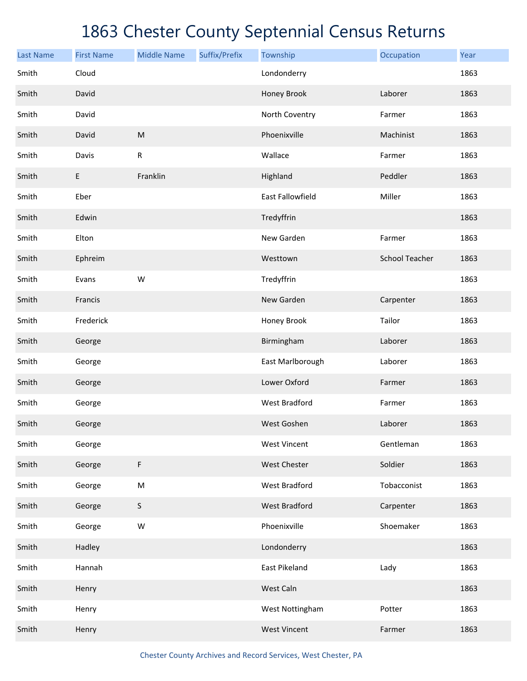| <b>Last Name</b> | <b>First Name</b> | <b>Middle Name</b> | Suffix/Prefix | Township             | Occupation            | Year |
|------------------|-------------------|--------------------|---------------|----------------------|-----------------------|------|
| Smith            | Cloud             |                    |               | Londonderry          |                       | 1863 |
| Smith            | David             |                    |               | Honey Brook          | Laborer               | 1863 |
| Smith            | David             |                    |               | North Coventry       | Farmer                | 1863 |
| Smith            | David             | ${\sf M}$          |               | Phoenixville         | Machinist             | 1863 |
| Smith            | Davis             | ${\sf R}$          |               | Wallace              | Farmer                | 1863 |
| Smith            | E                 | Franklin           |               | Highland             | Peddler               | 1863 |
| Smith            | Eber              |                    |               | East Fallowfield     | Miller                | 1863 |
| Smith            | Edwin             |                    |               | Tredyffrin           |                       | 1863 |
| Smith            | Elton             |                    |               | New Garden           | Farmer                | 1863 |
| Smith            | Ephreim           |                    |               | Westtown             | <b>School Teacher</b> | 1863 |
| Smith            | Evans             | W                  |               | Tredyffrin           |                       | 1863 |
| Smith            | Francis           |                    |               | New Garden           | Carpenter             | 1863 |
| Smith            | Frederick         |                    |               | Honey Brook          | Tailor                | 1863 |
| Smith            | George            |                    |               | Birmingham           | Laborer               | 1863 |
| Smith            | George            |                    |               | East Marlborough     | Laborer               | 1863 |
| Smith            | George            |                    |               | Lower Oxford         | Farmer                | 1863 |
| Smith            | George            |                    |               | <b>West Bradford</b> | Farmer                | 1863 |
| Smith            | George            |                    |               | West Goshen          | Laborer               | 1863 |
| Smith            | George            |                    |               | <b>West Vincent</b>  | Gentleman             | 1863 |
| Smith            | George            | F                  |               | <b>West Chester</b>  | Soldier               | 1863 |
| Smith            | George            | ${\sf M}$          |               | <b>West Bradford</b> | Tobacconist           | 1863 |
| Smith            | George            | S                  |               | <b>West Bradford</b> | Carpenter             | 1863 |
| Smith            | George            | W                  |               | Phoenixville         | Shoemaker             | 1863 |
| Smith            | Hadley            |                    |               | Londonderry          |                       | 1863 |
| Smith            | Hannah            |                    |               | East Pikeland        | Lady                  | 1863 |
| Smith            | Henry             |                    |               | West Caln            |                       | 1863 |
| Smith            | Henry             |                    |               | West Nottingham      | Potter                | 1863 |
| Smith            | Henry             |                    |               | <b>West Vincent</b>  | Farmer                | 1863 |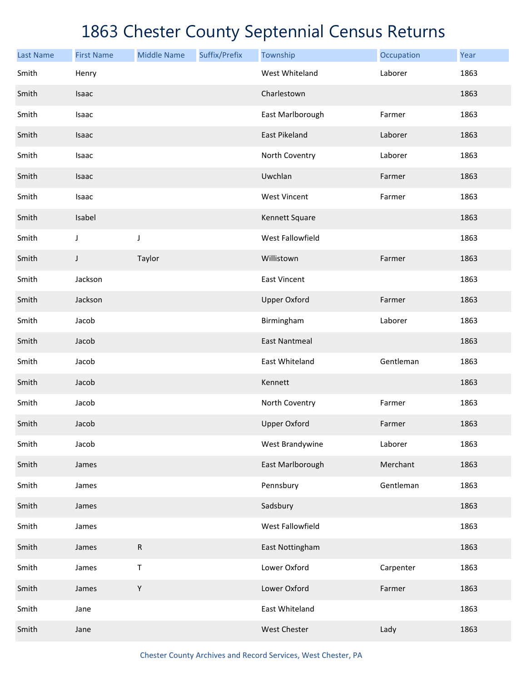| <b>Last Name</b> | <b>First Name</b> | <b>Middle Name</b> | Suffix/Prefix | Township                | Occupation | Year |
|------------------|-------------------|--------------------|---------------|-------------------------|------------|------|
| Smith            | Henry             |                    |               | West Whiteland          | Laborer    | 1863 |
| Smith            | Isaac             |                    |               | Charlestown             |            | 1863 |
| Smith            | Isaac             |                    |               | East Marlborough        | Farmer     | 1863 |
| Smith            | Isaac             |                    |               | East Pikeland           | Laborer    | 1863 |
| Smith            | Isaac             |                    |               | North Coventry          | Laborer    | 1863 |
| Smith            | Isaac             |                    |               | Uwchlan                 | Farmer     | 1863 |
| Smith            | Isaac             |                    |               | <b>West Vincent</b>     | Farmer     | 1863 |
| Smith            | Isabel            |                    |               | Kennett Square          |            | 1863 |
| Smith            | J                 | J                  |               | <b>West Fallowfield</b> |            | 1863 |
| Smith            | J                 | Taylor             |               | Willistown              | Farmer     | 1863 |
| Smith            | Jackson           |                    |               | East Vincent            |            | 1863 |
| Smith            | Jackson           |                    |               | <b>Upper Oxford</b>     | Farmer     | 1863 |
| Smith            | Jacob             |                    |               | Birmingham              | Laborer    | 1863 |
| Smith            | Jacob             |                    |               | <b>East Nantmeal</b>    |            | 1863 |
| Smith            | Jacob             |                    |               | East Whiteland          | Gentleman  | 1863 |
| Smith            | Jacob             |                    |               | Kennett                 |            | 1863 |
| Smith            | Jacob             |                    |               | North Coventry          | Farmer     | 1863 |
| Smith            | Jacob             |                    |               | <b>Upper Oxford</b>     | Farmer     | 1863 |
| Smith            | Jacob             |                    |               | West Brandywine         | Laborer    | 1863 |
| Smith            | James             |                    |               | East Marlborough        | Merchant   | 1863 |
| Smith            | James             |                    |               | Pennsbury               | Gentleman  | 1863 |
| Smith            | James             |                    |               | Sadsbury                |            | 1863 |
| Smith            | James             |                    |               | West Fallowfield        |            | 1863 |
| Smith            | James             | R                  |               | East Nottingham         |            | 1863 |
| Smith            | James             | $\mathsf T$        |               | Lower Oxford            | Carpenter  | 1863 |
| Smith            | James             | Y                  |               | Lower Oxford            | Farmer     | 1863 |
| Smith            | Jane              |                    |               | East Whiteland          |            | 1863 |
| Smith            | Jane              |                    |               | West Chester            | Lady       | 1863 |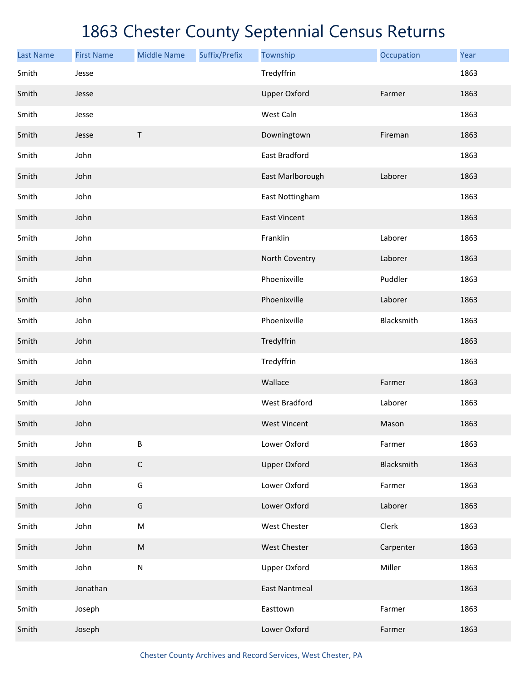| <b>Last Name</b> | <b>First Name</b> | <b>Middle Name</b> | Suffix/Prefix | Township             | Occupation | Year |
|------------------|-------------------|--------------------|---------------|----------------------|------------|------|
| Smith            | Jesse             |                    |               | Tredyffrin           |            | 1863 |
| Smith            | Jesse             |                    |               | <b>Upper Oxford</b>  | Farmer     | 1863 |
| Smith            | Jesse             |                    |               | West Caln            |            | 1863 |
| Smith            | Jesse             | $\sf T$            |               | Downingtown          | Fireman    | 1863 |
| Smith            | John              |                    |               | East Bradford        |            | 1863 |
| Smith            | John              |                    |               | East Marlborough     | Laborer    | 1863 |
| Smith            | John              |                    |               | East Nottingham      |            | 1863 |
| Smith            | John              |                    |               | <b>East Vincent</b>  |            | 1863 |
| Smith            | John              |                    |               | Franklin             | Laborer    | 1863 |
| Smith            | John              |                    |               | North Coventry       | Laborer    | 1863 |
| Smith            | John              |                    |               | Phoenixville         | Puddler    | 1863 |
| Smith            | John              |                    |               | Phoenixville         | Laborer    | 1863 |
| Smith            | John              |                    |               | Phoenixville         | Blacksmith | 1863 |
| Smith            | John              |                    |               | Tredyffrin           |            | 1863 |
| Smith            | John              |                    |               | Tredyffrin           |            | 1863 |
| Smith            | John              |                    |               | Wallace              | Farmer     | 1863 |
| Smith            | John              |                    |               | <b>West Bradford</b> | Laborer    | 1863 |
| Smith            | John              |                    |               | <b>West Vincent</b>  | Mason      | 1863 |
| Smith            | John              | B                  |               | Lower Oxford         | Farmer     | 1863 |
| Smith            | John              | $\mathsf C$        |               | <b>Upper Oxford</b>  | Blacksmith | 1863 |
| Smith            | John              | G                  |               | Lower Oxford         | Farmer     | 1863 |
| Smith            | John              | G                  |               | Lower Oxford         | Laborer    | 1863 |
| Smith            | John              | ${\sf M}$          |               | West Chester         | Clerk      | 1863 |
| Smith            | John              | ${\sf M}$          |               | West Chester         | Carpenter  | 1863 |
| Smith            | John              | ${\sf N}$          |               | <b>Upper Oxford</b>  | Miller     | 1863 |
| Smith            | Jonathan          |                    |               | <b>East Nantmeal</b> |            | 1863 |
| Smith            | Joseph            |                    |               | Easttown             | Farmer     | 1863 |
| Smith            | Joseph            |                    |               | Lower Oxford         | Farmer     | 1863 |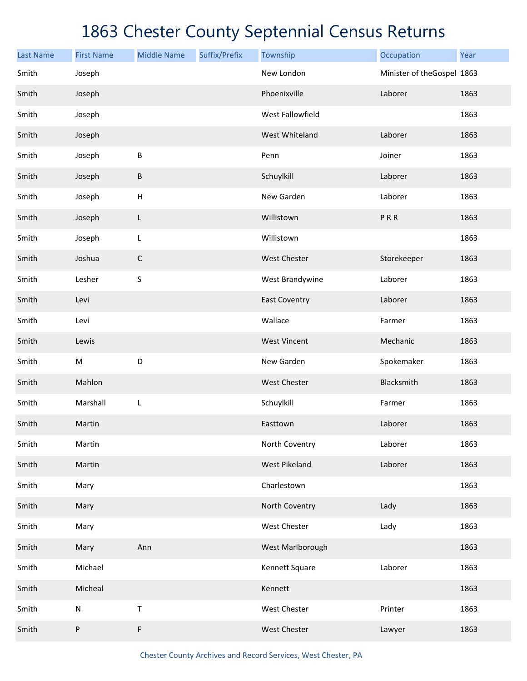| <b>Last Name</b> | <b>First Name</b> | <b>Middle Name</b>        | Suffix/Prefix | Township             | Occupation                 | Year |
|------------------|-------------------|---------------------------|---------------|----------------------|----------------------------|------|
| Smith            | Joseph            |                           |               | New London           | Minister of theGospel 1863 |      |
| Smith            | Joseph            |                           |               | Phoenixville         | Laborer                    | 1863 |
| Smith            | Joseph            |                           |               | West Fallowfield     |                            | 1863 |
| Smith            | Joseph            |                           |               | West Whiteland       | Laborer                    | 1863 |
| Smith            | Joseph            | $\sf B$                   |               | Penn                 | Joiner                     | 1863 |
| Smith            | Joseph            | $\sf B$                   |               | Schuylkill           | Laborer                    | 1863 |
| Smith            | Joseph            | $\boldsymbol{\mathsf{H}}$ |               | New Garden           | Laborer                    | 1863 |
| Smith            | Joseph            | L                         |               | Willistown           | PRR                        | 1863 |
| Smith            | Joseph            | L                         |               | Willistown           |                            | 1863 |
| Smith            | Joshua            | $\mathsf C$               |               | <b>West Chester</b>  | Storekeeper                | 1863 |
| Smith            | Lesher            | S                         |               | West Brandywine      | Laborer                    | 1863 |
| Smith            | Levi              |                           |               | <b>East Coventry</b> | Laborer                    | 1863 |
| Smith            | Levi              |                           |               | Wallace              | Farmer                     | 1863 |
| Smith            | Lewis             |                           |               | <b>West Vincent</b>  | Mechanic                   | 1863 |
| Smith            | ${\sf M}$         | D                         |               | New Garden           | Spokemaker                 | 1863 |
| Smith            | Mahlon            |                           |               | <b>West Chester</b>  | Blacksmith                 | 1863 |
| Smith            | Marshall          | L                         |               | Schuylkill           | Farmer                     | 1863 |
| Smith            | Martin            |                           |               | Easttown             | Laborer                    | 1863 |
| Smith            | Martin            |                           |               | North Coventry       | Laborer                    | 1863 |
| Smith            | Martin            |                           |               | <b>West Pikeland</b> | Laborer                    | 1863 |
| Smith            | Mary              |                           |               | Charlestown          |                            | 1863 |
| Smith            | Mary              |                           |               | North Coventry       | Lady                       | 1863 |
| Smith            | Mary              |                           |               | West Chester         | Lady                       | 1863 |
| Smith            | Mary              | Ann                       |               | West Marlborough     |                            | 1863 |
| Smith            | Michael           |                           |               | Kennett Square       | Laborer                    | 1863 |
| Smith            | Micheal           |                           |               | Kennett              |                            | 1863 |
| Smith            | ${\sf N}$         | T                         |               | West Chester         | Printer                    | 1863 |
| Smith            | P                 | F                         |               | West Chester         | Lawyer                     | 1863 |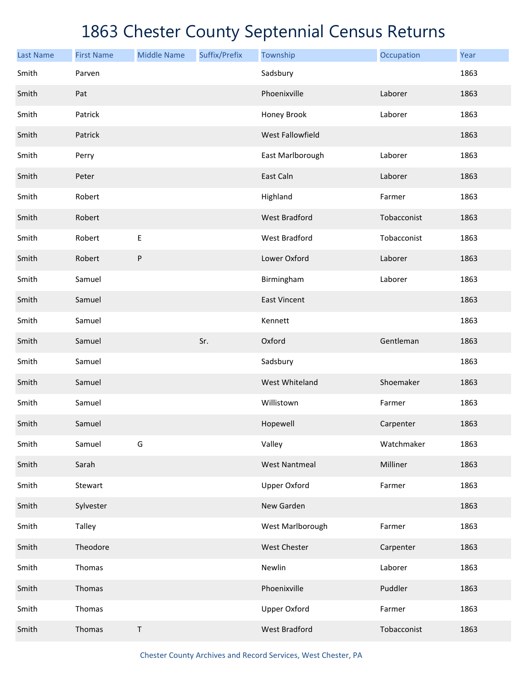| <b>Last Name</b> | <b>First Name</b> | <b>Middle Name</b> | Suffix/Prefix | Township             | Occupation  | Year |
|------------------|-------------------|--------------------|---------------|----------------------|-------------|------|
| Smith            | Parven            |                    |               | Sadsbury             |             | 1863 |
| Smith            | Pat               |                    |               | Phoenixville         | Laborer     | 1863 |
| Smith            | Patrick           |                    |               | Honey Brook          | Laborer     | 1863 |
| Smith            | Patrick           |                    |               | West Fallowfield     |             | 1863 |
| Smith            | Perry             |                    |               | East Marlborough     | Laborer     | 1863 |
| Smith            | Peter             |                    |               | East Caln            | Laborer     | 1863 |
| Smith            | Robert            |                    |               | Highland             | Farmer      | 1863 |
| Smith            | Robert            |                    |               | <b>West Bradford</b> | Tobacconist | 1863 |
| Smith            | Robert            | Е                  |               | West Bradford        | Tobacconist | 1863 |
| Smith            | Robert            | P                  |               | Lower Oxford         | Laborer     | 1863 |
| Smith            | Samuel            |                    |               | Birmingham           | Laborer     | 1863 |
| Smith            | Samuel            |                    |               | <b>East Vincent</b>  |             | 1863 |
| Smith            | Samuel            |                    |               | Kennett              |             | 1863 |
| Smith            | Samuel            |                    | Sr.           | Oxford               | Gentleman   | 1863 |
| Smith            | Samuel            |                    |               | Sadsbury             |             | 1863 |
| Smith            | Samuel            |                    |               | West Whiteland       | Shoemaker   | 1863 |
| Smith            | Samuel            |                    |               | Willistown           | Farmer      | 1863 |
| Smith            | Samuel            |                    |               | Hopewell             | Carpenter   | 1863 |
| Smith            | Samuel            | G                  |               | Valley               | Watchmaker  | 1863 |
| Smith            | Sarah             |                    |               | <b>West Nantmeal</b> | Milliner    | 1863 |
| Smith            | Stewart           |                    |               | <b>Upper Oxford</b>  | Farmer      | 1863 |
| Smith            | Sylvester         |                    |               | New Garden           |             | 1863 |
| Smith            | Talley            |                    |               | West Marlborough     | Farmer      | 1863 |
| Smith            | Theodore          |                    |               | West Chester         | Carpenter   | 1863 |
| Smith            | Thomas            |                    |               | Newlin               | Laborer     | 1863 |
| Smith            | Thomas            |                    |               | Phoenixville         | Puddler     | 1863 |
| Smith            | Thomas            |                    |               | <b>Upper Oxford</b>  | Farmer      | 1863 |
| Smith            | Thomas            | $\sf T$            |               | <b>West Bradford</b> | Tobacconist | 1863 |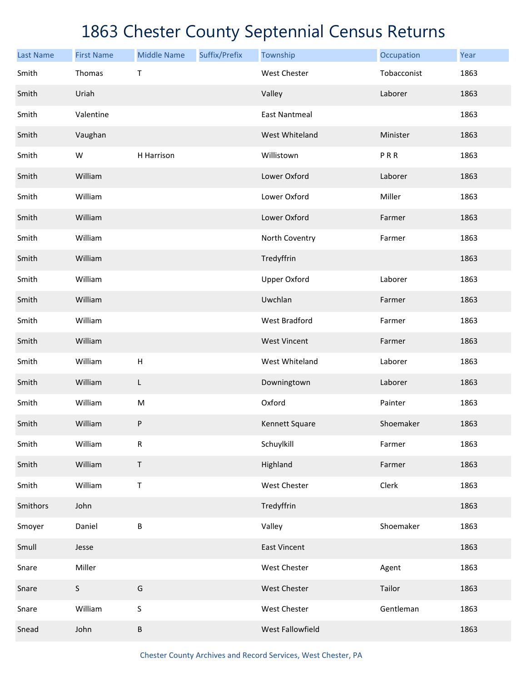| <b>Last Name</b> | <b>First Name</b> | <b>Middle Name</b> | Suffix/Prefix | Township             | Occupation  | Year |
|------------------|-------------------|--------------------|---------------|----------------------|-------------|------|
| Smith            | Thomas            | $\sf T$            |               | <b>West Chester</b>  | Tobacconist | 1863 |
| Smith            | Uriah             |                    |               | Valley               | Laborer     | 1863 |
| Smith            | Valentine         |                    |               | <b>East Nantmeal</b> |             | 1863 |
| Smith            | Vaughan           |                    |               | West Whiteland       | Minister    | 1863 |
| Smith            | W                 | H Harrison         |               | Willistown           | PRR         | 1863 |
| Smith            | William           |                    |               | Lower Oxford         | Laborer     | 1863 |
| Smith            | William           |                    |               | Lower Oxford         | Miller      | 1863 |
| Smith            | William           |                    |               | Lower Oxford         | Farmer      | 1863 |
| Smith            | William           |                    |               | North Coventry       | Farmer      | 1863 |
| Smith            | William           |                    |               | Tredyffrin           |             | 1863 |
| Smith            | William           |                    |               | <b>Upper Oxford</b>  | Laborer     | 1863 |
| Smith            | William           |                    |               | Uwchlan              | Farmer      | 1863 |
| Smith            | William           |                    |               | <b>West Bradford</b> | Farmer      | 1863 |
| Smith            | William           |                    |               | <b>West Vincent</b>  | Farmer      | 1863 |
| Smith            | William           | H                  |               | West Whiteland       | Laborer     | 1863 |
| Smith            | William           | L                  |               | Downingtown          | Laborer     | 1863 |
| Smith            | William           | ${\sf M}$          |               | Oxford               | Painter     | 1863 |
| Smith            | William           | P                  |               | Kennett Square       | Shoemaker   | 1863 |
| Smith            | William           | R                  |               | Schuylkill           | Farmer      | 1863 |
| Smith            | William           | $\mathsf T$        |               | Highland             | Farmer      | 1863 |
| Smith            | William           | $\sf T$            |               | West Chester         | Clerk       | 1863 |
| Smithors         | John              |                    |               | Tredyffrin           |             | 1863 |
| Smoyer           | Daniel            | B                  |               | Valley               | Shoemaker   | 1863 |
| Smull            | Jesse             |                    |               | <b>East Vincent</b>  |             | 1863 |
| Snare            | Miller            |                    |               | West Chester         | Agent       | 1863 |
| Snare            | $\sf S$           | G                  |               | West Chester         | Tailor      | 1863 |
| Snare            | William           | S                  |               | West Chester         | Gentleman   | 1863 |
| Snead            | John              | B                  |               | West Fallowfield     |             | 1863 |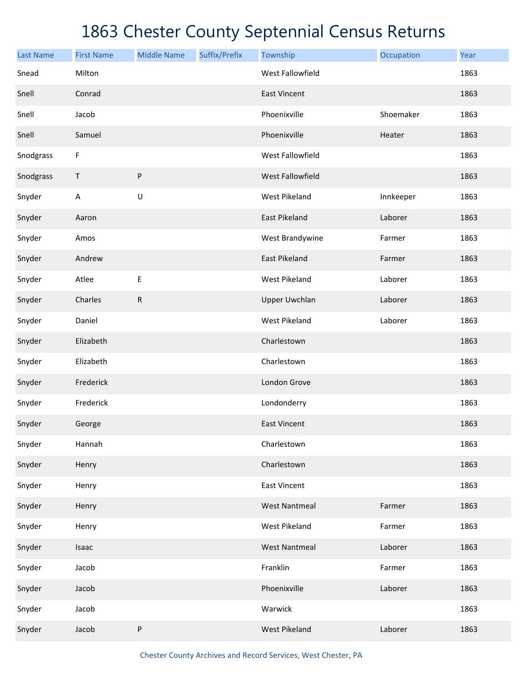| <b>Last Name</b> | <b>First Name</b>         | <b>Middle Name</b> | Suffix/Prefix | Township             | Occupation | Year |
|------------------|---------------------------|--------------------|---------------|----------------------|------------|------|
| Snead            | Milton                    |                    |               | West Fallowfield     |            | 1863 |
| Snell            | Conrad                    |                    |               | <b>East Vincent</b>  |            | 1863 |
| Snell            | Jacob                     |                    |               | Phoenixville         | Shoemaker  | 1863 |
| Snell            | Samuel                    |                    |               | Phoenixville         | Heater     | 1863 |
| Snodgrass        | F                         |                    |               | West Fallowfield     |            | 1863 |
| Snodgrass        | $\mathsf T$               | ${\sf P}$          |               | West Fallowfield     |            | 1863 |
| Snyder           | $\boldsymbol{\mathsf{A}}$ | $\sf U$            |               | <b>West Pikeland</b> | Innkeeper  | 1863 |
| Snyder           | Aaron                     |                    |               | East Pikeland        | Laborer    | 1863 |
| Snyder           | Amos                      |                    |               | West Brandywine      | Farmer     | 1863 |
| Snyder           | Andrew                    |                    |               | <b>East Pikeland</b> | Farmer     | 1863 |
| Snyder           | Atlee                     | E                  |               | <b>West Pikeland</b> | Laborer    | 1863 |
| Snyder           | Charles                   | $\mathsf{R}$       |               | <b>Upper Uwchlan</b> | Laborer    | 1863 |
| Snyder           | Daniel                    |                    |               | <b>West Pikeland</b> | Laborer    | 1863 |
| Snyder           | Elizabeth                 |                    |               | Charlestown          |            | 1863 |
| Snyder           | Elizabeth                 |                    |               | Charlestown          |            | 1863 |
| Snyder           | Frederick                 |                    |               | London Grove         |            | 1863 |
| Snyder           | Frederick                 |                    |               | Londonderry          |            | 1863 |
| Snyder           | George                    |                    |               | <b>East Vincent</b>  |            | 1863 |
| Snyder           | Hannah                    |                    |               | Charlestown          |            | 1863 |
| Snyder           | Henry                     |                    |               | Charlestown          |            | 1863 |
| Snyder           | Henry                     |                    |               | <b>East Vincent</b>  |            | 1863 |
| Snyder           | Henry                     |                    |               | <b>West Nantmeal</b> | Farmer     | 1863 |
| Snyder           | Henry                     |                    |               | <b>West Pikeland</b> | Farmer     | 1863 |
| Snyder           | Isaac                     |                    |               | <b>West Nantmeal</b> | Laborer    | 1863 |
| Snyder           | Jacob                     |                    |               | Franklin             | Farmer     | 1863 |
| Snyder           | Jacob                     |                    |               | Phoenixville         | Laborer    | 1863 |
| Snyder           | Jacob                     |                    |               | Warwick              |            | 1863 |
| Snyder           | Jacob                     | ${\sf P}$          |               | <b>West Pikeland</b> | Laborer    | 1863 |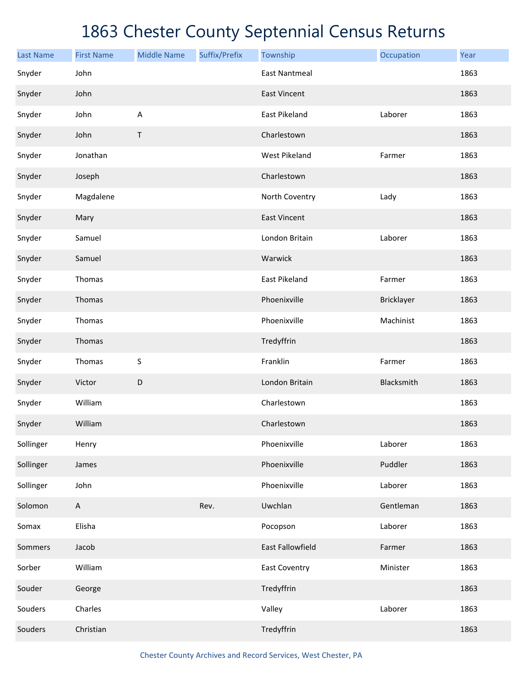| <b>Last Name</b> | <b>First Name</b> | <b>Middle Name</b> | Suffix/Prefix | Township             | Occupation | Year |
|------------------|-------------------|--------------------|---------------|----------------------|------------|------|
| Snyder           | John              |                    |               | <b>East Nantmeal</b> |            | 1863 |
| Snyder           | John              |                    |               | <b>East Vincent</b>  |            | 1863 |
| Snyder           | John              | $\mathsf A$        |               | East Pikeland        | Laborer    | 1863 |
| Snyder           | John              | Τ                  |               | Charlestown          |            | 1863 |
| Snyder           | Jonathan          |                    |               | West Pikeland        | Farmer     | 1863 |
| Snyder           | Joseph            |                    |               | Charlestown          |            | 1863 |
| Snyder           | Magdalene         |                    |               | North Coventry       | Lady       | 1863 |
| Snyder           | Mary              |                    |               | <b>East Vincent</b>  |            | 1863 |
| Snyder           | Samuel            |                    |               | London Britain       | Laborer    | 1863 |
| Snyder           | Samuel            |                    |               | Warwick              |            | 1863 |
| Snyder           | Thomas            |                    |               | East Pikeland        | Farmer     | 1863 |
| Snyder           | Thomas            |                    |               | Phoenixville         | Bricklayer | 1863 |
| Snyder           | Thomas            |                    |               | Phoenixville         | Machinist  | 1863 |
| Snyder           | Thomas            |                    |               | Tredyffrin           |            | 1863 |
| Snyder           | Thomas            | S                  |               | Franklin             | Farmer     | 1863 |
| Snyder           | Victor            | D                  |               | London Britain       | Blacksmith | 1863 |
| Snyder           | William           |                    |               | Charlestown          |            | 1863 |
| Snyder           | William           |                    |               | Charlestown          |            | 1863 |
| Sollinger        | Henry             |                    |               | Phoenixville         | Laborer    | 1863 |
| Sollinger        | James             |                    |               | Phoenixville         | Puddler    | 1863 |
| Sollinger        | John              |                    |               | Phoenixville         | Laborer    | 1863 |
| Solomon          | $\mathsf{A}$      |                    | Rev.          | Uwchlan              | Gentleman  | 1863 |
| Somax            | Elisha            |                    |               | Pocopson             | Laborer    | 1863 |
| Sommers          | Jacob             |                    |               | East Fallowfield     | Farmer     | 1863 |
| Sorber           | William           |                    |               | <b>East Coventry</b> | Minister   | 1863 |
| Souder           | George            |                    |               | Tredyffrin           |            | 1863 |
| Souders          | Charles           |                    |               | Valley               | Laborer    | 1863 |
| Souders          | Christian         |                    |               | Tredyffrin           |            | 1863 |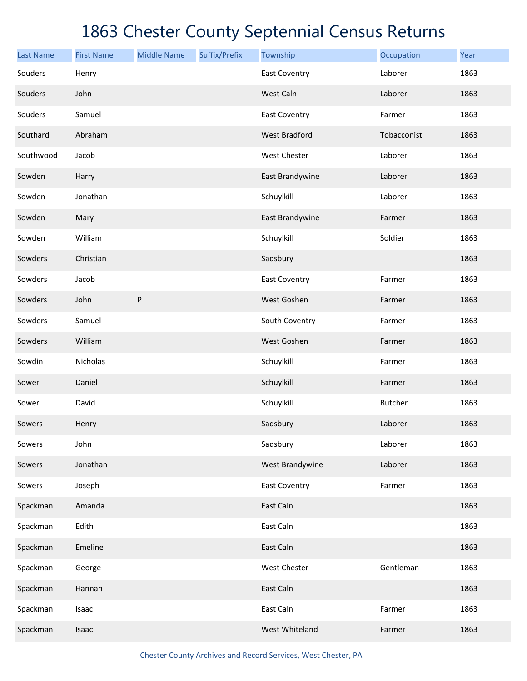| <b>Last Name</b> | <b>First Name</b> | <b>Middle Name</b> | Suffix/Prefix | Township             | Occupation     | Year |
|------------------|-------------------|--------------------|---------------|----------------------|----------------|------|
| Souders          | Henry             |                    |               | <b>East Coventry</b> | Laborer        | 1863 |
| Souders          | John              |                    |               | West Caln            | Laborer        | 1863 |
| Souders          | Samuel            |                    |               | <b>East Coventry</b> | Farmer         | 1863 |
| Southard         | Abraham           |                    |               | <b>West Bradford</b> | Tobacconist    | 1863 |
| Southwood        | Jacob             |                    |               | West Chester         | Laborer        | 1863 |
| Sowden           | Harry             |                    |               | East Brandywine      | Laborer        | 1863 |
| Sowden           | Jonathan          |                    |               | Schuylkill           | Laborer        | 1863 |
| Sowden           | Mary              |                    |               | East Brandywine      | Farmer         | 1863 |
| Sowden           | William           |                    |               | Schuylkill           | Soldier        | 1863 |
| Sowders          | Christian         |                    |               | Sadsbury             |                | 1863 |
| Sowders          | Jacob             |                    |               | <b>East Coventry</b> | Farmer         | 1863 |
| Sowders          | John              | ${\sf P}$          |               | West Goshen          | Farmer         | 1863 |
| Sowders          | Samuel            |                    |               | South Coventry       | Farmer         | 1863 |
| Sowders          | William           |                    |               | West Goshen          | Farmer         | 1863 |
| Sowdin           | Nicholas          |                    |               | Schuylkill           | Farmer         | 1863 |
| Sower            | Daniel            |                    |               | Schuylkill           | Farmer         | 1863 |
| Sower            | David             |                    |               | Schuylkill           | <b>Butcher</b> | 1863 |
| Sowers           | Henry             |                    |               | Sadsbury             | Laborer        | 1863 |
| Sowers           | John              |                    |               | Sadsbury             | Laborer        | 1863 |
| Sowers           | Jonathan          |                    |               | West Brandywine      | Laborer        | 1863 |
| Sowers           | Joseph            |                    |               | <b>East Coventry</b> | Farmer         | 1863 |
| Spackman         | Amanda            |                    |               | East Caln            |                | 1863 |
| Spackman         | Edith             |                    |               | East Caln            |                | 1863 |
| Spackman         | Emeline           |                    |               | East Caln            |                | 1863 |
| Spackman         | George            |                    |               | West Chester         | Gentleman      | 1863 |
| Spackman         | Hannah            |                    |               | East Caln            |                | 1863 |
| Spackman         | Isaac             |                    |               | East Caln            | Farmer         | 1863 |
| Spackman         | Isaac             |                    |               | West Whiteland       | Farmer         | 1863 |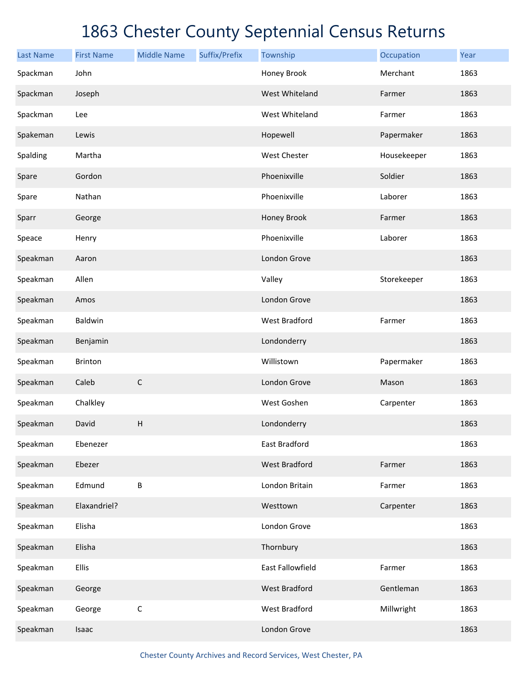| <b>Last Name</b> | <b>First Name</b> | <b>Middle Name</b>        | Suffix/Prefix | Township             | Occupation  | Year |
|------------------|-------------------|---------------------------|---------------|----------------------|-------------|------|
| Spackman         | John              |                           |               | Honey Brook          | Merchant    | 1863 |
| Spackman         | Joseph            |                           |               | West Whiteland       | Farmer      | 1863 |
| Spackman         | Lee               |                           |               | West Whiteland       | Farmer      | 1863 |
| Spakeman         | Lewis             |                           |               | Hopewell             | Papermaker  | 1863 |
| Spalding         | Martha            |                           |               | West Chester         | Housekeeper | 1863 |
| Spare            | Gordon            |                           |               | Phoenixville         | Soldier     | 1863 |
| Spare            | Nathan            |                           |               | Phoenixville         | Laborer     | 1863 |
| Sparr            | George            |                           |               | Honey Brook          | Farmer      | 1863 |
| Speace           | Henry             |                           |               | Phoenixville         | Laborer     | 1863 |
| Speakman         | Aaron             |                           |               | London Grove         |             | 1863 |
| Speakman         | Allen             |                           |               | Valley               | Storekeeper | 1863 |
| Speakman         | Amos              |                           |               | London Grove         |             | 1863 |
| Speakman         | Baldwin           |                           |               | <b>West Bradford</b> | Farmer      | 1863 |
| Speakman         | Benjamin          |                           |               | Londonderry          |             | 1863 |
| Speakman         | <b>Brinton</b>    |                           |               | Willistown           | Papermaker  | 1863 |
| Speakman         | Caleb             | $\mathsf C$               |               | London Grove         | Mason       | 1863 |
| Speakman         | Chalkley          |                           |               | West Goshen          | Carpenter   | 1863 |
| Speakman         | David             | $\boldsymbol{\mathsf{H}}$ |               | Londonderry          |             | 1863 |
| Speakman         | Ebenezer          |                           |               | East Bradford        |             | 1863 |
| Speakman         | Ebezer            |                           |               | <b>West Bradford</b> | Farmer      | 1863 |
| Speakman         | Edmund            | B                         |               | London Britain       | Farmer      | 1863 |
| Speakman         | Elaxandriel?      |                           |               | Westtown             | Carpenter   | 1863 |
| Speakman         | Elisha            |                           |               | London Grove         |             | 1863 |
| Speakman         | Elisha            |                           |               | Thornbury            |             | 1863 |
| Speakman         | <b>Ellis</b>      |                           |               | East Fallowfield     | Farmer      | 1863 |
| Speakman         | George            |                           |               | <b>West Bradford</b> | Gentleman   | 1863 |
| Speakman         | George            | $\mathsf C$               |               | West Bradford        | Millwright  | 1863 |
| Speakman         | Isaac             |                           |               | London Grove         |             | 1863 |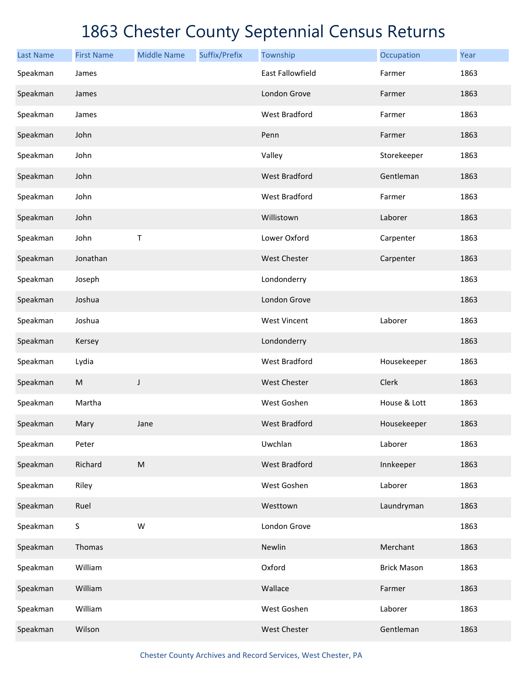| <b>Last Name</b> | <b>First Name</b> | <b>Middle Name</b> | Suffix/Prefix | Township                | Occupation         | Year |
|------------------|-------------------|--------------------|---------------|-------------------------|--------------------|------|
| Speakman         | James             |                    |               | <b>East Fallowfield</b> | Farmer             | 1863 |
| Speakman         | James             |                    |               | London Grove            | Farmer             | 1863 |
| Speakman         | James             |                    |               | <b>West Bradford</b>    | Farmer             | 1863 |
| Speakman         | John              |                    |               | Penn                    | Farmer             | 1863 |
| Speakman         | John              |                    |               | Valley                  | Storekeeper        | 1863 |
| Speakman         | John              |                    |               | <b>West Bradford</b>    | Gentleman          | 1863 |
| Speakman         | John              |                    |               | <b>West Bradford</b>    | Farmer             | 1863 |
| Speakman         | John              |                    |               | Willistown              | Laborer            | 1863 |
| Speakman         | John              | $\mathsf T$        |               | Lower Oxford            | Carpenter          | 1863 |
| Speakman         | Jonathan          |                    |               | <b>West Chester</b>     | Carpenter          | 1863 |
| Speakman         | Joseph            |                    |               | Londonderry             |                    | 1863 |
| Speakman         | Joshua            |                    |               | London Grove            |                    | 1863 |
| Speakman         | Joshua            |                    |               | <b>West Vincent</b>     | Laborer            | 1863 |
| Speakman         | Kersey            |                    |               | Londonderry             |                    | 1863 |
| Speakman         | Lydia             |                    |               | <b>West Bradford</b>    | Housekeeper        | 1863 |
| Speakman         | ${\sf M}$         | J                  |               | <b>West Chester</b>     | Clerk              | 1863 |
| Speakman         | Martha            |                    |               | West Goshen             | House & Lott       | 1863 |
| Speakman         | Mary              | Jane               |               | <b>West Bradford</b>    | Housekeeper        | 1863 |
| Speakman         | Peter             |                    |               | Uwchlan                 | Laborer            | 1863 |
| Speakman         | Richard           | ${\sf M}$          |               | <b>West Bradford</b>    | Innkeeper          | 1863 |
| Speakman         | Riley             |                    |               | West Goshen             | Laborer            | 1863 |
| Speakman         | Ruel              |                    |               | Westtown                | Laundryman         | 1863 |
| Speakman         | $\sf S$           | W                  |               | London Grove            |                    | 1863 |
| Speakman         | Thomas            |                    |               | Newlin                  | Merchant           | 1863 |
| Speakman         | William           |                    |               | Oxford                  | <b>Brick Mason</b> | 1863 |
| Speakman         | William           |                    |               | Wallace                 | Farmer             | 1863 |
| Speakman         | William           |                    |               | West Goshen             | Laborer            | 1863 |
| Speakman         | Wilson            |                    |               | West Chester            | Gentleman          | 1863 |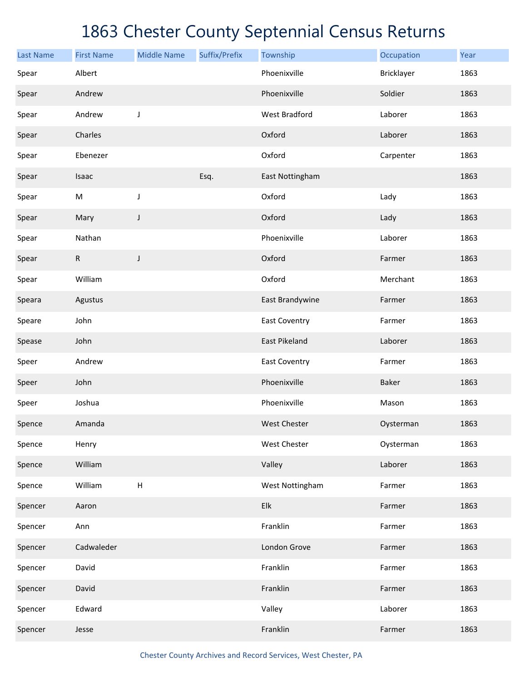| <b>Last Name</b> | <b>First Name</b> | <b>Middle Name</b> | Suffix/Prefix | Township             | Occupation | Year |
|------------------|-------------------|--------------------|---------------|----------------------|------------|------|
| Spear            | Albert            |                    |               | Phoenixville         | Bricklayer | 1863 |
| Spear            | Andrew            |                    |               | Phoenixville         | Soldier    | 1863 |
| Spear            | Andrew            | J                  |               | West Bradford        | Laborer    | 1863 |
| Spear            | Charles           |                    |               | Oxford               | Laborer    | 1863 |
| Spear            | Ebenezer          |                    |               | Oxford               | Carpenter  | 1863 |
| Spear            | Isaac             |                    | Esq.          | East Nottingham      |            | 1863 |
| Spear            | M                 | J                  |               | Oxford               | Lady       | 1863 |
| Spear            | Mary              | J                  |               | Oxford               | Lady       | 1863 |
| Spear            | Nathan            |                    |               | Phoenixville         | Laborer    | 1863 |
| Spear            | ${\sf R}$         | J                  |               | Oxford               | Farmer     | 1863 |
| Spear            | William           |                    |               | Oxford               | Merchant   | 1863 |
| Speara           | Agustus           |                    |               | East Brandywine      | Farmer     | 1863 |
| Speare           | John              |                    |               | <b>East Coventry</b> | Farmer     | 1863 |
| Spease           | John              |                    |               | East Pikeland        | Laborer    | 1863 |
| Speer            | Andrew            |                    |               | East Coventry        | Farmer     | 1863 |
| Speer            | John              |                    |               | Phoenixville         | Baker      | 1863 |
| Speer            | Joshua            |                    |               | Phoenixville         | Mason      | 1863 |
| Spence           | Amanda            |                    |               | <b>West Chester</b>  | Oysterman  | 1863 |
| Spence           | Henry             |                    |               | West Chester         | Oysterman  | 1863 |
| Spence           | William           |                    |               | Valley               | Laborer    | 1863 |
| Spence           | William           | $\sf H$            |               | West Nottingham      | Farmer     | 1863 |
| Spencer          | Aaron             |                    |               | Elk                  | Farmer     | 1863 |
| Spencer          | Ann               |                    |               | Franklin             | Farmer     | 1863 |
| Spencer          | Cadwaleder        |                    |               | London Grove         | Farmer     | 1863 |
| Spencer          | David             |                    |               | Franklin             | Farmer     | 1863 |
| Spencer          | David             |                    |               | Franklin             | Farmer     | 1863 |
| Spencer          | Edward            |                    |               | Valley               | Laborer    | 1863 |
| Spencer          | Jesse             |                    |               | Franklin             | Farmer     | 1863 |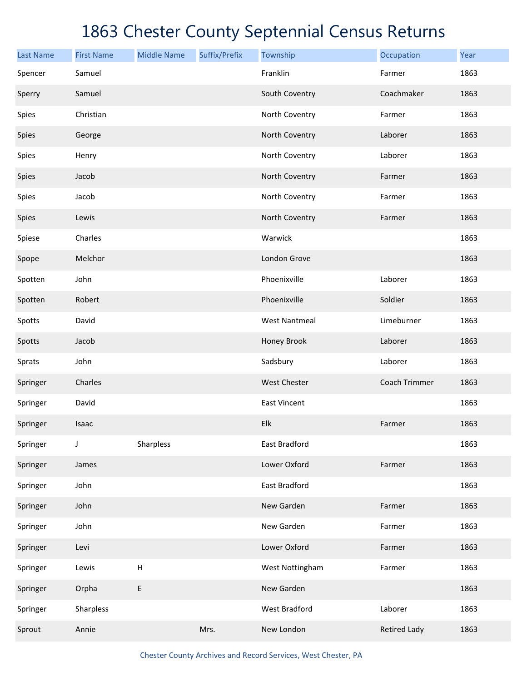| <b>Last Name</b> | <b>First Name</b> | <b>Middle Name</b> | Suffix/Prefix | Township             | Occupation          | Year |
|------------------|-------------------|--------------------|---------------|----------------------|---------------------|------|
| Spencer          | Samuel            |                    |               | Franklin             | Farmer              | 1863 |
| Sperry           | Samuel            |                    |               | South Coventry       | Coachmaker          | 1863 |
| Spies            | Christian         |                    |               | North Coventry       | Farmer              | 1863 |
| Spies            | George            |                    |               | North Coventry       | Laborer             | 1863 |
| Spies            | Henry             |                    |               | North Coventry       | Laborer             | 1863 |
| Spies            | Jacob             |                    |               | North Coventry       | Farmer              | 1863 |
| Spies            | Jacob             |                    |               | North Coventry       | Farmer              | 1863 |
| Spies            | Lewis             |                    |               | North Coventry       | Farmer              | 1863 |
| Spiese           | Charles           |                    |               | Warwick              |                     | 1863 |
| Spope            | Melchor           |                    |               | London Grove         |                     | 1863 |
| Spotten          | John              |                    |               | Phoenixville         | Laborer             | 1863 |
| Spotten          | Robert            |                    |               | Phoenixville         | Soldier             | 1863 |
| Spotts           | David             |                    |               | <b>West Nantmeal</b> | Limeburner          | 1863 |
| Spotts           | Jacob             |                    |               | Honey Brook          | Laborer             | 1863 |
| Sprats           | John              |                    |               | Sadsbury             | Laborer             | 1863 |
| Springer         | Charles           |                    |               | <b>West Chester</b>  | Coach Trimmer       | 1863 |
| Springer         | David             |                    |               | East Vincent         |                     | 1863 |
| Springer         | Isaac             |                    |               | Elk                  | Farmer              | 1863 |
| Springer         | J                 | Sharpless          |               | East Bradford        |                     | 1863 |
| Springer         | James             |                    |               | Lower Oxford         | Farmer              | 1863 |
| Springer         | John              |                    |               | East Bradford        |                     | 1863 |
| Springer         | John              |                    |               | New Garden           | Farmer              | 1863 |
| Springer         | John              |                    |               | New Garden           | Farmer              | 1863 |
| Springer         | Levi              |                    |               | Lower Oxford         | Farmer              | 1863 |
| Springer         | Lewis             | $\sf H$            |               | West Nottingham      | Farmer              | 1863 |
| Springer         | Orpha             | E                  |               | New Garden           |                     | 1863 |
| Springer         | Sharpless         |                    |               | West Bradford        | Laborer             | 1863 |
| Sprout           | Annie             |                    | Mrs.          | New London           | <b>Retired Lady</b> | 1863 |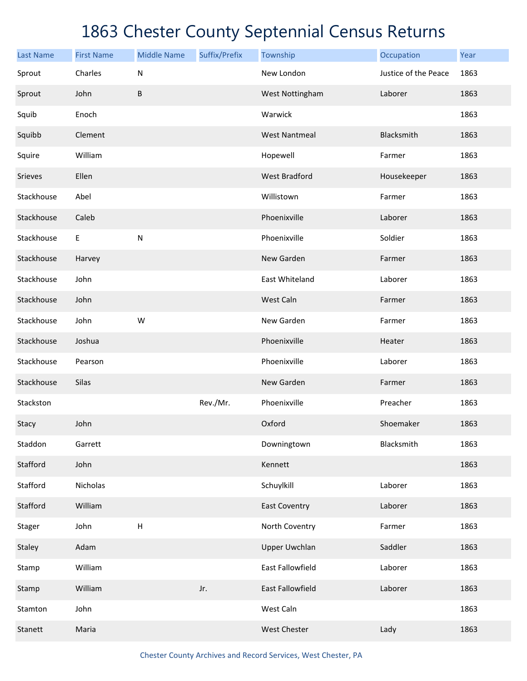| <b>Last Name</b> | <b>First Name</b> | <b>Middle Name</b> | Suffix/Prefix | Township             | Occupation           | Year |
|------------------|-------------------|--------------------|---------------|----------------------|----------------------|------|
| Sprout           | Charles           | $\mathsf{N}$       |               | New London           | Justice of the Peace | 1863 |
| Sprout           | John              | $\sf B$            |               | West Nottingham      | Laborer              | 1863 |
| Squib            | Enoch             |                    |               | Warwick              |                      | 1863 |
| Squibb           | Clement           |                    |               | <b>West Nantmeal</b> | Blacksmith           | 1863 |
| Squire           | William           |                    |               | Hopewell             | Farmer               | 1863 |
| Srieves          | Ellen             |                    |               | <b>West Bradford</b> | Housekeeper          | 1863 |
| Stackhouse       | Abel              |                    |               | Willistown           | Farmer               | 1863 |
| Stackhouse       | Caleb             |                    |               | Phoenixville         | Laborer              | 1863 |
| Stackhouse       | E                 | ${\sf N}$          |               | Phoenixville         | Soldier              | 1863 |
| Stackhouse       | Harvey            |                    |               | New Garden           | Farmer               | 1863 |
| Stackhouse       | John              |                    |               | East Whiteland       | Laborer              | 1863 |
| Stackhouse       | John              |                    |               | West Caln            | Farmer               | 1863 |
| Stackhouse       | John              | W                  |               | New Garden           | Farmer               | 1863 |
| Stackhouse       | Joshua            |                    |               | Phoenixville         | Heater               | 1863 |
| Stackhouse       | Pearson           |                    |               | Phoenixville         | Laborer              | 1863 |
| Stackhouse       | Silas             |                    |               | New Garden           | Farmer               | 1863 |
| Stackston        |                   |                    | Rev./Mr.      | Phoenixville         | Preacher             | 1863 |
| Stacy            | John              |                    |               | Oxford               | Shoemaker            | 1863 |
| Staddon          | Garrett           |                    |               | Downingtown          | Blacksmith           | 1863 |
| Stafford         | John              |                    |               | Kennett              |                      | 1863 |
| Stafford         | Nicholas          |                    |               | Schuylkill           | Laborer              | 1863 |
| Stafford         | William           |                    |               | <b>East Coventry</b> | Laborer              | 1863 |
| Stager           | John              | H                  |               | North Coventry       | Farmer               | 1863 |
| Staley           | Adam              |                    |               | <b>Upper Uwchlan</b> | Saddler              | 1863 |
| Stamp            | William           |                    |               | East Fallowfield     | Laborer              | 1863 |
| Stamp            | William           |                    | Jr.           | East Fallowfield     | Laborer              | 1863 |
| Stamton          | John              |                    |               | West Caln            |                      | 1863 |
| Stanett          | Maria             |                    |               | West Chester         | Lady                 | 1863 |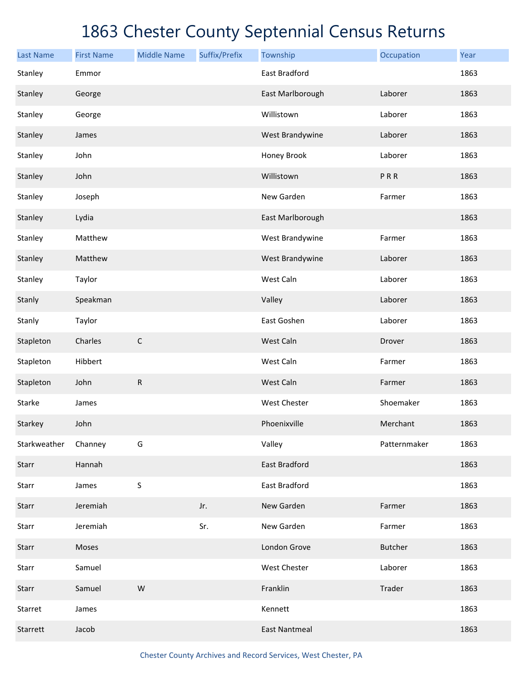| <b>Last Name</b> | <b>First Name</b> | <b>Middle Name</b> | Suffix/Prefix | Township             | Occupation     | Year |
|------------------|-------------------|--------------------|---------------|----------------------|----------------|------|
| Stanley          | Emmor             |                    |               | East Bradford        |                | 1863 |
| Stanley          | George            |                    |               | East Marlborough     | Laborer        | 1863 |
| Stanley          | George            |                    |               | Willistown           | Laborer        | 1863 |
| Stanley          | James             |                    |               | West Brandywine      | Laborer        | 1863 |
| Stanley          | John              |                    |               | Honey Brook          | Laborer        | 1863 |
| Stanley          | John              |                    |               | Willistown           | PRR            | 1863 |
| Stanley          | Joseph            |                    |               | New Garden           | Farmer         | 1863 |
| Stanley          | Lydia             |                    |               | East Marlborough     |                | 1863 |
| Stanley          | Matthew           |                    |               | West Brandywine      | Farmer         | 1863 |
| Stanley          | Matthew           |                    |               | West Brandywine      | Laborer        | 1863 |
| Stanley          | Taylor            |                    |               | West Caln            | Laborer        | 1863 |
| Stanly           | Speakman          |                    |               | Valley               | Laborer        | 1863 |
| Stanly           | Taylor            |                    |               | East Goshen          | Laborer        | 1863 |
| Stapleton        | Charles           | $\mathsf C$        |               | West Caln            | Drover         | 1863 |
| Stapleton        | Hibbert           |                    |               | West Caln            | Farmer         | 1863 |
| Stapleton        | John              | R                  |               | West Caln            | Farmer         | 1863 |
| Starke           | James             |                    |               | <b>West Chester</b>  | Shoemaker      | 1863 |
| Starkey          | John              |                    |               | Phoenixville         | Merchant       | 1863 |
| Starkweather     | Channey           | G                  |               | Valley               | Patternmaker   | 1863 |
| Starr            | Hannah            |                    |               | East Bradford        |                | 1863 |
| Starr            | James             | S                  |               | East Bradford        |                | 1863 |
| Starr            | Jeremiah          |                    | Jr.           | New Garden           | Farmer         | 1863 |
| Starr            | Jeremiah          |                    | Sr.           | New Garden           | Farmer         | 1863 |
| Starr            | Moses             |                    |               | London Grove         | <b>Butcher</b> | 1863 |
| Starr            | Samuel            |                    |               | <b>West Chester</b>  | Laborer        | 1863 |
| Starr            | Samuel            | W                  |               | Franklin             | Trader         | 1863 |
| Starret          | James             |                    |               | Kennett              |                | 1863 |
| Starrett         | Jacob             |                    |               | <b>East Nantmeal</b> |                | 1863 |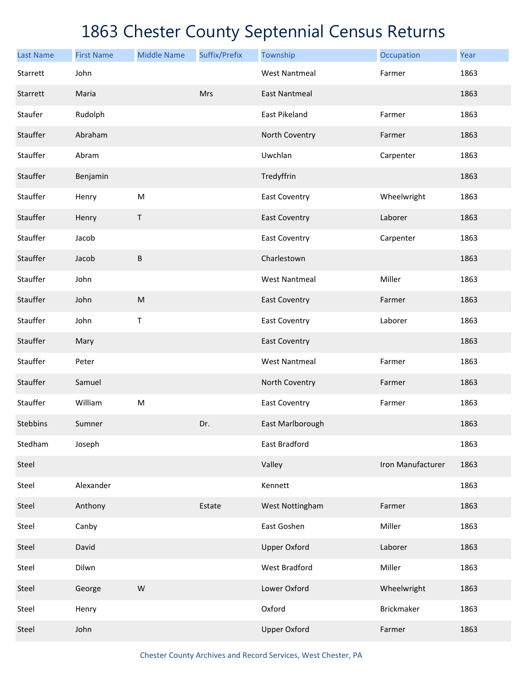| <b>Last Name</b> | <b>First Name</b> | <b>Middle Name</b> | Suffix/Prefix | Township             | Occupation        | Year |
|------------------|-------------------|--------------------|---------------|----------------------|-------------------|------|
| Starrett         | John              |                    |               | <b>West Nantmeal</b> | Farmer            | 1863 |
| Starrett         | Maria             |                    | Mrs           | <b>East Nantmeal</b> |                   | 1863 |
| Staufer          | Rudolph           |                    |               | East Pikeland        | Farmer            | 1863 |
| Stauffer         | Abraham           |                    |               | North Coventry       | Farmer            | 1863 |
| Stauffer         | Abram             |                    |               | Uwchlan              | Carpenter         | 1863 |
| Stauffer         | Benjamin          |                    |               | Tredyffrin           |                   | 1863 |
| Stauffer         | Henry             | M                  |               | <b>East Coventry</b> | Wheelwright       | 1863 |
| Stauffer         | Henry             | $\sf T$            |               | <b>East Coventry</b> | Laborer           | 1863 |
| Stauffer         | Jacob             |                    |               | <b>East Coventry</b> | Carpenter         | 1863 |
| Stauffer         | Jacob             | $\sf B$            |               | Charlestown          |                   | 1863 |
| Stauffer         | John              |                    |               | <b>West Nantmeal</b> | Miller            | 1863 |
| Stauffer         | John              | ${\sf M}$          |               | <b>East Coventry</b> | Farmer            | 1863 |
| Stauffer         | John              | Τ                  |               | <b>East Coventry</b> | Laborer           | 1863 |
| Stauffer         | Mary              |                    |               | <b>East Coventry</b> |                   | 1863 |
| Stauffer         | Peter             |                    |               | <b>West Nantmeal</b> | Farmer            | 1863 |
| Stauffer         | Samuel            |                    |               | North Coventry       | Farmer            | 1863 |
| Stauffer         | William           | M                  |               | East Coventry        | Farmer            | 1863 |
| Stebbins         | Sumner            |                    | Dr.           | East Marlborough     |                   | 1863 |
| Stedham          | Joseph            |                    |               | East Bradford        |                   | 1863 |
| Steel            |                   |                    |               | Valley               | Iron Manufacturer | 1863 |
| Steel            | Alexander         |                    |               | Kennett              |                   | 1863 |
| Steel            | Anthony           |                    | Estate        | West Nottingham      | Farmer            | 1863 |
| Steel            | Canby             |                    |               | East Goshen          | Miller            | 1863 |
| Steel            | David             |                    |               | <b>Upper Oxford</b>  | Laborer           | 1863 |
| Steel            | Dilwn             |                    |               | <b>West Bradford</b> | Miller            | 1863 |
| Steel            | George            | ${\sf W}$          |               | Lower Oxford         | Wheelwright       | 1863 |
| Steel            | Henry             |                    |               | Oxford               | Brickmaker        | 1863 |
| Steel            | John              |                    |               | <b>Upper Oxford</b>  | Farmer            | 1863 |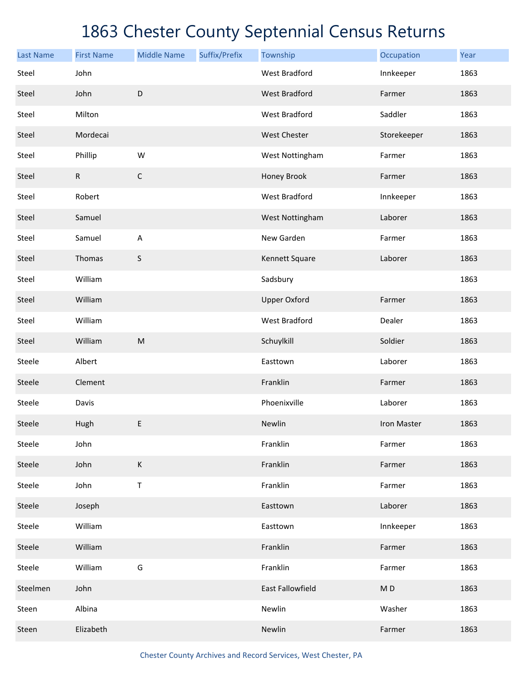| <b>Last Name</b> | <b>First Name</b> | <b>Middle Name</b>                                                                                         | Suffix/Prefix | Township             | Occupation     | Year |
|------------------|-------------------|------------------------------------------------------------------------------------------------------------|---------------|----------------------|----------------|------|
| Steel            | John              |                                                                                                            |               | <b>West Bradford</b> | Innkeeper      | 1863 |
| Steel            | John              | $\mathsf D$                                                                                                |               | <b>West Bradford</b> | Farmer         | 1863 |
| Steel            | Milton            |                                                                                                            |               | <b>West Bradford</b> | Saddler        | 1863 |
| Steel            | Mordecai          |                                                                                                            |               | West Chester         | Storekeeper    | 1863 |
| Steel            | Phillip           | W                                                                                                          |               | West Nottingham      | Farmer         | 1863 |
| Steel            | ${\sf R}$         | $\mathsf C$                                                                                                |               | Honey Brook          | Farmer         | 1863 |
| Steel            | Robert            |                                                                                                            |               | <b>West Bradford</b> | Innkeeper      | 1863 |
| Steel            | Samuel            |                                                                                                            |               | West Nottingham      | Laborer        | 1863 |
| Steel            | Samuel            | $\boldsymbol{\mathsf{A}}$                                                                                  |               | New Garden           | Farmer         | 1863 |
| Steel            | Thomas            | S                                                                                                          |               | Kennett Square       | Laborer        | 1863 |
| Steel            | William           |                                                                                                            |               | Sadsbury             |                | 1863 |
| Steel            | William           |                                                                                                            |               | <b>Upper Oxford</b>  | Farmer         | 1863 |
| Steel            | William           |                                                                                                            |               | <b>West Bradford</b> | Dealer         | 1863 |
| Steel            | William           | $\mathsf{M}% _{T}=\mathsf{M}_{T}\!\left( a,b\right) ,\ \mathsf{M}_{T}=\mathsf{M}_{T}\!\left( a,b\right) ,$ |               | Schuylkill           | Soldier        | 1863 |
| Steele           | Albert            |                                                                                                            |               | Easttown             | Laborer        | 1863 |
| Steele           | Clement           |                                                                                                            |               | Franklin             | Farmer         | 1863 |
| Steele           | Davis             |                                                                                                            |               | Phoenixville         | Laborer        | 1863 |
| Steele           | Hugh              | E                                                                                                          |               | Newlin               | Iron Master    | 1863 |
| Steele           | John              |                                                                                                            |               | Franklin             | Farmer         | 1863 |
| Steele           | John              | $\mathsf K$                                                                                                |               | Franklin             | Farmer         | 1863 |
| Steele           | John              | Τ                                                                                                          |               | Franklin             | Farmer         | 1863 |
| Steele           | Joseph            |                                                                                                            |               | Easttown             | Laborer        | 1863 |
| Steele           | William           |                                                                                                            |               | Easttown             | Innkeeper      | 1863 |
| Steele           | William           |                                                                                                            |               | Franklin             | Farmer         | 1863 |
| Steele           | William           | G                                                                                                          |               | Franklin             | Farmer         | 1863 |
| Steelmen         | John              |                                                                                                            |               | East Fallowfield     | M <sub>D</sub> | 1863 |
| Steen            | Albina            |                                                                                                            |               | Newlin               | Washer         | 1863 |
| Steen            | Elizabeth         |                                                                                                            |               | Newlin               | Farmer         | 1863 |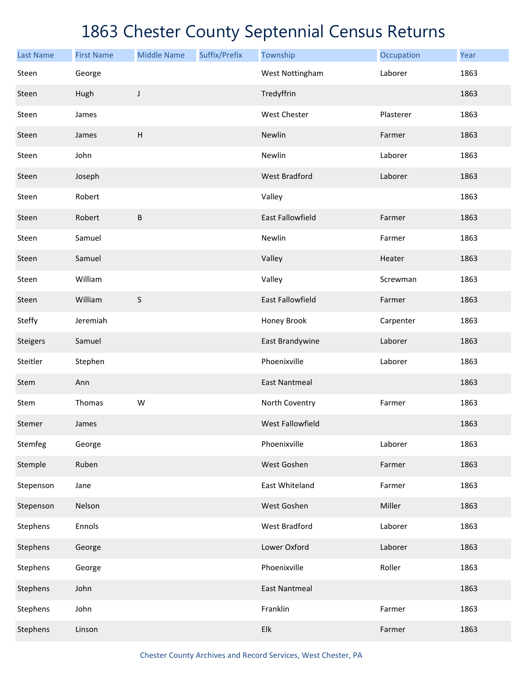| <b>Last Name</b> | <b>First Name</b> | <b>Middle Name</b> | Suffix/Prefix | Township                  | Occupation | Year |
|------------------|-------------------|--------------------|---------------|---------------------------|------------|------|
| Steen            | George            |                    |               | West Nottingham           | Laborer    | 1863 |
| Steen            | Hugh              | J                  |               | Tredyffrin                |            | 1863 |
| Steen            | James             |                    |               | <b>West Chester</b>       | Plasterer  | 1863 |
| Steen            | James             | H                  |               | Newlin                    | Farmer     | 1863 |
| Steen            | John              |                    |               | Newlin                    | Laborer    | 1863 |
| Steen            | Joseph            |                    |               | <b>West Bradford</b>      | Laborer    | 1863 |
| Steen            | Robert            |                    |               | Valley                    |            | 1863 |
| Steen            | Robert            | B                  |               | <b>East Fallowfield</b>   | Farmer     | 1863 |
| Steen            | Samuel            |                    |               | Newlin                    | Farmer     | 1863 |
| Steen            | Samuel            |                    |               | Valley                    | Heater     | 1863 |
| Steen            | William           |                    |               | Valley                    | Screwman   | 1863 |
| Steen            | William           | $\sf S$            |               | <b>East Fallowfield</b>   | Farmer     | 1863 |
| Steffy           | Jeremiah          |                    |               | Honey Brook               | Carpenter  | 1863 |
| Steigers         | Samuel            |                    |               | East Brandywine           | Laborer    | 1863 |
| Steitler         | Stephen           |                    |               | Phoenixville              | Laborer    | 1863 |
| Stem             | Ann               |                    |               | <b>East Nantmeal</b>      |            | 1863 |
| Stem             | Thomas            | W                  |               | North Coventry            | Farmer     | 1863 |
| Stemer           | James             |                    |               | West Fallowfield          |            | 1863 |
| Stemfeg          | George            |                    |               | Phoenixville              | Laborer    | 1863 |
| Stemple          | Ruben             |                    |               | West Goshen               | Farmer     | 1863 |
| Stepenson        | Jane              |                    |               | East Whiteland            | Farmer     | 1863 |
| Stepenson        | Nelson            |                    |               | West Goshen               | Miller     | 1863 |
| Stephens         | Ennols            |                    |               | <b>West Bradford</b>      | Laborer    | 1863 |
| Stephens         | George            |                    |               | Lower Oxford              | Laborer    | 1863 |
| Stephens         | George            |                    |               | Phoenixville              | Roller     | 1863 |
| Stephens         | John              |                    |               | <b>East Nantmeal</b>      |            | 1863 |
| Stephens         | John              |                    |               | Franklin                  | Farmer     | 1863 |
| Stephens         | Linson            |                    |               | ${\sf E} {\sf I} {\sf k}$ | Farmer     | 1863 |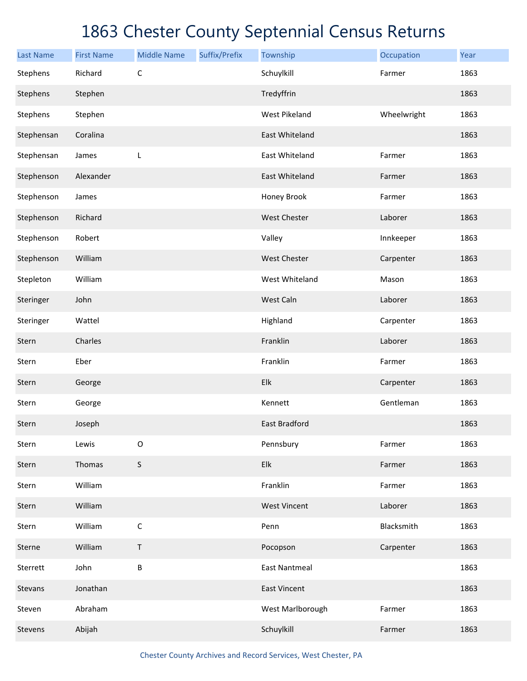| <b>Last Name</b> | <b>First Name</b> | <b>Middle Name</b> | Suffix/Prefix | Township             | Occupation  | Year |
|------------------|-------------------|--------------------|---------------|----------------------|-------------|------|
| Stephens         | Richard           | $\mathsf C$        |               | Schuylkill           | Farmer      | 1863 |
| Stephens         | Stephen           |                    |               | Tredyffrin           |             | 1863 |
| Stephens         | Stephen           |                    |               | <b>West Pikeland</b> | Wheelwright | 1863 |
| Stephensan       | Coralina          |                    |               | East Whiteland       |             | 1863 |
| Stephensan       | James             | L                  |               | East Whiteland       | Farmer      | 1863 |
| Stephenson       | Alexander         |                    |               | East Whiteland       | Farmer      | 1863 |
| Stephenson       | James             |                    |               | Honey Brook          | Farmer      | 1863 |
| Stephenson       | Richard           |                    |               | <b>West Chester</b>  | Laborer     | 1863 |
| Stephenson       | Robert            |                    |               | Valley               | Innkeeper   | 1863 |
| Stephenson       | William           |                    |               | <b>West Chester</b>  | Carpenter   | 1863 |
| Stepleton        | William           |                    |               | West Whiteland       | Mason       | 1863 |
| Steringer        | John              |                    |               | West Caln            | Laborer     | 1863 |
| Steringer        | Wattel            |                    |               | Highland             | Carpenter   | 1863 |
| Stern            | Charles           |                    |               | Franklin             | Laborer     | 1863 |
| Stern            | Eber              |                    |               | Franklin             | Farmer      | 1863 |
| Stern            | George            |                    |               | Elk                  | Carpenter   | 1863 |
| Stern            | George            |                    |               | Kennett              | Gentleman   | 1863 |
| Stern            | Joseph            |                    |               | East Bradford        |             | 1863 |
| Stern            | Lewis             | $\mathsf O$        |               | Pennsbury            | Farmer      | 1863 |
| Stern            | Thomas            | S                  |               | Elk                  | Farmer      | 1863 |
| Stern            | William           |                    |               | Franklin             | Farmer      | 1863 |
| Stern            | William           |                    |               | <b>West Vincent</b>  | Laborer     | 1863 |
| Stern            | William           | $\mathsf C$        |               | Penn                 | Blacksmith  | 1863 |
| Sterne           | William           | $\mathsf T$        |               | Pocopson             | Carpenter   | 1863 |
| Sterrett         | John              | B                  |               | <b>East Nantmeal</b> |             | 1863 |
| Stevans          | Jonathan          |                    |               | <b>East Vincent</b>  |             | 1863 |
| Steven           | Abraham           |                    |               | West Marlborough     | Farmer      | 1863 |
| Stevens          | Abijah            |                    |               | Schuylkill           | Farmer      | 1863 |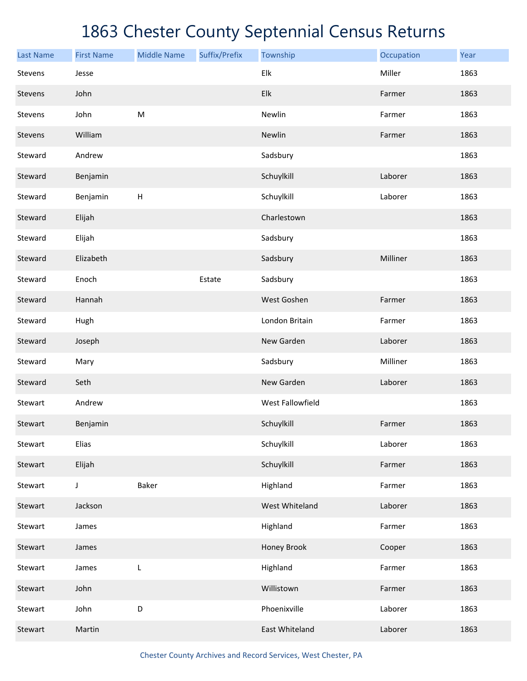| <b>Last Name</b> | <b>First Name</b> | <b>Middle Name</b> | Suffix/Prefix | Township         | Occupation | Year |
|------------------|-------------------|--------------------|---------------|------------------|------------|------|
| Stevens          | Jesse             |                    |               | Elk              | Miller     | 1863 |
| Stevens          | John              |                    |               | Elk              | Farmer     | 1863 |
| Stevens          | John              | M                  |               | Newlin           | Farmer     | 1863 |
| Stevens          | William           |                    |               | Newlin           | Farmer     | 1863 |
| Steward          | Andrew            |                    |               | Sadsbury         |            | 1863 |
| Steward          | Benjamin          |                    |               | Schuylkill       | Laborer    | 1863 |
| Steward          | Benjamin          | Н                  |               | Schuylkill       | Laborer    | 1863 |
| Steward          | Elijah            |                    |               | Charlestown      |            | 1863 |
| Steward          | Elijah            |                    |               | Sadsbury         |            | 1863 |
| Steward          | Elizabeth         |                    |               | Sadsbury         | Milliner   | 1863 |
| Steward          | Enoch             |                    | Estate        | Sadsbury         |            | 1863 |
| Steward          | Hannah            |                    |               | West Goshen      | Farmer     | 1863 |
| Steward          | Hugh              |                    |               | London Britain   | Farmer     | 1863 |
| Steward          | Joseph            |                    |               | New Garden       | Laborer    | 1863 |
| Steward          | Mary              |                    |               | Sadsbury         | Milliner   | 1863 |
| Steward          | Seth              |                    |               | New Garden       | Laborer    | 1863 |
| Stewart          | Andrew            |                    |               | West Fallowfield |            | 1863 |
| Stewart          | Benjamin          |                    |               | Schuylkill       | Farmer     | 1863 |
| Stewart          | <b>Elias</b>      |                    |               | Schuylkill       | Laborer    | 1863 |
| Stewart          | Elijah            |                    |               | Schuylkill       | Farmer     | 1863 |
| Stewart          | $\mathsf J$       | Baker              |               | Highland         | Farmer     | 1863 |
| Stewart          | Jackson           |                    |               | West Whiteland   | Laborer    | 1863 |
| Stewart          | James             |                    |               | Highland         | Farmer     | 1863 |
| Stewart          | James             |                    |               | Honey Brook      | Cooper     | 1863 |
| Stewart          | James             | L                  |               | Highland         | Farmer     | 1863 |
| Stewart          | John              |                    |               | Willistown       | Farmer     | 1863 |
| Stewart          | John              | D                  |               | Phoenixville     | Laborer    | 1863 |
| Stewart          | Martin            |                    |               | East Whiteland   | Laborer    | 1863 |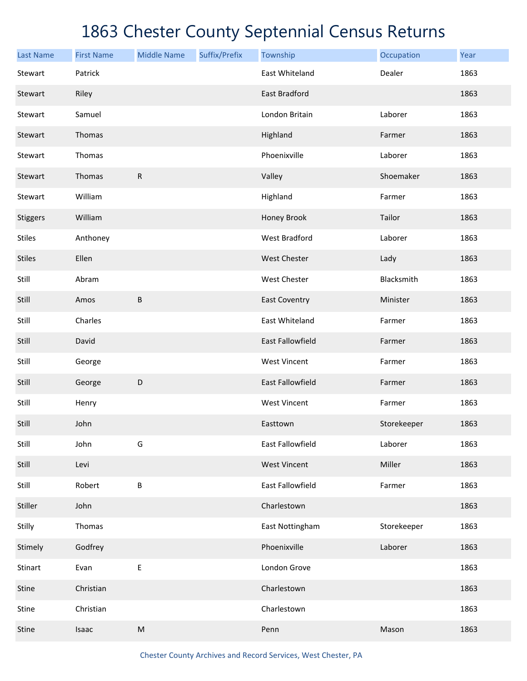| <b>Last Name</b> | <b>First Name</b> | <b>Middle Name</b> | Suffix/Prefix | Township                | Occupation  | Year |
|------------------|-------------------|--------------------|---------------|-------------------------|-------------|------|
| Stewart          | Patrick           |                    |               | East Whiteland          | Dealer      | 1863 |
| Stewart          | Riley             |                    |               | East Bradford           |             | 1863 |
| Stewart          | Samuel            |                    |               | London Britain          | Laborer     | 1863 |
| Stewart          | Thomas            |                    |               | Highland                | Farmer      | 1863 |
| Stewart          | Thomas            |                    |               | Phoenixville            | Laborer     | 1863 |
| Stewart          | Thomas            | $\mathsf{R}$       |               | Valley                  | Shoemaker   | 1863 |
| Stewart          | William           |                    |               | Highland                | Farmer      | 1863 |
| Stiggers         | William           |                    |               | Honey Brook             | Tailor      | 1863 |
| <b>Stiles</b>    | Anthoney          |                    |               | <b>West Bradford</b>    | Laborer     | 1863 |
| <b>Stiles</b>    | Ellen             |                    |               | <b>West Chester</b>     | Lady        | 1863 |
| Still            | Abram             |                    |               | West Chester            | Blacksmith  | 1863 |
| Still            | Amos              | B                  |               | <b>East Coventry</b>    | Minister    | 1863 |
| Still            | Charles           |                    |               | East Whiteland          | Farmer      | 1863 |
| Still            | David             |                    |               | <b>East Fallowfield</b> | Farmer      | 1863 |
| Still            | George            |                    |               | <b>West Vincent</b>     | Farmer      | 1863 |
| Still            | George            | $\mathsf D$        |               | <b>East Fallowfield</b> | Farmer      | 1863 |
| Still            | Henry             |                    |               | <b>West Vincent</b>     | Farmer      | 1863 |
| Still            | John              |                    |               | Easttown                | Storekeeper | 1863 |
| Still            | John              | G                  |               | East Fallowfield        | Laborer     | 1863 |
| Still            | Levi              |                    |               | <b>West Vincent</b>     | Miller      | 1863 |
| Still            | Robert            | B                  |               | East Fallowfield        | Farmer      | 1863 |
| Stiller          | John              |                    |               | Charlestown             |             | 1863 |
| Stilly           | Thomas            |                    |               | East Nottingham         | Storekeeper | 1863 |
| Stimely          | Godfrey           |                    |               | Phoenixville            | Laborer     | 1863 |
| Stinart          | Evan              | E                  |               | London Grove            |             | 1863 |
| Stine            | Christian         |                    |               | Charlestown             |             | 1863 |
| Stine            | Christian         |                    |               | Charlestown             |             | 1863 |
| Stine            | Isaac             | ${\sf M}$          |               | Penn                    | Mason       | 1863 |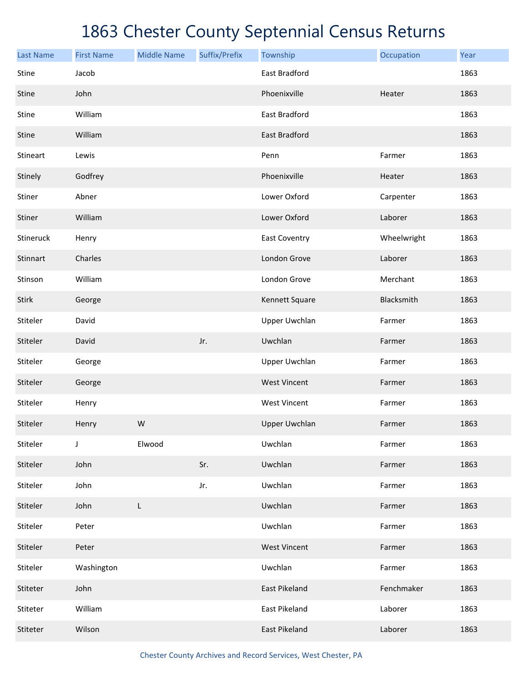| <b>Last Name</b> | <b>First Name</b> | <b>Middle Name</b> | Suffix/Prefix | Township             | Occupation  | Year |
|------------------|-------------------|--------------------|---------------|----------------------|-------------|------|
| Stine            | Jacob             |                    |               | East Bradford        |             | 1863 |
| Stine            | John              |                    |               | Phoenixville         | Heater      | 1863 |
| Stine            | William           |                    |               | East Bradford        |             | 1863 |
| Stine            | William           |                    |               | East Bradford        |             | 1863 |
| Stineart         | Lewis             |                    |               | Penn                 | Farmer      | 1863 |
| Stinely          | Godfrey           |                    |               | Phoenixville         | Heater      | 1863 |
| Stiner           | Abner             |                    |               | Lower Oxford         | Carpenter   | 1863 |
| Stiner           | William           |                    |               | Lower Oxford         | Laborer     | 1863 |
| Stineruck        | Henry             |                    |               | East Coventry        | Wheelwright | 1863 |
| Stinnart         | Charles           |                    |               | London Grove         | Laborer     | 1863 |
| Stinson          | William           |                    |               | London Grove         | Merchant    | 1863 |
| Stirk            | George            |                    |               | Kennett Square       | Blacksmith  | 1863 |
| Stiteler         | David             |                    |               | <b>Upper Uwchlan</b> | Farmer      | 1863 |
| Stiteler         | David             |                    | Jr.           | Uwchlan              | Farmer      | 1863 |
| Stiteler         | George            |                    |               | <b>Upper Uwchlan</b> | Farmer      | 1863 |
| Stiteler         | George            |                    |               | <b>West Vincent</b>  | Farmer      | 1863 |
| Stiteler         | Henry             |                    |               | <b>West Vincent</b>  | Farmer      | 1863 |
| Stiteler         | Henry             | W                  |               | <b>Upper Uwchlan</b> | Farmer      | 1863 |
| Stiteler         | J                 | Elwood             |               | Uwchlan              | Farmer      | 1863 |
| Stiteler         | John              |                    | Sr.           | Uwchlan              | Farmer      | 1863 |
| Stiteler         | John              |                    | Jr.           | Uwchlan              | Farmer      | 1863 |
| Stiteler         | John              | L                  |               | Uwchlan              | Farmer      | 1863 |
| Stiteler         | Peter             |                    |               | Uwchlan              | Farmer      | 1863 |
| Stiteler         | Peter             |                    |               | <b>West Vincent</b>  | Farmer      | 1863 |
| Stiteler         | Washington        |                    |               | Uwchlan              | Farmer      | 1863 |
| Stiteter         | John              |                    |               | East Pikeland        | Fenchmaker  | 1863 |
| Stiteter         | William           |                    |               | East Pikeland        | Laborer     | 1863 |
| Stiteter         | Wilson            |                    |               | East Pikeland        | Laborer     | 1863 |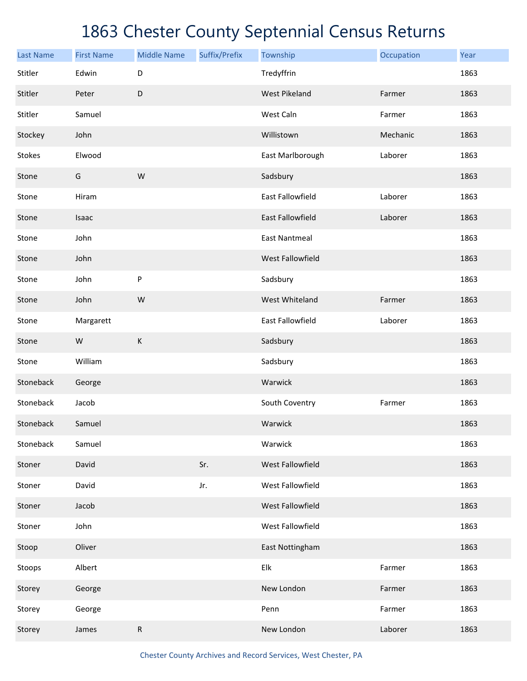| <b>Last Name</b> | <b>First Name</b> | <b>Middle Name</b> | Suffix/Prefix | Township                  | Occupation | Year |
|------------------|-------------------|--------------------|---------------|---------------------------|------------|------|
| Stitler          | Edwin             | D                  |               | Tredyffrin                |            | 1863 |
| Stitler          | Peter             | D                  |               | <b>West Pikeland</b>      | Farmer     | 1863 |
| Stitler          | Samuel            |                    |               | West Caln                 | Farmer     | 1863 |
| Stockey          | John              |                    |               | Willistown                | Mechanic   | 1863 |
| Stokes           | Elwood            |                    |               | East Marlborough          | Laborer    | 1863 |
| Stone            | G                 | W                  |               | Sadsbury                  |            | 1863 |
| Stone            | Hiram             |                    |               | <b>East Fallowfield</b>   | Laborer    | 1863 |
| Stone            | Isaac             |                    |               | <b>East Fallowfield</b>   | Laborer    | 1863 |
| Stone            | John              |                    |               | <b>East Nantmeal</b>      |            | 1863 |
| Stone            | John              |                    |               | <b>West Fallowfield</b>   |            | 1863 |
| Stone            | John              | ${\sf P}$          |               | Sadsbury                  |            | 1863 |
| Stone            | John              | W                  |               | West Whiteland            | Farmer     | 1863 |
| Stone            | Margarett         |                    |               | <b>East Fallowfield</b>   | Laborer    | 1863 |
| Stone            | W                 | $\mathsf K$        |               | Sadsbury                  |            | 1863 |
| Stone            | William           |                    |               | Sadsbury                  |            | 1863 |
| Stoneback        | George            |                    |               | Warwick                   |            | 1863 |
| Stoneback        | Jacob             |                    |               | South Coventry            | Farmer     | 1863 |
| Stoneback        | Samuel            |                    |               | Warwick                   |            | 1863 |
| Stoneback        | Samuel            |                    |               | Warwick                   |            | 1863 |
| Stoner           | David             |                    | Sr.           | West Fallowfield          |            | 1863 |
| Stoner           | David             |                    | Jr.           | West Fallowfield          |            | 1863 |
| Stoner           | Jacob             |                    |               | West Fallowfield          |            | 1863 |
| Stoner           | John              |                    |               | West Fallowfield          |            | 1863 |
| Stoop            | Oliver            |                    |               | East Nottingham           |            | 1863 |
| Stoops           | Albert            |                    |               | ${\sf E} {\sf I} {\sf k}$ | Farmer     | 1863 |
| Storey           | George            |                    |               | New London                | Farmer     | 1863 |
| Storey           | George            |                    |               | Penn                      | Farmer     | 1863 |
| Storey           | James             | ${\sf R}$          |               | New London                | Laborer    | 1863 |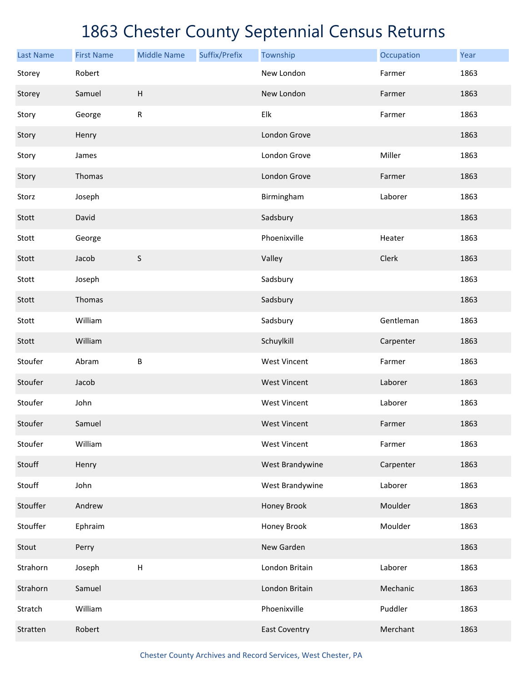| <b>Last Name</b> | <b>First Name</b> | <b>Middle Name</b> | Suffix/Prefix | Township             | Occupation | Year |
|------------------|-------------------|--------------------|---------------|----------------------|------------|------|
| Storey           | Robert            |                    |               | New London           | Farmer     | 1863 |
| Storey           | Samuel            | H                  |               | New London           | Farmer     | 1863 |
| Story            | George            | ${\sf R}$          |               | Elk                  | Farmer     | 1863 |
| Story            | Henry             |                    |               | London Grove         |            | 1863 |
| Story            | James             |                    |               | London Grove         | Miller     | 1863 |
| Story            | Thomas            |                    |               | London Grove         | Farmer     | 1863 |
| Storz            | Joseph            |                    |               | Birmingham           | Laborer    | 1863 |
| Stott            | David             |                    |               | Sadsbury             |            | 1863 |
| Stott            | George            |                    |               | Phoenixville         | Heater     | 1863 |
| Stott            | Jacob             | $\sf S$            |               | Valley               | Clerk      | 1863 |
| Stott            | Joseph            |                    |               | Sadsbury             |            | 1863 |
| Stott            | Thomas            |                    |               | Sadsbury             |            | 1863 |
| Stott            | William           |                    |               | Sadsbury             | Gentleman  | 1863 |
| Stott            | William           |                    |               | Schuylkill           | Carpenter  | 1863 |
| Stoufer          | Abram             | B                  |               | <b>West Vincent</b>  | Farmer     | 1863 |
| Stoufer          | Jacob             |                    |               | <b>West Vincent</b>  | Laborer    | 1863 |
| Stoufer          | John              |                    |               | <b>West Vincent</b>  | Laborer    | 1863 |
| Stoufer          | Samuel            |                    |               | <b>West Vincent</b>  | Farmer     | 1863 |
| Stoufer          | William           |                    |               | <b>West Vincent</b>  | Farmer     | 1863 |
| Stouff           | Henry             |                    |               | West Brandywine      | Carpenter  | 1863 |
| Stouff           | John              |                    |               | West Brandywine      | Laborer    | 1863 |
| Stouffer         | Andrew            |                    |               | Honey Brook          | Moulder    | 1863 |
| Stouffer         | Ephraim           |                    |               | Honey Brook          | Moulder    | 1863 |
| Stout            | Perry             |                    |               | New Garden           |            | 1863 |
| Strahorn         | Joseph            | $\sf H$            |               | London Britain       | Laborer    | 1863 |
| Strahorn         | Samuel            |                    |               | London Britain       | Mechanic   | 1863 |
| Stratch          | William           |                    |               | Phoenixville         | Puddler    | 1863 |
| Stratten         | Robert            |                    |               | <b>East Coventry</b> | Merchant   | 1863 |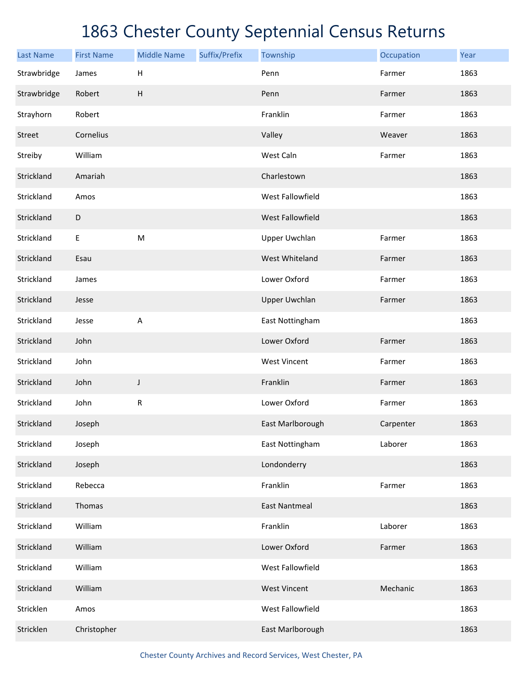| <b>Last Name</b> | <b>First Name</b> | <b>Middle Name</b>        | Suffix/Prefix | Township             | Occupation | Year |
|------------------|-------------------|---------------------------|---------------|----------------------|------------|------|
| Strawbridge      | James             | $\mathsf H$               |               | Penn                 | Farmer     | 1863 |
| Strawbridge      | Robert            | $\boldsymbol{\mathsf{H}}$ |               | Penn                 | Farmer     | 1863 |
| Strayhorn        | Robert            |                           |               | Franklin             | Farmer     | 1863 |
| Street           | Cornelius         |                           |               | Valley               | Weaver     | 1863 |
| Streiby          | William           |                           |               | West Caln            | Farmer     | 1863 |
| Strickland       | Amariah           |                           |               | Charlestown          |            | 1863 |
| Strickland       | Amos              |                           |               | West Fallowfield     |            | 1863 |
| Strickland       | D                 |                           |               | West Fallowfield     |            | 1863 |
| Strickland       | E                 | ${\sf M}$                 |               | <b>Upper Uwchlan</b> | Farmer     | 1863 |
| Strickland       | Esau              |                           |               | West Whiteland       | Farmer     | 1863 |
| Strickland       | James             |                           |               | Lower Oxford         | Farmer     | 1863 |
| Strickland       | Jesse             |                           |               | <b>Upper Uwchlan</b> | Farmer     | 1863 |
| Strickland       | Jesse             | $\overline{A}$            |               | East Nottingham      |            | 1863 |
| Strickland       | John              |                           |               | Lower Oxford         | Farmer     | 1863 |
| Strickland       | John              |                           |               | <b>West Vincent</b>  | Farmer     | 1863 |
| Strickland       | John              | J                         |               | Franklin             | Farmer     | 1863 |
| Strickland       | John              | ${\sf R}$                 |               | Lower Oxford         | Farmer     | 1863 |
| Strickland       | Joseph            |                           |               | East Marlborough     | Carpenter  | 1863 |
| Strickland       | Joseph            |                           |               | East Nottingham      | Laborer    | 1863 |
| Strickland       | Joseph            |                           |               | Londonderry          |            | 1863 |
| Strickland       | Rebecca           |                           |               | Franklin             | Farmer     | 1863 |
| Strickland       | Thomas            |                           |               | <b>East Nantmeal</b> |            | 1863 |
| Strickland       | William           |                           |               | Franklin             | Laborer    | 1863 |
| Strickland       | William           |                           |               | Lower Oxford         | Farmer     | 1863 |
| Strickland       | William           |                           |               | West Fallowfield     |            | 1863 |
| Strickland       | William           |                           |               | <b>West Vincent</b>  | Mechanic   | 1863 |
| Stricklen        | Amos              |                           |               | West Fallowfield     |            | 1863 |
| Stricklen        | Christopher       |                           |               | East Marlborough     |            | 1863 |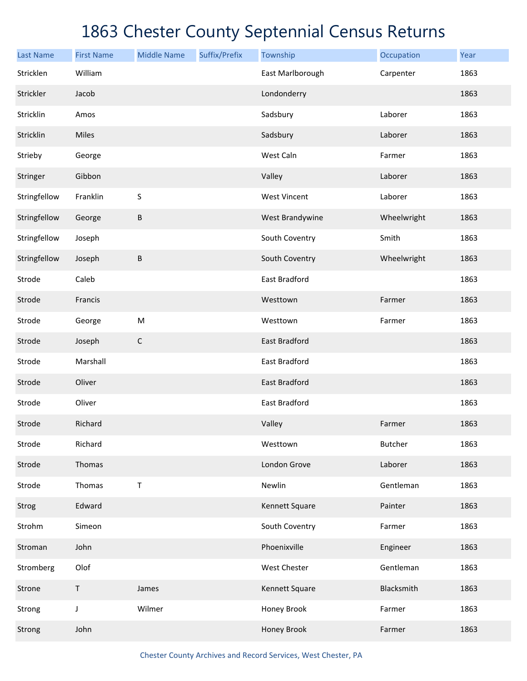| <b>Last Name</b> | <b>First Name</b> | <b>Middle Name</b> | Suffix/Prefix | Township             | Occupation     | Year |
|------------------|-------------------|--------------------|---------------|----------------------|----------------|------|
| Stricklen        | William           |                    |               | East Marlborough     | Carpenter      | 1863 |
| Strickler        | Jacob             |                    |               | Londonderry          |                | 1863 |
| Stricklin        | Amos              |                    |               | Sadsbury             | Laborer        | 1863 |
| Stricklin        | Miles             |                    |               | Sadsbury             | Laborer        | 1863 |
| Strieby          | George            |                    |               | West Caln            | Farmer         | 1863 |
| Stringer         | Gibbon            |                    |               | Valley               | Laborer        | 1863 |
| Stringfellow     | Franklin          | $\sf S$            |               | <b>West Vincent</b>  | Laborer        | 1863 |
| Stringfellow     | George            | $\sf B$            |               | West Brandywine      | Wheelwright    | 1863 |
| Stringfellow     | Joseph            |                    |               | South Coventry       | Smith          | 1863 |
| Stringfellow     | Joseph            | $\sf B$            |               | South Coventry       | Wheelwright    | 1863 |
| Strode           | Caleb             |                    |               | East Bradford        |                | 1863 |
| Strode           | Francis           |                    |               | Westtown             | Farmer         | 1863 |
| Strode           | George            | ${\sf M}$          |               | Westtown             | Farmer         | 1863 |
| Strode           | Joseph            | $\mathsf C$        |               | East Bradford        |                | 1863 |
| Strode           | Marshall          |                    |               | East Bradford        |                | 1863 |
| Strode           | Oliver            |                    |               | <b>East Bradford</b> |                | 1863 |
| Strode           | Oliver            |                    |               | East Bradford        |                | 1863 |
| Strode           | Richard           |                    |               | Valley               | Farmer         | 1863 |
| Strode           | Richard           |                    |               | Westtown             | <b>Butcher</b> | 1863 |
| Strode           | Thomas            |                    |               | London Grove         | Laborer        | 1863 |
| Strode           | Thomas            | $\sf T$            |               | Newlin               | Gentleman      | 1863 |
| Strog            | Edward            |                    |               | Kennett Square       | Painter        | 1863 |
| Strohm           | Simeon            |                    |               | South Coventry       | Farmer         | 1863 |
| Stroman          | John              |                    |               | Phoenixville         | Engineer       | 1863 |
| Stromberg        | Olof              |                    |               | West Chester         | Gentleman      | 1863 |
| Strone           | $\sf T$           | James              |               | Kennett Square       | Blacksmith     | 1863 |
| Strong           | $\mathsf J$       | Wilmer             |               | Honey Brook          | Farmer         | 1863 |
| Strong           | John              |                    |               | Honey Brook          | Farmer         | 1863 |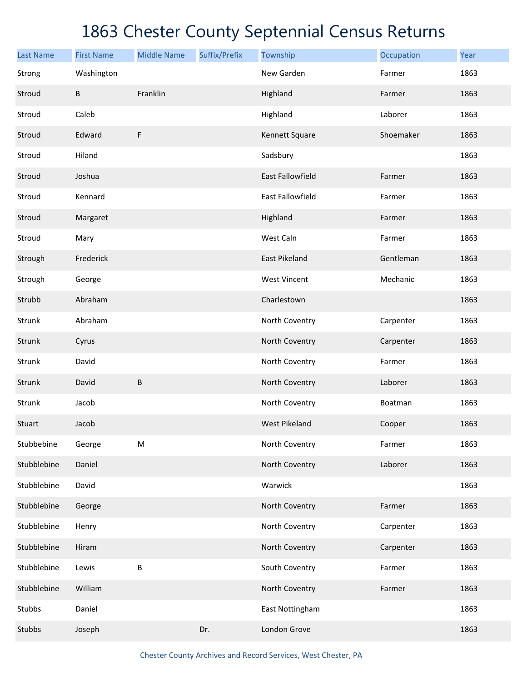| <b>Last Name</b> | <b>First Name</b> | <b>Middle Name</b> | Suffix/Prefix | Township                | Occupation | Year |
|------------------|-------------------|--------------------|---------------|-------------------------|------------|------|
| Strong           | Washington        |                    |               | New Garden              | Farmer     | 1863 |
| Stroud           | B                 | Franklin           |               | Highland                | Farmer     | 1863 |
| Stroud           | Caleb             |                    |               | Highland                | Laborer    | 1863 |
| Stroud           | Edward            | $\mathsf F$        |               | Kennett Square          | Shoemaker  | 1863 |
| Stroud           | Hiland            |                    |               | Sadsbury                |            | 1863 |
| Stroud           | Joshua            |                    |               | <b>East Fallowfield</b> | Farmer     | 1863 |
| Stroud           | Kennard           |                    |               | <b>East Fallowfield</b> | Farmer     | 1863 |
| Stroud           | Margaret          |                    |               | Highland                | Farmer     | 1863 |
| Stroud           | Mary              |                    |               | West Caln               | Farmer     | 1863 |
| Strough          | Frederick         |                    |               | East Pikeland           | Gentleman  | 1863 |
| Strough          | George            |                    |               | <b>West Vincent</b>     | Mechanic   | 1863 |
| Strubb           | Abraham           |                    |               | Charlestown             |            | 1863 |
| Strunk           | Abraham           |                    |               | North Coventry          | Carpenter  | 1863 |
| Strunk           | Cyrus             |                    |               | North Coventry          | Carpenter  | 1863 |
| Strunk           | David             |                    |               | North Coventry          | Farmer     | 1863 |
| Strunk           | David             | B                  |               | North Coventry          | Laborer    | 1863 |
| Strunk           | Jacob             |                    |               | North Coventry          | Boatman    | 1863 |
| Stuart           | Jacob             |                    |               | <b>West Pikeland</b>    | Cooper     | 1863 |
| Stubbebine       | George            | ${\sf M}$          |               | North Coventry          | Farmer     | 1863 |
| Stubblebine      | Daniel            |                    |               | North Coventry          | Laborer    | 1863 |
| Stubblebine      | David             |                    |               | Warwick                 |            | 1863 |
| Stubblebine      | George            |                    |               | North Coventry          | Farmer     | 1863 |
| Stubblebine      | Henry             |                    |               | North Coventry          | Carpenter  | 1863 |
| Stubblebine      | Hiram             |                    |               | North Coventry          | Carpenter  | 1863 |
| Stubblebine      | Lewis             | B                  |               | South Coventry          | Farmer     | 1863 |
| Stubblebine      | William           |                    |               | North Coventry          | Farmer     | 1863 |
| Stubbs           | Daniel            |                    |               | East Nottingham         |            | 1863 |
| Stubbs           | Joseph            |                    | Dr.           | London Grove            |            | 1863 |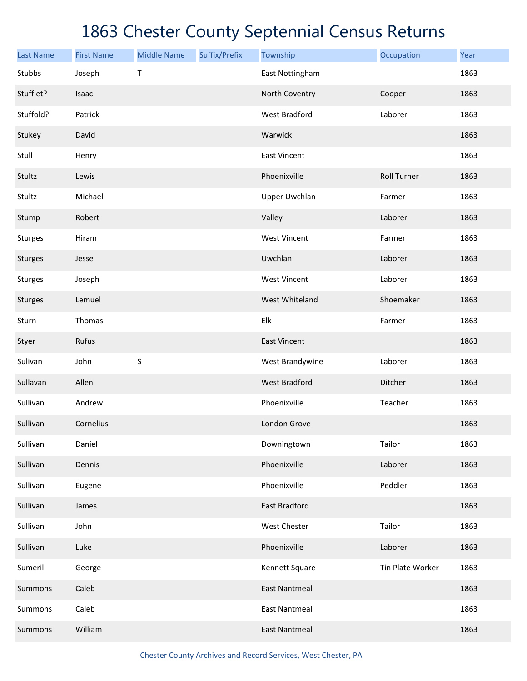| <b>Last Name</b> | <b>First Name</b> | <b>Middle Name</b> | Suffix/Prefix | Township             | Occupation         | Year |
|------------------|-------------------|--------------------|---------------|----------------------|--------------------|------|
| Stubbs           | Joseph            | T                  |               | East Nottingham      |                    | 1863 |
| Stufflet?        | Isaac             |                    |               | North Coventry       | Cooper             | 1863 |
| Stuffold?        | Patrick           |                    |               | <b>West Bradford</b> | Laborer            | 1863 |
| Stukey           | David             |                    |               | Warwick              |                    | 1863 |
| Stull            | Henry             |                    |               | <b>East Vincent</b>  |                    | 1863 |
| Stultz           | Lewis             |                    |               | Phoenixville         | <b>Roll Turner</b> | 1863 |
| Stultz           | Michael           |                    |               | <b>Upper Uwchlan</b> | Farmer             | 1863 |
| Stump            | Robert            |                    |               | Valley               | Laborer            | 1863 |
| Sturges          | Hiram             |                    |               | <b>West Vincent</b>  | Farmer             | 1863 |
| Sturges          | Jesse             |                    |               | Uwchlan              | Laborer            | 1863 |
| Sturges          | Joseph            |                    |               | <b>West Vincent</b>  | Laborer            | 1863 |
| Sturges          | Lemuel            |                    |               | West Whiteland       | Shoemaker          | 1863 |
| Sturn            | Thomas            |                    |               | Elk                  | Farmer             | 1863 |
| Styer            | Rufus             |                    |               | <b>East Vincent</b>  |                    | 1863 |
| Sulivan          | John              | S                  |               | West Brandywine      | Laborer            | 1863 |
| Sullavan         | Allen             |                    |               | <b>West Bradford</b> | Ditcher            | 1863 |
| Sullivan         | Andrew            |                    |               | Phoenixville         | Teacher            | 1863 |
| Sullivan         | Cornelius         |                    |               | London Grove         |                    | 1863 |
| Sullivan         | Daniel            |                    |               | Downingtown          | Tailor             | 1863 |
| Sullivan         | Dennis            |                    |               | Phoenixville         | Laborer            | 1863 |
| Sullivan         | Eugene            |                    |               | Phoenixville         | Peddler            | 1863 |
| Sullivan         | James             |                    |               | East Bradford        |                    | 1863 |
| Sullivan         | John              |                    |               | West Chester         | Tailor             | 1863 |
| Sullivan         | Luke              |                    |               | Phoenixville         | Laborer            | 1863 |
| Sumeril          | George            |                    |               | Kennett Square       | Tin Plate Worker   | 1863 |
| Summons          | Caleb             |                    |               | <b>East Nantmeal</b> |                    | 1863 |
| Summons          | Caleb             |                    |               | <b>East Nantmeal</b> |                    | 1863 |
| Summons          | William           |                    |               | <b>East Nantmeal</b> |                    | 1863 |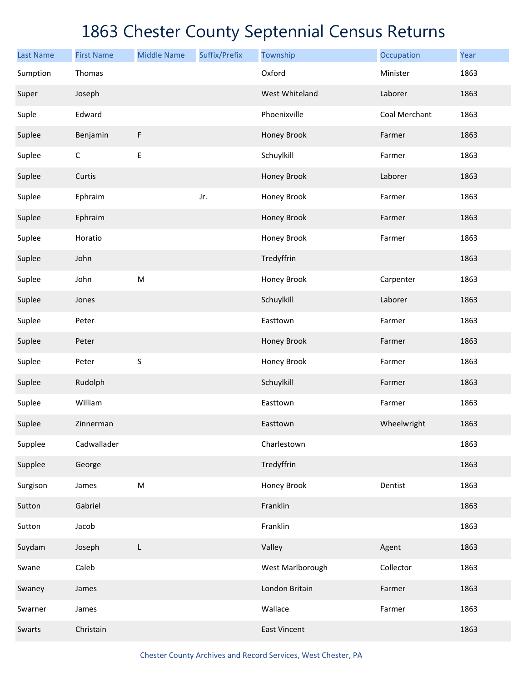| <b>Last Name</b> | <b>First Name</b> | <b>Middle Name</b> | Suffix/Prefix | Township            | Occupation    | Year |
|------------------|-------------------|--------------------|---------------|---------------------|---------------|------|
| Sumption         | Thomas            |                    |               | Oxford              | Minister      | 1863 |
| Super            | Joseph            |                    |               | West Whiteland      | Laborer       | 1863 |
| Suple            | Edward            |                    |               | Phoenixville        | Coal Merchant | 1863 |
| Suplee           | Benjamin          | F                  |               | Honey Brook         | Farmer        | 1863 |
| Suplee           | $\mathsf C$       | E                  |               | Schuylkill          | Farmer        | 1863 |
| Suplee           | Curtis            |                    |               | Honey Brook         | Laborer       | 1863 |
| Suplee           | Ephraim           |                    | Jr.           | Honey Brook         | Farmer        | 1863 |
| Suplee           | Ephraim           |                    |               | Honey Brook         | Farmer        | 1863 |
| Suplee           | Horatio           |                    |               | Honey Brook         | Farmer        | 1863 |
| Suplee           | John              |                    |               | Tredyffrin          |               | 1863 |
| Suplee           | John              | ${\sf M}$          |               | Honey Brook         | Carpenter     | 1863 |
| Suplee           | Jones             |                    |               | Schuylkill          | Laborer       | 1863 |
| Suplee           | Peter             |                    |               | Easttown            | Farmer        | 1863 |
| Suplee           | Peter             |                    |               | Honey Brook         | Farmer        | 1863 |
| Suplee           | Peter             | $\sf S$            |               | Honey Brook         | Farmer        | 1863 |
| Suplee           | Rudolph           |                    |               | Schuylkill          | Farmer        | 1863 |
| Suplee           | William           |                    |               | Easttown            | Farmer        | 1863 |
| Suplee           | Zinnerman         |                    |               | Easttown            | Wheelwright   | 1863 |
| Supplee          | Cadwallader       |                    |               | Charlestown         |               | 1863 |
| Supplee          | George            |                    |               | Tredyffrin          |               | 1863 |
| Surgison         | James             | ${\sf M}$          |               | Honey Brook         | Dentist       | 1863 |
| Sutton           | Gabriel           |                    |               | Franklin            |               | 1863 |
| Sutton           | Jacob             |                    |               | Franklin            |               | 1863 |
| Suydam           | Joseph            | L                  |               | Valley              | Agent         | 1863 |
| Swane            | Caleb             |                    |               | West Marlborough    | Collector     | 1863 |
| Swaney           | James             |                    |               | London Britain      | Farmer        | 1863 |
| Swarner          | James             |                    |               | Wallace             | Farmer        | 1863 |
| Swarts           | Christain         |                    |               | <b>East Vincent</b> |               | 1863 |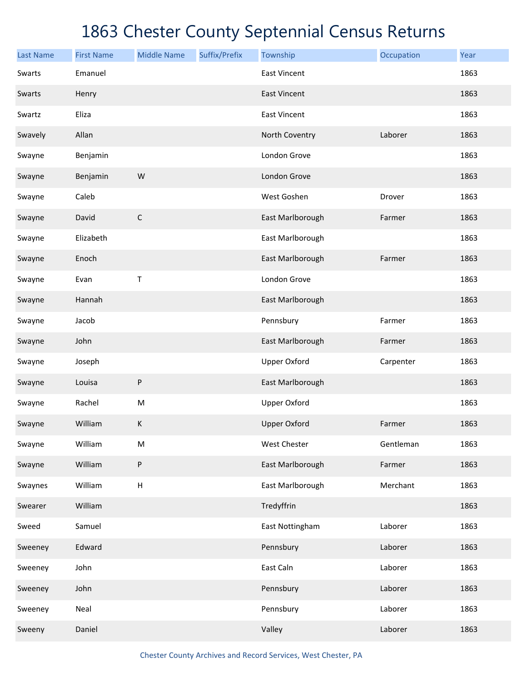| <b>Last Name</b> | <b>First Name</b> | <b>Middle Name</b> | Suffix/Prefix | Township            | Occupation | Year |
|------------------|-------------------|--------------------|---------------|---------------------|------------|------|
| Swarts           | Emanuel           |                    |               | <b>East Vincent</b> |            | 1863 |
| Swarts           | Henry             |                    |               | <b>East Vincent</b> |            | 1863 |
| Swartz           | Eliza             |                    |               | <b>East Vincent</b> |            | 1863 |
| Swavely          | Allan             |                    |               | North Coventry      | Laborer    | 1863 |
| Swayne           | Benjamin          |                    |               | London Grove        |            | 1863 |
| Swayne           | Benjamin          | W                  |               | London Grove        |            | 1863 |
| Swayne           | Caleb             |                    |               | West Goshen         | Drover     | 1863 |
| Swayne           | David             | $\mathsf C$        |               | East Marlborough    | Farmer     | 1863 |
| Swayne           | Elizabeth         |                    |               | East Marlborough    |            | 1863 |
| Swayne           | Enoch             |                    |               | East Marlborough    | Farmer     | 1863 |
| Swayne           | Evan              | Τ                  |               | London Grove        |            | 1863 |
| Swayne           | Hannah            |                    |               | East Marlborough    |            | 1863 |
| Swayne           | Jacob             |                    |               | Pennsbury           | Farmer     | 1863 |
| Swayne           | John              |                    |               | East Marlborough    | Farmer     | 1863 |
| Swayne           | Joseph            |                    |               | <b>Upper Oxford</b> | Carpenter  | 1863 |
| Swayne           | Louisa            | ${\sf P}$          |               | East Marlborough    |            | 1863 |
| Swayne           | Rachel            | ${\sf M}$          |               | <b>Upper Oxford</b> |            | 1863 |
| Swayne           | William           | $\sf K$            |               | <b>Upper Oxford</b> | Farmer     | 1863 |
| Swayne           | William           | ${\sf M}$          |               | West Chester        | Gentleman  | 1863 |
| Swayne           | William           | $\sf P$            |               | East Marlborough    | Farmer     | 1863 |
| Swaynes          | William           | $\sf H$            |               | East Marlborough    | Merchant   | 1863 |
| Swearer          | William           |                    |               | Tredyffrin          |            | 1863 |
| Sweed            | Samuel            |                    |               | East Nottingham     | Laborer    | 1863 |
| Sweeney          | Edward            |                    |               | Pennsbury           | Laborer    | 1863 |
| Sweeney          | John              |                    |               | East Caln           | Laborer    | 1863 |
| Sweeney          | John              |                    |               | Pennsbury           | Laborer    | 1863 |
| Sweeney          | Neal              |                    |               | Pennsbury           | Laborer    | 1863 |
| Sweeny           | Daniel            |                    |               | Valley              | Laborer    | 1863 |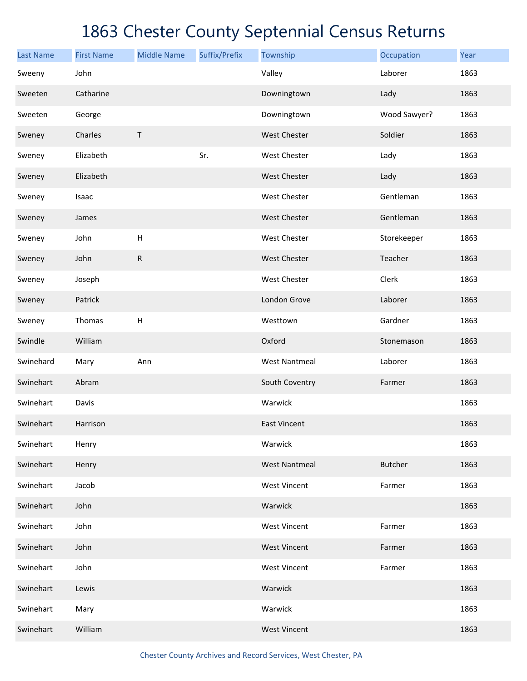| <b>Last Name</b> | <b>First Name</b> | <b>Middle Name</b>        | Suffix/Prefix | Township             | Occupation     | Year |
|------------------|-------------------|---------------------------|---------------|----------------------|----------------|------|
| Sweeny           | John              |                           |               | Valley               | Laborer        | 1863 |
| Sweeten          | Catharine         |                           |               | Downingtown          | Lady           | 1863 |
| Sweeten          | George            |                           |               | Downingtown          | Wood Sawyer?   | 1863 |
| Sweney           | Charles           | $\sf T$                   |               | <b>West Chester</b>  | Soldier        | 1863 |
| Sweney           | Elizabeth         |                           | Sr.           | West Chester         | Lady           | 1863 |
| Sweney           | Elizabeth         |                           |               | <b>West Chester</b>  | Lady           | 1863 |
| Sweney           | Isaac             |                           |               | West Chester         | Gentleman      | 1863 |
| Sweney           | James             |                           |               | <b>West Chester</b>  | Gentleman      | 1863 |
| Sweney           | John              | $\boldsymbol{\mathsf{H}}$ |               | West Chester         | Storekeeper    | 1863 |
| Sweney           | John              | ${\sf R}$                 |               | <b>West Chester</b>  | Teacher        | 1863 |
| Sweney           | Joseph            |                           |               | West Chester         | Clerk          | 1863 |
| Sweney           | Patrick           |                           |               | London Grove         | Laborer        | 1863 |
| Sweney           | Thomas            | H                         |               | Westtown             | Gardner        | 1863 |
| Swindle          | William           |                           |               | Oxford               | Stonemason     | 1863 |
| Swinehard        | Mary              | Ann                       |               | <b>West Nantmeal</b> | Laborer        | 1863 |
| Swinehart        | Abram             |                           |               | South Coventry       | Farmer         | 1863 |
| Swinehart        | Davis             |                           |               | Warwick              |                | 1863 |
| Swinehart        | Harrison          |                           |               | <b>East Vincent</b>  |                | 1863 |
| Swinehart        | Henry             |                           |               | Warwick              |                | 1863 |
| Swinehart        | Henry             |                           |               | <b>West Nantmeal</b> | <b>Butcher</b> | 1863 |
| Swinehart        | Jacob             |                           |               | <b>West Vincent</b>  | Farmer         | 1863 |
| Swinehart        | John              |                           |               | Warwick              |                | 1863 |
| Swinehart        | John              |                           |               | <b>West Vincent</b>  | Farmer         | 1863 |
| Swinehart        | John              |                           |               | <b>West Vincent</b>  | Farmer         | 1863 |
| Swinehart        | John              |                           |               | <b>West Vincent</b>  | Farmer         | 1863 |
| Swinehart        | Lewis             |                           |               | Warwick              |                | 1863 |
| Swinehart        | Mary              |                           |               | Warwick              |                | 1863 |
| Swinehart        | William           |                           |               | <b>West Vincent</b>  |                | 1863 |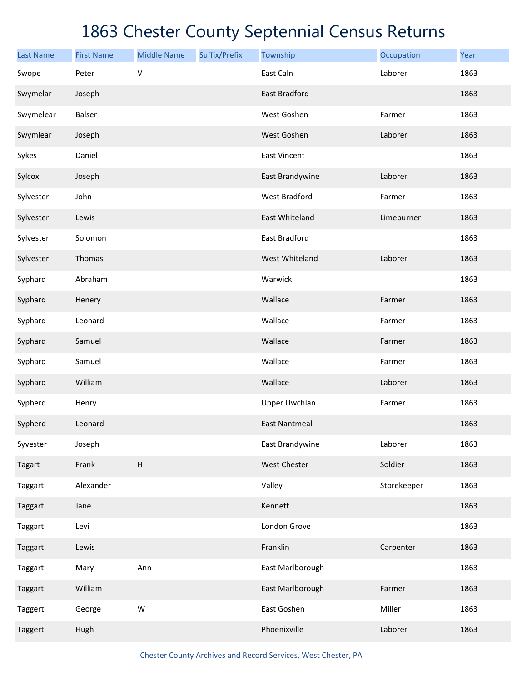| <b>Last Name</b> | <b>First Name</b> | <b>Middle Name</b>        | Suffix/Prefix | Township             | Occupation  | Year |
|------------------|-------------------|---------------------------|---------------|----------------------|-------------|------|
| Swope            | Peter             | V                         |               | East Caln            | Laborer     | 1863 |
| Swymelar         | Joseph            |                           |               | East Bradford        |             | 1863 |
| Swymelear        | Balser            |                           |               | West Goshen          | Farmer      | 1863 |
| Swymlear         | Joseph            |                           |               | West Goshen          | Laborer     | 1863 |
| Sykes            | Daniel            |                           |               | <b>East Vincent</b>  |             | 1863 |
| Sylcox           | Joseph            |                           |               | East Brandywine      | Laborer     | 1863 |
| Sylvester        | John              |                           |               | <b>West Bradford</b> | Farmer      | 1863 |
| Sylvester        | Lewis             |                           |               | East Whiteland       | Limeburner  | 1863 |
| Sylvester        | Solomon           |                           |               | East Bradford        |             | 1863 |
| Sylvester        | Thomas            |                           |               | West Whiteland       | Laborer     | 1863 |
| Syphard          | Abraham           |                           |               | Warwick              |             | 1863 |
| Syphard          | Henery            |                           |               | Wallace              | Farmer      | 1863 |
| Syphard          | Leonard           |                           |               | Wallace              | Farmer      | 1863 |
| Syphard          | Samuel            |                           |               | Wallace              | Farmer      | 1863 |
| Syphard          | Samuel            |                           |               | Wallace              | Farmer      | 1863 |
| Syphard          | William           |                           |               | Wallace              | Laborer     | 1863 |
| Sypherd          | Henry             |                           |               | <b>Upper Uwchlan</b> | Farmer      | 1863 |
| Sypherd          | Leonard           |                           |               | <b>East Nantmeal</b> |             | 1863 |
| Syvester         | Joseph            |                           |               | East Brandywine      | Laborer     | 1863 |
| Tagart           | Frank             | $\boldsymbol{\mathsf{H}}$ |               | West Chester         | Soldier     | 1863 |
| Taggart          | Alexander         |                           |               | Valley               | Storekeeper | 1863 |
| Taggart          | Jane              |                           |               | Kennett              |             | 1863 |
| Taggart          | Levi              |                           |               | London Grove         |             | 1863 |
| Taggart          | Lewis             |                           |               | Franklin             | Carpenter   | 1863 |
| Taggart          | Mary              | Ann                       |               | East Marlborough     |             | 1863 |
| Taggart          | William           |                           |               | East Marlborough     | Farmer      | 1863 |
| Taggert          | George            | W                         |               | East Goshen          | Miller      | 1863 |
| Taggert          | Hugh              |                           |               | Phoenixville         | Laborer     | 1863 |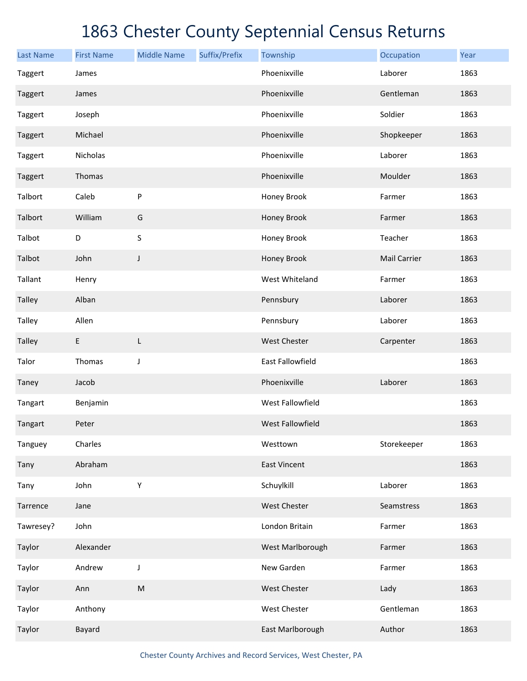| <b>Last Name</b> | <b>First Name</b> | <b>Middle Name</b> | Suffix/Prefix | Township            | Occupation   | Year |
|------------------|-------------------|--------------------|---------------|---------------------|--------------|------|
| Taggert          | James             |                    |               | Phoenixville        | Laborer      | 1863 |
| Taggert          | James             |                    |               | Phoenixville        | Gentleman    | 1863 |
| Taggert          | Joseph            |                    |               | Phoenixville        | Soldier      | 1863 |
| Taggert          | Michael           |                    |               | Phoenixville        | Shopkeeper   | 1863 |
| Taggert          | Nicholas          |                    |               | Phoenixville        | Laborer      | 1863 |
| Taggert          | Thomas            |                    |               | Phoenixville        | Moulder      | 1863 |
| Talbort          | Caleb             | P                  |               | Honey Brook         | Farmer       | 1863 |
| Talbort          | William           | G                  |               | Honey Brook         | Farmer       | 1863 |
| Talbot           | D                 | $\sf S$            |               | Honey Brook         | Teacher      | 1863 |
| Talbot           | John              | J                  |               | Honey Brook         | Mail Carrier | 1863 |
| Tallant          | Henry             |                    |               | West Whiteland      | Farmer       | 1863 |
| <b>Talley</b>    | Alban             |                    |               | Pennsbury           | Laborer      | 1863 |
| Talley           | Allen             |                    |               | Pennsbury           | Laborer      | 1863 |
| <b>Talley</b>    | E                 | L                  |               | West Chester        | Carpenter    | 1863 |
| Talor            | Thomas            | J                  |               | East Fallowfield    |              | 1863 |
| Taney            | Jacob             |                    |               | Phoenixville        | Laborer      | 1863 |
| Tangart          | Benjamin          |                    |               | West Fallowfield    |              | 1863 |
| Tangart          | Peter             |                    |               | West Fallowfield    |              | 1863 |
| Tanguey          | Charles           |                    |               | Westtown            | Storekeeper  | 1863 |
| Tany             | Abraham           |                    |               | <b>East Vincent</b> |              | 1863 |
| Tany             | John              | Υ                  |               | Schuylkill          | Laborer      | 1863 |
| Tarrence         | Jane              |                    |               | West Chester        | Seamstress   | 1863 |
| Tawresey?        | John              |                    |               | London Britain      | Farmer       | 1863 |
| Taylor           | Alexander         |                    |               | West Marlborough    | Farmer       | 1863 |
| Taylor           | Andrew            | J                  |               | New Garden          | Farmer       | 1863 |
| Taylor           | Ann               | ${\sf M}$          |               | West Chester        | Lady         | 1863 |
| Taylor           | Anthony           |                    |               | West Chester        | Gentleman    | 1863 |
| Taylor           | Bayard            |                    |               | East Marlborough    | Author       | 1863 |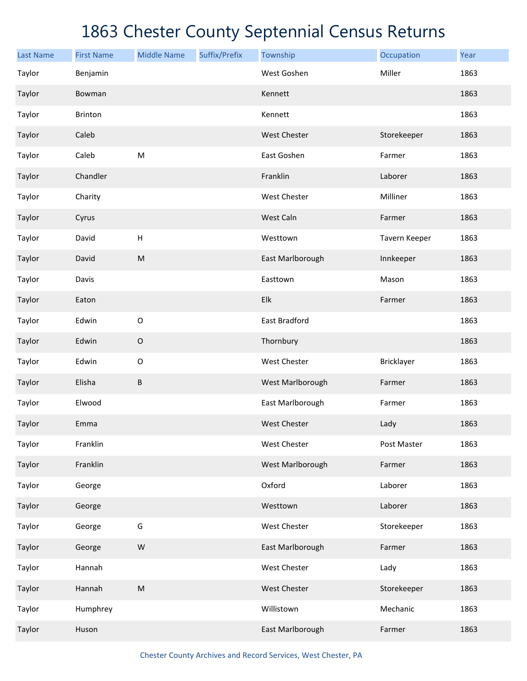| <b>Last Name</b> | <b>First Name</b> | <b>Middle Name</b> | Suffix/Prefix | Township            | Occupation    | Year |
|------------------|-------------------|--------------------|---------------|---------------------|---------------|------|
| Taylor           | Benjamin          |                    |               | West Goshen         | Miller        | 1863 |
| Taylor           | Bowman            |                    |               | Kennett             |               | 1863 |
| Taylor           | Brinton           |                    |               | Kennett             |               | 1863 |
| Taylor           | Caleb             |                    |               | <b>West Chester</b> | Storekeeper   | 1863 |
| Taylor           | Caleb             | M                  |               | East Goshen         | Farmer        | 1863 |
| Taylor           | Chandler          |                    |               | Franklin            | Laborer       | 1863 |
| Taylor           | Charity           |                    |               | West Chester        | Milliner      | 1863 |
| Taylor           | Cyrus             |                    |               | West Caln           | Farmer        | 1863 |
| Taylor           | David             | Н                  |               | Westtown            | Tavern Keeper | 1863 |
| Taylor           | David             | ${\sf M}$          |               | East Marlborough    | Innkeeper     | 1863 |
| Taylor           | Davis             |                    |               | Easttown            | Mason         | 1863 |
| Taylor           | Eaton             |                    |               | Elk                 | Farmer        | 1863 |
| Taylor           | Edwin             | $\mathsf O$        |               | East Bradford       |               | 1863 |
| Taylor           | Edwin             | $\mathsf O$        |               | Thornbury           |               | 1863 |
| Taylor           | Edwin             | $\mathsf O$        |               | West Chester        | Bricklayer    | 1863 |
| Taylor           | Elisha            | B                  |               | West Marlborough    | Farmer        | 1863 |
| Taylor           | Elwood            |                    |               | East Marlborough    | Farmer        | 1863 |
| Taylor           | Emma              |                    |               | <b>West Chester</b> | Lady          | 1863 |
| Taylor           | Franklin          |                    |               | West Chester        | Post Master   | 1863 |
| Taylor           | Franklin          |                    |               | West Marlborough    | Farmer        | 1863 |
| Taylor           | George            |                    |               | Oxford              | Laborer       | 1863 |
| Taylor           | George            |                    |               | Westtown            | Laborer       | 1863 |
| Taylor           | George            | G                  |               | <b>West Chester</b> | Storekeeper   | 1863 |
| Taylor           | George            | ${\sf W}$          |               | East Marlborough    | Farmer        | 1863 |
| Taylor           | Hannah            |                    |               | West Chester        | Lady          | 1863 |
| Taylor           | Hannah            | ${\sf M}$          |               | West Chester        | Storekeeper   | 1863 |
| Taylor           | Humphrey          |                    |               | Willistown          | Mechanic      | 1863 |
| Taylor           | Huson             |                    |               | East Marlborough    | Farmer        | 1863 |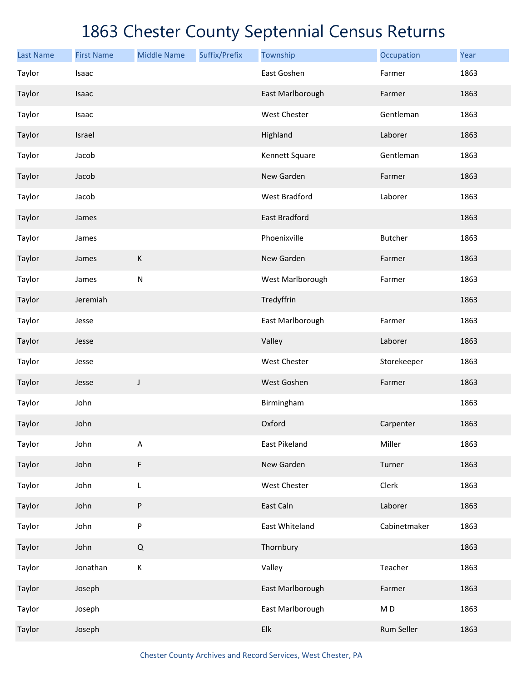| <b>Last Name</b> | <b>First Name</b> | <b>Middle Name</b> | Suffix/Prefix | Township                  | Occupation     | Year |
|------------------|-------------------|--------------------|---------------|---------------------------|----------------|------|
| Taylor           | Isaac             |                    |               | East Goshen               | Farmer         | 1863 |
| Taylor           | Isaac             |                    |               | East Marlborough          | Farmer         | 1863 |
| Taylor           | Isaac             |                    |               | West Chester              | Gentleman      | 1863 |
| Taylor           | Israel            |                    |               | Highland                  | Laborer        | 1863 |
| Taylor           | Jacob             |                    |               | Kennett Square            | Gentleman      | 1863 |
| Taylor           | Jacob             |                    |               | New Garden                | Farmer         | 1863 |
| Taylor           | Jacob             |                    |               | <b>West Bradford</b>      | Laborer        | 1863 |
| Taylor           | James             |                    |               | East Bradford             |                | 1863 |
| Taylor           | James             |                    |               | Phoenixville              | <b>Butcher</b> | 1863 |
| Taylor           | James             | K                  |               | New Garden                | Farmer         | 1863 |
| Taylor           | James             | ${\sf N}$          |               | West Marlborough          | Farmer         | 1863 |
| Taylor           | Jeremiah          |                    |               | Tredyffrin                |                | 1863 |
| Taylor           | Jesse             |                    |               | East Marlborough          | Farmer         | 1863 |
| Taylor           | Jesse             |                    |               | Valley                    | Laborer        | 1863 |
| Taylor           | Jesse             |                    |               | West Chester              | Storekeeper    | 1863 |
| Taylor           | Jesse             | J                  |               | West Goshen               | Farmer         | 1863 |
| Taylor           | John              |                    |               | Birmingham                |                | 1863 |
| Taylor           | John              |                    |               | Oxford                    | Carpenter      | 1863 |
| Taylor           | John              | A                  |               | East Pikeland             | Miller         | 1863 |
| Taylor           | John              | F                  |               | New Garden                | Turner         | 1863 |
| Taylor           | John              | L                  |               | West Chester              | Clerk          | 1863 |
| Taylor           | John              | P                  |               | East Caln                 | Laborer        | 1863 |
| Taylor           | John              | P                  |               | East Whiteland            | Cabinetmaker   | 1863 |
| Taylor           | John              | Q                  |               | Thornbury                 |                | 1863 |
| Taylor           | Jonathan          | К                  |               | Valley                    | Teacher        | 1863 |
| Taylor           | Joseph            |                    |               | East Marlborough          | Farmer         | 1863 |
| Taylor           | Joseph            |                    |               | East Marlborough          | M <sub>D</sub> | 1863 |
| Taylor           | Joseph            |                    |               | ${\sf E} {\sf I} {\sf k}$ | Rum Seller     | 1863 |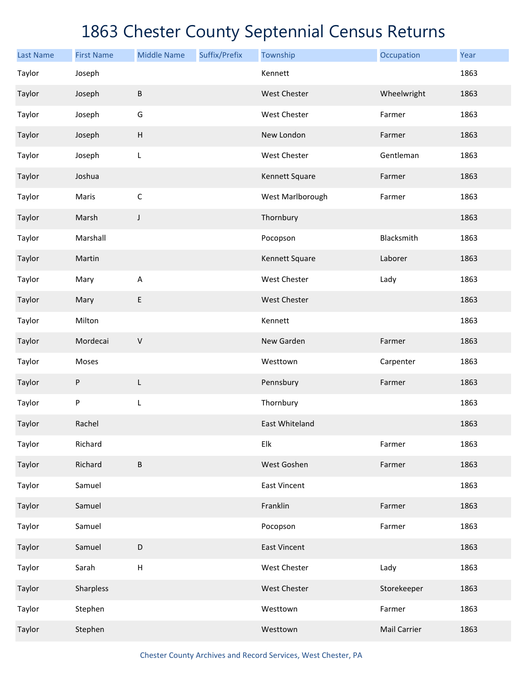| <b>Last Name</b> | <b>First Name</b> | <b>Middle Name</b> | Suffix/Prefix | Township            | Occupation          | Year |
|------------------|-------------------|--------------------|---------------|---------------------|---------------------|------|
| Taylor           | Joseph            |                    |               | Kennett             |                     | 1863 |
| Taylor           | Joseph            | $\sf B$            |               | West Chester        | Wheelwright         | 1863 |
| Taylor           | Joseph            | G                  |               | West Chester        | Farmer              | 1863 |
| Taylor           | Joseph            | $\sf H$            |               | New London          | Farmer              | 1863 |
| Taylor           | Joseph            | L                  |               | West Chester        | Gentleman           | 1863 |
| Taylor           | Joshua            |                    |               | Kennett Square      | Farmer              | 1863 |
| Taylor           | Maris             | $\mathsf C$        |               | West Marlborough    | Farmer              | 1863 |
| Taylor           | Marsh             | J                  |               | Thornbury           |                     | 1863 |
| Taylor           | Marshall          |                    |               | Pocopson            | Blacksmith          | 1863 |
| Taylor           | Martin            |                    |               | Kennett Square      | Laborer             | 1863 |
| Taylor           | Mary              | $\mathsf A$        |               | West Chester        | Lady                | 1863 |
| Taylor           | Mary              | E                  |               | West Chester        |                     | 1863 |
| Taylor           | Milton            |                    |               | Kennett             |                     | 1863 |
| Taylor           | Mordecai          | $\mathsf V$        |               | New Garden          | Farmer              | 1863 |
| Taylor           | Moses             |                    |               | Westtown            | Carpenter           | 1863 |
| Taylor           | P                 | L                  |               | Pennsbury           | Farmer              | 1863 |
| Taylor           | P                 | L                  |               | Thornbury           |                     | 1863 |
| Taylor           | Rachel            |                    |               | East Whiteland      |                     | 1863 |
| Taylor           | Richard           |                    |               | Elk                 | Farmer              | 1863 |
| Taylor           | Richard           | $\sf B$            |               | West Goshen         | Farmer              | 1863 |
| Taylor           | Samuel            |                    |               | <b>East Vincent</b> |                     | 1863 |
| Taylor           | Samuel            |                    |               | Franklin            | Farmer              | 1863 |
| Taylor           | Samuel            |                    |               | Pocopson            | Farmer              | 1863 |
| Taylor           | Samuel            | $\mathsf D$        |               | <b>East Vincent</b> |                     | 1863 |
| Taylor           | Sarah             | $\sf H$            |               | West Chester        | Lady                | 1863 |
| Taylor           | Sharpless         |                    |               | West Chester        | Storekeeper         | 1863 |
| Taylor           | Stephen           |                    |               | Westtown            | Farmer              | 1863 |
| Taylor           | Stephen           |                    |               | Westtown            | <b>Mail Carrier</b> | 1863 |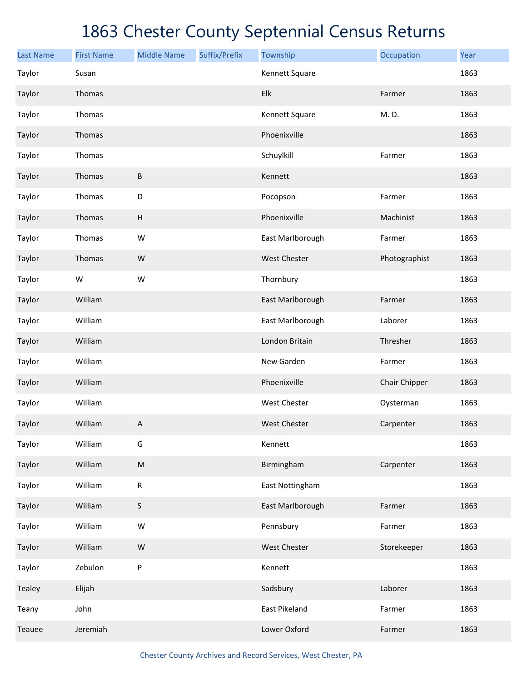| <b>Last Name</b> | <b>First Name</b> | <b>Middle Name</b>        | Suffix/Prefix | Township            | Occupation    | Year |
|------------------|-------------------|---------------------------|---------------|---------------------|---------------|------|
| Taylor           | Susan             |                           |               | Kennett Square      |               | 1863 |
| Taylor           | Thomas            |                           |               | Elk                 | Farmer        | 1863 |
| Taylor           | Thomas            |                           |               | Kennett Square      | M.D.          | 1863 |
| Taylor           | Thomas            |                           |               | Phoenixville        |               | 1863 |
| Taylor           | Thomas            |                           |               | Schuylkill          | Farmer        | 1863 |
| Taylor           | Thomas            | B                         |               | Kennett             |               | 1863 |
| Taylor           | Thomas            | D                         |               | Pocopson            | Farmer        | 1863 |
| Taylor           | Thomas            | $\boldsymbol{\mathsf{H}}$ |               | Phoenixville        | Machinist     | 1863 |
| Taylor           | Thomas            | W                         |               | East Marlborough    | Farmer        | 1863 |
| Taylor           | Thomas            | ${\sf W}$                 |               | West Chester        | Photographist | 1863 |
| Taylor           | W                 | ${\sf W}$                 |               | Thornbury           |               | 1863 |
| Taylor           | William           |                           |               | East Marlborough    | Farmer        | 1863 |
| Taylor           | William           |                           |               | East Marlborough    | Laborer       | 1863 |
| Taylor           | William           |                           |               | London Britain      | Thresher      | 1863 |
| Taylor           | William           |                           |               | New Garden          | Farmer        | 1863 |
| Taylor           | William           |                           |               | Phoenixville        | Chair Chipper | 1863 |
| Taylor           | William           |                           |               | <b>West Chester</b> | Oysterman     | 1863 |
| Taylor           | William           | A                         |               | <b>West Chester</b> | Carpenter     | 1863 |
| Taylor           | William           | G                         |               | Kennett             |               | 1863 |
| Taylor           | William           | ${\sf M}$                 |               | Birmingham          | Carpenter     | 1863 |
| Taylor           | William           | ${\sf R}$                 |               | East Nottingham     |               | 1863 |
| Taylor           | William           | S                         |               | East Marlborough    | Farmer        | 1863 |
| Taylor           | William           | ${\sf W}$                 |               | Pennsbury           | Farmer        | 1863 |
| Taylor           | William           | ${\sf W}$                 |               | West Chester        | Storekeeper   | 1863 |
| Taylor           | Zebulon           | P                         |               | Kennett             |               | 1863 |
| Tealey           | Elijah            |                           |               | Sadsbury            | Laborer       | 1863 |
| Teany            | John              |                           |               | East Pikeland       | Farmer        | 1863 |
| Teauee           | Jeremiah          |                           |               | Lower Oxford        | Farmer        | 1863 |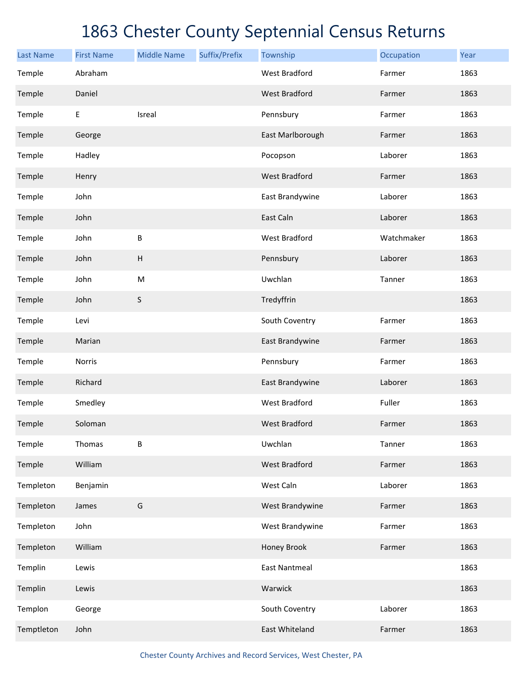| <b>Last Name</b> | <b>First Name</b> | <b>Middle Name</b> | Suffix/Prefix | Township             | Occupation | Year |
|------------------|-------------------|--------------------|---------------|----------------------|------------|------|
| Temple           | Abraham           |                    |               | <b>West Bradford</b> | Farmer     | 1863 |
| Temple           | Daniel            |                    |               | <b>West Bradford</b> | Farmer     | 1863 |
| Temple           | E                 | Isreal             |               | Pennsbury            | Farmer     | 1863 |
| Temple           | George            |                    |               | East Marlborough     | Farmer     | 1863 |
| Temple           | Hadley            |                    |               | Pocopson             | Laborer    | 1863 |
| Temple           | Henry             |                    |               | <b>West Bradford</b> | Farmer     | 1863 |
| Temple           | John              |                    |               | East Brandywine      | Laborer    | 1863 |
| Temple           | John              |                    |               | East Caln            | Laborer    | 1863 |
| Temple           | John              | B                  |               | <b>West Bradford</b> | Watchmaker | 1863 |
| Temple           | John              | H                  |               | Pennsbury            | Laborer    | 1863 |
| Temple           | John              | ${\sf M}$          |               | Uwchlan              | Tanner     | 1863 |
| Temple           | John              | $\sf S$            |               | Tredyffrin           |            | 1863 |
| Temple           | Levi              |                    |               | South Coventry       | Farmer     | 1863 |
| Temple           | Marian            |                    |               | East Brandywine      | Farmer     | 1863 |
| Temple           | Norris            |                    |               | Pennsbury            | Farmer     | 1863 |
| Temple           | Richard           |                    |               | East Brandywine      | Laborer    | 1863 |
| Temple           | Smedley           |                    |               | <b>West Bradford</b> | Fuller     | 1863 |
| Temple           | Soloman           |                    |               | <b>West Bradford</b> | Farmer     | 1863 |
| Temple           | Thomas            | B                  |               | Uwchlan              | Tanner     | 1863 |
| Temple           | William           |                    |               | <b>West Bradford</b> | Farmer     | 1863 |
| Templeton        | Benjamin          |                    |               | West Caln            | Laborer    | 1863 |
| Templeton        | James             | G                  |               | West Brandywine      | Farmer     | 1863 |
| Templeton        | John              |                    |               | West Brandywine      | Farmer     | 1863 |
| Templeton        | William           |                    |               | Honey Brook          | Farmer     | 1863 |
| Templin          | Lewis             |                    |               | <b>East Nantmeal</b> |            | 1863 |
| Templin          | Lewis             |                    |               | Warwick              |            | 1863 |
| Templon          | George            |                    |               | South Coventry       | Laborer    | 1863 |
| Temptleton       | John              |                    |               | East Whiteland       | Farmer     | 1863 |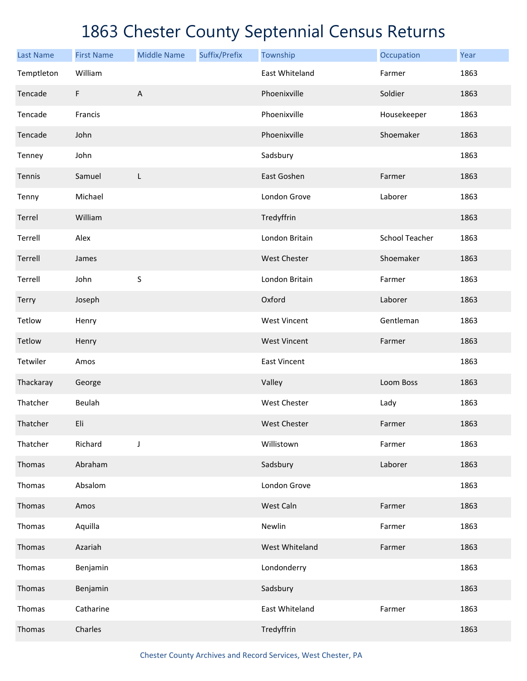| <b>Last Name</b> | <b>First Name</b> | <b>Middle Name</b> | Suffix/Prefix | Township            | Occupation            | Year |
|------------------|-------------------|--------------------|---------------|---------------------|-----------------------|------|
| Temptleton       | William           |                    |               | East Whiteland      | Farmer                | 1863 |
| Tencade          | F                 | A                  |               | Phoenixville        | Soldier               | 1863 |
| Tencade          | Francis           |                    |               | Phoenixville        | Housekeeper           | 1863 |
| Tencade          | John              |                    |               | Phoenixville        | Shoemaker             | 1863 |
| Tenney           | John              |                    |               | Sadsbury            |                       | 1863 |
| Tennis           | Samuel            | L                  |               | East Goshen         | Farmer                | 1863 |
| Tenny            | Michael           |                    |               | London Grove        | Laborer               | 1863 |
| Terrel           | William           |                    |               | Tredyffrin          |                       | 1863 |
| Terrell          | Alex              |                    |               | London Britain      | <b>School Teacher</b> | 1863 |
| Terrell          | James             |                    |               | <b>West Chester</b> | Shoemaker             | 1863 |
| Terrell          | John              | $\sf S$            |               | London Britain      | Farmer                | 1863 |
| Terry            | Joseph            |                    |               | Oxford              | Laborer               | 1863 |
| Tetlow           | Henry             |                    |               | <b>West Vincent</b> | Gentleman             | 1863 |
| Tetlow           | Henry             |                    |               | <b>West Vincent</b> | Farmer                | 1863 |
| Tetwiler         | Amos              |                    |               | <b>East Vincent</b> |                       | 1863 |
| Thackaray        | George            |                    |               | Valley              | Loom Boss             | 1863 |
| Thatcher         | Beulah            |                    |               | <b>West Chester</b> | Lady                  | 1863 |
| Thatcher         | Eli               |                    |               | <b>West Chester</b> | Farmer                | 1863 |
| Thatcher         | Richard           | J                  |               | Willistown          | Farmer                | 1863 |
| Thomas           | Abraham           |                    |               | Sadsbury            | Laborer               | 1863 |
| Thomas           | Absalom           |                    |               | London Grove        |                       | 1863 |
| Thomas           | Amos              |                    |               | West Caln           | Farmer                | 1863 |
| Thomas           | Aquilla           |                    |               | Newlin              | Farmer                | 1863 |
| Thomas           | Azariah           |                    |               | West Whiteland      | Farmer                | 1863 |
| Thomas           | Benjamin          |                    |               | Londonderry         |                       | 1863 |
| Thomas           | Benjamin          |                    |               | Sadsbury            |                       | 1863 |
| Thomas           | Catharine         |                    |               | East Whiteland      | Farmer                | 1863 |
| Thomas           | Charles           |                    |               | Tredyffrin          |                       | 1863 |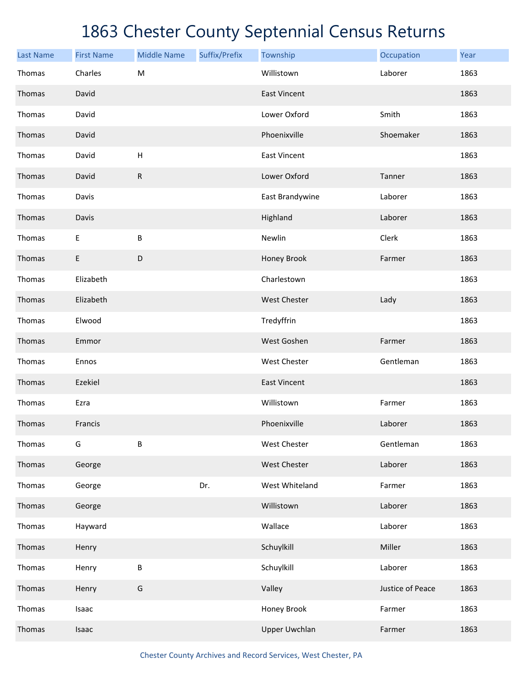| <b>Last Name</b> | <b>First Name</b> | <b>Middle Name</b>        | Suffix/Prefix | Township             | Occupation       | Year |
|------------------|-------------------|---------------------------|---------------|----------------------|------------------|------|
| Thomas           | Charles           | ${\sf M}$                 |               | Willistown           | Laborer          | 1863 |
| Thomas           | David             |                           |               | <b>East Vincent</b>  |                  | 1863 |
| Thomas           | David             |                           |               | Lower Oxford         | Smith            | 1863 |
| Thomas           | David             |                           |               | Phoenixville         | Shoemaker        | 1863 |
| Thomas           | David             | $\boldsymbol{\mathsf{H}}$ |               | <b>East Vincent</b>  |                  | 1863 |
| Thomas           | David             | ${\sf R}$                 |               | Lower Oxford         | Tanner           | 1863 |
| Thomas           | Davis             |                           |               | East Brandywine      | Laborer          | 1863 |
| Thomas           | Davis             |                           |               | Highland             | Laborer          | 1863 |
| Thomas           | Е                 | $\sf B$                   |               | Newlin               | Clerk            | 1863 |
| Thomas           | E                 | $\mathsf D$               |               | Honey Brook          | Farmer           | 1863 |
| Thomas           | Elizabeth         |                           |               | Charlestown          |                  | 1863 |
| Thomas           | Elizabeth         |                           |               | <b>West Chester</b>  | Lady             | 1863 |
| Thomas           | Elwood            |                           |               | Tredyffrin           |                  | 1863 |
| Thomas           | Emmor             |                           |               | West Goshen          | Farmer           | 1863 |
| Thomas           | Ennos             |                           |               | <b>West Chester</b>  | Gentleman        | 1863 |
| Thomas           | Ezekiel           |                           |               | <b>East Vincent</b>  |                  | 1863 |
| Thomas           | Ezra              |                           |               | Willistown           | Farmer           | 1863 |
| Thomas           | Francis           |                           |               | Phoenixville         | Laborer          | 1863 |
| Thomas           | G                 | B                         |               | West Chester         | Gentleman        | 1863 |
| Thomas           | George            |                           |               | West Chester         | Laborer          | 1863 |
| Thomas           | George            |                           | Dr.           | West Whiteland       | Farmer           | 1863 |
| Thomas           | George            |                           |               | Willistown           | Laborer          | 1863 |
| Thomas           | Hayward           |                           |               | Wallace              | Laborer          | 1863 |
| Thomas           | Henry             |                           |               | Schuylkill           | Miller           | 1863 |
| Thomas           | Henry             | $\sf B$                   |               | Schuylkill           | Laborer          | 1863 |
| Thomas           | Henry             | G                         |               | Valley               | Justice of Peace | 1863 |
| Thomas           | Isaac             |                           |               | Honey Brook          | Farmer           | 1863 |
| Thomas           | Isaac             |                           |               | <b>Upper Uwchlan</b> | Farmer           | 1863 |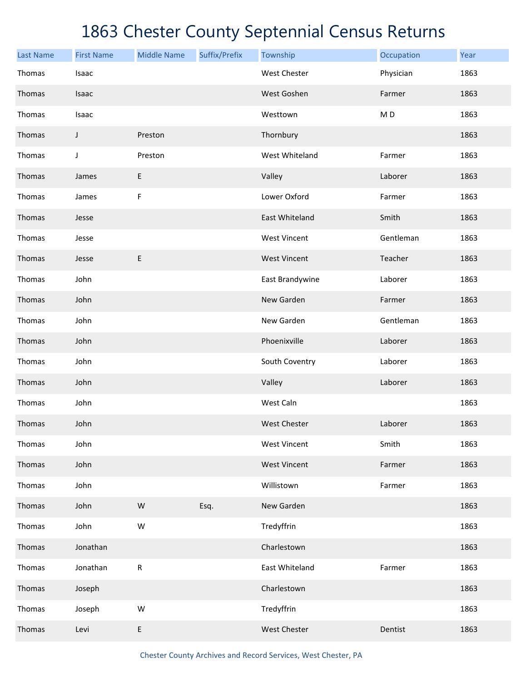| <b>Last Name</b> | <b>First Name</b> | <b>Middle Name</b> | Suffix/Prefix | Township            | Occupation     | Year |
|------------------|-------------------|--------------------|---------------|---------------------|----------------|------|
| Thomas           | Isaac             |                    |               | <b>West Chester</b> | Physician      | 1863 |
| Thomas           | Isaac             |                    |               | West Goshen         | Farmer         | 1863 |
| Thomas           | Isaac             |                    |               | Westtown            | M <sub>D</sub> | 1863 |
| Thomas           | J                 | Preston            |               | Thornbury           |                | 1863 |
| Thomas           | J                 | Preston            |               | West Whiteland      | Farmer         | 1863 |
| Thomas           | James             | E                  |               | Valley              | Laborer        | 1863 |
| Thomas           | James             | $\mathsf F$        |               | Lower Oxford        | Farmer         | 1863 |
| Thomas           | Jesse             |                    |               | East Whiteland      | Smith          | 1863 |
| Thomas           | Jesse             |                    |               | <b>West Vincent</b> | Gentleman      | 1863 |
| Thomas           | Jesse             | E                  |               | <b>West Vincent</b> | Teacher        | 1863 |
| Thomas           | John              |                    |               | East Brandywine     | Laborer        | 1863 |
| Thomas           | John              |                    |               | New Garden          | Farmer         | 1863 |
| Thomas           | John              |                    |               | New Garden          | Gentleman      | 1863 |
| Thomas           | John              |                    |               | Phoenixville        | Laborer        | 1863 |
| Thomas           | John              |                    |               | South Coventry      | Laborer        | 1863 |
| Thomas           | John              |                    |               | Valley              | Laborer        | 1863 |
| Thomas           | John              |                    |               | West Caln           |                | 1863 |
| Thomas           | John              |                    |               | <b>West Chester</b> | Laborer        | 1863 |
| Thomas           | John              |                    |               | <b>West Vincent</b> | Smith          | 1863 |
| Thomas           | John              |                    |               | <b>West Vincent</b> | Farmer         | 1863 |
| Thomas           | John              |                    |               | Willistown          | Farmer         | 1863 |
| Thomas           | John              | ${\sf W}$          | Esq.          | New Garden          |                | 1863 |
| Thomas           | John              | ${\sf W}$          |               | Tredyffrin          |                | 1863 |
| Thomas           | Jonathan          |                    |               | Charlestown         |                | 1863 |
| Thomas           | Jonathan          | ${\sf R}$          |               | East Whiteland      | Farmer         | 1863 |
| Thomas           | Joseph            |                    |               | Charlestown         |                | 1863 |
| Thomas           | Joseph            | ${\sf W}$          |               | Tredyffrin          |                | 1863 |
| Thomas           | Levi              | E                  |               | West Chester        | Dentist        | 1863 |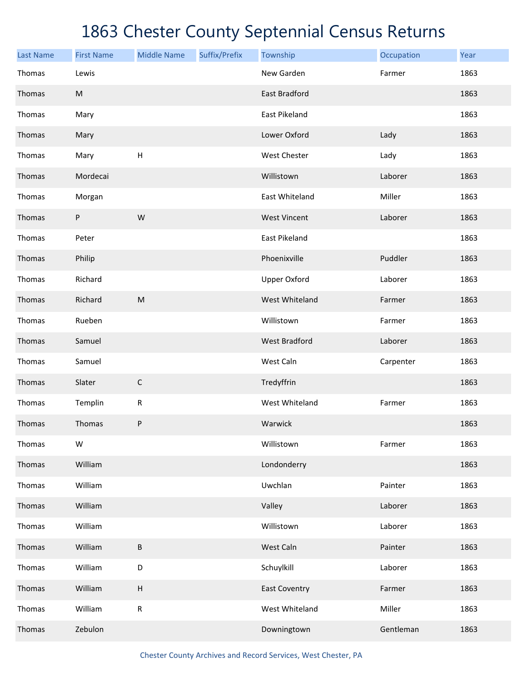| <b>Last Name</b> | <b>First Name</b> | <b>Middle Name</b> | Suffix/Prefix | Township             | Occupation | Year |
|------------------|-------------------|--------------------|---------------|----------------------|------------|------|
| Thomas           | Lewis             |                    |               | New Garden           | Farmer     | 1863 |
| Thomas           | ${\sf M}$         |                    |               | East Bradford        |            | 1863 |
| Thomas           | Mary              |                    |               | East Pikeland        |            | 1863 |
| Thomas           | Mary              |                    |               | Lower Oxford         | Lady       | 1863 |
| Thomas           | Mary              | Н                  |               | West Chester         | Lady       | 1863 |
| Thomas           | Mordecai          |                    |               | Willistown           | Laborer    | 1863 |
| Thomas           | Morgan            |                    |               | East Whiteland       | Miller     | 1863 |
| Thomas           | P                 | W                  |               | <b>West Vincent</b>  | Laborer    | 1863 |
| Thomas           | Peter             |                    |               | East Pikeland        |            | 1863 |
| Thomas           | Philip            |                    |               | Phoenixville         | Puddler    | 1863 |
| Thomas           | Richard           |                    |               | <b>Upper Oxford</b>  | Laborer    | 1863 |
| Thomas           | Richard           | M                  |               | West Whiteland       | Farmer     | 1863 |
| Thomas           | Rueben            |                    |               | Willistown           | Farmer     | 1863 |
| Thomas           | Samuel            |                    |               | <b>West Bradford</b> | Laborer    | 1863 |
| Thomas           | Samuel            |                    |               | West Caln            | Carpenter  | 1863 |
| Thomas           | Slater            | $\mathsf C$        |               | Tredyffrin           |            | 1863 |
| Thomas           | Templin           | ${\sf R}$          |               | West Whiteland       | Farmer     | 1863 |
| Thomas           | Thomas            | P                  |               | Warwick              |            | 1863 |
| Thomas           | W                 |                    |               | Willistown           | Farmer     | 1863 |
| Thomas           | William           |                    |               | Londonderry          |            | 1863 |
| Thomas           | William           |                    |               | Uwchlan              | Painter    | 1863 |
| Thomas           | William           |                    |               | Valley               | Laborer    | 1863 |
| Thomas           | William           |                    |               | Willistown           | Laborer    | 1863 |
| Thomas           | William           | B                  |               | West Caln            | Painter    | 1863 |
| Thomas           | William           | D                  |               | Schuylkill           | Laborer    | 1863 |
| Thomas           | William           | $\sf H$            |               | <b>East Coventry</b> | Farmer     | 1863 |
| Thomas           | William           | ${\sf R}$          |               | West Whiteland       | Miller     | 1863 |
| Thomas           | Zebulon           |                    |               | Downingtown          | Gentleman  | 1863 |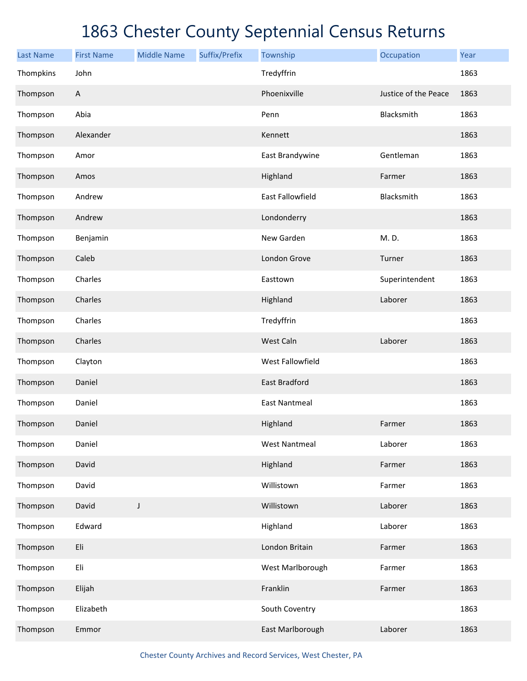| <b>Last Name</b> | <b>First Name</b>         | <b>Middle Name</b> | Suffix/Prefix | Township             | Occupation           | Year |
|------------------|---------------------------|--------------------|---------------|----------------------|----------------------|------|
| Thompkins        | John                      |                    |               | Tredyffrin           |                      | 1863 |
| Thompson         | $\boldsymbol{\mathsf{A}}$ |                    |               | Phoenixville         | Justice of the Peace | 1863 |
| Thompson         | Abia                      |                    |               | Penn                 | Blacksmith           | 1863 |
| Thompson         | Alexander                 |                    |               | Kennett              |                      | 1863 |
| Thompson         | Amor                      |                    |               | East Brandywine      | Gentleman            | 1863 |
| Thompson         | Amos                      |                    |               | Highland             | Farmer               | 1863 |
| Thompson         | Andrew                    |                    |               | East Fallowfield     | Blacksmith           | 1863 |
| Thompson         | Andrew                    |                    |               | Londonderry          |                      | 1863 |
| Thompson         | Benjamin                  |                    |               | New Garden           | M.D.                 | 1863 |
| Thompson         | Caleb                     |                    |               | London Grove         | Turner               | 1863 |
| Thompson         | Charles                   |                    |               | Easttown             | Superintendent       | 1863 |
| Thompson         | Charles                   |                    |               | Highland             | Laborer              | 1863 |
| Thompson         | Charles                   |                    |               | Tredyffrin           |                      | 1863 |
| Thompson         | Charles                   |                    |               | West Caln            | Laborer              | 1863 |
| Thompson         | Clayton                   |                    |               | West Fallowfield     |                      | 1863 |
| Thompson         | Daniel                    |                    |               | <b>East Bradford</b> |                      | 1863 |
| Thompson         | Daniel                    |                    |               | <b>East Nantmeal</b> |                      | 1863 |
| Thompson         | Daniel                    |                    |               | Highland             | Farmer               | 1863 |
| Thompson         | Daniel                    |                    |               | <b>West Nantmeal</b> | Laborer              | 1863 |
| Thompson         | David                     |                    |               | Highland             | Farmer               | 1863 |
| Thompson         | David                     |                    |               | Willistown           | Farmer               | 1863 |
| Thompson         | David                     | J                  |               | Willistown           | Laborer              | 1863 |
| Thompson         | Edward                    |                    |               | Highland             | Laborer              | 1863 |
| Thompson         | Eli                       |                    |               | London Britain       | Farmer               | 1863 |
| Thompson         | Eli                       |                    |               | West Marlborough     | Farmer               | 1863 |
| Thompson         | Elijah                    |                    |               | Franklin             | Farmer               | 1863 |
| Thompson         | Elizabeth                 |                    |               | South Coventry       |                      | 1863 |
| Thompson         | Emmor                     |                    |               | East Marlborough     | Laborer              | 1863 |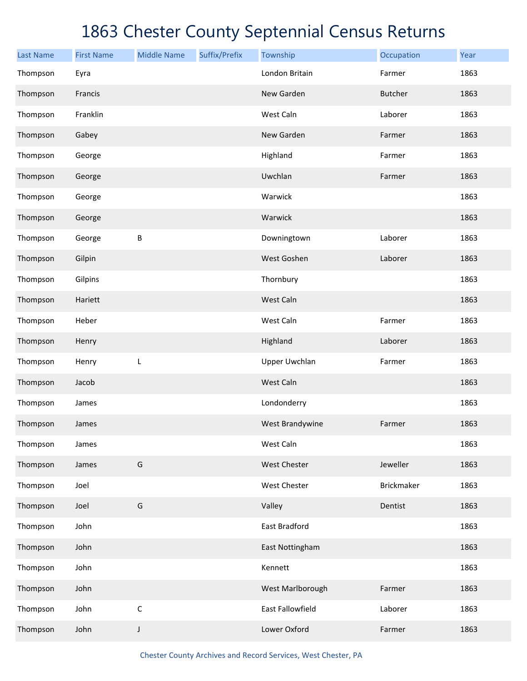| <b>Last Name</b> | <b>First Name</b> | <b>Middle Name</b> | Suffix/Prefix | Township             | Occupation        | Year |
|------------------|-------------------|--------------------|---------------|----------------------|-------------------|------|
| Thompson         | Eyra              |                    |               | London Britain       | Farmer            | 1863 |
| Thompson         | Francis           |                    |               | New Garden           | <b>Butcher</b>    | 1863 |
| Thompson         | Franklin          |                    |               | West Caln            | Laborer           | 1863 |
| Thompson         | Gabey             |                    |               | New Garden           | Farmer            | 1863 |
| Thompson         | George            |                    |               | Highland             | Farmer            | 1863 |
| Thompson         | George            |                    |               | Uwchlan              | Farmer            | 1863 |
| Thompson         | George            |                    |               | Warwick              |                   | 1863 |
| Thompson         | George            |                    |               | Warwick              |                   | 1863 |
| Thompson         | George            | B                  |               | Downingtown          | Laborer           | 1863 |
| Thompson         | Gilpin            |                    |               | West Goshen          | Laborer           | 1863 |
| Thompson         | Gilpins           |                    |               | Thornbury            |                   | 1863 |
| Thompson         | Hariett           |                    |               | West Caln            |                   | 1863 |
| Thompson         | Heber             |                    |               | West Caln            | Farmer            | 1863 |
| Thompson         | Henry             |                    |               | Highland             | Laborer           | 1863 |
| Thompson         | Henry             | L                  |               | <b>Upper Uwchlan</b> | Farmer            | 1863 |
| Thompson         | Jacob             |                    |               | West Caln            |                   | 1863 |
| Thompson         | James             |                    |               | Londonderry          |                   | 1863 |
| Thompson         | James             |                    |               | West Brandywine      | Farmer            | 1863 |
| Thompson         | James             |                    |               | West Caln            |                   | 1863 |
| Thompson         | James             | G                  |               | West Chester         | Jeweller          | 1863 |
| Thompson         | Joel              |                    |               | West Chester         | <b>Brickmaker</b> | 1863 |
| Thompson         | Joel              | G                  |               | Valley               | Dentist           | 1863 |
| Thompson         | John              |                    |               | East Bradford        |                   | 1863 |
| Thompson         | John              |                    |               | East Nottingham      |                   | 1863 |
| Thompson         | John              |                    |               | Kennett              |                   | 1863 |
| Thompson         | John              |                    |               | West Marlborough     | Farmer            | 1863 |
| Thompson         | John              | $\mathsf C$        |               | East Fallowfield     | Laborer           | 1863 |
| Thompson         | John              | J                  |               | Lower Oxford         | Farmer            | 1863 |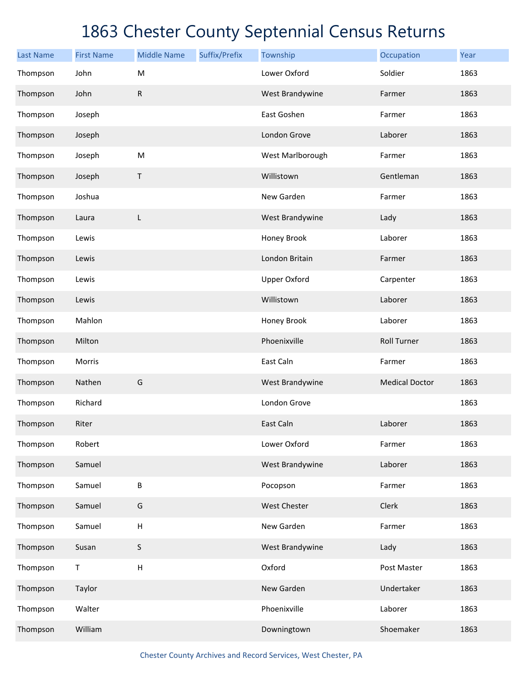| <b>Last Name</b> | <b>First Name</b> | <b>Middle Name</b>        | Suffix/Prefix | Township            | Occupation            | Year |
|------------------|-------------------|---------------------------|---------------|---------------------|-----------------------|------|
| Thompson         | John              | M                         |               | Lower Oxford        | Soldier               | 1863 |
| Thompson         | John              | $\mathsf{R}$              |               | West Brandywine     | Farmer                | 1863 |
| Thompson         | Joseph            |                           |               | East Goshen         | Farmer                | 1863 |
| Thompson         | Joseph            |                           |               | London Grove        | Laborer               | 1863 |
| Thompson         | Joseph            | ${\sf M}$                 |               | West Marlborough    | Farmer                | 1863 |
| Thompson         | Joseph            | Τ                         |               | Willistown          | Gentleman             | 1863 |
| Thompson         | Joshua            |                           |               | New Garden          | Farmer                | 1863 |
| Thompson         | Laura             | L                         |               | West Brandywine     | Lady                  | 1863 |
| Thompson         | Lewis             |                           |               | Honey Brook         | Laborer               | 1863 |
| Thompson         | Lewis             |                           |               | London Britain      | Farmer                | 1863 |
| Thompson         | Lewis             |                           |               | <b>Upper Oxford</b> | Carpenter             | 1863 |
| Thompson         | Lewis             |                           |               | Willistown          | Laborer               | 1863 |
| Thompson         | Mahlon            |                           |               | Honey Brook         | Laborer               | 1863 |
| Thompson         | Milton            |                           |               | Phoenixville        | <b>Roll Turner</b>    | 1863 |
| Thompson         | Morris            |                           |               | East Caln           | Farmer                | 1863 |
| Thompson         | Nathen            | G                         |               | West Brandywine     | <b>Medical Doctor</b> | 1863 |
| Thompson         | Richard           |                           |               | London Grove        |                       | 1863 |
| Thompson         | Riter             |                           |               | East Caln           | Laborer               | 1863 |
| Thompson         | Robert            |                           |               | Lower Oxford        | Farmer                | 1863 |
| Thompson         | Samuel            |                           |               | West Brandywine     | Laborer               | 1863 |
| Thompson         | Samuel            | $\sf B$                   |               | Pocopson            | Farmer                | 1863 |
| Thompson         | Samuel            | G                         |               | West Chester        | Clerk                 | 1863 |
| Thompson         | Samuel            | $\boldsymbol{\mathsf{H}}$ |               | New Garden          | Farmer                | 1863 |
| Thompson         | Susan             | S                         |               | West Brandywine     | Lady                  | 1863 |
| Thompson         | Τ                 | $\sf H$                   |               | Oxford              | Post Master           | 1863 |
| Thompson         | Taylor            |                           |               | New Garden          | Undertaker            | 1863 |
| Thompson         | Walter            |                           |               | Phoenixville        | Laborer               | 1863 |
| Thompson         | William           |                           |               | Downingtown         | Shoemaker             | 1863 |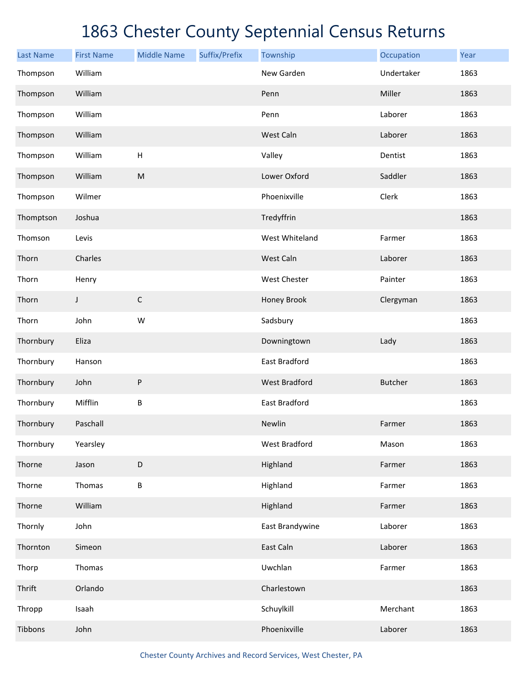| <b>Last Name</b> | <b>First Name</b> | <b>Middle Name</b> | Suffix/Prefix | Township             | Occupation     | Year |
|------------------|-------------------|--------------------|---------------|----------------------|----------------|------|
| Thompson         | William           |                    |               | New Garden           | Undertaker     | 1863 |
| Thompson         | William           |                    |               | Penn                 | Miller         | 1863 |
| Thompson         | William           |                    |               | Penn                 | Laborer        | 1863 |
| Thompson         | William           |                    |               | West Caln            | Laborer        | 1863 |
| Thompson         | William           | H                  |               | Valley               | Dentist        | 1863 |
| Thompson         | William           | M                  |               | Lower Oxford         | Saddler        | 1863 |
| Thompson         | Wilmer            |                    |               | Phoenixville         | Clerk          | 1863 |
| Thomptson        | Joshua            |                    |               | Tredyffrin           |                | 1863 |
| Thomson          | Levis             |                    |               | West Whiteland       | Farmer         | 1863 |
| Thorn            | Charles           |                    |               | West Caln            | Laborer        | 1863 |
| Thorn            | Henry             |                    |               | West Chester         | Painter        | 1863 |
| Thorn            | J                 | $\mathsf C$        |               | Honey Brook          | Clergyman      | 1863 |
| Thorn            | John              | W                  |               | Sadsbury             |                | 1863 |
| Thornbury        | Eliza             |                    |               | Downingtown          | Lady           | 1863 |
| Thornbury        | Hanson            |                    |               | East Bradford        |                | 1863 |
| Thornbury        | John              | $\sf P$            |               | <b>West Bradford</b> | <b>Butcher</b> | 1863 |
| Thornbury        | Mifflin           | $\sf B$            |               | East Bradford        |                | 1863 |
| Thornbury        | Paschall          |                    |               | Newlin               | Farmer         | 1863 |
| Thornbury        | Yearsley          |                    |               | West Bradford        | Mason          | 1863 |
| Thorne           | Jason             | D                  |               | Highland             | Farmer         | 1863 |
| Thorne           | Thomas            | $\sf B$            |               | Highland             | Farmer         | 1863 |
| Thorne           | William           |                    |               | Highland             | Farmer         | 1863 |
| Thornly          | John              |                    |               | East Brandywine      | Laborer        | 1863 |
| Thornton         | Simeon            |                    |               | East Caln            | Laborer        | 1863 |
| Thorp            | Thomas            |                    |               | Uwchlan              | Farmer         | 1863 |
| Thrift           | Orlando           |                    |               | Charlestown          |                | 1863 |
| Thropp           | Isaah             |                    |               | Schuylkill           | Merchant       | 1863 |
| Tibbons          | John              |                    |               | Phoenixville         | Laborer        | 1863 |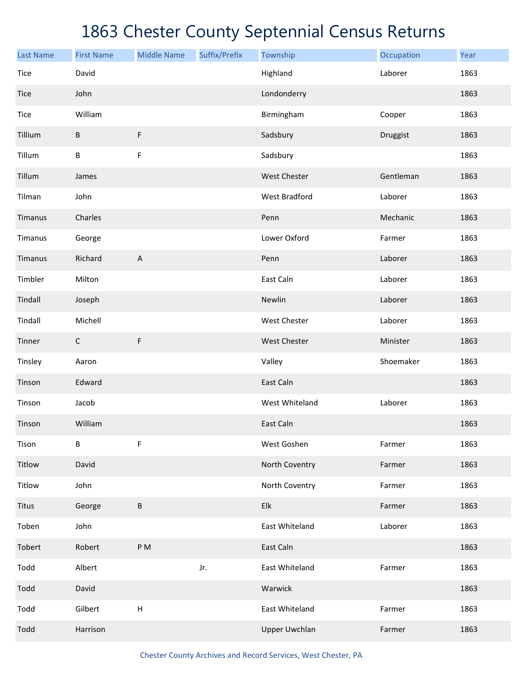| <b>Last Name</b> | <b>First Name</b> | <b>Middle Name</b>        | Suffix/Prefix | Township             | Occupation | Year |
|------------------|-------------------|---------------------------|---------------|----------------------|------------|------|
| Tice             | David             |                           |               | Highland             | Laborer    | 1863 |
| Tice             | John              |                           |               | Londonderry          |            | 1863 |
| Tice             | William           |                           |               | Birmingham           | Cooper     | 1863 |
| Tillium          | B                 | $\mathsf F$               |               | Sadsbury             | Druggist   | 1863 |
| Tillum           | B                 | F                         |               | Sadsbury             |            | 1863 |
| Tillum           | James             |                           |               | West Chester         | Gentleman  | 1863 |
| Tilman           | John              |                           |               | <b>West Bradford</b> | Laborer    | 1863 |
| Timanus          | Charles           |                           |               | Penn                 | Mechanic   | 1863 |
| Timanus          | George            |                           |               | Lower Oxford         | Farmer     | 1863 |
| Timanus          | Richard           | $\boldsymbol{\mathsf{A}}$ |               | Penn                 | Laborer    | 1863 |
| Timbler          | Milton            |                           |               | East Caln            | Laborer    | 1863 |
| Tindall          | Joseph            |                           |               | Newlin               | Laborer    | 1863 |
| Tindall          | Michell           |                           |               | West Chester         | Laborer    | 1863 |
| Tinner           | C                 | $\mathsf F$               |               | West Chester         | Minister   | 1863 |
| Tinsley          | Aaron             |                           |               | Valley               | Shoemaker  | 1863 |
| Tinson           | Edward            |                           |               | East Caln            |            | 1863 |
| Tinson           | Jacob             |                           |               | West Whiteland       | Laborer    | 1863 |
| Tinson           | William           |                           |               | East Caln            |            | 1863 |
| Tison            | B                 | F                         |               | West Goshen          | Farmer     | 1863 |
| Titlow           | David             |                           |               | North Coventry       | Farmer     | 1863 |
| Titlow           | John              |                           |               | North Coventry       | Farmer     | 1863 |
| <b>Titus</b>     | George            | $\sf B$                   |               | Elk                  | Farmer     | 1863 |
| Toben            | John              |                           |               | East Whiteland       | Laborer    | 1863 |
| Tobert           | Robert            | P <sub>M</sub>            |               | East Caln            |            | 1863 |
| Todd             | Albert            |                           | Jr.           | East Whiteland       | Farmer     | 1863 |
| Todd             | David             |                           |               | Warwick              |            | 1863 |
| Todd             | Gilbert           | $\boldsymbol{\mathsf{H}}$ |               | East Whiteland       | Farmer     | 1863 |
| Todd             | Harrison          |                           |               | <b>Upper Uwchlan</b> | Farmer     | 1863 |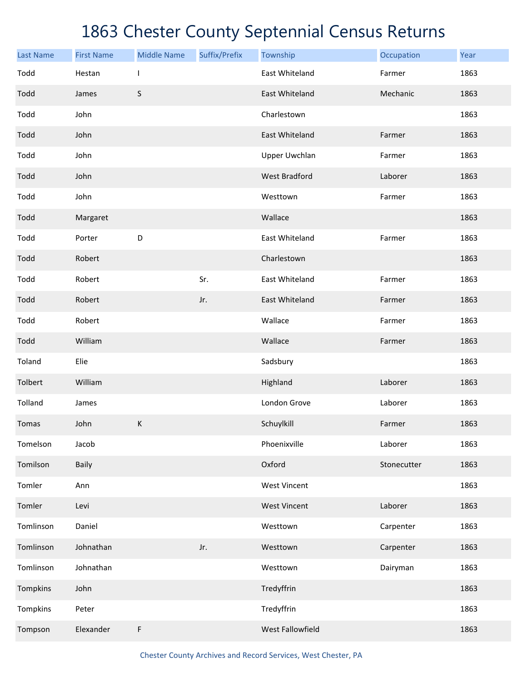| <b>Last Name</b> | <b>First Name</b> | <b>Middle Name</b>       | Suffix/Prefix | Township             | Occupation  | Year |
|------------------|-------------------|--------------------------|---------------|----------------------|-------------|------|
| Todd             | Hestan            | $\overline{\phantom{a}}$ |               | East Whiteland       | Farmer      | 1863 |
| Todd             | James             | $\sf S$                  |               | East Whiteland       | Mechanic    | 1863 |
| Todd             | John              |                          |               | Charlestown          |             | 1863 |
| Todd             | John              |                          |               | East Whiteland       | Farmer      | 1863 |
| Todd             | John              |                          |               | <b>Upper Uwchlan</b> | Farmer      | 1863 |
| Todd             | John              |                          |               | <b>West Bradford</b> | Laborer     | 1863 |
| Todd             | John              |                          |               | Westtown             | Farmer      | 1863 |
| Todd             | Margaret          |                          |               | Wallace              |             | 1863 |
| Todd             | Porter            | D                        |               | East Whiteland       | Farmer      | 1863 |
| Todd             | Robert            |                          |               | Charlestown          |             | 1863 |
| Todd             | Robert            |                          | Sr.           | East Whiteland       | Farmer      | 1863 |
| Todd             | Robert            |                          | Jr.           | East Whiteland       | Farmer      | 1863 |
| Todd             | Robert            |                          |               | Wallace              | Farmer      | 1863 |
| Todd             | William           |                          |               | Wallace              | Farmer      | 1863 |
| Toland           | Elie              |                          |               | Sadsbury             |             | 1863 |
| Tolbert          | William           |                          |               | Highland             | Laborer     | 1863 |
| Tolland          | James             |                          |               | London Grove         | Laborer     | 1863 |
| Tomas            | John              | $\sf K$                  |               | Schuylkill           | Farmer      | 1863 |
| Tomelson         | Jacob             |                          |               | Phoenixville         | Laborer     | 1863 |
| Tomilson         | <b>Baily</b>      |                          |               | Oxford               | Stonecutter | 1863 |
| Tomler           | Ann               |                          |               | <b>West Vincent</b>  |             | 1863 |
| Tomler           | Levi              |                          |               | <b>West Vincent</b>  | Laborer     | 1863 |
| Tomlinson        | Daniel            |                          |               | Westtown             | Carpenter   | 1863 |
| Tomlinson        | Johnathan         |                          | Jr.           | Westtown             | Carpenter   | 1863 |
| Tomlinson        | Johnathan         |                          |               | Westtown             | Dairyman    | 1863 |
| Tompkins         | John              |                          |               | Tredyffrin           |             | 1863 |
| Tompkins         | Peter             |                          |               | Tredyffrin           |             | 1863 |
| Tompson          | Elexander         | F                        |               | West Fallowfield     |             | 1863 |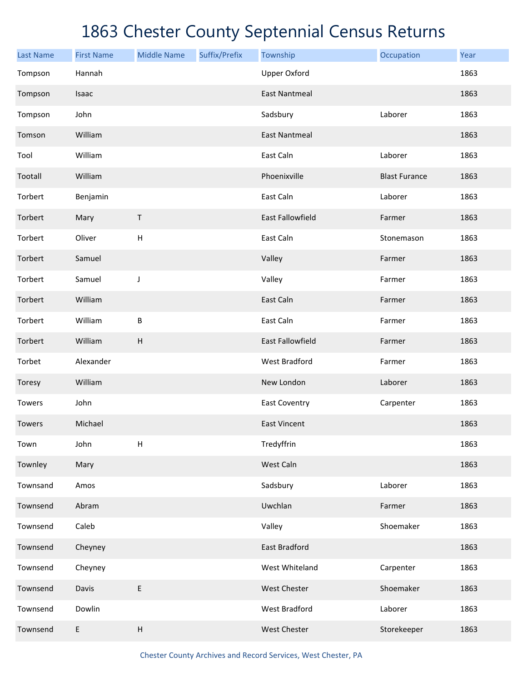| <b>Last Name</b> | <b>First Name</b> | <b>Middle Name</b>        | Suffix/Prefix | Township                | Occupation           | Year |
|------------------|-------------------|---------------------------|---------------|-------------------------|----------------------|------|
| Tompson          | Hannah            |                           |               | <b>Upper Oxford</b>     |                      | 1863 |
| Tompson          | Isaac             |                           |               | <b>East Nantmeal</b>    |                      | 1863 |
| Tompson          | John              |                           |               | Sadsbury                | Laborer              | 1863 |
| Tomson           | William           |                           |               | <b>East Nantmeal</b>    |                      | 1863 |
| Tool             | William           |                           |               | East Caln               | Laborer              | 1863 |
| Tootall          | William           |                           |               | Phoenixville            | <b>Blast Furance</b> | 1863 |
| Torbert          | Benjamin          |                           |               | East Caln               | Laborer              | 1863 |
| Torbert          | Mary              | Τ                         |               | <b>East Fallowfield</b> | Farmer               | 1863 |
| Torbert          | Oliver            | H                         |               | East Caln               | Stonemason           | 1863 |
| Torbert          | Samuel            |                           |               | Valley                  | Farmer               | 1863 |
| Torbert          | Samuel            | J                         |               | Valley                  | Farmer               | 1863 |
| Torbert          | William           |                           |               | East Caln               | Farmer               | 1863 |
| Torbert          | William           | B                         |               | East Caln               | Farmer               | 1863 |
| Torbert          | William           | H                         |               | <b>East Fallowfield</b> | Farmer               | 1863 |
| Torbet           | Alexander         |                           |               | <b>West Bradford</b>    | Farmer               | 1863 |
| Toresy           | William           |                           |               | New London              | Laborer              | 1863 |
| Towers           | John              |                           |               | <b>East Coventry</b>    | Carpenter            | 1863 |
| Towers           | Michael           |                           |               | <b>East Vincent</b>     |                      | 1863 |
| Town             | John              | $\sf H$                   |               | Tredyffrin              |                      | 1863 |
| Townley          | Mary              |                           |               | West Caln               |                      | 1863 |
| Townsand         | Amos              |                           |               | Sadsbury                | Laborer              | 1863 |
| Townsend         | Abram             |                           |               | Uwchlan                 | Farmer               | 1863 |
| Townsend         | Caleb             |                           |               | Valley                  | Shoemaker            | 1863 |
| Townsend         | Cheyney           |                           |               | <b>East Bradford</b>    |                      | 1863 |
| Townsend         | Cheyney           |                           |               | West Whiteland          | Carpenter            | 1863 |
| Townsend         | Davis             | $\mathsf E$               |               | West Chester            | Shoemaker            | 1863 |
| Townsend         | Dowlin            |                           |               | West Bradford           | Laborer              | 1863 |
| Townsend         | E                 | $\boldsymbol{\mathsf{H}}$ |               | West Chester            | Storekeeper          | 1863 |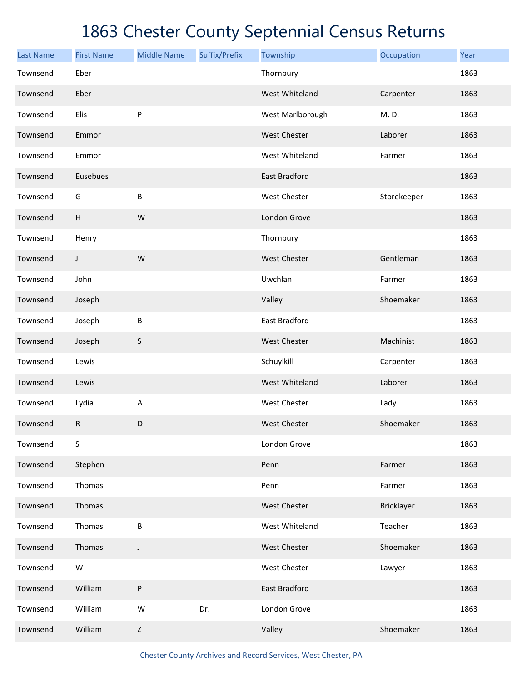| <b>Last Name</b> | <b>First Name</b> | <b>Middle Name</b> | Suffix/Prefix | Township            | Occupation  | Year |
|------------------|-------------------|--------------------|---------------|---------------------|-------------|------|
| Townsend         | Eber              |                    |               | Thornbury           |             | 1863 |
| Townsend         | Eber              |                    |               | West Whiteland      | Carpenter   | 1863 |
| Townsend         | Elis              | P                  |               | West Marlborough    | M.D.        | 1863 |
| Townsend         | Emmor             |                    |               | West Chester        | Laborer     | 1863 |
| Townsend         | Emmor             |                    |               | West Whiteland      | Farmer      | 1863 |
| Townsend         | Eusebues          |                    |               | East Bradford       |             | 1863 |
| Townsend         | G                 | B                  |               | West Chester        | Storekeeper | 1863 |
| Townsend         | $\overline{H}$    | W                  |               | London Grove        |             | 1863 |
| Townsend         | Henry             |                    |               | Thornbury           |             | 1863 |
| Townsend         | J                 | W                  |               | <b>West Chester</b> | Gentleman   | 1863 |
| Townsend         | John              |                    |               | Uwchlan             | Farmer      | 1863 |
| Townsend         | Joseph            |                    |               | Valley              | Shoemaker   | 1863 |
| Townsend         | Joseph            | B                  |               | East Bradford       |             | 1863 |
| Townsend         | Joseph            | $\mathsf S$        |               | <b>West Chester</b> | Machinist   | 1863 |
| Townsend         | Lewis             |                    |               | Schuylkill          | Carpenter   | 1863 |
| Townsend         | Lewis             |                    |               | West Whiteland      | Laborer     | 1863 |
| Townsend         | Lydia             | $\mathsf A$        |               | West Chester        | Lady        | 1863 |
| Townsend         | ${\sf R}$         | D                  |               | <b>West Chester</b> | Shoemaker   | 1863 |
| Townsend         | S                 |                    |               | London Grove        |             | 1863 |
| Townsend         | Stephen           |                    |               | Penn                | Farmer      | 1863 |
| Townsend         | Thomas            |                    |               | Penn                | Farmer      | 1863 |
| Townsend         | Thomas            |                    |               | West Chester        | Bricklayer  | 1863 |
| Townsend         | Thomas            | B                  |               | West Whiteland      | Teacher     | 1863 |
| Townsend         | Thomas            | J                  |               | West Chester        | Shoemaker   | 1863 |
| Townsend         | W                 |                    |               | West Chester        | Lawyer      | 1863 |
| Townsend         | William           | P                  |               | East Bradford       |             | 1863 |
| Townsend         | William           | W                  | Dr.           | London Grove        |             | 1863 |
| Townsend         | William           | $\mathsf Z$        |               | Valley              | Shoemaker   | 1863 |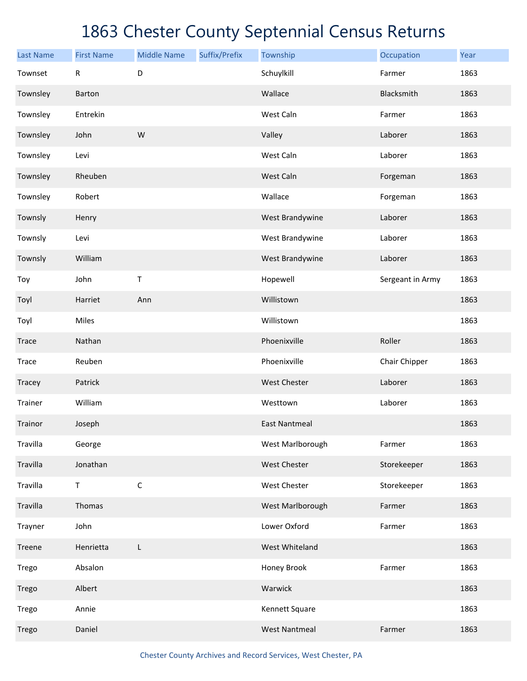| <b>Last Name</b> | <b>First Name</b> | <b>Middle Name</b> | Suffix/Prefix | Township             | Occupation       | Year |
|------------------|-------------------|--------------------|---------------|----------------------|------------------|------|
| Townset          | $\mathsf{R}$      | D                  |               | Schuylkill           | Farmer           | 1863 |
| Townsley         | Barton            |                    |               | Wallace              | Blacksmith       | 1863 |
| Townsley         | Entrekin          |                    |               | West Caln            | Farmer           | 1863 |
| Townsley         | John              | W                  |               | Valley               | Laborer          | 1863 |
| Townsley         | Levi              |                    |               | West Caln            | Laborer          | 1863 |
| Townsley         | Rheuben           |                    |               | West Caln            | Forgeman         | 1863 |
| Townsley         | Robert            |                    |               | Wallace              | Forgeman         | 1863 |
| Townsly          | Henry             |                    |               | West Brandywine      | Laborer          | 1863 |
| Townsly          | Levi              |                    |               | West Brandywine      | Laborer          | 1863 |
| Townsly          | William           |                    |               | West Brandywine      | Laborer          | 1863 |
| Toy              | John              | Τ                  |               | Hopewell             | Sergeant in Army | 1863 |
| Toyl             | Harriet           | Ann                |               | Willistown           |                  | 1863 |
| Toyl             | Miles             |                    |               | Willistown           |                  | 1863 |
| Trace            | Nathan            |                    |               | Phoenixville         | Roller           | 1863 |
| Trace            | Reuben            |                    |               | Phoenixville         | Chair Chipper    | 1863 |
| Tracey           | Patrick           |                    |               | <b>West Chester</b>  | Laborer          | 1863 |
| Trainer          | William           |                    |               | Westtown             | Laborer          | 1863 |
| Trainor          | Joseph            |                    |               | <b>East Nantmeal</b> |                  | 1863 |
| Travilla         | George            |                    |               | West Marlborough     | Farmer           | 1863 |
| Travilla         | Jonathan          |                    |               | <b>West Chester</b>  | Storekeeper      | 1863 |
| Travilla         | $\sf T$           | $\mathsf C$        |               | West Chester         | Storekeeper      | 1863 |
| Travilla         | Thomas            |                    |               | West Marlborough     | Farmer           | 1863 |
| Trayner          | John              |                    |               | Lower Oxford         | Farmer           | 1863 |
| Treene           | Henrietta         | L                  |               | West Whiteland       |                  | 1863 |
| Trego            | Absalon           |                    |               | Honey Brook          | Farmer           | 1863 |
| Trego            | Albert            |                    |               | Warwick              |                  | 1863 |
| Trego            | Annie             |                    |               | Kennett Square       |                  | 1863 |
| Trego            | Daniel            |                    |               | <b>West Nantmeal</b> | Farmer           | 1863 |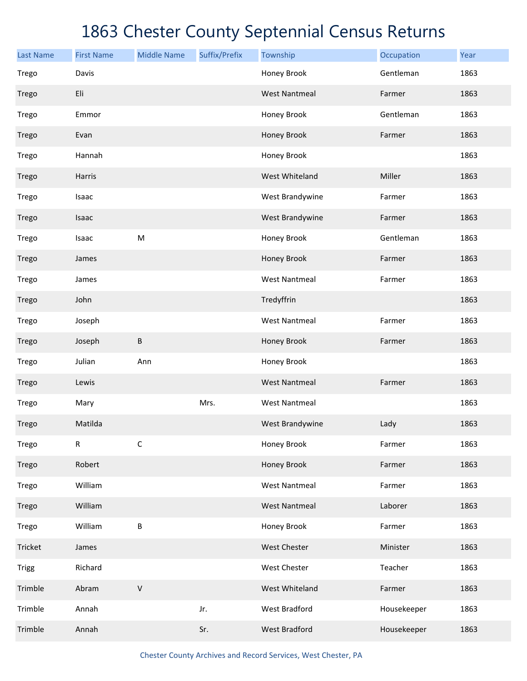| <b>Last Name</b> | <b>First Name</b> | <b>Middle Name</b> | Suffix/Prefix | Township             | Occupation  | Year |
|------------------|-------------------|--------------------|---------------|----------------------|-------------|------|
| Trego            | Davis             |                    |               | Honey Brook          | Gentleman   | 1863 |
| Trego            | Eli               |                    |               | <b>West Nantmeal</b> | Farmer      | 1863 |
| Trego            | Emmor             |                    |               | Honey Brook          | Gentleman   | 1863 |
| Trego            | Evan              |                    |               | Honey Brook          | Farmer      | 1863 |
| Trego            | Hannah            |                    |               | Honey Brook          |             | 1863 |
| Trego            | Harris            |                    |               | West Whiteland       | Miller      | 1863 |
| Trego            | Isaac             |                    |               | West Brandywine      | Farmer      | 1863 |
| Trego            | Isaac             |                    |               | West Brandywine      | Farmer      | 1863 |
| Trego            | Isaac             | M                  |               | Honey Brook          | Gentleman   | 1863 |
| Trego            | James             |                    |               | Honey Brook          | Farmer      | 1863 |
| Trego            | James             |                    |               | <b>West Nantmeal</b> | Farmer      | 1863 |
| Trego            | John              |                    |               | Tredyffrin           |             | 1863 |
| Trego            | Joseph            |                    |               | <b>West Nantmeal</b> | Farmer      | 1863 |
| Trego            | Joseph            | В                  |               | Honey Brook          | Farmer      | 1863 |
| Trego            | Julian            | Ann                |               | Honey Brook          |             | 1863 |
| Trego            | Lewis             |                    |               | <b>West Nantmeal</b> | Farmer      | 1863 |
| Trego            | Mary              |                    | Mrs.          | <b>West Nantmeal</b> |             | 1863 |
| Trego            | Matilda           |                    |               | West Brandywine      | Lady        | 1863 |
| Trego            | R                 | $\mathsf C$        |               | Honey Brook          | Farmer      | 1863 |
| Trego            | Robert            |                    |               | Honey Brook          | Farmer      | 1863 |
| Trego            | William           |                    |               | <b>West Nantmeal</b> | Farmer      | 1863 |
| Trego            | William           |                    |               | <b>West Nantmeal</b> | Laborer     | 1863 |
| Trego            | William           | B                  |               | Honey Brook          | Farmer      | 1863 |
| Tricket          | James             |                    |               | West Chester         | Minister    | 1863 |
| <b>Trigg</b>     | Richard           |                    |               | West Chester         | Teacher     | 1863 |
| Trimble          | Abram             | $\sf V$            |               | West Whiteland       | Farmer      | 1863 |
| Trimble          | Annah             |                    | Jr.           | West Bradford        | Housekeeper | 1863 |
| Trimble          | Annah             |                    | Sr.           | <b>West Bradford</b> | Housekeeper | 1863 |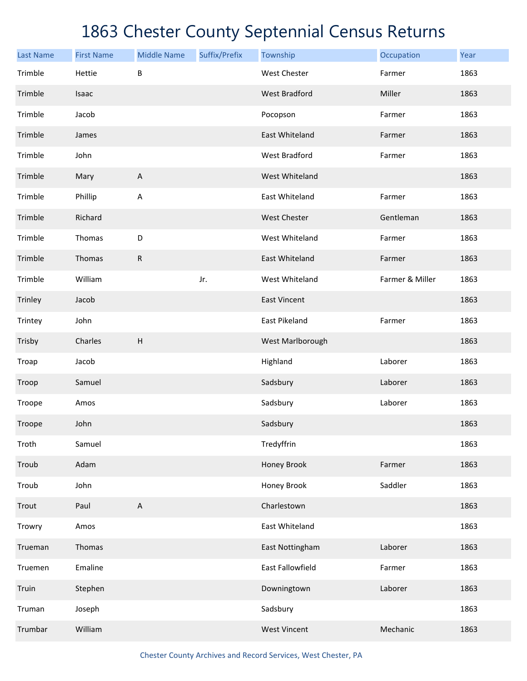| <b>Last Name</b> | <b>First Name</b> | <b>Middle Name</b>        | Suffix/Prefix | Township             | Occupation      | Year |
|------------------|-------------------|---------------------------|---------------|----------------------|-----------------|------|
| Trimble          | Hettie            | B                         |               | <b>West Chester</b>  | Farmer          | 1863 |
| Trimble          | Isaac             |                           |               | <b>West Bradford</b> | Miller          | 1863 |
| Trimble          | Jacob             |                           |               | Pocopson             | Farmer          | 1863 |
| Trimble          | James             |                           |               | East Whiteland       | Farmer          | 1863 |
| Trimble          | John              |                           |               | <b>West Bradford</b> | Farmer          | 1863 |
| Trimble          | Mary              | $\boldsymbol{\mathsf{A}}$ |               | West Whiteland       |                 | 1863 |
| Trimble          | Phillip           | A                         |               | East Whiteland       | Farmer          | 1863 |
| Trimble          | Richard           |                           |               | <b>West Chester</b>  | Gentleman       | 1863 |
| Trimble          | Thomas            | D                         |               | West Whiteland       | Farmer          | 1863 |
| Trimble          | Thomas            | $\mathsf{R}$              |               | East Whiteland       | Farmer          | 1863 |
| Trimble          | William           |                           | Jr.           | West Whiteland       | Farmer & Miller | 1863 |
| Trinley          | Jacob             |                           |               | <b>East Vincent</b>  |                 | 1863 |
| Trintey          | John              |                           |               | East Pikeland        | Farmer          | 1863 |
| Trisby           | Charles           | H                         |               | West Marlborough     |                 | 1863 |
| Troap            | Jacob             |                           |               | Highland             | Laborer         | 1863 |
| Troop            | Samuel            |                           |               | Sadsbury             | Laborer         | 1863 |
| Troope           | Amos              |                           |               | Sadsbury             | Laborer         | 1863 |
| Troope           | John              |                           |               | Sadsbury             |                 | 1863 |
| Troth            | Samuel            |                           |               | Tredyffrin           |                 | 1863 |
| Troub            | Adam              |                           |               | Honey Brook          | Farmer          | 1863 |
| Troub            | John              |                           |               | Honey Brook          | Saddler         | 1863 |
| Trout            | Paul              | $\boldsymbol{\mathsf{A}}$ |               | Charlestown          |                 | 1863 |
| Trowry           | Amos              |                           |               | East Whiteland       |                 | 1863 |
| Trueman          | Thomas            |                           |               | East Nottingham      | Laborer         | 1863 |
| Truemen          | Emaline           |                           |               | East Fallowfield     | Farmer          | 1863 |
| Truin            | Stephen           |                           |               | Downingtown          | Laborer         | 1863 |
| Truman           | Joseph            |                           |               | Sadsbury             |                 | 1863 |
| Trumbar          | William           |                           |               | <b>West Vincent</b>  | Mechanic        | 1863 |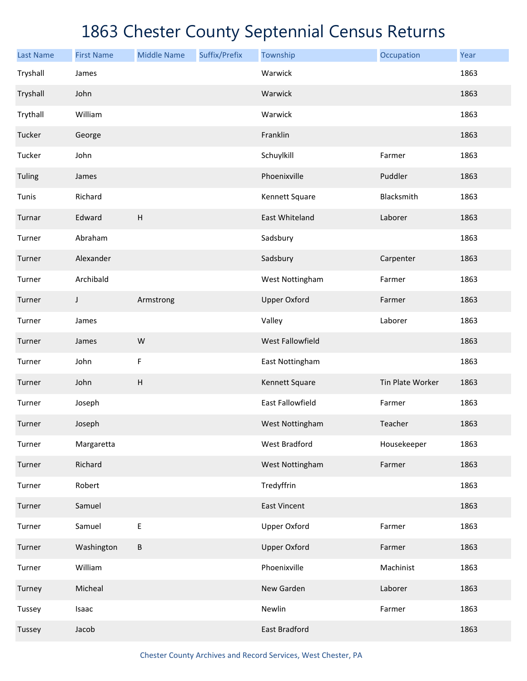| <b>Last Name</b> | <b>First Name</b> | <b>Middle Name</b>        | Suffix/Prefix | Township                | Occupation       | Year |
|------------------|-------------------|---------------------------|---------------|-------------------------|------------------|------|
| Tryshall         | James             |                           |               | Warwick                 |                  | 1863 |
| Tryshall         | John              |                           |               | Warwick                 |                  | 1863 |
| Trythall         | William           |                           |               | Warwick                 |                  | 1863 |
| Tucker           | George            |                           |               | Franklin                |                  | 1863 |
| Tucker           | John              |                           |               | Schuylkill              | Farmer           | 1863 |
| Tuling           | James             |                           |               | Phoenixville            | Puddler          | 1863 |
| Tunis            | Richard           |                           |               | Kennett Square          | Blacksmith       | 1863 |
| Turnar           | Edward            | $\boldsymbol{\mathsf{H}}$ |               | East Whiteland          | Laborer          | 1863 |
| Turner           | Abraham           |                           |               | Sadsbury                |                  | 1863 |
| Turner           | Alexander         |                           |               | Sadsbury                | Carpenter        | 1863 |
| Turner           | Archibald         |                           |               | West Nottingham         | Farmer           | 1863 |
| Turner           | J                 | Armstrong                 |               | <b>Upper Oxford</b>     | Farmer           | 1863 |
| Turner           | James             |                           |               | Valley                  | Laborer          | 1863 |
| Turner           | James             | W                         |               | West Fallowfield        |                  | 1863 |
| Turner           | John              | $\mathsf F$               |               | East Nottingham         |                  | 1863 |
| Turner           | John              | $\sf H$                   |               | Kennett Square          | Tin Plate Worker | 1863 |
| Turner           | Joseph            |                           |               | <b>East Fallowfield</b> | Farmer           | 1863 |
| Turner           | Joseph            |                           |               | West Nottingham         | Teacher          | 1863 |
| Turner           | Margaretta        |                           |               | <b>West Bradford</b>    | Housekeeper      | 1863 |
| Turner           | Richard           |                           |               | West Nottingham         | Farmer           | 1863 |
| Turner           | Robert            |                           |               | Tredyffrin              |                  | 1863 |
| Turner           | Samuel            |                           |               | <b>East Vincent</b>     |                  | 1863 |
| Turner           | Samuel            | E                         |               | <b>Upper Oxford</b>     | Farmer           | 1863 |
| Turner           | Washington        | $\sf B$                   |               | <b>Upper Oxford</b>     | Farmer           | 1863 |
| Turner           | William           |                           |               | Phoenixville            | Machinist        | 1863 |
| Turney           | Micheal           |                           |               | New Garden              | Laborer          | 1863 |
| Tussey           | Isaac             |                           |               | Newlin                  | Farmer           | 1863 |
| Tussey           | Jacob             |                           |               | East Bradford           |                  | 1863 |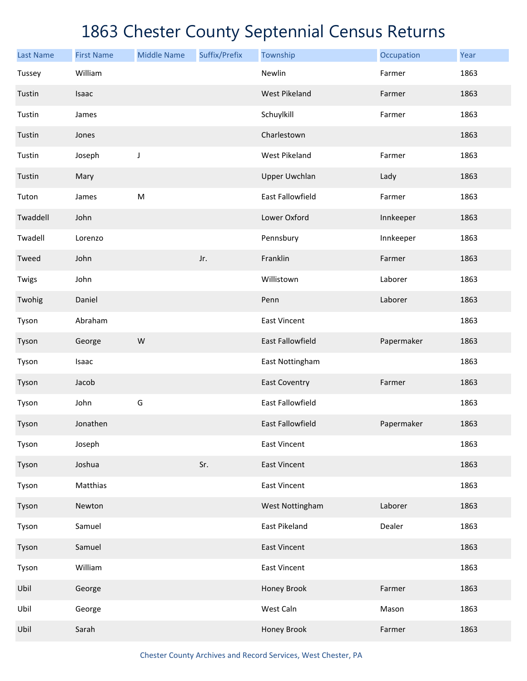| <b>Last Name</b> | <b>First Name</b> | <b>Middle Name</b> | Suffix/Prefix | Township                | Occupation | Year |
|------------------|-------------------|--------------------|---------------|-------------------------|------------|------|
| Tussey           | William           |                    |               | Newlin                  | Farmer     | 1863 |
| Tustin           | Isaac             |                    |               | <b>West Pikeland</b>    | Farmer     | 1863 |
| Tustin           | James             |                    |               | Schuylkill              | Farmer     | 1863 |
| Tustin           | Jones             |                    |               | Charlestown             |            | 1863 |
| Tustin           | Joseph            | J                  |               | <b>West Pikeland</b>    | Farmer     | 1863 |
| Tustin           | Mary              |                    |               | <b>Upper Uwchlan</b>    | Lady       | 1863 |
| Tuton            | James             | M                  |               | East Fallowfield        | Farmer     | 1863 |
| Twaddell         | John              |                    |               | Lower Oxford            | Innkeeper  | 1863 |
| Twadell          | Lorenzo           |                    |               | Pennsbury               | Innkeeper  | 1863 |
| Tweed            | John              |                    | Jr.           | Franklin                | Farmer     | 1863 |
| Twigs            | John              |                    |               | Willistown              | Laborer    | 1863 |
| Twohig           | Daniel            |                    |               | Penn                    | Laborer    | 1863 |
| Tyson            | Abraham           |                    |               | <b>East Vincent</b>     |            | 1863 |
| Tyson            | George            | W                  |               | <b>East Fallowfield</b> | Papermaker | 1863 |
| Tyson            | Isaac             |                    |               | East Nottingham         |            | 1863 |
| Tyson            | Jacob             |                    |               | <b>East Coventry</b>    | Farmer     | 1863 |
| Tyson            | John              | G                  |               | <b>East Fallowfield</b> |            | 1863 |
| Tyson            | Jonathen          |                    |               | <b>East Fallowfield</b> | Papermaker | 1863 |
| Tyson            | Joseph            |                    |               | <b>East Vincent</b>     |            | 1863 |
| Tyson            | Joshua            |                    | Sr.           | <b>East Vincent</b>     |            | 1863 |
| Tyson            | Matthias          |                    |               | <b>East Vincent</b>     |            | 1863 |
| Tyson            | Newton            |                    |               | West Nottingham         | Laborer    | 1863 |
| Tyson            | Samuel            |                    |               | <b>East Pikeland</b>    | Dealer     | 1863 |
| Tyson            | Samuel            |                    |               | <b>East Vincent</b>     |            | 1863 |
| Tyson            | William           |                    |               | <b>East Vincent</b>     |            | 1863 |
| Ubil             | George            |                    |               | Honey Brook             | Farmer     | 1863 |
| Ubil             | George            |                    |               | West Caln               | Mason      | 1863 |
| Ubil             | Sarah             |                    |               | Honey Brook             | Farmer     | 1863 |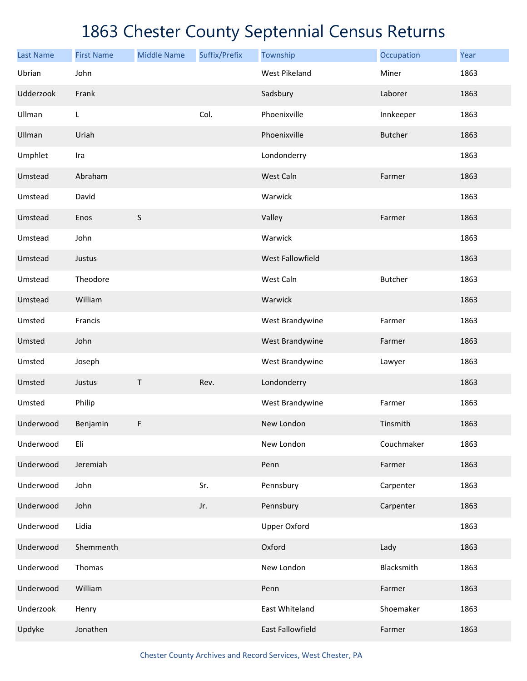| <b>Last Name</b> | <b>First Name</b> | <b>Middle Name</b> | Suffix/Prefix | Township             | Occupation     | Year |
|------------------|-------------------|--------------------|---------------|----------------------|----------------|------|
| Ubrian           | John              |                    |               | <b>West Pikeland</b> | Miner          | 1863 |
| Udderzook        | Frank             |                    |               | Sadsbury             | Laborer        | 1863 |
| Ullman           | L                 |                    | Col.          | Phoenixville         | Innkeeper      | 1863 |
| Ullman           | Uriah             |                    |               | Phoenixville         | <b>Butcher</b> | 1863 |
| Umphlet          | Ira               |                    |               | Londonderry          |                | 1863 |
| Umstead          | Abraham           |                    |               | West Caln            | Farmer         | 1863 |
| Umstead          | David             |                    |               | Warwick              |                | 1863 |
| Umstead          | Enos              | $\sf S$            |               | Valley               | Farmer         | 1863 |
| Umstead          | John              |                    |               | Warwick              |                | 1863 |
| Umstead          | Justus            |                    |               | West Fallowfield     |                | 1863 |
| Umstead          | Theodore          |                    |               | West Caln            | <b>Butcher</b> | 1863 |
| Umstead          | William           |                    |               | Warwick              |                | 1863 |
| Umsted           | Francis           |                    |               | West Brandywine      | Farmer         | 1863 |
| Umsted           | John              |                    |               | West Brandywine      | Farmer         | 1863 |
| Umsted           | Joseph            |                    |               | West Brandywine      | Lawyer         | 1863 |
| Umsted           | Justus            | Τ                  | Rev.          | Londonderry          |                | 1863 |
| Umsted           | Philip            |                    |               | West Brandywine      | Farmer         | 1863 |
| Underwood        | Benjamin          | F                  |               | New London           | Tinsmith       | 1863 |
| Underwood        | Eli               |                    |               | New London           | Couchmaker     | 1863 |
| Underwood        | Jeremiah          |                    |               | Penn                 | Farmer         | 1863 |
| Underwood        | John              |                    | Sr.           | Pennsbury            | Carpenter      | 1863 |
| Underwood        | John              |                    | Jr.           | Pennsbury            | Carpenter      | 1863 |
| Underwood        | Lidia             |                    |               | <b>Upper Oxford</b>  |                | 1863 |
| Underwood        | Shemmenth         |                    |               | Oxford               | Lady           | 1863 |
| Underwood        | Thomas            |                    |               | New London           | Blacksmith     | 1863 |
| Underwood        | William           |                    |               | Penn                 | Farmer         | 1863 |
| Underzook        | Henry             |                    |               | East Whiteland       | Shoemaker      | 1863 |
| Updyke           | Jonathen          |                    |               | East Fallowfield     | Farmer         | 1863 |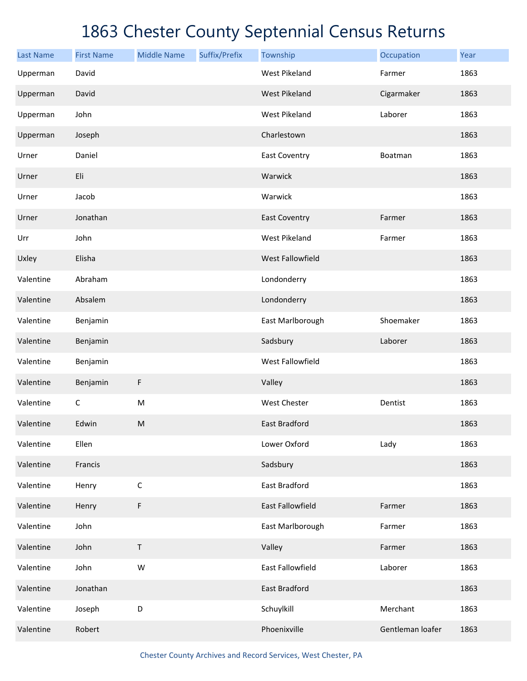| <b>Last Name</b> | <b>First Name</b> | <b>Middle Name</b> | Suffix/Prefix | Township                | Occupation       | Year |
|------------------|-------------------|--------------------|---------------|-------------------------|------------------|------|
| Upperman         | David             |                    |               | <b>West Pikeland</b>    | Farmer           | 1863 |
| Upperman         | David             |                    |               | <b>West Pikeland</b>    | Cigarmaker       | 1863 |
| Upperman         | John              |                    |               | <b>West Pikeland</b>    | Laborer          | 1863 |
| Upperman         | Joseph            |                    |               | Charlestown             |                  | 1863 |
| Urner            | Daniel            |                    |               | <b>East Coventry</b>    | Boatman          | 1863 |
| Urner            | Eli               |                    |               | Warwick                 |                  | 1863 |
| Urner            | Jacob             |                    |               | Warwick                 |                  | 1863 |
| Urner            | Jonathan          |                    |               | <b>East Coventry</b>    | Farmer           | 1863 |
| Urr              | John              |                    |               | West Pikeland           | Farmer           | 1863 |
| Uxley            | Elisha            |                    |               | West Fallowfield        |                  | 1863 |
| Valentine        | Abraham           |                    |               | Londonderry             |                  | 1863 |
| Valentine        | Absalem           |                    |               | Londonderry             |                  | 1863 |
| Valentine        | Benjamin          |                    |               | East Marlborough        | Shoemaker        | 1863 |
| Valentine        | Benjamin          |                    |               | Sadsbury                | Laborer          | 1863 |
| Valentine        | Benjamin          |                    |               | West Fallowfield        |                  | 1863 |
| Valentine        | Benjamin          | F                  |               | Valley                  |                  | 1863 |
| Valentine        | $\mathsf C$       | ${\sf M}$          |               | <b>West Chester</b>     | Dentist          | 1863 |
| Valentine        | Edwin             | ${\sf M}$          |               | East Bradford           |                  | 1863 |
| Valentine        | Ellen             |                    |               | Lower Oxford            | Lady             | 1863 |
| Valentine        | Francis           |                    |               | Sadsbury                |                  | 1863 |
| Valentine        | Henry             | $\mathsf C$        |               | East Bradford           |                  | 1863 |
| Valentine        | Henry             | F                  |               | <b>East Fallowfield</b> | Farmer           | 1863 |
| Valentine        | John              |                    |               | East Marlborough        | Farmer           | 1863 |
| Valentine        | John              | $\sf T$            |               | Valley                  | Farmer           | 1863 |
| Valentine        | John              | ${\sf W}$          |               | East Fallowfield        | Laborer          | 1863 |
| Valentine        | Jonathan          |                    |               | East Bradford           |                  | 1863 |
| Valentine        | Joseph            | D                  |               | Schuylkill              | Merchant         | 1863 |
| Valentine        | Robert            |                    |               | Phoenixville            | Gentleman loafer | 1863 |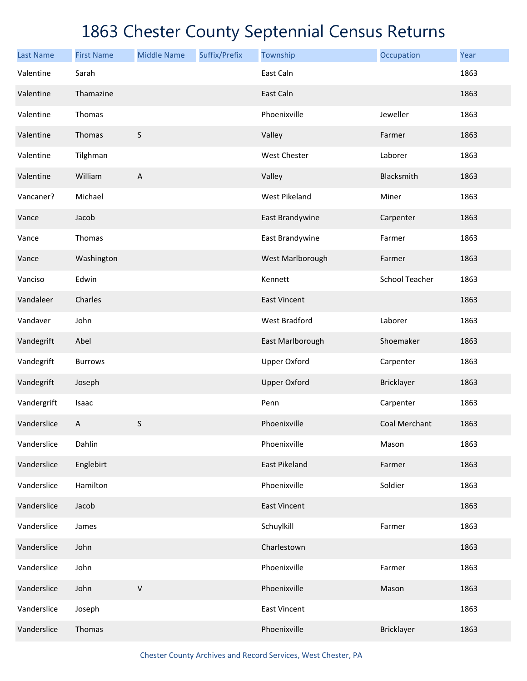| <b>Last Name</b> | <b>First Name</b> | <b>Middle Name</b> | Suffix/Prefix | Township             | Occupation     | Year |
|------------------|-------------------|--------------------|---------------|----------------------|----------------|------|
| Valentine        | Sarah             |                    |               | East Caln            |                | 1863 |
| Valentine        | Thamazine         |                    |               | East Caln            |                | 1863 |
| Valentine        | Thomas            |                    |               | Phoenixville         | Jeweller       | 1863 |
| Valentine        | Thomas            | $\sf S$            |               | Valley               | Farmer         | 1863 |
| Valentine        | Tilghman          |                    |               | <b>West Chester</b>  | Laborer        | 1863 |
| Valentine        | William           | A                  |               | Valley               | Blacksmith     | 1863 |
| Vancaner?        | Michael           |                    |               | <b>West Pikeland</b> | Miner          | 1863 |
| Vance            | Jacob             |                    |               | East Brandywine      | Carpenter      | 1863 |
| Vance            | Thomas            |                    |               | East Brandywine      | Farmer         | 1863 |
| Vance            | Washington        |                    |               | West Marlborough     | Farmer         | 1863 |
| Vanciso          | Edwin             |                    |               | Kennett              | School Teacher | 1863 |
| Vandaleer        | Charles           |                    |               | <b>East Vincent</b>  |                | 1863 |
| Vandaver         | John              |                    |               | <b>West Bradford</b> | Laborer        | 1863 |
| Vandegrift       | Abel              |                    |               | East Marlborough     | Shoemaker      | 1863 |
| Vandegrift       | <b>Burrows</b>    |                    |               | <b>Upper Oxford</b>  | Carpenter      | 1863 |
| Vandegrift       | Joseph            |                    |               | <b>Upper Oxford</b>  | Bricklayer     | 1863 |
| Vandergrift      | Isaac             |                    |               | Penn                 | Carpenter      | 1863 |
| Vanderslice      | Α                 | S                  |               | Phoenixville         | Coal Merchant  | 1863 |
| Vanderslice      | Dahlin            |                    |               | Phoenixville         | Mason          | 1863 |
| Vanderslice      | Englebirt         |                    |               | <b>East Pikeland</b> | Farmer         | 1863 |
| Vanderslice      | Hamilton          |                    |               | Phoenixville         | Soldier        | 1863 |
| Vanderslice      | Jacob             |                    |               | <b>East Vincent</b>  |                | 1863 |
| Vanderslice      | James             |                    |               | Schuylkill           | Farmer         | 1863 |
| Vanderslice      | John              |                    |               | Charlestown          |                | 1863 |
| Vanderslice      | John              |                    |               | Phoenixville         | Farmer         | 1863 |
| Vanderslice      | John              | $\sf V$            |               | Phoenixville         | Mason          | 1863 |
| Vanderslice      | Joseph            |                    |               | <b>East Vincent</b>  |                | 1863 |
| Vanderslice      | Thomas            |                    |               | Phoenixville         | Bricklayer     | 1863 |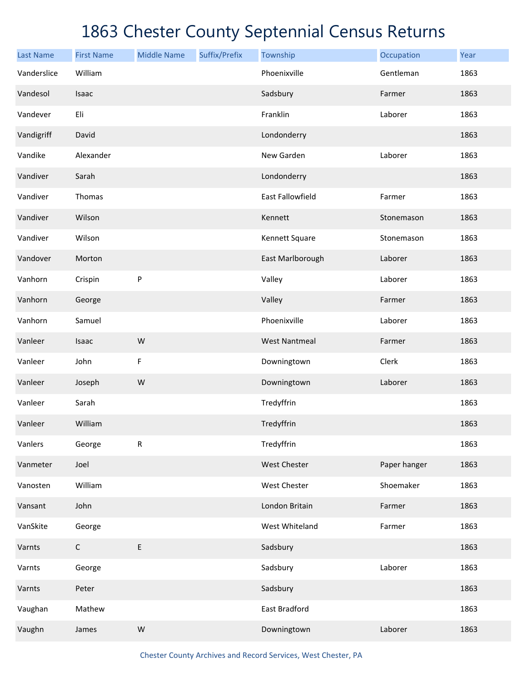| <b>Last Name</b> | <b>First Name</b> | <b>Middle Name</b> | Suffix/Prefix | Township             | Occupation   | Year |
|------------------|-------------------|--------------------|---------------|----------------------|--------------|------|
| Vanderslice      | William           |                    |               | Phoenixville         | Gentleman    | 1863 |
| Vandesol         | Isaac             |                    |               | Sadsbury             | Farmer       | 1863 |
| Vandever         | Eli               |                    |               | Franklin             | Laborer      | 1863 |
| Vandigriff       | David             |                    |               | Londonderry          |              | 1863 |
| Vandike          | Alexander         |                    |               | New Garden           | Laborer      | 1863 |
| Vandiver         | Sarah             |                    |               | Londonderry          |              | 1863 |
| Vandiver         | Thomas            |                    |               | East Fallowfield     | Farmer       | 1863 |
| Vandiver         | Wilson            |                    |               | Kennett              | Stonemason   | 1863 |
| Vandiver         | Wilson            |                    |               | Kennett Square       | Stonemason   | 1863 |
| Vandover         | Morton            |                    |               | East Marlborough     | Laborer      | 1863 |
| Vanhorn          | Crispin           | P                  |               | Valley               | Laborer      | 1863 |
| Vanhorn          | George            |                    |               | Valley               | Farmer       | 1863 |
| Vanhorn          | Samuel            |                    |               | Phoenixville         | Laborer      | 1863 |
| Vanleer          | Isaac             | ${\sf W}$          |               | <b>West Nantmeal</b> | Farmer       | 1863 |
| Vanleer          | John              | $\mathsf F$        |               | Downingtown          | Clerk        | 1863 |
| Vanleer          | Joseph            | ${\sf W}$          |               | Downingtown          | Laborer      | 1863 |
| Vanleer          | Sarah             |                    |               | Tredyffrin           |              | 1863 |
| Vanleer          | William           |                    |               | Tredyffrin           |              | 1863 |
| Vanlers          | George            | ${\sf R}$          |               | Tredyffrin           |              | 1863 |
| Vanmeter         | Joel              |                    |               | West Chester         | Paper hanger | 1863 |
| Vanosten         | William           |                    |               | West Chester         | Shoemaker    | 1863 |
| Vansant          | John              |                    |               | London Britain       | Farmer       | 1863 |
| VanSkite         | George            |                    |               | West Whiteland       | Farmer       | 1863 |
| Varnts           | $\mathsf C$       | $\mathsf E$        |               | Sadsbury             |              | 1863 |
| Varnts           | George            |                    |               | Sadsbury             | Laborer      | 1863 |
| Varnts           | Peter             |                    |               | Sadsbury             |              | 1863 |
| Vaughan          | Mathew            |                    |               | East Bradford        |              | 1863 |
| Vaughn           | James             | ${\sf W}$          |               | Downingtown          | Laborer      | 1863 |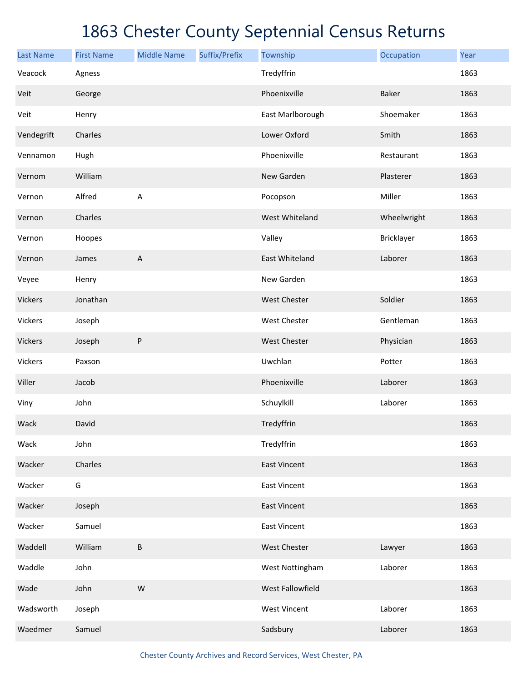| <b>Last Name</b> | <b>First Name</b> | <b>Middle Name</b>        | Suffix/Prefix | Township              | Occupation   | Year |
|------------------|-------------------|---------------------------|---------------|-----------------------|--------------|------|
| Veacock          | Agness            |                           |               | Tredyffrin            |              | 1863 |
| Veit             | George            |                           |               | Phoenixville          | <b>Baker</b> | 1863 |
| Veit             | Henry             |                           |               | East Marlborough      | Shoemaker    | 1863 |
| Vendegrift       | Charles           |                           |               | Lower Oxford          | Smith        | 1863 |
| Vennamon         | Hugh              |                           |               | Phoenixville          | Restaurant   | 1863 |
| Vernom           | William           |                           |               | New Garden            | Plasterer    | 1863 |
| Vernon           | Alfred            | A                         |               | Pocopson              | Miller       | 1863 |
| Vernon           | Charles           |                           |               | West Whiteland        | Wheelwright  | 1863 |
| Vernon           | Hoopes            |                           |               | Valley                | Bricklayer   | 1863 |
| Vernon           | James             | $\boldsymbol{\mathsf{A}}$ |               | <b>East Whiteland</b> | Laborer      | 1863 |
| Veyee            | Henry             |                           |               | New Garden            |              | 1863 |
| Vickers          | Jonathan          |                           |               | <b>West Chester</b>   | Soldier      | 1863 |
| Vickers          | Joseph            |                           |               | <b>West Chester</b>   | Gentleman    | 1863 |
| Vickers          | Joseph            | ${\sf P}$                 |               | <b>West Chester</b>   | Physician    | 1863 |
| Vickers          | Paxson            |                           |               | Uwchlan               | Potter       | 1863 |
| Viller           | Jacob             |                           |               | Phoenixville          | Laborer      | 1863 |
| Viny             | John              |                           |               | Schuylkill            | Laborer      | 1863 |
| Wack             | David             |                           |               | Tredyffrin            |              | 1863 |
| Wack             | John              |                           |               | Tredyffrin            |              | 1863 |
| Wacker           | Charles           |                           |               | <b>East Vincent</b>   |              | 1863 |
| Wacker           | G                 |                           |               | <b>East Vincent</b>   |              | 1863 |
| Wacker           | Joseph            |                           |               | <b>East Vincent</b>   |              | 1863 |
| Wacker           | Samuel            |                           |               | <b>East Vincent</b>   |              | 1863 |
| Waddell          | William           | B                         |               | <b>West Chester</b>   | Lawyer       | 1863 |
| Waddle           | John              |                           |               | West Nottingham       | Laborer      | 1863 |
| Wade             | John              | ${\sf W}$                 |               | West Fallowfield      |              | 1863 |
| Wadsworth        | Joseph            |                           |               | <b>West Vincent</b>   | Laborer      | 1863 |
| Waedmer          | Samuel            |                           |               | Sadsbury              | Laborer      | 1863 |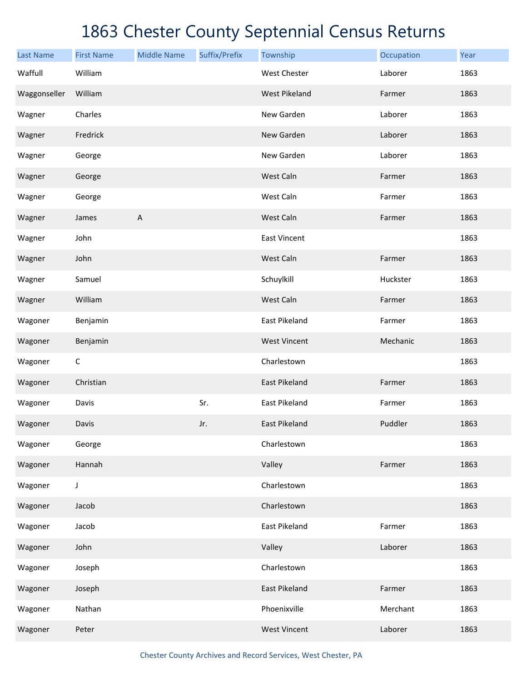| <b>Last Name</b> | <b>First Name</b> | <b>Middle Name</b>        | Suffix/Prefix | Township             | Occupation | Year |
|------------------|-------------------|---------------------------|---------------|----------------------|------------|------|
| Waffull          | William           |                           |               | <b>West Chester</b>  | Laborer    | 1863 |
| Waggonseller     | William           |                           |               | <b>West Pikeland</b> | Farmer     | 1863 |
| Wagner           | Charles           |                           |               | New Garden           | Laborer    | 1863 |
| Wagner           | Fredrick          |                           |               | New Garden           | Laborer    | 1863 |
| Wagner           | George            |                           |               | New Garden           | Laborer    | 1863 |
| Wagner           | George            |                           |               | West Caln            | Farmer     | 1863 |
| Wagner           | George            |                           |               | West Caln            | Farmer     | 1863 |
| Wagner           | James             | $\boldsymbol{\mathsf{A}}$ |               | West Caln            | Farmer     | 1863 |
| Wagner           | John              |                           |               | <b>East Vincent</b>  |            | 1863 |
| Wagner           | John              |                           |               | West Caln            | Farmer     | 1863 |
| Wagner           | Samuel            |                           |               | Schuylkill           | Huckster   | 1863 |
| Wagner           | William           |                           |               | West Caln            | Farmer     | 1863 |
| Wagoner          | Benjamin          |                           |               | East Pikeland        | Farmer     | 1863 |
| Wagoner          | Benjamin          |                           |               | <b>West Vincent</b>  | Mechanic   | 1863 |
| Wagoner          | C                 |                           |               | Charlestown          |            | 1863 |
| Wagoner          | Christian         |                           |               | East Pikeland        | Farmer     | 1863 |
| Wagoner          | Davis             |                           | Sr.           | East Pikeland        | Farmer     | 1863 |
| Wagoner          | Davis             |                           | Jr.           | <b>East Pikeland</b> | Puddler    | 1863 |
| Wagoner          | George            |                           |               | Charlestown          |            | 1863 |
| Wagoner          | Hannah            |                           |               | Valley               | Farmer     | 1863 |
| Wagoner          | J                 |                           |               | Charlestown          |            | 1863 |
| Wagoner          | Jacob             |                           |               | Charlestown          |            | 1863 |
| Wagoner          | Jacob             |                           |               | East Pikeland        | Farmer     | 1863 |
| Wagoner          | John              |                           |               | Valley               | Laborer    | 1863 |
| Wagoner          | Joseph            |                           |               | Charlestown          |            | 1863 |
| Wagoner          | Joseph            |                           |               | East Pikeland        | Farmer     | 1863 |
| Wagoner          | Nathan            |                           |               | Phoenixville         | Merchant   | 1863 |
| Wagoner          | Peter             |                           |               | <b>West Vincent</b>  | Laborer    | 1863 |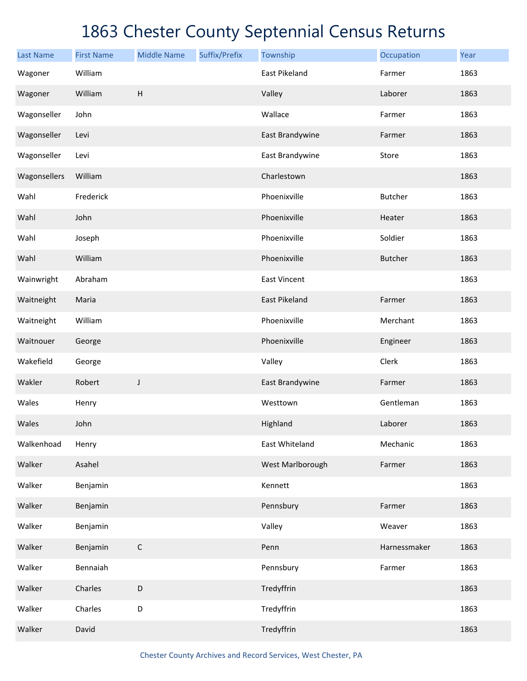| <b>Last Name</b> | <b>First Name</b> | <b>Middle Name</b>        | Suffix/Prefix | Township            | Occupation     | Year |
|------------------|-------------------|---------------------------|---------------|---------------------|----------------|------|
| Wagoner          | William           |                           |               | East Pikeland       | Farmer         | 1863 |
| Wagoner          | William           | $\boldsymbol{\mathsf{H}}$ |               | Valley              | Laborer        | 1863 |
| Wagonseller      | John              |                           |               | Wallace             | Farmer         | 1863 |
| Wagonseller      | Levi              |                           |               | East Brandywine     | Farmer         | 1863 |
| Wagonseller      | Levi              |                           |               | East Brandywine     | Store          | 1863 |
| Wagonsellers     | William           |                           |               | Charlestown         |                | 1863 |
| Wahl             | Frederick         |                           |               | Phoenixville        | <b>Butcher</b> | 1863 |
| Wahl             | John              |                           |               | Phoenixville        | Heater         | 1863 |
| Wahl             | Joseph            |                           |               | Phoenixville        | Soldier        | 1863 |
| Wahl             | William           |                           |               | Phoenixville        | <b>Butcher</b> | 1863 |
| Wainwright       | Abraham           |                           |               | <b>East Vincent</b> |                | 1863 |
| Waitneight       | Maria             |                           |               | East Pikeland       | Farmer         | 1863 |
| Waitneight       | William           |                           |               | Phoenixville        | Merchant       | 1863 |
| Waitnouer        | George            |                           |               | Phoenixville        | Engineer       | 1863 |
| Wakefield        | George            |                           |               | Valley              | Clerk          | 1863 |
| Wakler           | Robert            | J                         |               | East Brandywine     | Farmer         | 1863 |
| Wales            | Henry             |                           |               | Westtown            | Gentleman      | 1863 |
| Wales            | John              |                           |               | Highland            | Laborer        | 1863 |
| Walkenhoad       | Henry             |                           |               | East Whiteland      | Mechanic       | 1863 |
| Walker           | Asahel            |                           |               | West Marlborough    | Farmer         | 1863 |
| Walker           | Benjamin          |                           |               | Kennett             |                | 1863 |
| Walker           | Benjamin          |                           |               | Pennsbury           | Farmer         | 1863 |
| Walker           | Benjamin          |                           |               | Valley              | Weaver         | 1863 |
| Walker           | Benjamin          | $\mathsf C$               |               | Penn                | Harnessmaker   | 1863 |
| Walker           | Bennaiah          |                           |               | Pennsbury           | Farmer         | 1863 |
| Walker           | Charles           | $\mathsf D$               |               | Tredyffrin          |                | 1863 |
| Walker           | Charles           | D                         |               | Tredyffrin          |                | 1863 |
| Walker           | David             |                           |               | Tredyffrin          |                | 1863 |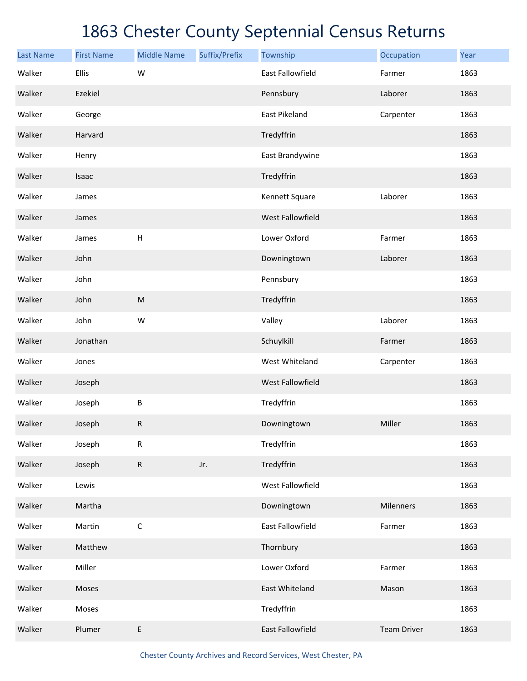| <b>Last Name</b> | <b>First Name</b> | <b>Middle Name</b>                                                                                         | Suffix/Prefix | Township                | Occupation         | Year |
|------------------|-------------------|------------------------------------------------------------------------------------------------------------|---------------|-------------------------|--------------------|------|
| Walker           | Ellis             | W                                                                                                          |               | East Fallowfield        | Farmer             | 1863 |
| Walker           | Ezekiel           |                                                                                                            |               | Pennsbury               | Laborer            | 1863 |
| Walker           | George            |                                                                                                            |               | <b>East Pikeland</b>    | Carpenter          | 1863 |
| Walker           | Harvard           |                                                                                                            |               | Tredyffrin              |                    | 1863 |
| Walker           | Henry             |                                                                                                            |               | East Brandywine         |                    | 1863 |
| Walker           | Isaac             |                                                                                                            |               | Tredyffrin              |                    | 1863 |
| Walker           | James             |                                                                                                            |               | Kennett Square          | Laborer            | 1863 |
| Walker           | James             |                                                                                                            |               | West Fallowfield        |                    | 1863 |
| Walker           | James             | $\boldsymbol{\mathsf{H}}$                                                                                  |               | Lower Oxford            | Farmer             | 1863 |
| Walker           | John              |                                                                                                            |               | Downingtown             | Laborer            | 1863 |
| Walker           | John              |                                                                                                            |               | Pennsbury               |                    | 1863 |
| Walker           | John              | $\mathsf{M}% _{T}=\mathsf{M}_{T}\!\left( a,b\right) ,\ \mathsf{M}_{T}=\mathsf{M}_{T}\!\left( a,b\right) ,$ |               | Tredyffrin              |                    | 1863 |
| Walker           | John              | W                                                                                                          |               | Valley                  | Laborer            | 1863 |
| Walker           | Jonathan          |                                                                                                            |               | Schuylkill              | Farmer             | 1863 |
| Walker           | Jones             |                                                                                                            |               | West Whiteland          | Carpenter          | 1863 |
| Walker           | Joseph            |                                                                                                            |               | <b>West Fallowfield</b> |                    | 1863 |
| Walker           | Joseph            | $\sf B$                                                                                                    |               | Tredyffrin              |                    | 1863 |
| Walker           | Joseph            | ${\sf R}$                                                                                                  |               | Downingtown             | Miller             | 1863 |
| Walker           | Joseph            | ${\sf R}$                                                                                                  |               | Tredyffrin              |                    | 1863 |
| Walker           | Joseph            | ${\sf R}$                                                                                                  | Jr.           | Tredyffrin              |                    | 1863 |
| Walker           | Lewis             |                                                                                                            |               | West Fallowfield        |                    | 1863 |
| Walker           | Martha            |                                                                                                            |               | Downingtown             | Milenners          | 1863 |
| Walker           | Martin            | $\mathsf C$                                                                                                |               | East Fallowfield        | Farmer             | 1863 |
| Walker           | Matthew           |                                                                                                            |               | Thornbury               |                    | 1863 |
| Walker           | Miller            |                                                                                                            |               | Lower Oxford            | Farmer             | 1863 |
| Walker           | Moses             |                                                                                                            |               | East Whiteland          | Mason              | 1863 |
| Walker           | Moses             |                                                                                                            |               | Tredyffrin              |                    | 1863 |
| Walker           | Plumer            | $\sf E$                                                                                                    |               | East Fallowfield        | <b>Team Driver</b> | 1863 |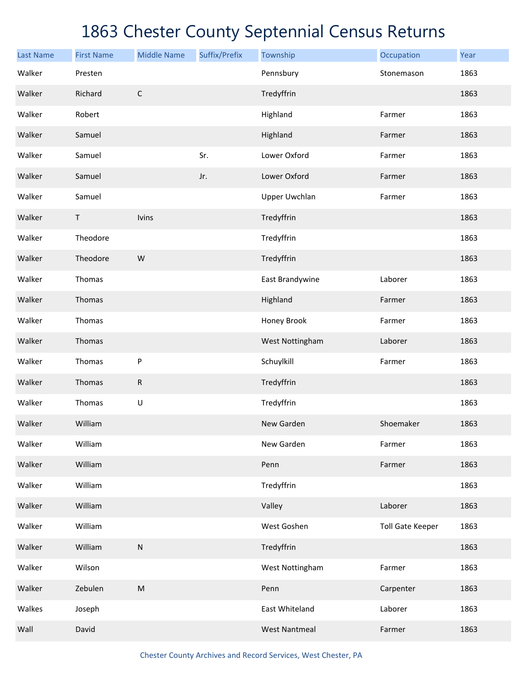| <b>Last Name</b> | <b>First Name</b> | <b>Middle Name</b> | Suffix/Prefix | Township             | Occupation              | Year |
|------------------|-------------------|--------------------|---------------|----------------------|-------------------------|------|
| Walker           | Presten           |                    |               | Pennsbury            | Stonemason              | 1863 |
| Walker           | Richard           | $\mathsf C$        |               | Tredyffrin           |                         | 1863 |
| Walker           | Robert            |                    |               | Highland             | Farmer                  | 1863 |
| Walker           | Samuel            |                    |               | Highland             | Farmer                  | 1863 |
| Walker           | Samuel            |                    | Sr.           | Lower Oxford         | Farmer                  | 1863 |
| Walker           | Samuel            |                    | Jr.           | Lower Oxford         | Farmer                  | 1863 |
| Walker           | Samuel            |                    |               | Upper Uwchlan        | Farmer                  | 1863 |
| Walker           | $\sf T$           | Ivins              |               | Tredyffrin           |                         | 1863 |
| Walker           | Theodore          |                    |               | Tredyffrin           |                         | 1863 |
| Walker           | Theodore          | W                  |               | Tredyffrin           |                         | 1863 |
| Walker           | Thomas            |                    |               | East Brandywine      | Laborer                 | 1863 |
| Walker           | Thomas            |                    |               | Highland             | Farmer                  | 1863 |
| Walker           | Thomas            |                    |               | Honey Brook          | Farmer                  | 1863 |
| Walker           | Thomas            |                    |               | West Nottingham      | Laborer                 | 1863 |
| Walker           | Thomas            | ${\sf P}$          |               | Schuylkill           | Farmer                  | 1863 |
| Walker           | Thomas            | ${\sf R}$          |               | Tredyffrin           |                         | 1863 |
| Walker           | Thomas            | $\sf U$            |               | Tredyffrin           |                         | 1863 |
| Walker           | William           |                    |               | New Garden           | Shoemaker               | 1863 |
| Walker           | William           |                    |               | New Garden           | Farmer                  | 1863 |
| Walker           | William           |                    |               | Penn                 | Farmer                  | 1863 |
| Walker           | William           |                    |               | Tredyffrin           |                         | 1863 |
| Walker           | William           |                    |               | Valley               | Laborer                 | 1863 |
| Walker           | William           |                    |               | West Goshen          | <b>Toll Gate Keeper</b> | 1863 |
| Walker           | William           | ${\sf N}$          |               | Tredyffrin           |                         | 1863 |
| Walker           | Wilson            |                    |               | West Nottingham      | Farmer                  | 1863 |
| Walker           | Zebulen           | ${\sf M}$          |               | Penn                 | Carpenter               | 1863 |
| Walkes           | Joseph            |                    |               | East Whiteland       | Laborer                 | 1863 |
| Wall             | David             |                    |               | <b>West Nantmeal</b> | Farmer                  | 1863 |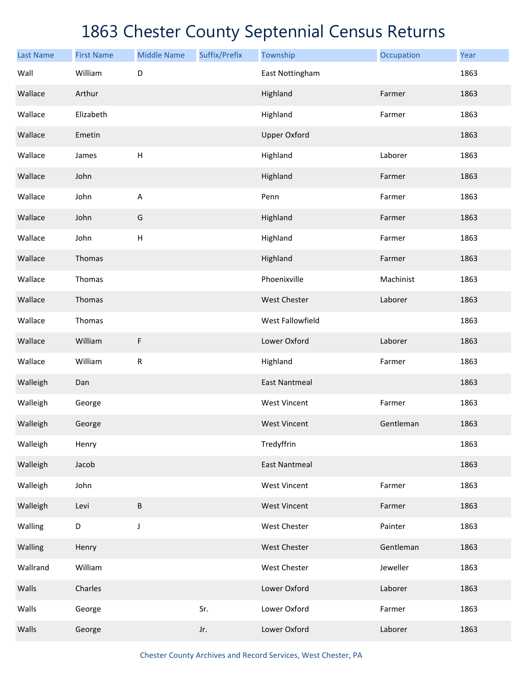| <b>Last Name</b> | <b>First Name</b> | <b>Middle Name</b> | Suffix/Prefix | Township             | Occupation | Year |
|------------------|-------------------|--------------------|---------------|----------------------|------------|------|
| Wall             | William           | D                  |               | East Nottingham      |            | 1863 |
| Wallace          | Arthur            |                    |               | Highland             | Farmer     | 1863 |
| Wallace          | Elizabeth         |                    |               | Highland             | Farmer     | 1863 |
| Wallace          | Emetin            |                    |               | <b>Upper Oxford</b>  |            | 1863 |
| Wallace          | James             | H                  |               | Highland             | Laborer    | 1863 |
| Wallace          | John              |                    |               | Highland             | Farmer     | 1863 |
| Wallace          | John              | $\sf A$            |               | Penn                 | Farmer     | 1863 |
| Wallace          | John              | G                  |               | Highland             | Farmer     | 1863 |
| Wallace          | John              | H                  |               | Highland             | Farmer     | 1863 |
| Wallace          | Thomas            |                    |               | Highland             | Farmer     | 1863 |
| Wallace          | Thomas            |                    |               | Phoenixville         | Machinist  | 1863 |
| Wallace          | Thomas            |                    |               | West Chester         | Laborer    | 1863 |
| Wallace          | Thomas            |                    |               | West Fallowfield     |            | 1863 |
| Wallace          | William           | F                  |               | Lower Oxford         | Laborer    | 1863 |
| Wallace          | William           | ${\sf R}$          |               | Highland             | Farmer     | 1863 |
| Walleigh         | Dan               |                    |               | <b>East Nantmeal</b> |            | 1863 |
| Walleigh         | George            |                    |               | <b>West Vincent</b>  | Farmer     | 1863 |
| Walleigh         | George            |                    |               | <b>West Vincent</b>  | Gentleman  | 1863 |
| Walleigh         | Henry             |                    |               | Tredyffrin           |            | 1863 |
| Walleigh         | Jacob             |                    |               | <b>East Nantmeal</b> |            | 1863 |
| Walleigh         | John              |                    |               | <b>West Vincent</b>  | Farmer     | 1863 |
| Walleigh         | Levi              | B                  |               | <b>West Vincent</b>  | Farmer     | 1863 |
| Walling          | D                 | $\mathsf J$        |               | West Chester         | Painter    | 1863 |
| Walling          | Henry             |                    |               | West Chester         | Gentleman  | 1863 |
| Wallrand         | William           |                    |               | West Chester         | Jeweller   | 1863 |
| Walls            | Charles           |                    |               | Lower Oxford         | Laborer    | 1863 |
| Walls            | George            |                    | Sr.           | Lower Oxford         | Farmer     | 1863 |
| Walls            | George            |                    | Jr.           | Lower Oxford         | Laborer    | 1863 |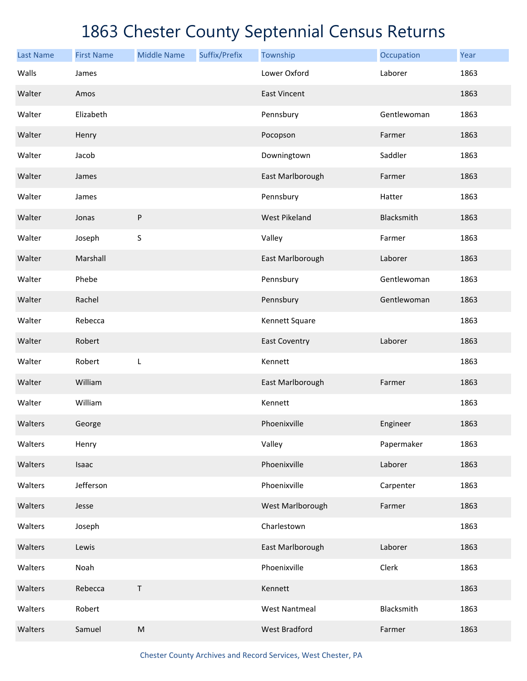| <b>Last Name</b> | <b>First Name</b> | <b>Middle Name</b> | Suffix/Prefix | Township             | Occupation  | Year |
|------------------|-------------------|--------------------|---------------|----------------------|-------------|------|
| Walls            | James             |                    |               | Lower Oxford         | Laborer     | 1863 |
| Walter           | Amos              |                    |               | <b>East Vincent</b>  |             | 1863 |
| Walter           | Elizabeth         |                    |               | Pennsbury            | Gentlewoman | 1863 |
| Walter           | Henry             |                    |               | Pocopson             | Farmer      | 1863 |
| Walter           | Jacob             |                    |               | Downingtown          | Saddler     | 1863 |
| Walter           | James             |                    |               | East Marlborough     | Farmer      | 1863 |
| Walter           | James             |                    |               | Pennsbury            | Hatter      | 1863 |
| Walter           | Jonas             | ${\sf P}$          |               | <b>West Pikeland</b> | Blacksmith  | 1863 |
| Walter           | Joseph            | $\sf S$            |               | Valley               | Farmer      | 1863 |
| Walter           | Marshall          |                    |               | East Marlborough     | Laborer     | 1863 |
| Walter           | Phebe             |                    |               | Pennsbury            | Gentlewoman | 1863 |
| Walter           | Rachel            |                    |               | Pennsbury            | Gentlewoman | 1863 |
| Walter           | Rebecca           |                    |               | Kennett Square       |             | 1863 |
| Walter           | Robert            |                    |               | <b>East Coventry</b> | Laborer     | 1863 |
| Walter           | Robert            | L                  |               | Kennett              |             | 1863 |
| Walter           | William           |                    |               | East Marlborough     | Farmer      | 1863 |
| Walter           | William           |                    |               | Kennett              |             | 1863 |
| Walters          | George            |                    |               | Phoenixville         | Engineer    | 1863 |
| Walters          | Henry             |                    |               | Valley               | Papermaker  | 1863 |
| Walters          | Isaac             |                    |               | Phoenixville         | Laborer     | 1863 |
| Walters          | Jefferson         |                    |               | Phoenixville         | Carpenter   | 1863 |
| Walters          | Jesse             |                    |               | West Marlborough     | Farmer      | 1863 |
| Walters          | Joseph            |                    |               | Charlestown          |             | 1863 |
| Walters          | Lewis             |                    |               | East Marlborough     | Laborer     | 1863 |
| Walters          | Noah              |                    |               | Phoenixville         | Clerk       | 1863 |
| Walters          | Rebecca           | Τ                  |               | Kennett              |             | 1863 |
| Walters          | Robert            |                    |               | <b>West Nantmeal</b> | Blacksmith  | 1863 |
| Walters          | Samuel            | ${\sf M}$          |               | <b>West Bradford</b> | Farmer      | 1863 |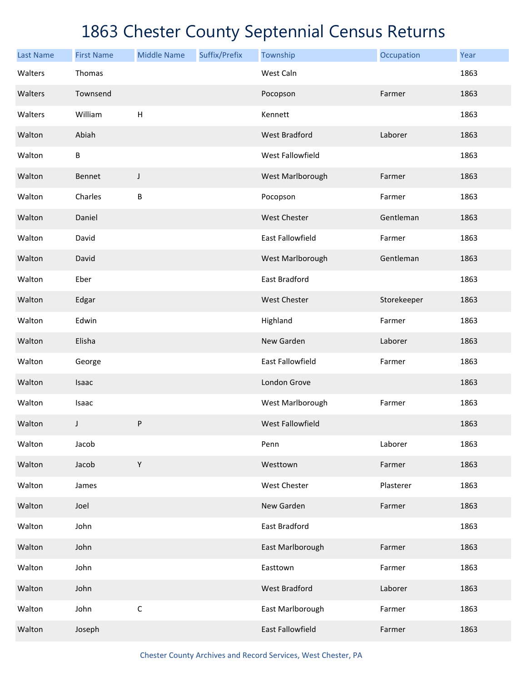| <b>Last Name</b> | <b>First Name</b> | <b>Middle Name</b> | Suffix/Prefix | Township                | Occupation  | Year |
|------------------|-------------------|--------------------|---------------|-------------------------|-------------|------|
| Walters          | Thomas            |                    |               | West Caln               |             | 1863 |
| Walters          | Townsend          |                    |               | Pocopson                | Farmer      | 1863 |
| Walters          | William           | H                  |               | Kennett                 |             | 1863 |
| Walton           | Abiah             |                    |               | <b>West Bradford</b>    | Laborer     | 1863 |
| Walton           | В                 |                    |               | West Fallowfield        |             | 1863 |
| Walton           | Bennet            | J                  |               | West Marlborough        | Farmer      | 1863 |
| Walton           | Charles           | B                  |               | Pocopson                | Farmer      | 1863 |
| Walton           | Daniel            |                    |               | <b>West Chester</b>     | Gentleman   | 1863 |
| Walton           | David             |                    |               | <b>East Fallowfield</b> | Farmer      | 1863 |
| Walton           | David             |                    |               | West Marlborough        | Gentleman   | 1863 |
| Walton           | Eber              |                    |               | East Bradford           |             | 1863 |
| Walton           | Edgar             |                    |               | <b>West Chester</b>     | Storekeeper | 1863 |
| Walton           | Edwin             |                    |               | Highland                | Farmer      | 1863 |
| Walton           | Elisha            |                    |               | New Garden              | Laborer     | 1863 |
| Walton           | George            |                    |               | <b>East Fallowfield</b> | Farmer      | 1863 |
| Walton           | Isaac             |                    |               | London Grove            |             | 1863 |
| Walton           | Isaac             |                    |               | West Marlborough        | Farmer      | 1863 |
| Walton           | J                 | ${\sf P}$          |               | West Fallowfield        |             | 1863 |
| Walton           | Jacob             |                    |               | Penn                    | Laborer     | 1863 |
| Walton           | Jacob             | $\mathsf Y$        |               | Westtown                | Farmer      | 1863 |
| Walton           | James             |                    |               | West Chester            | Plasterer   | 1863 |
| Walton           | Joel              |                    |               | New Garden              | Farmer      | 1863 |
| Walton           | John              |                    |               | East Bradford           |             | 1863 |
| Walton           | John              |                    |               | East Marlborough        | Farmer      | 1863 |
| Walton           | John              |                    |               | Easttown                | Farmer      | 1863 |
| Walton           | John              |                    |               | <b>West Bradford</b>    | Laborer     | 1863 |
| Walton           | John              | $\mathsf C$        |               | East Marlborough        | Farmer      | 1863 |
| Walton           | Joseph            |                    |               | East Fallowfield        | Farmer      | 1863 |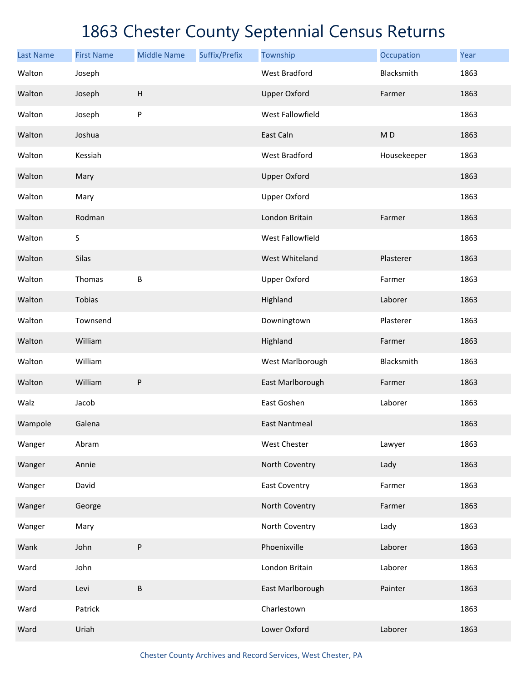| <b>Last Name</b> | <b>First Name</b> | <b>Middle Name</b>        | Suffix/Prefix | Township             | Occupation     | Year |
|------------------|-------------------|---------------------------|---------------|----------------------|----------------|------|
| Walton           | Joseph            |                           |               | <b>West Bradford</b> | Blacksmith     | 1863 |
| Walton           | Joseph            | $\boldsymbol{\mathsf{H}}$ |               | <b>Upper Oxford</b>  | Farmer         | 1863 |
| Walton           | Joseph            | P                         |               | West Fallowfield     |                | 1863 |
| Walton           | Joshua            |                           |               | East Caln            | M <sub>D</sub> | 1863 |
| Walton           | Kessiah           |                           |               | <b>West Bradford</b> | Housekeeper    | 1863 |
| Walton           | Mary              |                           |               | <b>Upper Oxford</b>  |                | 1863 |
| Walton           | Mary              |                           |               | <b>Upper Oxford</b>  |                | 1863 |
| Walton           | Rodman            |                           |               | London Britain       | Farmer         | 1863 |
| Walton           | S                 |                           |               | West Fallowfield     |                | 1863 |
| Walton           | Silas             |                           |               | West Whiteland       | Plasterer      | 1863 |
| Walton           | Thomas            | B                         |               | <b>Upper Oxford</b>  | Farmer         | 1863 |
| Walton           | Tobias            |                           |               | Highland             | Laborer        | 1863 |
| Walton           | Townsend          |                           |               | Downingtown          | Plasterer      | 1863 |
| Walton           | William           |                           |               | Highland             | Farmer         | 1863 |
| Walton           | William           |                           |               | West Marlborough     | Blacksmith     | 1863 |
| Walton           | William           | P                         |               | East Marlborough     | Farmer         | 1863 |
| Walz             | Jacob             |                           |               | East Goshen          | Laborer        | 1863 |
| Wampole          | Galena            |                           |               | <b>East Nantmeal</b> |                | 1863 |
| Wanger           | Abram             |                           |               | West Chester         | Lawyer         | 1863 |
| Wanger           | Annie             |                           |               | North Coventry       | Lady           | 1863 |
| Wanger           | David             |                           |               | <b>East Coventry</b> | Farmer         | 1863 |
| Wanger           | George            |                           |               | North Coventry       | Farmer         | 1863 |
| Wanger           | Mary              |                           |               | North Coventry       | Lady           | 1863 |
| Wank             | John              | P                         |               | Phoenixville         | Laborer        | 1863 |
| Ward             | John              |                           |               | London Britain       | Laborer        | 1863 |
| Ward             | Levi              | B                         |               | East Marlborough     | Painter        | 1863 |
| Ward             | Patrick           |                           |               | Charlestown          |                | 1863 |
| Ward             | Uriah             |                           |               | Lower Oxford         | Laborer        | 1863 |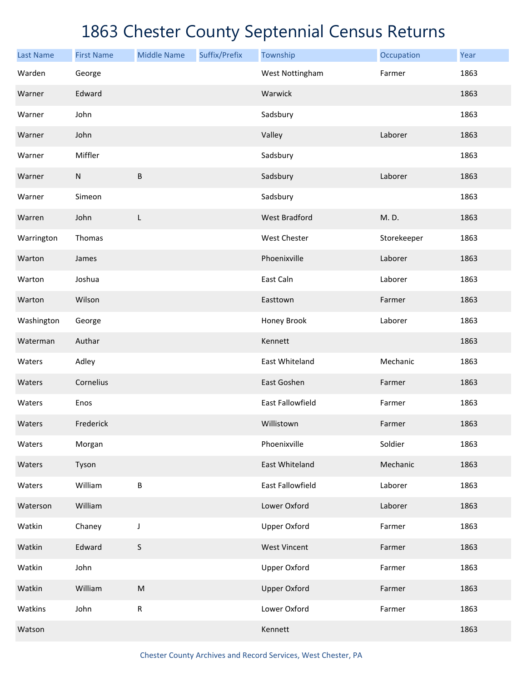| <b>Last Name</b> | <b>First Name</b> | <b>Middle Name</b> | Suffix/Prefix | Township                | Occupation  | Year |
|------------------|-------------------|--------------------|---------------|-------------------------|-------------|------|
| Warden           | George            |                    |               | West Nottingham         | Farmer      | 1863 |
| Warner           | Edward            |                    |               | Warwick                 |             | 1863 |
| Warner           | John              |                    |               | Sadsbury                |             | 1863 |
| Warner           | John              |                    |               | Valley                  | Laborer     | 1863 |
| Warner           | Miffler           |                    |               | Sadsbury                |             | 1863 |
| Warner           | $\mathsf{N}$      | $\sf B$            |               | Sadsbury                | Laborer     | 1863 |
| Warner           | Simeon            |                    |               | Sadsbury                |             | 1863 |
| Warren           | John              | L                  |               | <b>West Bradford</b>    | M.D.        | 1863 |
| Warrington       | Thomas            |                    |               | <b>West Chester</b>     | Storekeeper | 1863 |
| Warton           | James             |                    |               | Phoenixville            | Laborer     | 1863 |
| Warton           | Joshua            |                    |               | East Caln               | Laborer     | 1863 |
| Warton           | Wilson            |                    |               | Easttown                | Farmer      | 1863 |
| Washington       | George            |                    |               | Honey Brook             | Laborer     | 1863 |
| Waterman         | Authar            |                    |               | Kennett                 |             | 1863 |
| Waters           | Adley             |                    |               | East Whiteland          | Mechanic    | 1863 |
| Waters           | Cornelius         |                    |               | East Goshen             | Farmer      | 1863 |
| Waters           | Enos              |                    |               | <b>East Fallowfield</b> | Farmer      | 1863 |
| Waters           | Frederick         |                    |               | Willistown              | Farmer      | 1863 |
| Waters           | Morgan            |                    |               | Phoenixville            | Soldier     | 1863 |
| Waters           | Tyson             |                    |               | East Whiteland          | Mechanic    | 1863 |
| Waters           | William           | $\sf B$            |               | East Fallowfield        | Laborer     | 1863 |
| Waterson         | William           |                    |               | Lower Oxford            | Laborer     | 1863 |
| Watkin           | Chaney            | J                  |               | <b>Upper Oxford</b>     | Farmer      | 1863 |
| Watkin           | Edward            | $\sf S$            |               | <b>West Vincent</b>     | Farmer      | 1863 |
| Watkin           | John              |                    |               | <b>Upper Oxford</b>     | Farmer      | 1863 |
| Watkin           | William           | ${\sf M}$          |               | <b>Upper Oxford</b>     | Farmer      | 1863 |
| Watkins          | John              | ${\sf R}$          |               | Lower Oxford            | Farmer      | 1863 |
| Watson           |                   |                    |               | Kennett                 |             | 1863 |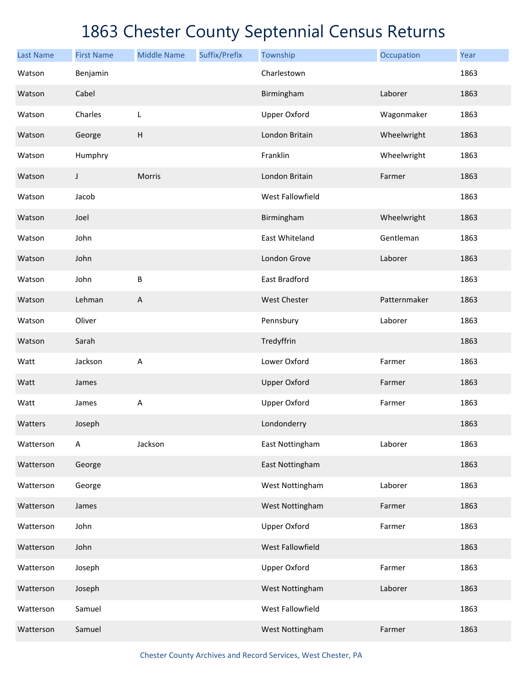| <b>Last Name</b> | <b>First Name</b> | <b>Middle Name</b>        | Suffix/Prefix | Township            | Occupation   | Year |
|------------------|-------------------|---------------------------|---------------|---------------------|--------------|------|
| Watson           | Benjamin          |                           |               | Charlestown         |              | 1863 |
| Watson           | Cabel             |                           |               | Birmingham          | Laborer      | 1863 |
| Watson           | Charles           | L                         |               | <b>Upper Oxford</b> | Wagonmaker   | 1863 |
| Watson           | George            | $\boldsymbol{\mathsf{H}}$ |               | London Britain      | Wheelwright  | 1863 |
| Watson           | Humphry           |                           |               | Franklin            | Wheelwright  | 1863 |
| Watson           | J                 | Morris                    |               | London Britain      | Farmer       | 1863 |
| Watson           | Jacob             |                           |               | West Fallowfield    |              | 1863 |
| Watson           | Joel              |                           |               | Birmingham          | Wheelwright  | 1863 |
| Watson           | John              |                           |               | East Whiteland      | Gentleman    | 1863 |
| Watson           | John              |                           |               | London Grove        | Laborer      | 1863 |
| Watson           | John              | $\sf B$                   |               | East Bradford       |              | 1863 |
| Watson           | Lehman            | A                         |               | West Chester        | Patternmaker | 1863 |
| Watson           | Oliver            |                           |               | Pennsbury           | Laborer      | 1863 |
| Watson           | Sarah             |                           |               | Tredyffrin          |              | 1863 |
| Watt             | Jackson           | A                         |               | Lower Oxford        | Farmer       | 1863 |
| Watt             | James             |                           |               | <b>Upper Oxford</b> | Farmer       | 1863 |
| Watt             | James             | A                         |               | <b>Upper Oxford</b> | Farmer       | 1863 |
| Watters          | Joseph            |                           |               | Londonderry         |              | 1863 |
| Watterson        | A                 | Jackson                   |               | East Nottingham     | Laborer      | 1863 |
| Watterson        | George            |                           |               | East Nottingham     |              | 1863 |
| Watterson        | George            |                           |               | West Nottingham     | Laborer      | 1863 |
| Watterson        | James             |                           |               | West Nottingham     | Farmer       | 1863 |
| Watterson        | John              |                           |               | <b>Upper Oxford</b> | Farmer       | 1863 |
| Watterson        | John              |                           |               | West Fallowfield    |              | 1863 |
| Watterson        | Joseph            |                           |               | <b>Upper Oxford</b> | Farmer       | 1863 |
| Watterson        | Joseph            |                           |               | West Nottingham     | Laborer      | 1863 |
| Watterson        | Samuel            |                           |               | West Fallowfield    |              | 1863 |
| Watterson        | Samuel            |                           |               | West Nottingham     | Farmer       | 1863 |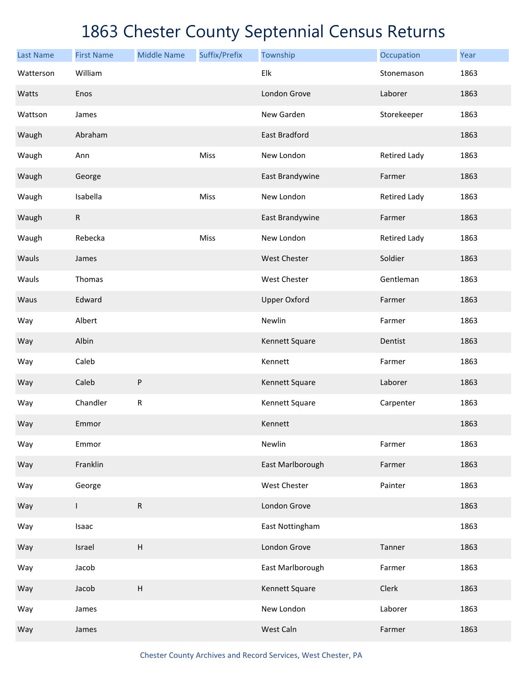| <b>Last Name</b> | <b>First Name</b> | <b>Middle Name</b>        | Suffix/Prefix | Township             | Occupation          | Year |
|------------------|-------------------|---------------------------|---------------|----------------------|---------------------|------|
| Watterson        | William           |                           |               | Elk                  | Stonemason          | 1863 |
| Watts            | Enos              |                           |               | London Grove         | Laborer             | 1863 |
| Wattson          | James             |                           |               | New Garden           | Storekeeper         | 1863 |
| Waugh            | Abraham           |                           |               | <b>East Bradford</b> |                     | 1863 |
| Waugh            | Ann               |                           | Miss          | New London           | <b>Retired Lady</b> | 1863 |
| Waugh            | George            |                           |               | East Brandywine      | Farmer              | 1863 |
| Waugh            | Isabella          |                           | Miss          | New London           | <b>Retired Lady</b> | 1863 |
| Waugh            | R                 |                           |               | East Brandywine      | Farmer              | 1863 |
| Waugh            | Rebecka           |                           | Miss          | New London           | <b>Retired Lady</b> | 1863 |
| Wauls            | James             |                           |               | West Chester         | Soldier             | 1863 |
| Wauls            | Thomas            |                           |               | West Chester         | Gentleman           | 1863 |
| Waus             | Edward            |                           |               | <b>Upper Oxford</b>  | Farmer              | 1863 |
| Way              | Albert            |                           |               | Newlin               | Farmer              | 1863 |
| Way              | Albin             |                           |               | Kennett Square       | Dentist             | 1863 |
| Way              | Caleb             |                           |               | Kennett              | Farmer              | 1863 |
| Way              | Caleb             | ${\sf P}$                 |               | Kennett Square       | Laborer             | 1863 |
| Way              | Chandler          | ${\sf R}$                 |               | Kennett Square       | Carpenter           | 1863 |
| Way              | Emmor             |                           |               | Kennett              |                     | 1863 |
| Way              | Emmor             |                           |               | Newlin               | Farmer              | 1863 |
| Way              | Franklin          |                           |               | East Marlborough     | Farmer              | 1863 |
| Way              | George            |                           |               | West Chester         | Painter             | 1863 |
| Way              | L                 | ${\sf R}$                 |               | London Grove         |                     | 1863 |
| Way              | Isaac             |                           |               | East Nottingham      |                     | 1863 |
| Way              | Israel            | $\boldsymbol{\mathsf{H}}$ |               | London Grove         | Tanner              | 1863 |
| Way              | Jacob             |                           |               | East Marlborough     | Farmer              | 1863 |
| Way              | Jacob             | $\boldsymbol{\mathsf{H}}$ |               | Kennett Square       | Clerk               | 1863 |
| Way              | James             |                           |               | New London           | Laborer             | 1863 |
| Way              | James             |                           |               | West Caln            | Farmer              | 1863 |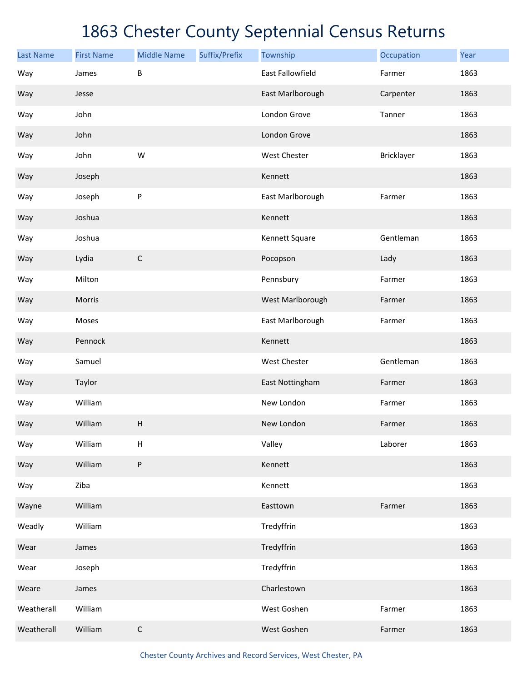| <b>Last Name</b> | <b>First Name</b> | <b>Middle Name</b>        | Suffix/Prefix | Township                | Occupation | Year |
|------------------|-------------------|---------------------------|---------------|-------------------------|------------|------|
| Way              | James             | B                         |               | <b>East Fallowfield</b> | Farmer     | 1863 |
| Way              | Jesse             |                           |               | East Marlborough        | Carpenter  | 1863 |
| Way              | John              |                           |               | London Grove            | Tanner     | 1863 |
| Way              | John              |                           |               | London Grove            |            | 1863 |
| Way              | John              | W                         |               | West Chester            | Bricklayer | 1863 |
| Way              | Joseph            |                           |               | Kennett                 |            | 1863 |
| Way              | Joseph            | P                         |               | East Marlborough        | Farmer     | 1863 |
| Way              | Joshua            |                           |               | Kennett                 |            | 1863 |
| Way              | Joshua            |                           |               | Kennett Square          | Gentleman  | 1863 |
| Way              | Lydia             | $\mathsf C$               |               | Pocopson                | Lady       | 1863 |
| Way              | Milton            |                           |               | Pennsbury               | Farmer     | 1863 |
| Way              | Morris            |                           |               | West Marlborough        | Farmer     | 1863 |
| Way              | Moses             |                           |               | East Marlborough        | Farmer     | 1863 |
| Way              | Pennock           |                           |               | Kennett                 |            | 1863 |
| Way              | Samuel            |                           |               | West Chester            | Gentleman  | 1863 |
| Way              | Taylor            |                           |               | East Nottingham         | Farmer     | 1863 |
| Way              | William           |                           |               | New London              | Farmer     | 1863 |
| Way              | William           | Н                         |               | New London              | Farmer     | 1863 |
| Way              | William           | $\boldsymbol{\mathsf{H}}$ |               | Valley                  | Laborer    | 1863 |
| Way              | William           | P                         |               | Kennett                 |            | 1863 |
| Way              | Ziba              |                           |               | Kennett                 |            | 1863 |
| Wayne            | William           |                           |               | Easttown                | Farmer     | 1863 |
| Weadly           | William           |                           |               | Tredyffrin              |            | 1863 |
| Wear             | James             |                           |               | Tredyffrin              |            | 1863 |
| Wear             | Joseph            |                           |               | Tredyffrin              |            | 1863 |
| Weare            | James             |                           |               | Charlestown             |            | 1863 |
| Weatherall       | William           |                           |               | West Goshen             | Farmer     | 1863 |
| Weatherall       | William           | $\mathsf C$               |               | West Goshen             | Farmer     | 1863 |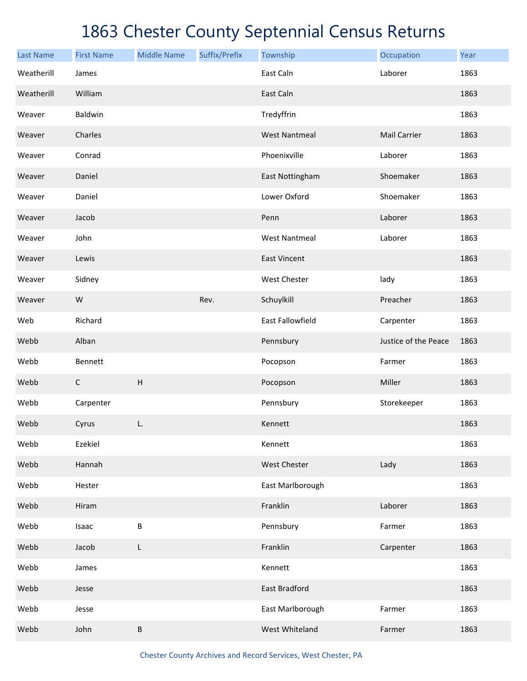| <b>Last Name</b> | <b>First Name</b> | <b>Middle Name</b>        | Suffix/Prefix | Township             | Occupation           | Year |
|------------------|-------------------|---------------------------|---------------|----------------------|----------------------|------|
| Weatherill       | James             |                           |               | East Caln            | Laborer              | 1863 |
| Weatherill       | William           |                           |               | East Caln            |                      | 1863 |
| Weaver           | Baldwin           |                           |               | Tredyffrin           |                      | 1863 |
| Weaver           | Charles           |                           |               | <b>West Nantmeal</b> | <b>Mail Carrier</b>  | 1863 |
| Weaver           | Conrad            |                           |               | Phoenixville         | Laborer              | 1863 |
| Weaver           | Daniel            |                           |               | East Nottingham      | Shoemaker            | 1863 |
| Weaver           | Daniel            |                           |               | Lower Oxford         | Shoemaker            | 1863 |
| Weaver           | Jacob             |                           |               | Penn                 | Laborer              | 1863 |
| Weaver           | John              |                           |               | <b>West Nantmeal</b> | Laborer              | 1863 |
| Weaver           | Lewis             |                           |               | <b>East Vincent</b>  |                      | 1863 |
| Weaver           | Sidney            |                           |               | West Chester         | lady                 | 1863 |
| Weaver           | W                 |                           | Rev.          | Schuylkill           | Preacher             | 1863 |
| Web              | Richard           |                           |               | East Fallowfield     | Carpenter            | 1863 |
| Webb             | Alban             |                           |               | Pennsbury            | Justice of the Peace | 1863 |
| Webb             | Bennett           |                           |               | Pocopson             | Farmer               | 1863 |
| Webb             | $\mathsf C$       | $\boldsymbol{\mathsf{H}}$ |               | Pocopson             | Miller               | 1863 |
| Webb             | Carpenter         |                           |               | Pennsbury            | Storekeeper          | 1863 |
| Webb             | Cyrus             | L.                        |               | Kennett              |                      | 1863 |
| Webb             | Ezekiel           |                           |               | Kennett              |                      | 1863 |
| Webb             | Hannah            |                           |               | West Chester         | Lady                 | 1863 |
| Webb             | Hester            |                           |               | East Marlborough     |                      | 1863 |
| Webb             | Hiram             |                           |               | Franklin             | Laborer              | 1863 |
| Webb             | Isaac             | $\sf B$                   |               | Pennsbury            | Farmer               | 1863 |
| Webb             | Jacob             | L                         |               | Franklin             | Carpenter            | 1863 |
| Webb             | James             |                           |               | Kennett              |                      | 1863 |
| Webb             | Jesse             |                           |               | East Bradford        |                      | 1863 |
| Webb             | Jesse             |                           |               | East Marlborough     | Farmer               | 1863 |
| Webb             | John              | $\sf B$                   |               | West Whiteland       | Farmer               | 1863 |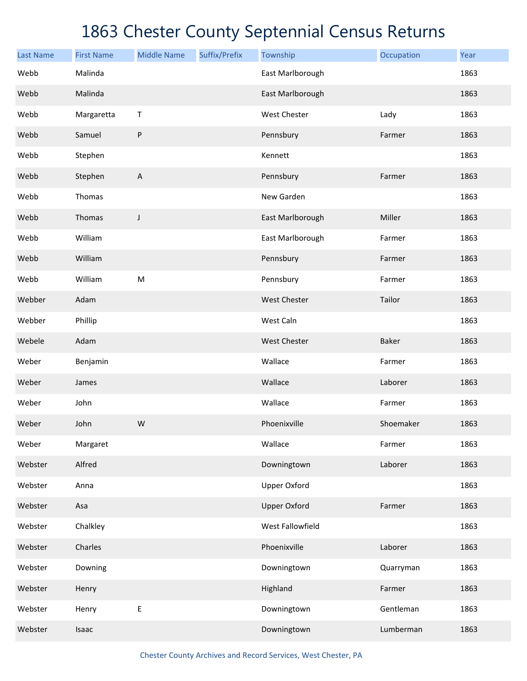| <b>Last Name</b> | <b>First Name</b> | <b>Middle Name</b>        | Suffix/Prefix | Township            | Occupation | Year |
|------------------|-------------------|---------------------------|---------------|---------------------|------------|------|
| Webb             | Malinda           |                           |               | East Marlborough    |            | 1863 |
| Webb             | Malinda           |                           |               | East Marlborough    |            | 1863 |
| Webb             | Margaretta        | Τ                         |               | <b>West Chester</b> | Lady       | 1863 |
| Webb             | Samuel            | ${\sf P}$                 |               | Pennsbury           | Farmer     | 1863 |
| Webb             | Stephen           |                           |               | Kennett             |            | 1863 |
| Webb             | Stephen           | $\boldsymbol{\mathsf{A}}$ |               | Pennsbury           | Farmer     | 1863 |
| Webb             | Thomas            |                           |               | New Garden          |            | 1863 |
| Webb             | Thomas            | J                         |               | East Marlborough    | Miller     | 1863 |
| Webb             | William           |                           |               | East Marlborough    | Farmer     | 1863 |
| Webb             | William           |                           |               | Pennsbury           | Farmer     | 1863 |
| Webb             | William           | ${\sf M}$                 |               | Pennsbury           | Farmer     | 1863 |
| Webber           | Adam              |                           |               | <b>West Chester</b> | Tailor     | 1863 |
| Webber           | Phillip           |                           |               | West Caln           |            | 1863 |
| Webele           | Adam              |                           |               | <b>West Chester</b> | Baker      | 1863 |
| Weber            | Benjamin          |                           |               | Wallace             | Farmer     | 1863 |
| Weber            | James             |                           |               | Wallace             | Laborer    | 1863 |
| Weber            | John              |                           |               | Wallace             | Farmer     | 1863 |
| Weber            | John              | W                         |               | Phoenixville        | Shoemaker  | 1863 |
| Weber            | Margaret          |                           |               | Wallace             | Farmer     | 1863 |
| Webster          | Alfred            |                           |               | Downingtown         | Laborer    | 1863 |
| Webster          | Anna              |                           |               | <b>Upper Oxford</b> |            | 1863 |
| Webster          | Asa               |                           |               | <b>Upper Oxford</b> | Farmer     | 1863 |
| Webster          | Chalkley          |                           |               | West Fallowfield    |            | 1863 |
| Webster          | Charles           |                           |               | Phoenixville        | Laborer    | 1863 |
| Webster          | Downing           |                           |               | Downingtown         | Quarryman  | 1863 |
| Webster          | Henry             |                           |               | Highland            | Farmer     | 1863 |
| Webster          | Henry             | E                         |               | Downingtown         | Gentleman  | 1863 |
| Webster          | Isaac             |                           |               | Downingtown         | Lumberman  | 1863 |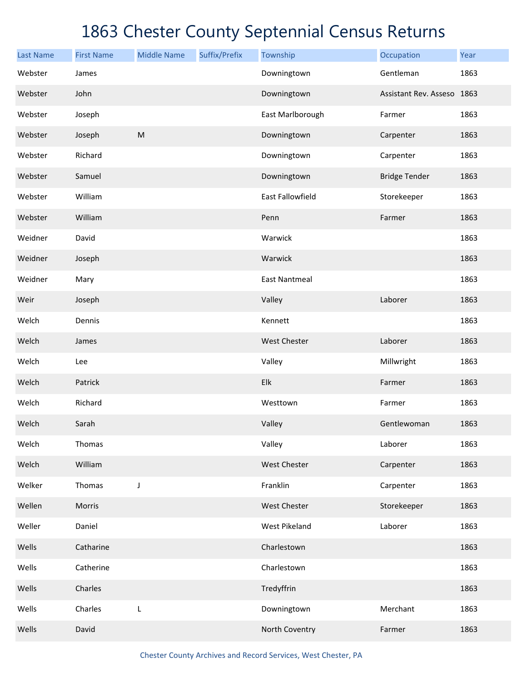| <b>Last Name</b> | <b>First Name</b> | <b>Middle Name</b> | Suffix/Prefix | Township             | Occupation                 | Year |
|------------------|-------------------|--------------------|---------------|----------------------|----------------------------|------|
| Webster          | James             |                    |               | Downingtown          | Gentleman                  | 1863 |
| Webster          | John              |                    |               | Downingtown          | Assistant Rev. Asseso 1863 |      |
| Webster          | Joseph            |                    |               | East Marlborough     | Farmer                     | 1863 |
| Webster          | Joseph            | ${\sf M}$          |               | Downingtown          | Carpenter                  | 1863 |
| Webster          | Richard           |                    |               | Downingtown          | Carpenter                  | 1863 |
| Webster          | Samuel            |                    |               | Downingtown          | <b>Bridge Tender</b>       | 1863 |
| Webster          | William           |                    |               | East Fallowfield     | Storekeeper                | 1863 |
| Webster          | William           |                    |               | Penn                 | Farmer                     | 1863 |
| Weidner          | David             |                    |               | Warwick              |                            | 1863 |
| Weidner          | Joseph            |                    |               | Warwick              |                            | 1863 |
| Weidner          | Mary              |                    |               | <b>East Nantmeal</b> |                            | 1863 |
| Weir             | Joseph            |                    |               | Valley               | Laborer                    | 1863 |
| Welch            | Dennis            |                    |               | Kennett              |                            | 1863 |
| Welch            | James             |                    |               | <b>West Chester</b>  | Laborer                    | 1863 |
| Welch            | Lee               |                    |               | Valley               | Millwright                 | 1863 |
| Welch            | Patrick           |                    |               | Elk                  | Farmer                     | 1863 |
| Welch            | Richard           |                    |               | Westtown             | Farmer                     | 1863 |
| Welch            | Sarah             |                    |               | Valley               | Gentlewoman                | 1863 |
| Welch            | Thomas            |                    |               | Valley               | Laborer                    | 1863 |
| Welch            | William           |                    |               | West Chester         | Carpenter                  | 1863 |
| Welker           | Thomas            | J                  |               | Franklin             | Carpenter                  | 1863 |
| Wellen           | Morris            |                    |               | West Chester         | Storekeeper                | 1863 |
| Weller           | Daniel            |                    |               | West Pikeland        | Laborer                    | 1863 |
| Wells            | Catharine         |                    |               | Charlestown          |                            | 1863 |
| Wells            | Catherine         |                    |               | Charlestown          |                            | 1863 |
| Wells            | Charles           |                    |               | Tredyffrin           |                            | 1863 |
| Wells            | Charles           | L                  |               | Downingtown          | Merchant                   | 1863 |
| Wells            | David             |                    |               | North Coventry       | Farmer                     | 1863 |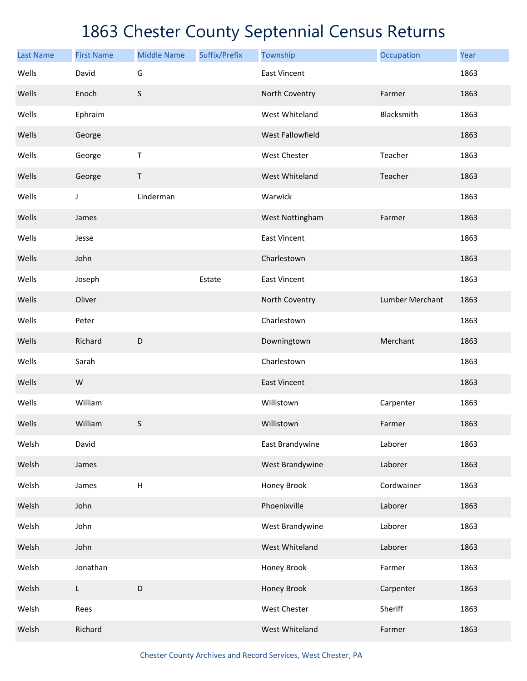| <b>Last Name</b> | <b>First Name</b> | <b>Middle Name</b>        | Suffix/Prefix | Township            | Occupation      | Year |
|------------------|-------------------|---------------------------|---------------|---------------------|-----------------|------|
| Wells            | David             | G                         |               | <b>East Vincent</b> |                 | 1863 |
| Wells            | Enoch             | $\sf S$                   |               | North Coventry      | Farmer          | 1863 |
| Wells            | Ephraim           |                           |               | West Whiteland      | Blacksmith      | 1863 |
| Wells            | George            |                           |               | West Fallowfield    |                 | 1863 |
| Wells            | George            | Τ                         |               | West Chester        | Teacher         | 1863 |
| Wells            | George            | Τ                         |               | West Whiteland      | Teacher         | 1863 |
| Wells            | J                 | Linderman                 |               | Warwick             |                 | 1863 |
| Wells            | James             |                           |               | West Nottingham     | Farmer          | 1863 |
| Wells            | Jesse             |                           |               | <b>East Vincent</b> |                 | 1863 |
| Wells            | John              |                           |               | Charlestown         |                 | 1863 |
| Wells            | Joseph            |                           | Estate        | <b>East Vincent</b> |                 | 1863 |
| Wells            | Oliver            |                           |               | North Coventry      | Lumber Merchant | 1863 |
| Wells            | Peter             |                           |               | Charlestown         |                 | 1863 |
| Wells            | Richard           | D                         |               | Downingtown         | Merchant        | 1863 |
| Wells            | Sarah             |                           |               | Charlestown         |                 | 1863 |
| Wells            | W                 |                           |               | <b>East Vincent</b> |                 | 1863 |
| Wells            | William           |                           |               | Willistown          | Carpenter       | 1863 |
| Wells            | William           | $\sf S$                   |               | Willistown          | Farmer          | 1863 |
| Welsh            | David             |                           |               | East Brandywine     | Laborer         | 1863 |
| Welsh            | James             |                           |               | West Brandywine     | Laborer         | 1863 |
| Welsh            | James             | $\boldsymbol{\mathsf{H}}$ |               | Honey Brook         | Cordwainer      | 1863 |
| Welsh            | John              |                           |               | Phoenixville        | Laborer         | 1863 |
| Welsh            | John              |                           |               | West Brandywine     | Laborer         | 1863 |
| Welsh            | John              |                           |               | West Whiteland      | Laborer         | 1863 |
| Welsh            | Jonathan          |                           |               | Honey Brook         | Farmer          | 1863 |
| Welsh            | $\mathsf L$       | D                         |               | Honey Brook         | Carpenter       | 1863 |
| Welsh            | Rees              |                           |               | West Chester        | Sheriff         | 1863 |
| Welsh            | Richard           |                           |               | West Whiteland      | Farmer          | 1863 |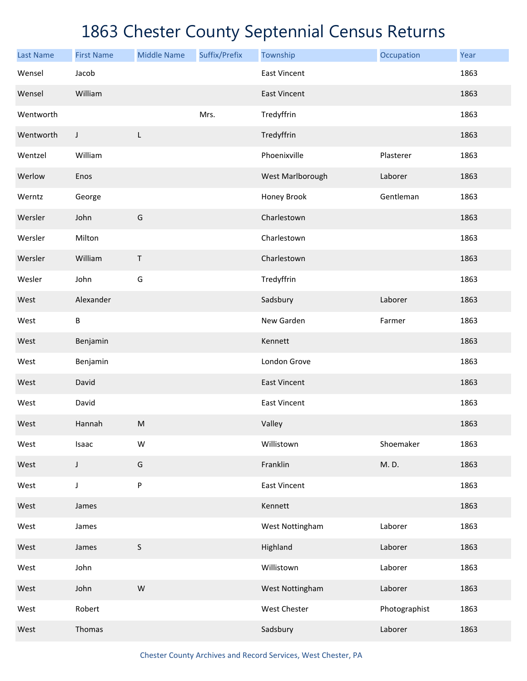| <b>Last Name</b> | <b>First Name</b> | <b>Middle Name</b> | Suffix/Prefix | Township            | Occupation    | Year |
|------------------|-------------------|--------------------|---------------|---------------------|---------------|------|
| Wensel           | Jacob             |                    |               | <b>East Vincent</b> |               | 1863 |
| Wensel           | William           |                    |               | <b>East Vincent</b> |               | 1863 |
| Wentworth        |                   |                    | Mrs.          | Tredyffrin          |               | 1863 |
| Wentworth        | J                 | L                  |               | Tredyffrin          |               | 1863 |
| Wentzel          | William           |                    |               | Phoenixville        | Plasterer     | 1863 |
| Werlow           | Enos              |                    |               | West Marlborough    | Laborer       | 1863 |
| Werntz           | George            |                    |               | Honey Brook         | Gentleman     | 1863 |
| Wersler          | John              | G                  |               | Charlestown         |               | 1863 |
| Wersler          | Milton            |                    |               | Charlestown         |               | 1863 |
| Wersler          | William           | $\mathsf T$        |               | Charlestown         |               | 1863 |
| Wesler           | John              | G                  |               | Tredyffrin          |               | 1863 |
| West             | Alexander         |                    |               | Sadsbury            | Laborer       | 1863 |
| West             | B                 |                    |               | New Garden          | Farmer        | 1863 |
| West             | Benjamin          |                    |               | Kennett             |               | 1863 |
| West             | Benjamin          |                    |               | London Grove        |               | 1863 |
| West             | David             |                    |               | <b>East Vincent</b> |               | 1863 |
| West             | David             |                    |               | <b>East Vincent</b> |               | 1863 |
| West             | Hannah            | ${\sf M}$          |               | Valley              |               | 1863 |
| West             | Isaac             | W                  |               | Willistown          | Shoemaker     | 1863 |
| West             | $\mathsf J$       | G                  |               | Franklin            | M.D.          | 1863 |
| West             | $\mathsf J$       | ${\sf P}$          |               | <b>East Vincent</b> |               | 1863 |
| West             | James             |                    |               | Kennett             |               | 1863 |
| West             | James             |                    |               | West Nottingham     | Laborer       | 1863 |
| West             | James             | $\sf S$            |               | Highland            | Laborer       | 1863 |
| West             | John              |                    |               | Willistown          | Laborer       | 1863 |
| West             | John              | ${\sf W}$          |               | West Nottingham     | Laborer       | 1863 |
| West             | Robert            |                    |               | West Chester        | Photographist | 1863 |
| West             | Thomas            |                    |               | Sadsbury            | Laborer       | 1863 |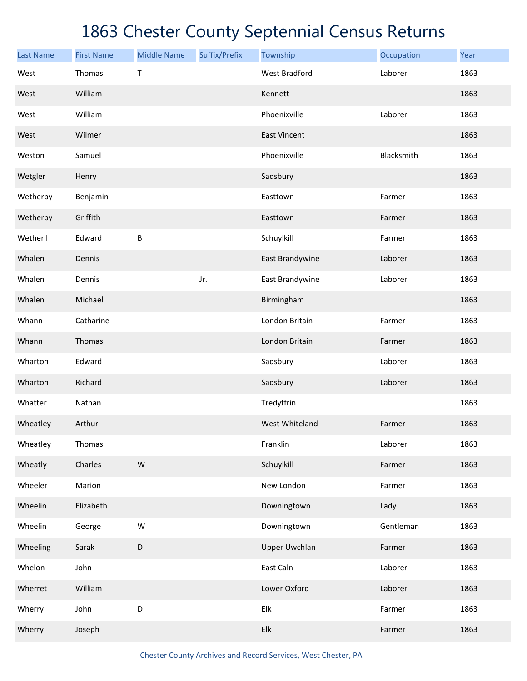| <b>Last Name</b> | <b>First Name</b> | <b>Middle Name</b> | Suffix/Prefix | Township                  | Occupation | Year |
|------------------|-------------------|--------------------|---------------|---------------------------|------------|------|
| West             | Thomas            | Τ                  |               | <b>West Bradford</b>      | Laborer    | 1863 |
| West             | William           |                    |               | Kennett                   |            | 1863 |
| West             | William           |                    |               | Phoenixville              | Laborer    | 1863 |
| West             | Wilmer            |                    |               | <b>East Vincent</b>       |            | 1863 |
| Weston           | Samuel            |                    |               | Phoenixville              | Blacksmith | 1863 |
| Wetgler          | Henry             |                    |               | Sadsbury                  |            | 1863 |
| Wetherby         | Benjamin          |                    |               | Easttown                  | Farmer     | 1863 |
| Wetherby         | Griffith          |                    |               | Easttown                  | Farmer     | 1863 |
| Wetheril         | Edward            | B                  |               | Schuylkill                | Farmer     | 1863 |
| Whalen           | Dennis            |                    |               | East Brandywine           | Laborer    | 1863 |
| Whalen           | Dennis            |                    | Jr.           | East Brandywine           | Laborer    | 1863 |
| Whalen           | Michael           |                    |               | Birmingham                |            | 1863 |
| Whann            | Catharine         |                    |               | London Britain            | Farmer     | 1863 |
| Whann            | Thomas            |                    |               | London Britain            | Farmer     | 1863 |
| Wharton          | Edward            |                    |               | Sadsbury                  | Laborer    | 1863 |
| Wharton          | Richard           |                    |               | Sadsbury                  | Laborer    | 1863 |
| Whatter          | Nathan            |                    |               | Tredyffrin                |            | 1863 |
| Wheatley         | Arthur            |                    |               | West Whiteland            | Farmer     | 1863 |
| Wheatley         | Thomas            |                    |               | Franklin                  | Laborer    | 1863 |
| Wheatly          | Charles           | ${\sf W}$          |               | Schuylkill                | Farmer     | 1863 |
| Wheeler          | Marion            |                    |               | New London                | Farmer     | 1863 |
| Wheelin          | Elizabeth         |                    |               | Downingtown               | Lady       | 1863 |
| Wheelin          | George            | ${\sf W}$          |               | Downingtown               | Gentleman  | 1863 |
| Wheeling         | Sarak             | D                  |               | <b>Upper Uwchlan</b>      | Farmer     | 1863 |
| Whelon           | John              |                    |               | East Caln                 | Laborer    | 1863 |
| Wherret          | William           |                    |               | Lower Oxford              | Laborer    | 1863 |
| Wherry           | John              | D                  |               | Elk                       | Farmer     | 1863 |
| Wherry           | Joseph            |                    |               | ${\sf E} {\sf I} {\sf k}$ | Farmer     | 1863 |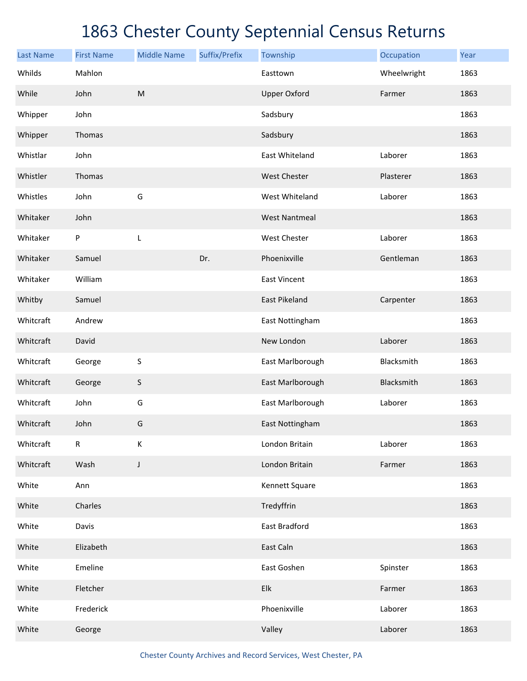| <b>Last Name</b> | <b>First Name</b> | <b>Middle Name</b> | Suffix/Prefix | Township             | Occupation  | Year |
|------------------|-------------------|--------------------|---------------|----------------------|-------------|------|
| Whilds           | Mahlon            |                    |               | Easttown             | Wheelwright | 1863 |
| While            | John              | ${\sf M}$          |               | <b>Upper Oxford</b>  | Farmer      | 1863 |
| Whipper          | John              |                    |               | Sadsbury             |             | 1863 |
| Whipper          | Thomas            |                    |               | Sadsbury             |             | 1863 |
| Whistlar         | John              |                    |               | East Whiteland       | Laborer     | 1863 |
| Whistler         | Thomas            |                    |               | West Chester         | Plasterer   | 1863 |
| Whistles         | John              | G                  |               | West Whiteland       | Laborer     | 1863 |
| Whitaker         | John              |                    |               | <b>West Nantmeal</b> |             | 1863 |
| Whitaker         | P                 | L                  |               | West Chester         | Laborer     | 1863 |
| Whitaker         | Samuel            |                    | Dr.           | Phoenixville         | Gentleman   | 1863 |
| Whitaker         | William           |                    |               | <b>East Vincent</b>  |             | 1863 |
| Whitby           | Samuel            |                    |               | East Pikeland        | Carpenter   | 1863 |
| Whitcraft        | Andrew            |                    |               | East Nottingham      |             | 1863 |
| Whitcraft        | David             |                    |               | New London           | Laborer     | 1863 |
| Whitcraft        | George            | $\sf S$            |               | East Marlborough     | Blacksmith  | 1863 |
| Whitcraft        | George            | $\sf S$            |               | East Marlborough     | Blacksmith  | 1863 |
| Whitcraft        | John              | G                  |               | East Marlborough     | Laborer     | 1863 |
| Whitcraft        | John              | G                  |               | East Nottingham      |             | 1863 |
| Whitcraft        | R                 | К                  |               | London Britain       | Laborer     | 1863 |
| Whitcraft        | Wash              | J                  |               | London Britain       | Farmer      | 1863 |
| White            | Ann               |                    |               | Kennett Square       |             | 1863 |
| White            | Charles           |                    |               | Tredyffrin           |             | 1863 |
| White            | Davis             |                    |               | East Bradford        |             | 1863 |
| White            | Elizabeth         |                    |               | East Caln            |             | 1863 |
| White            | Emeline           |                    |               | East Goshen          | Spinster    | 1863 |
| White            | Fletcher          |                    |               | Elk                  | Farmer      | 1863 |
| White            | Frederick         |                    |               | Phoenixville         | Laborer     | 1863 |
| White            | George            |                    |               | Valley               | Laborer     | 1863 |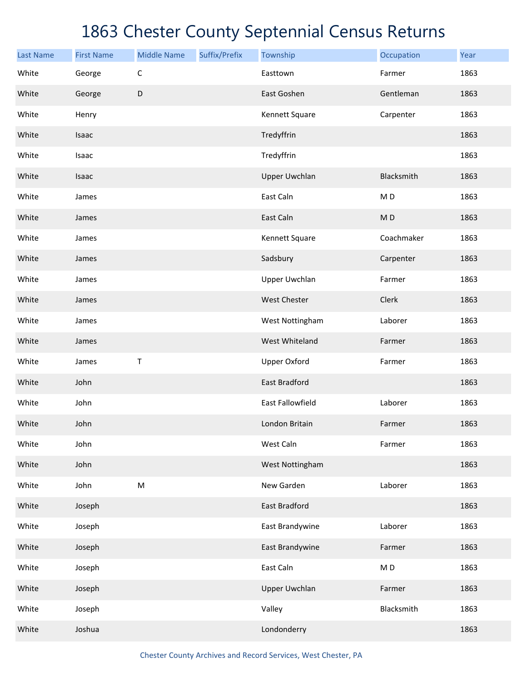| <b>Last Name</b> | <b>First Name</b> | <b>Middle Name</b> | Suffix/Prefix | Township                | Occupation               | Year |
|------------------|-------------------|--------------------|---------------|-------------------------|--------------------------|------|
| White            | George            | $\mathsf C$        |               | Easttown                | Farmer                   | 1863 |
| White            | George            | D                  |               | East Goshen             | Gentleman                | 1863 |
| White            | Henry             |                    |               | Kennett Square          | Carpenter                | 1863 |
| White            | Isaac             |                    |               | Tredyffrin              |                          | 1863 |
| White            | Isaac             |                    |               | Tredyffrin              |                          | 1863 |
| White            | Isaac             |                    |               | <b>Upper Uwchlan</b>    | Blacksmith               | 1863 |
| White            | James             |                    |               | East Caln               | M <sub>D</sub>           | 1863 |
| White            | James             |                    |               | East Caln               | MD                       | 1863 |
| White            | James             |                    |               | Kennett Square          | Coachmaker               | 1863 |
| White            | James             |                    |               | Sadsbury                | Carpenter                | 1863 |
| White            | James             |                    |               | <b>Upper Uwchlan</b>    | Farmer                   | 1863 |
| White            | James             |                    |               | <b>West Chester</b>     | Clerk                    | 1863 |
| White            | James             |                    |               | West Nottingham         | Laborer                  | 1863 |
| White            | James             |                    |               | West Whiteland          | Farmer                   | 1863 |
| White            | James             | T                  |               | <b>Upper Oxford</b>     | Farmer                   | 1863 |
| White            | John              |                    |               | <b>East Bradford</b>    |                          | 1863 |
| White            | John              |                    |               | <b>East Fallowfield</b> | Laborer                  | 1863 |
| White            | John              |                    |               | London Britain          | Farmer                   | 1863 |
| White            | John              |                    |               | West Caln               | Farmer                   | 1863 |
| White            | John              |                    |               | West Nottingham         |                          | 1863 |
| White            | John              | ${\sf M}$          |               | New Garden              | Laborer                  | 1863 |
| White            | Joseph            |                    |               | <b>East Bradford</b>    |                          | 1863 |
| White            | Joseph            |                    |               | East Brandywine         | Laborer                  | 1863 |
| White            | Joseph            |                    |               | East Brandywine         | Farmer                   | 1863 |
| White            | Joseph            |                    |               | East Caln               | $\mathsf{M}\,\mathsf{D}$ | 1863 |
| White            | Joseph            |                    |               | <b>Upper Uwchlan</b>    | Farmer                   | 1863 |
| White            | Joseph            |                    |               | Valley                  | Blacksmith               | 1863 |
| White            | Joshua            |                    |               | Londonderry             |                          | 1863 |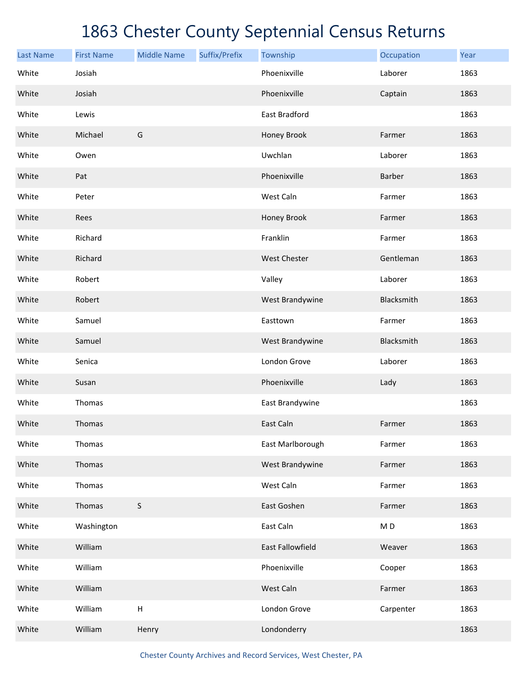| <b>Last Name</b> | <b>First Name</b> | <b>Middle Name</b> | Suffix/Prefix | Township                | Occupation     | Year |
|------------------|-------------------|--------------------|---------------|-------------------------|----------------|------|
| White            | Josiah            |                    |               | Phoenixville            | Laborer        | 1863 |
| White            | Josiah            |                    |               | Phoenixville            | Captain        | 1863 |
| White            | Lewis             |                    |               | East Bradford           |                | 1863 |
| White            | Michael           | G                  |               | Honey Brook             | Farmer         | 1863 |
| White            | Owen              |                    |               | Uwchlan                 | Laborer        | 1863 |
| White            | Pat               |                    |               | Phoenixville            | Barber         | 1863 |
| White            | Peter             |                    |               | West Caln               | Farmer         | 1863 |
| White            | Rees              |                    |               | Honey Brook             | Farmer         | 1863 |
| White            | Richard           |                    |               | Franklin                | Farmer         | 1863 |
| White            | Richard           |                    |               | <b>West Chester</b>     | Gentleman      | 1863 |
| White            | Robert            |                    |               | Valley                  | Laborer        | 1863 |
| White            | Robert            |                    |               | West Brandywine         | Blacksmith     | 1863 |
| White            | Samuel            |                    |               | Easttown                | Farmer         | 1863 |
| White            | Samuel            |                    |               | West Brandywine         | Blacksmith     | 1863 |
| White            | Senica            |                    |               | London Grove            | Laborer        | 1863 |
| White            | Susan             |                    |               | Phoenixville            | Lady           | 1863 |
| White            | Thomas            |                    |               | East Brandywine         |                | 1863 |
| White            | Thomas            |                    |               | East Caln               | Farmer         | 1863 |
| White            | Thomas            |                    |               | East Marlborough        | Farmer         | 1863 |
| White            | Thomas            |                    |               | West Brandywine         | Farmer         | 1863 |
| White            | Thomas            |                    |               | West Caln               | Farmer         | 1863 |
| White            | Thomas            | S                  |               | East Goshen             | Farmer         | 1863 |
| White            | Washington        |                    |               | East Caln               | M <sub>D</sub> | 1863 |
| White            | William           |                    |               | <b>East Fallowfield</b> | Weaver         | 1863 |
| White            | William           |                    |               | Phoenixville            | Cooper         | 1863 |
| White            | William           |                    |               | West Caln               | Farmer         | 1863 |
| White            | William           | $\sf H$            |               | London Grove            | Carpenter      | 1863 |
| White            | William           | Henry              |               | Londonderry             |                | 1863 |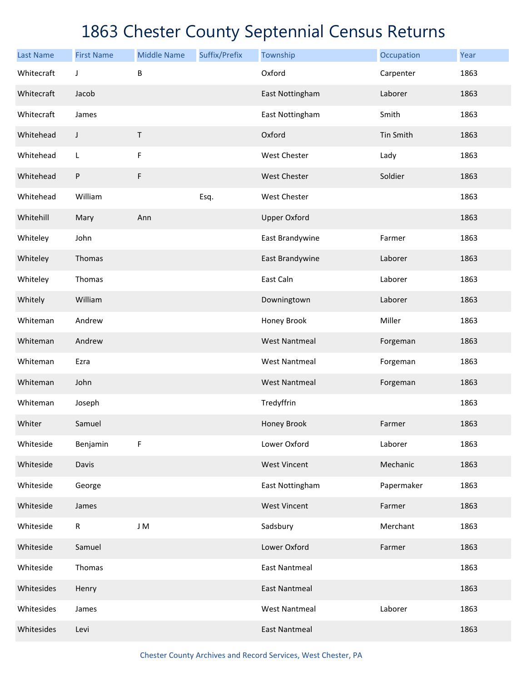| <b>Last Name</b> | <b>First Name</b> | <b>Middle Name</b> | Suffix/Prefix | Township             | Occupation | Year |
|------------------|-------------------|--------------------|---------------|----------------------|------------|------|
| Whitecraft       | J                 | B                  |               | Oxford               | Carpenter  | 1863 |
| Whitecraft       | Jacob             |                    |               | East Nottingham      | Laborer    | 1863 |
| Whitecraft       | James             |                    |               | East Nottingham      | Smith      | 1863 |
| Whitehead        | J                 | Τ                  |               | Oxford               | Tin Smith  | 1863 |
| Whitehead        | L                 | F                  |               | West Chester         | Lady       | 1863 |
| Whitehead        | ${\sf P}$         | $\mathsf F$        |               | <b>West Chester</b>  | Soldier    | 1863 |
| Whitehead        | William           |                    | Esq.          | West Chester         |            | 1863 |
| Whitehill        | Mary              | Ann                |               | <b>Upper Oxford</b>  |            | 1863 |
| Whiteley         | John              |                    |               | East Brandywine      | Farmer     | 1863 |
| Whiteley         | Thomas            |                    |               | East Brandywine      | Laborer    | 1863 |
| Whiteley         | Thomas            |                    |               | East Caln            | Laborer    | 1863 |
| Whitely          | William           |                    |               | Downingtown          | Laborer    | 1863 |
| Whiteman         | Andrew            |                    |               | Honey Brook          | Miller     | 1863 |
| Whiteman         | Andrew            |                    |               | <b>West Nantmeal</b> | Forgeman   | 1863 |
| Whiteman         | Ezra              |                    |               | <b>West Nantmeal</b> | Forgeman   | 1863 |
| Whiteman         | John              |                    |               | <b>West Nantmeal</b> | Forgeman   | 1863 |
| Whiteman         | Joseph            |                    |               | Tredyffrin           |            | 1863 |
| Whiter           | Samuel            |                    |               | Honey Brook          | Farmer     | 1863 |
| Whiteside        | Benjamin          | F                  |               | Lower Oxford         | Laborer    | 1863 |
| Whiteside        | Davis             |                    |               | <b>West Vincent</b>  | Mechanic   | 1863 |
| Whiteside        | George            |                    |               | East Nottingham      | Papermaker | 1863 |
| Whiteside        | James             |                    |               | <b>West Vincent</b>  | Farmer     | 1863 |
| Whiteside        | $\mathsf{R}$      | J M                |               | Sadsbury             | Merchant   | 1863 |
| Whiteside        | Samuel            |                    |               | Lower Oxford         | Farmer     | 1863 |
| Whiteside        | Thomas            |                    |               | <b>East Nantmeal</b> |            | 1863 |
| Whitesides       | Henry             |                    |               | <b>East Nantmeal</b> |            | 1863 |
| Whitesides       | James             |                    |               | <b>West Nantmeal</b> | Laborer    | 1863 |
| Whitesides       | Levi              |                    |               | <b>East Nantmeal</b> |            | 1863 |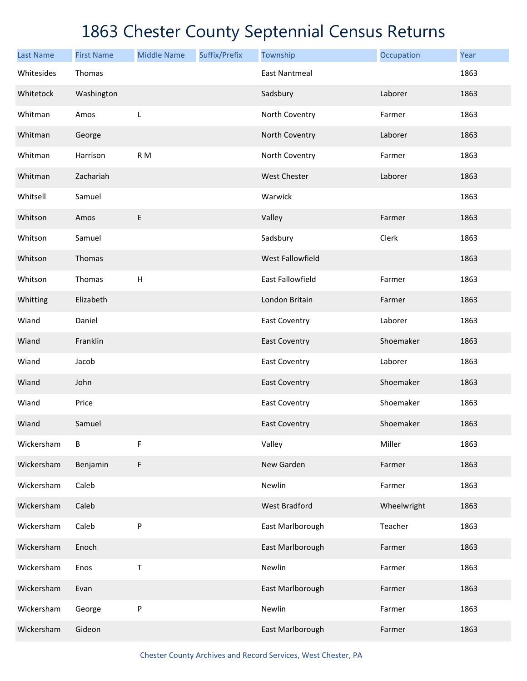| <b>Last Name</b> | <b>First Name</b> | <b>Middle Name</b> | Suffix/Prefix | Township                | Occupation  | Year |
|------------------|-------------------|--------------------|---------------|-------------------------|-------------|------|
| Whitesides       | Thomas            |                    |               | <b>East Nantmeal</b>    |             | 1863 |
| Whitetock        | Washington        |                    |               | Sadsbury                | Laborer     | 1863 |
| Whitman          | Amos              | L                  |               | North Coventry          | Farmer      | 1863 |
| Whitman          | George            |                    |               | North Coventry          | Laborer     | 1863 |
| Whitman          | Harrison          | R <sub>M</sub>     |               | North Coventry          | Farmer      | 1863 |
| Whitman          | Zachariah         |                    |               | <b>West Chester</b>     | Laborer     | 1863 |
| Whitsell         | Samuel            |                    |               | Warwick                 |             | 1863 |
| Whitson          | Amos              | $\mathsf E$        |               | Valley                  | Farmer      | 1863 |
| Whitson          | Samuel            |                    |               | Sadsbury                | Clerk       | 1863 |
| Whitson          | Thomas            |                    |               | <b>West Fallowfield</b> |             | 1863 |
| Whitson          | Thomas            | $\mathsf H$        |               | <b>East Fallowfield</b> | Farmer      | 1863 |
| Whitting         | Elizabeth         |                    |               | London Britain          | Farmer      | 1863 |
| Wiand            | Daniel            |                    |               | East Coventry           | Laborer     | 1863 |
| Wiand            | Franklin          |                    |               | <b>East Coventry</b>    | Shoemaker   | 1863 |
| Wiand            | Jacob             |                    |               | East Coventry           | Laborer     | 1863 |
| Wiand            | John              |                    |               | <b>East Coventry</b>    | Shoemaker   | 1863 |
| Wiand            | Price             |                    |               | East Coventry           | Shoemaker   | 1863 |
| Wiand            | Samuel            |                    |               | <b>East Coventry</b>    | Shoemaker   | 1863 |
| Wickersham       | В                 | F                  |               | Valley                  | Miller      | 1863 |
| Wickersham       | Benjamin          | F                  |               | New Garden              | Farmer      | 1863 |
| Wickersham       | Caleb             |                    |               | Newlin                  | Farmer      | 1863 |
| Wickersham       | Caleb             |                    |               | <b>West Bradford</b>    | Wheelwright | 1863 |
| Wickersham       | Caleb             | P                  |               | East Marlborough        | Teacher     | 1863 |
| Wickersham       | Enoch             |                    |               | East Marlborough        | Farmer      | 1863 |
| Wickersham       | Enos              | T                  |               | Newlin                  | Farmer      | 1863 |
| Wickersham       | Evan              |                    |               | East Marlborough        | Farmer      | 1863 |
| Wickersham       | George            | P                  |               | Newlin                  | Farmer      | 1863 |
| Wickersham       | Gideon            |                    |               | East Marlborough        | Farmer      | 1863 |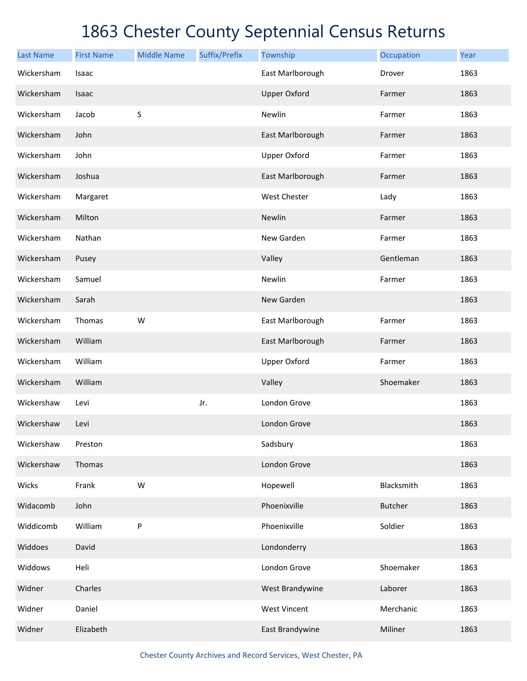| <b>Last Name</b> | <b>First Name</b> | <b>Middle Name</b> | Suffix/Prefix | Township            | Occupation     | Year |
|------------------|-------------------|--------------------|---------------|---------------------|----------------|------|
| Wickersham       | Isaac             |                    |               | East Marlborough    | Drover         | 1863 |
| Wickersham       | Isaac             |                    |               | <b>Upper Oxford</b> | Farmer         | 1863 |
| Wickersham       | Jacob             | $\mathsf S$        |               | Newlin              | Farmer         | 1863 |
| Wickersham       | John              |                    |               | East Marlborough    | Farmer         | 1863 |
| Wickersham       | John              |                    |               | <b>Upper Oxford</b> | Farmer         | 1863 |
| Wickersham       | Joshua            |                    |               | East Marlborough    | Farmer         | 1863 |
| Wickersham       | Margaret          |                    |               | <b>West Chester</b> | Lady           | 1863 |
| Wickersham       | Milton            |                    |               | Newlin              | Farmer         | 1863 |
| Wickersham       | Nathan            |                    |               | New Garden          | Farmer         | 1863 |
| Wickersham       | Pusey             |                    |               | Valley              | Gentleman      | 1863 |
| Wickersham       | Samuel            |                    |               | Newlin              | Farmer         | 1863 |
| Wickersham       | Sarah             |                    |               | New Garden          |                | 1863 |
| Wickersham       | Thomas            | W                  |               | East Marlborough    | Farmer         | 1863 |
| Wickersham       | William           |                    |               | East Marlborough    | Farmer         | 1863 |
| Wickersham       | William           |                    |               | <b>Upper Oxford</b> | Farmer         | 1863 |
| Wickersham       | William           |                    |               | Valley              | Shoemaker      | 1863 |
| Wickershaw       | Levi              |                    | Jr.           | London Grove        |                | 1863 |
| Wickershaw       | Levi              |                    |               | London Grove        |                | 1863 |
| Wickershaw       | Preston           |                    |               | Sadsbury            |                | 1863 |
| Wickershaw       | Thomas            |                    |               | London Grove        |                | 1863 |
| Wicks            | Frank             | W                  |               | Hopewell            | Blacksmith     | 1863 |
| Widacomb         | John              |                    |               | Phoenixville        | <b>Butcher</b> | 1863 |
| Widdicomb        | William           | ${\sf P}$          |               | Phoenixville        | Soldier        | 1863 |
| Widdoes          | David             |                    |               | Londonderry         |                | 1863 |
| Widdows          | Heli              |                    |               | London Grove        | Shoemaker      | 1863 |
| Widner           | Charles           |                    |               | West Brandywine     | Laborer        | 1863 |
| Widner           | Daniel            |                    |               | <b>West Vincent</b> | Merchanic      | 1863 |
| Widner           | Elizabeth         |                    |               | East Brandywine     | Miliner        | 1863 |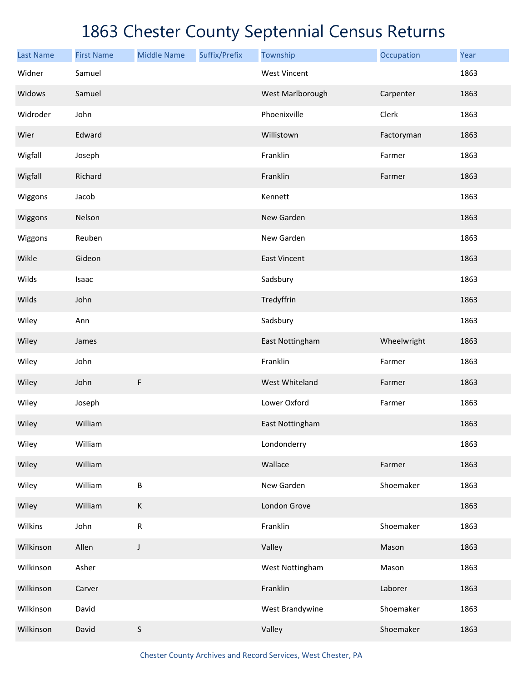| <b>Last Name</b> | <b>First Name</b> | <b>Middle Name</b> | Suffix/Prefix | Township            | Occupation  | Year |
|------------------|-------------------|--------------------|---------------|---------------------|-------------|------|
| Widner           | Samuel            |                    |               | <b>West Vincent</b> |             | 1863 |
| Widows           | Samuel            |                    |               | West Marlborough    | Carpenter   | 1863 |
| Widroder         | John              |                    |               | Phoenixville        | Clerk       | 1863 |
| Wier             | Edward            |                    |               | Willistown          | Factoryman  | 1863 |
| Wigfall          | Joseph            |                    |               | Franklin            | Farmer      | 1863 |
| Wigfall          | Richard           |                    |               | Franklin            | Farmer      | 1863 |
| Wiggons          | Jacob             |                    |               | Kennett             |             | 1863 |
| Wiggons          | Nelson            |                    |               | New Garden          |             | 1863 |
| Wiggons          | Reuben            |                    |               | New Garden          |             | 1863 |
| Wikle            | Gideon            |                    |               | <b>East Vincent</b> |             | 1863 |
| Wilds            | Isaac             |                    |               | Sadsbury            |             | 1863 |
| Wilds            | John              |                    |               | Tredyffrin          |             | 1863 |
| Wiley            | Ann               |                    |               | Sadsbury            |             | 1863 |
| Wiley            | James             |                    |               | East Nottingham     | Wheelwright | 1863 |
| Wiley            | John              |                    |               | Franklin            | Farmer      | 1863 |
| Wiley            | John              | F                  |               | West Whiteland      | Farmer      | 1863 |
| Wiley            | Joseph            |                    |               | Lower Oxford        | Farmer      | 1863 |
| Wiley            | William           |                    |               | East Nottingham     |             | 1863 |
| Wiley            | William           |                    |               | Londonderry         |             | 1863 |
| Wiley            | William           |                    |               | Wallace             | Farmer      | 1863 |
| Wiley            | William           | $\sf B$            |               | New Garden          | Shoemaker   | 1863 |
| Wiley            | William           | К                  |               | London Grove        |             | 1863 |
| Wilkins          | John              | ${\sf R}$          |               | Franklin            | Shoemaker   | 1863 |
| Wilkinson        | Allen             | J                  |               | Valley              | Mason       | 1863 |
| Wilkinson        | Asher             |                    |               | West Nottingham     | Mason       | 1863 |
| Wilkinson        | Carver            |                    |               | Franklin            | Laborer     | 1863 |
| Wilkinson        | David             |                    |               | West Brandywine     | Shoemaker   | 1863 |
| Wilkinson        | David             | $\sf S$            |               | Valley              | Shoemaker   | 1863 |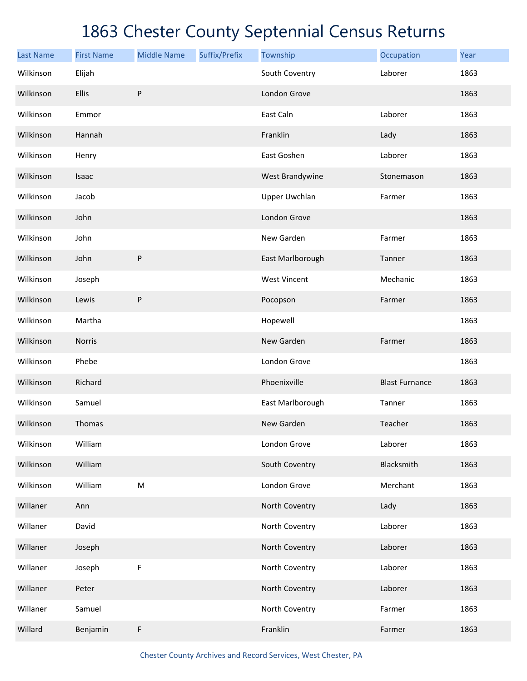| <b>Last Name</b> | <b>First Name</b> | <b>Middle Name</b> | Suffix/Prefix | Township             | Occupation            | Year |
|------------------|-------------------|--------------------|---------------|----------------------|-----------------------|------|
| Wilkinson        | Elijah            |                    |               | South Coventry       | Laborer               | 1863 |
| Wilkinson        | Ellis             | ${\sf P}$          |               | London Grove         |                       | 1863 |
| Wilkinson        | Emmor             |                    |               | East Caln            | Laborer               | 1863 |
| Wilkinson        | Hannah            |                    |               | Franklin             | Lady                  | 1863 |
| Wilkinson        | Henry             |                    |               | East Goshen          | Laborer               | 1863 |
| Wilkinson        | Isaac             |                    |               | West Brandywine      | Stonemason            | 1863 |
| Wilkinson        | Jacob             |                    |               | <b>Upper Uwchlan</b> | Farmer                | 1863 |
| Wilkinson        | John              |                    |               | London Grove         |                       | 1863 |
| Wilkinson        | John              |                    |               | New Garden           | Farmer                | 1863 |
| Wilkinson        | John              | ${\sf P}$          |               | East Marlborough     | Tanner                | 1863 |
| Wilkinson        | Joseph            |                    |               | <b>West Vincent</b>  | Mechanic              | 1863 |
| Wilkinson        | Lewis             | ${\sf P}$          |               | Pocopson             | Farmer                | 1863 |
| Wilkinson        | Martha            |                    |               | Hopewell             |                       | 1863 |
| Wilkinson        | Norris            |                    |               | New Garden           | Farmer                | 1863 |
| Wilkinson        | Phebe             |                    |               | London Grove         |                       | 1863 |
| Wilkinson        | Richard           |                    |               | Phoenixville         | <b>Blast Furnance</b> | 1863 |
| Wilkinson        | Samuel            |                    |               | East Marlborough     | Tanner                | 1863 |
| Wilkinson        | Thomas            |                    |               | New Garden           | Teacher               | 1863 |
| Wilkinson        | William           |                    |               | London Grove         | Laborer               | 1863 |
| Wilkinson        | William           |                    |               | South Coventry       | Blacksmith            | 1863 |
| Wilkinson        | William           | ${\sf M}$          |               | London Grove         | Merchant              | 1863 |
| Willaner         | Ann               |                    |               | North Coventry       | Lady                  | 1863 |
| Willaner         | David             |                    |               | North Coventry       | Laborer               | 1863 |
| Willaner         | Joseph            |                    |               | North Coventry       | Laborer               | 1863 |
| Willaner         | Joseph            | $\mathsf F$        |               | North Coventry       | Laborer               | 1863 |
| Willaner         | Peter             |                    |               | North Coventry       | Laborer               | 1863 |
| Willaner         | Samuel            |                    |               | North Coventry       | Farmer                | 1863 |
| Willard          | Benjamin          | F                  |               | Franklin             | Farmer                | 1863 |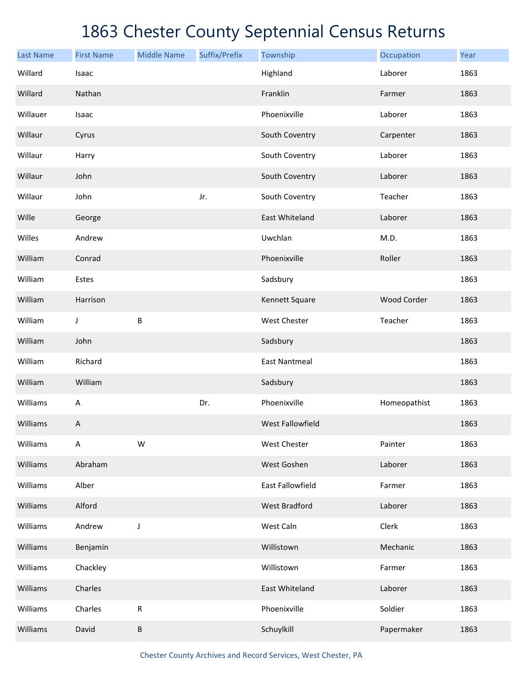| <b>Last Name</b> | <b>First Name</b> | <b>Middle Name</b> | Suffix/Prefix | Township                | Occupation   | Year |
|------------------|-------------------|--------------------|---------------|-------------------------|--------------|------|
| Willard          | Isaac             |                    |               | Highland                | Laborer      | 1863 |
| Willard          | Nathan            |                    |               | Franklin                | Farmer       | 1863 |
| Willauer         | Isaac             |                    |               | Phoenixville            | Laborer      | 1863 |
| Willaur          | Cyrus             |                    |               | South Coventry          | Carpenter    | 1863 |
| Willaur          | Harry             |                    |               | South Coventry          | Laborer      | 1863 |
| Willaur          | John              |                    |               | South Coventry          | Laborer      | 1863 |
| Willaur          | John              |                    | Jr.           | South Coventry          | Teacher      | 1863 |
| Wille            | George            |                    |               | East Whiteland          | Laborer      | 1863 |
| Willes           | Andrew            |                    |               | Uwchlan                 | M.D.         | 1863 |
| William          | Conrad            |                    |               | Phoenixville            | Roller       | 1863 |
| William          | Estes             |                    |               | Sadsbury                |              | 1863 |
| William          | Harrison          |                    |               | Kennett Square          | Wood Corder  | 1863 |
| William          | J                 | B                  |               | West Chester            | Teacher      | 1863 |
| William          | John              |                    |               | Sadsbury                |              | 1863 |
| William          | Richard           |                    |               | <b>East Nantmeal</b>    |              | 1863 |
| William          | William           |                    |               | Sadsbury                |              | 1863 |
| Williams         | A                 |                    | Dr.           | Phoenixville            | Homeopathist | 1863 |
| Williams         | Α                 |                    |               | <b>West Fallowfield</b> |              | 1863 |
| Williams         | A                 | W                  |               | West Chester            | Painter      | 1863 |
| Williams         | Abraham           |                    |               | West Goshen             | Laborer      | 1863 |
| Williams         | Alber             |                    |               | East Fallowfield        | Farmer       | 1863 |
| Williams         | Alford            |                    |               | <b>West Bradford</b>    | Laborer      | 1863 |
| Williams         | Andrew            | J                  |               | West Caln               | Clerk        | 1863 |
| Williams         | Benjamin          |                    |               | Willistown              | Mechanic     | 1863 |
| Williams         | Chackley          |                    |               | Willistown              | Farmer       | 1863 |
| Williams         | Charles           |                    |               | East Whiteland          | Laborer      | 1863 |
| Williams         | Charles           | ${\sf R}$          |               | Phoenixville            | Soldier      | 1863 |
| Williams         | David             | B                  |               | Schuylkill              | Papermaker   | 1863 |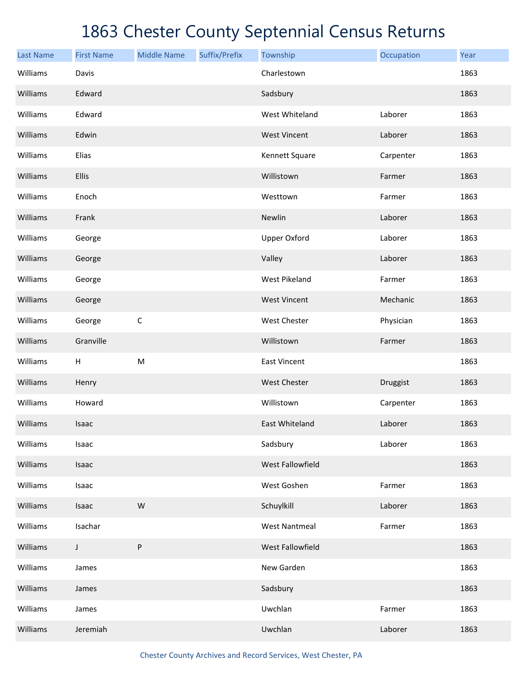| <b>Last Name</b> | <b>First Name</b> | <b>Middle Name</b> | Suffix/Prefix | Township             | Occupation | Year |
|------------------|-------------------|--------------------|---------------|----------------------|------------|------|
| Williams         | Davis             |                    |               | Charlestown          |            | 1863 |
| Williams         | Edward            |                    |               | Sadsbury             |            | 1863 |
| Williams         | Edward            |                    |               | West Whiteland       | Laborer    | 1863 |
| Williams         | Edwin             |                    |               | <b>West Vincent</b>  | Laborer    | 1863 |
| Williams         | Elias             |                    |               | Kennett Square       | Carpenter  | 1863 |
| Williams         | Ellis             |                    |               | Willistown           | Farmer     | 1863 |
| Williams         | Enoch             |                    |               | Westtown             | Farmer     | 1863 |
| Williams         | Frank             |                    |               | Newlin               | Laborer    | 1863 |
| Williams         | George            |                    |               | <b>Upper Oxford</b>  | Laborer    | 1863 |
| Williams         | George            |                    |               | Valley               | Laborer    | 1863 |
| Williams         | George            |                    |               | <b>West Pikeland</b> | Farmer     | 1863 |
| Williams         | George            |                    |               | <b>West Vincent</b>  | Mechanic   | 1863 |
| Williams         | George            | $\mathsf C$        |               | West Chester         | Physician  | 1863 |
| Williams         | Granville         |                    |               | Willistown           | Farmer     | 1863 |
| Williams         | H                 | ${\sf M}$          |               | <b>East Vincent</b>  |            | 1863 |
| Williams         | Henry             |                    |               | <b>West Chester</b>  | Druggist   | 1863 |
| Williams         | Howard            |                    |               | Willistown           | Carpenter  | 1863 |
| Williams         | Isaac             |                    |               | East Whiteland       | Laborer    | 1863 |
| Williams         | Isaac             |                    |               | Sadsbury             | Laborer    | 1863 |
| Williams         | Isaac             |                    |               | West Fallowfield     |            | 1863 |
| Williams         | Isaac             |                    |               | West Goshen          | Farmer     | 1863 |
| Williams         | Isaac             | ${\sf W}$          |               | Schuylkill           | Laborer    | 1863 |
| Williams         | Isachar           |                    |               | <b>West Nantmeal</b> | Farmer     | 1863 |
| Williams         | $\mathsf J$       | $\sf P$            |               | West Fallowfield     |            | 1863 |
| Williams         | James             |                    |               | New Garden           |            | 1863 |
| Williams         | James             |                    |               | Sadsbury             |            | 1863 |
| Williams         | James             |                    |               | Uwchlan              | Farmer     | 1863 |
| Williams         | Jeremiah          |                    |               | Uwchlan              | Laborer    | 1863 |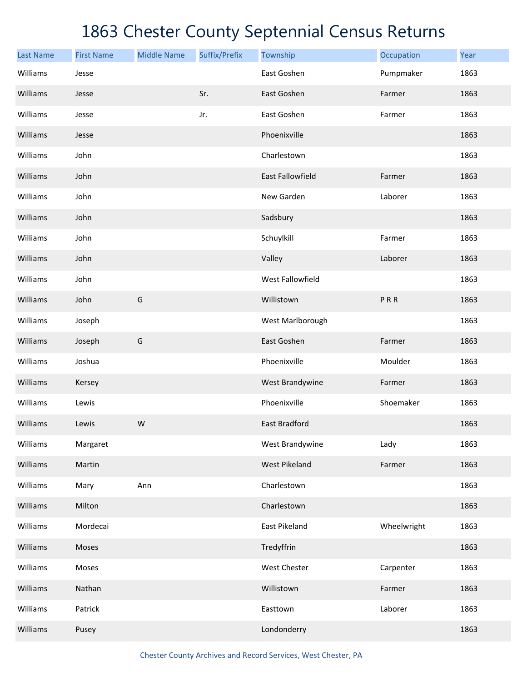| <b>Last Name</b> | <b>First Name</b> | <b>Middle Name</b> | Suffix/Prefix | Township                | Occupation  | Year |
|------------------|-------------------|--------------------|---------------|-------------------------|-------------|------|
| Williams         | Jesse             |                    |               | East Goshen             | Pumpmaker   | 1863 |
| Williams         | Jesse             |                    | Sr.           | East Goshen             | Farmer      | 1863 |
| Williams         | Jesse             |                    | Jr.           | East Goshen             | Farmer      | 1863 |
| Williams         | Jesse             |                    |               | Phoenixville            |             | 1863 |
| Williams         | John              |                    |               | Charlestown             |             | 1863 |
| Williams         | John              |                    |               | <b>East Fallowfield</b> | Farmer      | 1863 |
| Williams         | John              |                    |               | New Garden              | Laborer     | 1863 |
| Williams         | John              |                    |               | Sadsbury                |             | 1863 |
| Williams         | John              |                    |               | Schuylkill              | Farmer      | 1863 |
| Williams         | John              |                    |               | Valley                  | Laborer     | 1863 |
| Williams         | John              |                    |               | West Fallowfield        |             | 1863 |
| Williams         | John              | G                  |               | Willistown              | PRR         | 1863 |
| Williams         | Joseph            |                    |               | West Marlborough        |             | 1863 |
| Williams         | Joseph            | G                  |               | East Goshen             | Farmer      | 1863 |
| Williams         | Joshua            |                    |               | Phoenixville            | Moulder     | 1863 |
| Williams         | Kersey            |                    |               | West Brandywine         | Farmer      | 1863 |
| Williams         | Lewis             |                    |               | Phoenixville            | Shoemaker   | 1863 |
| Williams         | Lewis             | W                  |               | East Bradford           |             | 1863 |
| Williams         | Margaret          |                    |               | West Brandywine         | Lady        | 1863 |
| Williams         | Martin            |                    |               | West Pikeland           | Farmer      | 1863 |
| Williams         | Mary              | Ann                |               | Charlestown             |             | 1863 |
| Williams         | Milton            |                    |               | Charlestown             |             | 1863 |
| Williams         | Mordecai          |                    |               | East Pikeland           | Wheelwright | 1863 |
| Williams         | Moses             |                    |               | Tredyffrin              |             | 1863 |
| Williams         | Moses             |                    |               | West Chester            | Carpenter   | 1863 |
| Williams         | Nathan            |                    |               | Willistown              | Farmer      | 1863 |
| Williams         | Patrick           |                    |               | Easttown                | Laborer     | 1863 |
| Williams         | Pusey             |                    |               | Londonderry             |             | 1863 |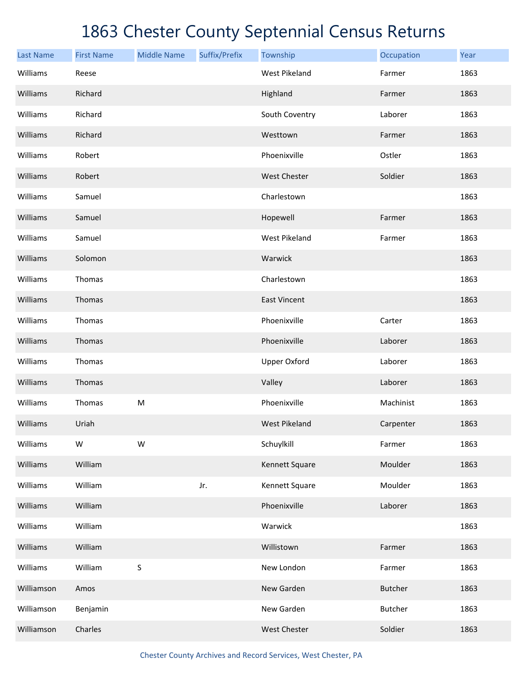| <b>Last Name</b> | <b>First Name</b> | <b>Middle Name</b> | Suffix/Prefix | Township             | Occupation     | Year |
|------------------|-------------------|--------------------|---------------|----------------------|----------------|------|
| Williams         | Reese             |                    |               | <b>West Pikeland</b> | Farmer         | 1863 |
| Williams         | Richard           |                    |               | Highland             | Farmer         | 1863 |
| Williams         | Richard           |                    |               | South Coventry       | Laborer        | 1863 |
| Williams         | Richard           |                    |               | Westtown             | Farmer         | 1863 |
| Williams         | Robert            |                    |               | Phoenixville         | Ostler         | 1863 |
| Williams         | Robert            |                    |               | West Chester         | Soldier        | 1863 |
| Williams         | Samuel            |                    |               | Charlestown          |                | 1863 |
| Williams         | Samuel            |                    |               | Hopewell             | Farmer         | 1863 |
| Williams         | Samuel            |                    |               | <b>West Pikeland</b> | Farmer         | 1863 |
| Williams         | Solomon           |                    |               | Warwick              |                | 1863 |
| Williams         | Thomas            |                    |               | Charlestown          |                | 1863 |
| Williams         | Thomas            |                    |               | <b>East Vincent</b>  |                | 1863 |
| Williams         | Thomas            |                    |               | Phoenixville         | Carter         | 1863 |
| Williams         | Thomas            |                    |               | Phoenixville         | Laborer        | 1863 |
| Williams         | Thomas            |                    |               | <b>Upper Oxford</b>  | Laborer        | 1863 |
| Williams         | Thomas            |                    |               | Valley               | Laborer        | 1863 |
| Williams         | Thomas            | ${\sf M}$          |               | Phoenixville         | Machinist      | 1863 |
| Williams         | Uriah             |                    |               | <b>West Pikeland</b> | Carpenter      | 1863 |
| Williams         | W                 | W                  |               | Schuylkill           | Farmer         | 1863 |
| Williams         | William           |                    |               | Kennett Square       | Moulder        | 1863 |
| Williams         | William           |                    | Jr.           | Kennett Square       | Moulder        | 1863 |
| Williams         | William           |                    |               | Phoenixville         | Laborer        | 1863 |
| Williams         | William           |                    |               | Warwick              |                | 1863 |
| Williams         | William           |                    |               | Willistown           | Farmer         | 1863 |
| Williams         | William           | $\sf S$            |               | New London           | Farmer         | 1863 |
| Williamson       | Amos              |                    |               | New Garden           | <b>Butcher</b> | 1863 |
| Williamson       | Benjamin          |                    |               | New Garden           | <b>Butcher</b> | 1863 |
| Williamson       | Charles           |                    |               | West Chester         | Soldier        | 1863 |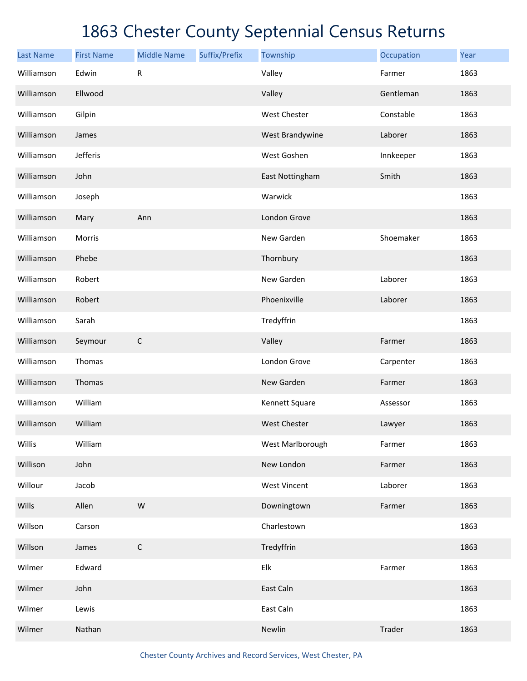| <b>Last Name</b> | <b>First Name</b> | <b>Middle Name</b> | Suffix/Prefix | Township                  | Occupation | Year |
|------------------|-------------------|--------------------|---------------|---------------------------|------------|------|
| Williamson       | Edwin             | ${\sf R}$          |               | Valley                    | Farmer     | 1863 |
| Williamson       | Ellwood           |                    |               | Valley                    | Gentleman  | 1863 |
| Williamson       | Gilpin            |                    |               | West Chester              | Constable  | 1863 |
| Williamson       | James             |                    |               | West Brandywine           | Laborer    | 1863 |
| Williamson       | Jefferis          |                    |               | West Goshen               | Innkeeper  | 1863 |
| Williamson       | John              |                    |               | East Nottingham           | Smith      | 1863 |
| Williamson       | Joseph            |                    |               | Warwick                   |            | 1863 |
| Williamson       | Mary              | Ann                |               | London Grove              |            | 1863 |
| Williamson       | Morris            |                    |               | New Garden                | Shoemaker  | 1863 |
| Williamson       | Phebe             |                    |               | Thornbury                 |            | 1863 |
| Williamson       | Robert            |                    |               | New Garden                | Laborer    | 1863 |
| Williamson       | Robert            |                    |               | Phoenixville              | Laborer    | 1863 |
| Williamson       | Sarah             |                    |               | Tredyffrin                |            | 1863 |
| Williamson       | Seymour           | $\mathsf C$        |               | Valley                    | Farmer     | 1863 |
| Williamson       | Thomas            |                    |               | London Grove              | Carpenter  | 1863 |
| Williamson       | Thomas            |                    |               | New Garden                | Farmer     | 1863 |
| Williamson       | William           |                    |               | Kennett Square            | Assessor   | 1863 |
| Williamson       | William           |                    |               | <b>West Chester</b>       | Lawyer     | 1863 |
| Willis           | William           |                    |               | West Marlborough          | Farmer     | 1863 |
| Willison         | John              |                    |               | New London                | Farmer     | 1863 |
| Willour          | Jacob             |                    |               | <b>West Vincent</b>       | Laborer    | 1863 |
| Wills            | Allen             | ${\sf W}$          |               | Downingtown               | Farmer     | 1863 |
| Willson          | Carson            |                    |               | Charlestown               |            | 1863 |
| Willson          | James             | $\mathsf C$        |               | Tredyffrin                |            | 1863 |
| Wilmer           | Edward            |                    |               | ${\sf E} {\sf I} {\sf k}$ | Farmer     | 1863 |
| Wilmer           | John              |                    |               | East Caln                 |            | 1863 |
| Wilmer           | Lewis             |                    |               | East Caln                 |            | 1863 |
| Wilmer           | Nathan            |                    |               | Newlin                    | Trader     | 1863 |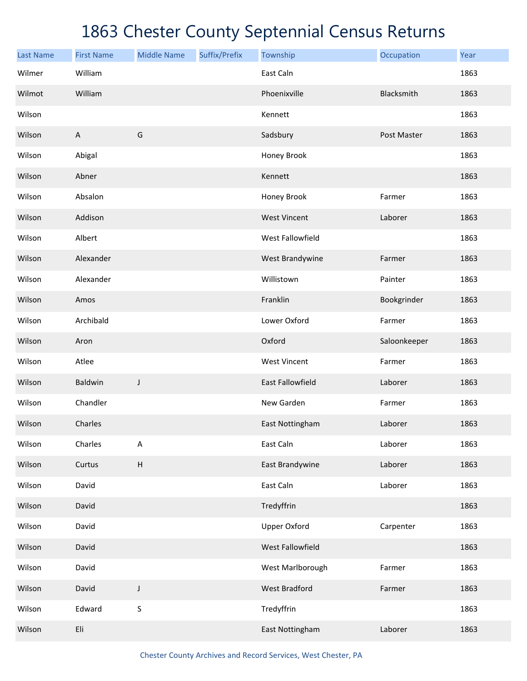| <b>Last Name</b> | <b>First Name</b> | <b>Middle Name</b> | Suffix/Prefix | Township                | Occupation   | Year |
|------------------|-------------------|--------------------|---------------|-------------------------|--------------|------|
| Wilmer           | William           |                    |               | East Caln               |              | 1863 |
| Wilmot           | William           |                    |               | Phoenixville            | Blacksmith   | 1863 |
| Wilson           |                   |                    |               | Kennett                 |              | 1863 |
| Wilson           | $\overline{A}$    | G                  |               | Sadsbury                | Post Master  | 1863 |
| Wilson           | Abigal            |                    |               | Honey Brook             |              | 1863 |
| Wilson           | Abner             |                    |               | Kennett                 |              | 1863 |
| Wilson           | Absalon           |                    |               | Honey Brook             | Farmer       | 1863 |
| Wilson           | Addison           |                    |               | <b>West Vincent</b>     | Laborer      | 1863 |
| Wilson           | Albert            |                    |               | West Fallowfield        |              | 1863 |
| Wilson           | Alexander         |                    |               | West Brandywine         | Farmer       | 1863 |
| Wilson           | Alexander         |                    |               | Willistown              | Painter      | 1863 |
| Wilson           | Amos              |                    |               | Franklin                | Bookgrinder  | 1863 |
| Wilson           | Archibald         |                    |               | Lower Oxford            | Farmer       | 1863 |
| Wilson           | Aron              |                    |               | Oxford                  | Saloonkeeper | 1863 |
| Wilson           | Atlee             |                    |               | <b>West Vincent</b>     | Farmer       | 1863 |
| Wilson           | Baldwin           | J                  |               | <b>East Fallowfield</b> | Laborer      | 1863 |
| Wilson           | Chandler          |                    |               | New Garden              | Farmer       | 1863 |
| Wilson           | Charles           |                    |               | East Nottingham         | Laborer      | 1863 |
| Wilson           | Charles           | A                  |               | East Caln               | Laborer      | 1863 |
| Wilson           | Curtus            | $\sf H$            |               | East Brandywine         | Laborer      | 1863 |
| Wilson           | David             |                    |               | East Caln               | Laborer      | 1863 |
| Wilson           | David             |                    |               | Tredyffrin              |              | 1863 |
| Wilson           | David             |                    |               | <b>Upper Oxford</b>     | Carpenter    | 1863 |
| Wilson           | David             |                    |               | West Fallowfield        |              | 1863 |
| Wilson           | David             |                    |               | West Marlborough        | Farmer       | 1863 |
| Wilson           | David             | J                  |               | West Bradford           | Farmer       | 1863 |
| Wilson           | Edward            | S                  |               | Tredyffrin              |              | 1863 |
| Wilson           | Eli               |                    |               | East Nottingham         | Laborer      | 1863 |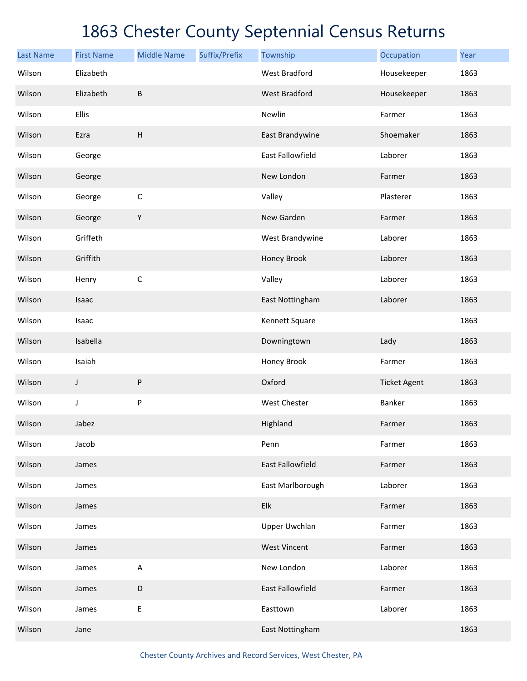| <b>Last Name</b> | <b>First Name</b> | <b>Middle Name</b> | Suffix/Prefix | Township                | Occupation          | Year |
|------------------|-------------------|--------------------|---------------|-------------------------|---------------------|------|
| Wilson           | Elizabeth         |                    |               | <b>West Bradford</b>    | Housekeeper         | 1863 |
| Wilson           | Elizabeth         | $\sf B$            |               | <b>West Bradford</b>    | Housekeeper         | 1863 |
| Wilson           | Ellis             |                    |               | Newlin                  | Farmer              | 1863 |
| Wilson           | Ezra              | H                  |               | East Brandywine         | Shoemaker           | 1863 |
| Wilson           | George            |                    |               | East Fallowfield        | Laborer             | 1863 |
| Wilson           | George            |                    |               | New London              | Farmer              | 1863 |
| Wilson           | George            | $\mathsf C$        |               | Valley                  | Plasterer           | 1863 |
| Wilson           | George            | Υ                  |               | New Garden              | Farmer              | 1863 |
| Wilson           | Griffeth          |                    |               | West Brandywine         | Laborer             | 1863 |
| Wilson           | Griffith          |                    |               | Honey Brook             | Laborer             | 1863 |
| Wilson           | Henry             | $\mathsf C$        |               | Valley                  | Laborer             | 1863 |
| Wilson           | Isaac             |                    |               | East Nottingham         | Laborer             | 1863 |
| Wilson           | Isaac             |                    |               | Kennett Square          |                     | 1863 |
| Wilson           | Isabella          |                    |               | Downingtown             | Lady                | 1863 |
| Wilson           | Isaiah            |                    |               | Honey Brook             | Farmer              | 1863 |
| Wilson           | J                 | P                  |               | Oxford                  | <b>Ticket Agent</b> | 1863 |
| Wilson           | J                 | P                  |               | West Chester            | Banker              | 1863 |
| Wilson           | Jabez             |                    |               | Highland                | Farmer              | 1863 |
| Wilson           | Jacob             |                    |               | Penn                    | Farmer              | 1863 |
| Wilson           | James             |                    |               | <b>East Fallowfield</b> | Farmer              | 1863 |
| Wilson           | James             |                    |               | East Marlborough        | Laborer             | 1863 |
| Wilson           | James             |                    |               | Elk                     | Farmer              | 1863 |
| Wilson           | James             |                    |               | <b>Upper Uwchlan</b>    | Farmer              | 1863 |
| Wilson           | James             |                    |               | <b>West Vincent</b>     | Farmer              | 1863 |
| Wilson           | James             | A                  |               | New London              | Laborer             | 1863 |
| Wilson           | James             | D                  |               | East Fallowfield        | Farmer              | 1863 |
| Wilson           | James             | E                  |               | Easttown                | Laborer             | 1863 |
| Wilson           | Jane              |                    |               | East Nottingham         |                     | 1863 |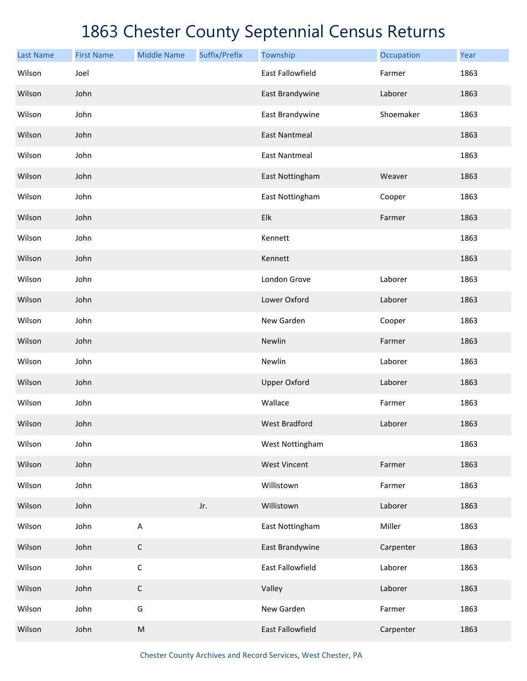| <b>Last Name</b> | <b>First Name</b> | <b>Middle Name</b> | Suffix/Prefix | Township                | Occupation | Year |
|------------------|-------------------|--------------------|---------------|-------------------------|------------|------|
| Wilson           | Joel              |                    |               | <b>East Fallowfield</b> | Farmer     | 1863 |
| Wilson           | John              |                    |               | East Brandywine         | Laborer    | 1863 |
| Wilson           | John              |                    |               | East Brandywine         | Shoemaker  | 1863 |
| Wilson           | John              |                    |               | <b>East Nantmeal</b>    |            | 1863 |
| Wilson           | John              |                    |               | <b>East Nantmeal</b>    |            | 1863 |
| Wilson           | John              |                    |               | East Nottingham         | Weaver     | 1863 |
| Wilson           | John              |                    |               | East Nottingham         | Cooper     | 1863 |
| Wilson           | John              |                    |               | Elk                     | Farmer     | 1863 |
| Wilson           | John              |                    |               | Kennett                 |            | 1863 |
| Wilson           | John              |                    |               | Kennett                 |            | 1863 |
| Wilson           | John              |                    |               | London Grove            | Laborer    | 1863 |
| Wilson           | John              |                    |               | Lower Oxford            | Laborer    | 1863 |
| Wilson           | John              |                    |               | New Garden              | Cooper     | 1863 |
| Wilson           | John              |                    |               | Newlin                  | Farmer     | 1863 |
| Wilson           | John              |                    |               | Newlin                  | Laborer    | 1863 |
| Wilson           | John              |                    |               | <b>Upper Oxford</b>     | Laborer    | 1863 |
| Wilson           | John              |                    |               | Wallace                 | Farmer     | 1863 |
| Wilson           | John              |                    |               | <b>West Bradford</b>    | Laborer    | 1863 |
| Wilson           | John              |                    |               | West Nottingham         |            | 1863 |
| Wilson           | John              |                    |               | <b>West Vincent</b>     | Farmer     | 1863 |
| Wilson           | John              |                    |               | Willistown              | Farmer     | 1863 |
| Wilson           | John              |                    | Jr.           | Willistown              | Laborer    | 1863 |
| Wilson           | John              | $\mathsf A$        |               | East Nottingham         | Miller     | 1863 |
| Wilson           | John              | $\mathsf C$        |               | East Brandywine         | Carpenter  | 1863 |
| Wilson           | John              | $\mathsf C$        |               | East Fallowfield        | Laborer    | 1863 |
| Wilson           | John              | $\mathsf C$        |               | Valley                  | Laborer    | 1863 |
| Wilson           | John              | G                  |               | New Garden              | Farmer     | 1863 |
| Wilson           | John              | ${\sf M}$          |               | East Fallowfield        | Carpenter  | 1863 |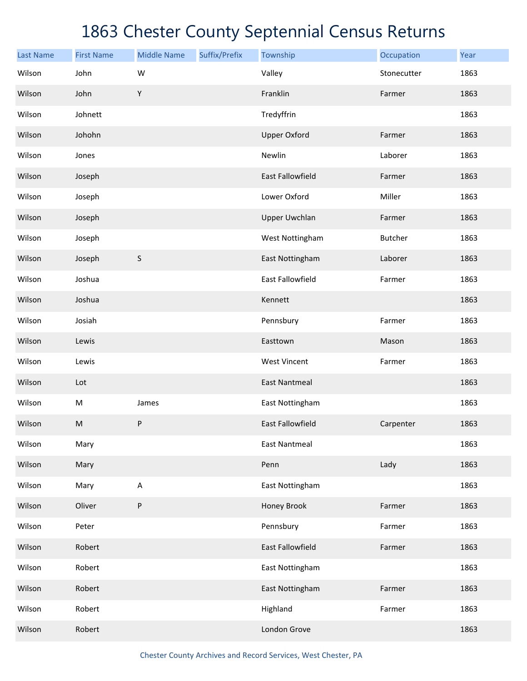| <b>Last Name</b> | <b>First Name</b> | <b>Middle Name</b> | Suffix/Prefix | Township                | Occupation     | Year |
|------------------|-------------------|--------------------|---------------|-------------------------|----------------|------|
| Wilson           | John              | W                  |               | Valley                  | Stonecutter    | 1863 |
| Wilson           | John              | Υ                  |               | Franklin                | Farmer         | 1863 |
| Wilson           | Johnett           |                    |               | Tredyffrin              |                | 1863 |
| Wilson           | Johohn            |                    |               | <b>Upper Oxford</b>     | Farmer         | 1863 |
| Wilson           | Jones             |                    |               | Newlin                  | Laborer        | 1863 |
| Wilson           | Joseph            |                    |               | East Fallowfield        | Farmer         | 1863 |
| Wilson           | Joseph            |                    |               | Lower Oxford            | Miller         | 1863 |
| Wilson           | Joseph            |                    |               | <b>Upper Uwchlan</b>    | Farmer         | 1863 |
| Wilson           | Joseph            |                    |               | West Nottingham         | <b>Butcher</b> | 1863 |
| Wilson           | Joseph            | $\sf S$            |               | East Nottingham         | Laborer        | 1863 |
| Wilson           | Joshua            |                    |               | East Fallowfield        | Farmer         | 1863 |
| Wilson           | Joshua            |                    |               | Kennett                 |                | 1863 |
| Wilson           | Josiah            |                    |               | Pennsbury               | Farmer         | 1863 |
| Wilson           | Lewis             |                    |               | Easttown                | Mason          | 1863 |
| Wilson           | Lewis             |                    |               | <b>West Vincent</b>     | Farmer         | 1863 |
| Wilson           | Lot               |                    |               | <b>East Nantmeal</b>    |                | 1863 |
| Wilson           | M                 | James              |               | East Nottingham         |                | 1863 |
| Wilson           | ${\sf M}$         | ${\sf P}$          |               | <b>East Fallowfield</b> | Carpenter      | 1863 |
| Wilson           | Mary              |                    |               | <b>East Nantmeal</b>    |                | 1863 |
| Wilson           | Mary              |                    |               | Penn                    | Lady           | 1863 |
| Wilson           | Mary              | A                  |               | East Nottingham         |                | 1863 |
| Wilson           | Oliver            | P                  |               | Honey Brook             | Farmer         | 1863 |
| Wilson           | Peter             |                    |               | Pennsbury               | Farmer         | 1863 |
| Wilson           | Robert            |                    |               | East Fallowfield        | Farmer         | 1863 |
| Wilson           | Robert            |                    |               | East Nottingham         |                | 1863 |
| Wilson           | Robert            |                    |               | East Nottingham         | Farmer         | 1863 |
| Wilson           | Robert            |                    |               | Highland                | Farmer         | 1863 |
| Wilson           | Robert            |                    |               | London Grove            |                | 1863 |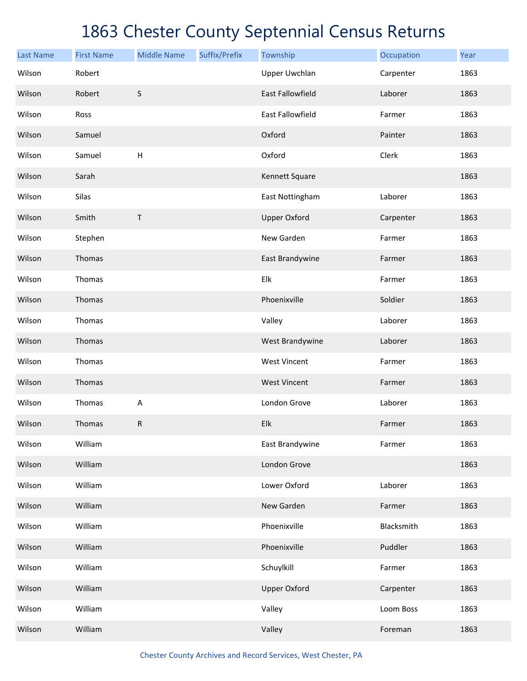| <b>Last Name</b> | <b>First Name</b> | <b>Middle Name</b> | Suffix/Prefix | Township                | Occupation | Year |
|------------------|-------------------|--------------------|---------------|-------------------------|------------|------|
| Wilson           | Robert            |                    |               | <b>Upper Uwchlan</b>    | Carpenter  | 1863 |
| Wilson           | Robert            | $\sf S$            |               | <b>East Fallowfield</b> | Laborer    | 1863 |
| Wilson           | Ross              |                    |               | East Fallowfield        | Farmer     | 1863 |
| Wilson           | Samuel            |                    |               | Oxford                  | Painter    | 1863 |
| Wilson           | Samuel            | $\sf H$            |               | Oxford                  | Clerk      | 1863 |
| Wilson           | Sarah             |                    |               | Kennett Square          |            | 1863 |
| Wilson           | Silas             |                    |               | East Nottingham         | Laborer    | 1863 |
| Wilson           | Smith             | Τ                  |               | <b>Upper Oxford</b>     | Carpenter  | 1863 |
| Wilson           | Stephen           |                    |               | New Garden              | Farmer     | 1863 |
| Wilson           | Thomas            |                    |               | East Brandywine         | Farmer     | 1863 |
| Wilson           | Thomas            |                    |               | Elk                     | Farmer     | 1863 |
| Wilson           | Thomas            |                    |               | Phoenixville            | Soldier    | 1863 |
| Wilson           | Thomas            |                    |               | Valley                  | Laborer    | 1863 |
| Wilson           | Thomas            |                    |               | West Brandywine         | Laborer    | 1863 |
| Wilson           | Thomas            |                    |               | <b>West Vincent</b>     | Farmer     | 1863 |
| Wilson           | Thomas            |                    |               | <b>West Vincent</b>     | Farmer     | 1863 |
| Wilson           | Thomas            | A                  |               | London Grove            | Laborer    | 1863 |
| Wilson           | Thomas            | ${\sf R}$          |               | Elk                     | Farmer     | 1863 |
| Wilson           | William           |                    |               | East Brandywine         | Farmer     | 1863 |
| Wilson           | William           |                    |               | London Grove            |            | 1863 |
| Wilson           | William           |                    |               | Lower Oxford            | Laborer    | 1863 |
| Wilson           | William           |                    |               | New Garden              | Farmer     | 1863 |
| Wilson           | William           |                    |               | Phoenixville            | Blacksmith | 1863 |
| Wilson           | William           |                    |               | Phoenixville            | Puddler    | 1863 |
| Wilson           | William           |                    |               | Schuylkill              | Farmer     | 1863 |
| Wilson           | William           |                    |               | <b>Upper Oxford</b>     | Carpenter  | 1863 |
| Wilson           | William           |                    |               | Valley                  | Loom Boss  | 1863 |
| Wilson           | William           |                    |               | Valley                  | Foreman    | 1863 |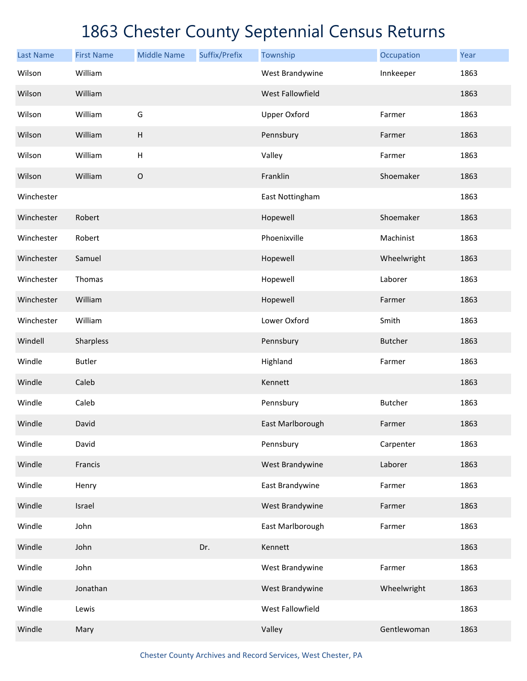| <b>Last Name</b> | <b>First Name</b> | <b>Middle Name</b>        | Suffix/Prefix | Township            | Occupation     | Year |
|------------------|-------------------|---------------------------|---------------|---------------------|----------------|------|
| Wilson           | William           |                           |               | West Brandywine     | Innkeeper      | 1863 |
| Wilson           | William           |                           |               | West Fallowfield    |                | 1863 |
| Wilson           | William           | G                         |               | <b>Upper Oxford</b> | Farmer         | 1863 |
| Wilson           | William           | H                         |               | Pennsbury           | Farmer         | 1863 |
| Wilson           | William           | $\boldsymbol{\mathsf{H}}$ |               | Valley              | Farmer         | 1863 |
| Wilson           | William           | $\mathsf O$               |               | Franklin            | Shoemaker      | 1863 |
| Winchester       |                   |                           |               | East Nottingham     |                | 1863 |
| Winchester       | Robert            |                           |               | Hopewell            | Shoemaker      | 1863 |
| Winchester       | Robert            |                           |               | Phoenixville        | Machinist      | 1863 |
| Winchester       | Samuel            |                           |               | Hopewell            | Wheelwright    | 1863 |
| Winchester       | Thomas            |                           |               | Hopewell            | Laborer        | 1863 |
| Winchester       | William           |                           |               | Hopewell            | Farmer         | 1863 |
| Winchester       | William           |                           |               | Lower Oxford        | Smith          | 1863 |
| Windell          | Sharpless         |                           |               | Pennsbury           | <b>Butcher</b> | 1863 |
| Windle           | <b>Butler</b>     |                           |               | Highland            | Farmer         | 1863 |
| Windle           | Caleb             |                           |               | Kennett             |                | 1863 |
| Windle           | Caleb             |                           |               | Pennsbury           | Butcher        | 1863 |
| Windle           | David             |                           |               | East Marlborough    | Farmer         | 1863 |
| Windle           | David             |                           |               | Pennsbury           | Carpenter      | 1863 |
| Windle           | Francis           |                           |               | West Brandywine     | Laborer        | 1863 |
| Windle           | Henry             |                           |               | East Brandywine     | Farmer         | 1863 |
| Windle           | Israel            |                           |               | West Brandywine     | Farmer         | 1863 |
| Windle           | John              |                           |               | East Marlborough    | Farmer         | 1863 |
| Windle           | John              |                           | Dr.           | Kennett             |                | 1863 |
| Windle           | John              |                           |               | West Brandywine     | Farmer         | 1863 |
| Windle           | Jonathan          |                           |               | West Brandywine     | Wheelwright    | 1863 |
| Windle           | Lewis             |                           |               | West Fallowfield    |                | 1863 |
| Windle           | Mary              |                           |               | Valley              | Gentlewoman    | 1863 |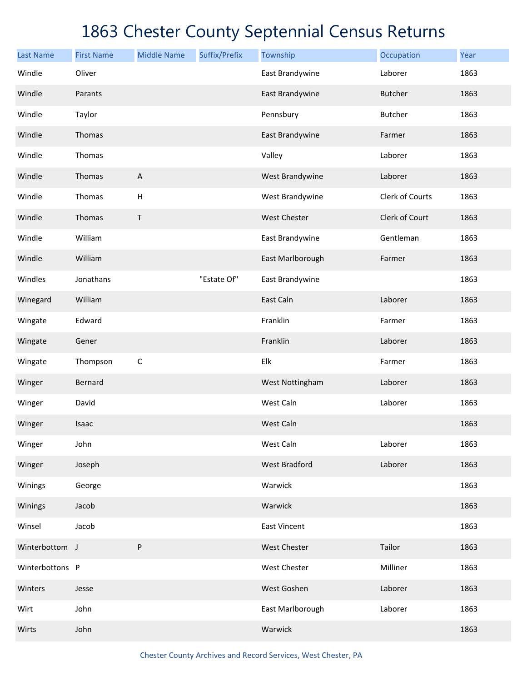| <b>Last Name</b> | <b>First Name</b> | <b>Middle Name</b>        | Suffix/Prefix | Township             | Occupation      | Year |
|------------------|-------------------|---------------------------|---------------|----------------------|-----------------|------|
| Windle           | Oliver            |                           |               | East Brandywine      | Laborer         | 1863 |
| Windle           | Parants           |                           |               | East Brandywine      | <b>Butcher</b>  | 1863 |
| Windle           | Taylor            |                           |               | Pennsbury            | <b>Butcher</b>  | 1863 |
| Windle           | Thomas            |                           |               | East Brandywine      | Farmer          | 1863 |
| Windle           | Thomas            |                           |               | Valley               | Laborer         | 1863 |
| Windle           | Thomas            | $\boldsymbol{\mathsf{A}}$ |               | West Brandywine      | Laborer         | 1863 |
| Windle           | Thomas            | $\boldsymbol{\mathsf{H}}$ |               | West Brandywine      | Clerk of Courts | 1863 |
| Windle           | Thomas            | Τ                         |               | West Chester         | Clerk of Court  | 1863 |
| Windle           | William           |                           |               | East Brandywine      | Gentleman       | 1863 |
| Windle           | William           |                           |               | East Marlborough     | Farmer          | 1863 |
| Windles          | Jonathans         |                           | "Estate Of"   | East Brandywine      |                 | 1863 |
| Winegard         | William           |                           |               | East Caln            | Laborer         | 1863 |
| Wingate          | Edward            |                           |               | Franklin             | Farmer          | 1863 |
| Wingate          | Gener             |                           |               | Franklin             | Laborer         | 1863 |
| Wingate          | Thompson          | $\mathsf C$               |               | Elk                  | Farmer          | 1863 |
| Winger           | Bernard           |                           |               | West Nottingham      | Laborer         | 1863 |
| Winger           | David             |                           |               | West Caln            | Laborer         | 1863 |
| Winger           | Isaac             |                           |               | West Caln            |                 | 1863 |
| Winger           | John              |                           |               | West Caln            | Laborer         | 1863 |
| Winger           | Joseph            |                           |               | <b>West Bradford</b> | Laborer         | 1863 |
| Winings          | George            |                           |               | Warwick              |                 | 1863 |
| Winings          | Jacob             |                           |               | Warwick              |                 | 1863 |
| Winsel           | Jacob             |                           |               | <b>East Vincent</b>  |                 | 1863 |
| Winterbottom J   |                   | P                         |               | West Chester         | Tailor          | 1863 |
| Winterbottons P  |                   |                           |               | West Chester         | Milliner        | 1863 |
| Winters          | Jesse             |                           |               | West Goshen          | Laborer         | 1863 |
| Wirt             | John              |                           |               | East Marlborough     | Laborer         | 1863 |
| Wirts            | John              |                           |               | Warwick              |                 | 1863 |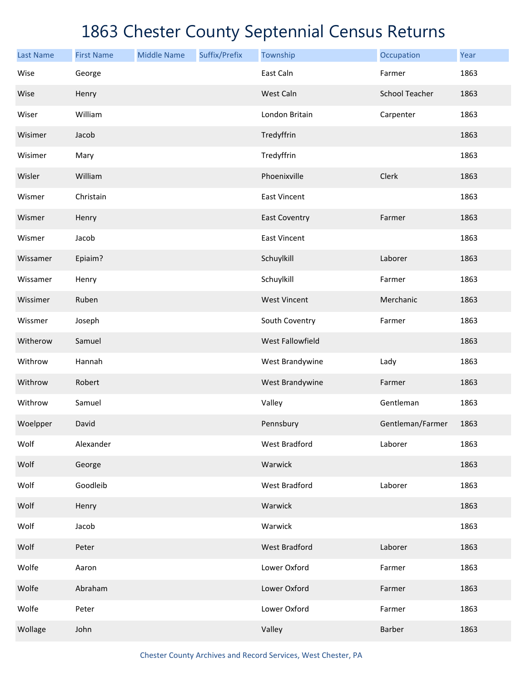| <b>Last Name</b> | <b>First Name</b> | <b>Middle Name</b> | Suffix/Prefix | Township               | Occupation            | Year |
|------------------|-------------------|--------------------|---------------|------------------------|-----------------------|------|
| Wise             | George            |                    |               | East Caln              | Farmer                | 1863 |
| Wise             | Henry             |                    |               | West Caln              | <b>School Teacher</b> | 1863 |
| Wiser            | William           |                    |               | London Britain         | Carpenter             | 1863 |
| Wisimer          | Jacob             |                    |               | Tredyffrin             |                       | 1863 |
| Wisimer          | Mary              |                    |               | Tredyffrin             |                       | 1863 |
| Wisler           | William           |                    |               | Phoenixville           | Clerk                 | 1863 |
| Wismer           | Christain         |                    |               | <b>East Vincent</b>    |                       | 1863 |
| Wismer           | Henry             |                    |               | <b>East Coventry</b>   | Farmer                | 1863 |
| Wismer           | Jacob             |                    |               | <b>East Vincent</b>    |                       | 1863 |
| Wissamer         | Epiaim?           |                    |               | Schuylkill             | Laborer               | 1863 |
| Wissamer         | Henry             |                    |               | Schuylkill             | Farmer                | 1863 |
| Wissimer         | Ruben             |                    |               | <b>West Vincent</b>    | Merchanic             | 1863 |
| Wissmer          | Joseph            |                    |               | South Coventry         | Farmer                | 1863 |
| Witherow         | Samuel            |                    |               | West Fallowfield       |                       | 1863 |
| Withrow          | Hannah            |                    |               | West Brandywine        | Lady                  | 1863 |
| Withrow          | Robert            |                    |               | <b>West Brandywine</b> | Farmer                | 1863 |
| Withrow          | Samuel            |                    |               | Valley                 | Gentleman             | 1863 |
| Woelpper         | David             |                    |               | Pennsbury              | Gentleman/Farmer      | 1863 |
| Wolf             | Alexander         |                    |               | <b>West Bradford</b>   | Laborer               | 1863 |
| Wolf             | George            |                    |               | Warwick                |                       | 1863 |
| Wolf             | Goodleib          |                    |               | West Bradford          | Laborer               | 1863 |
| Wolf             | Henry             |                    |               | Warwick                |                       | 1863 |
| Wolf             | Jacob             |                    |               | Warwick                |                       | 1863 |
| Wolf             | Peter             |                    |               | <b>West Bradford</b>   | Laborer               | 1863 |
| Wolfe            | Aaron             |                    |               | Lower Oxford           | Farmer                | 1863 |
| Wolfe            | Abraham           |                    |               | Lower Oxford           | Farmer                | 1863 |
| Wolfe            | Peter             |                    |               | Lower Oxford           | Farmer                | 1863 |
| Wollage          | John              |                    |               | Valley                 | Barber                | 1863 |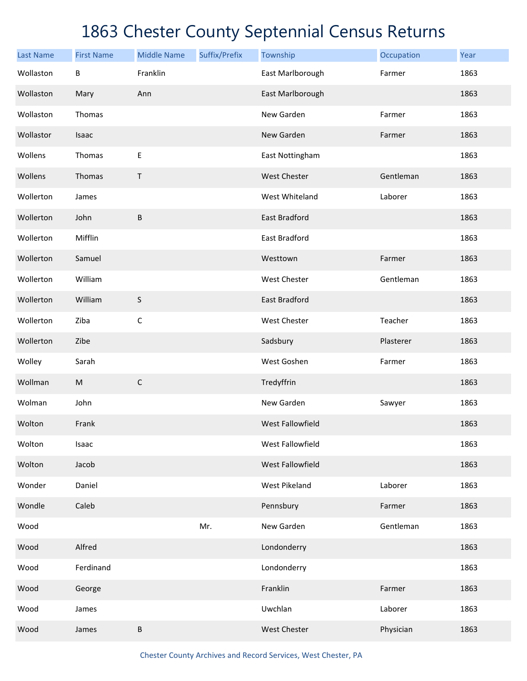| <b>Last Name</b> | <b>First Name</b> | <b>Middle Name</b> | Suffix/Prefix | Township             | Occupation | Year |
|------------------|-------------------|--------------------|---------------|----------------------|------------|------|
| Wollaston        | B                 | Franklin           |               | East Marlborough     | Farmer     | 1863 |
| Wollaston        | Mary              | Ann                |               | East Marlborough     |            | 1863 |
| Wollaston        | Thomas            |                    |               | New Garden           | Farmer     | 1863 |
| Wollastor        | Isaac             |                    |               | New Garden           | Farmer     | 1863 |
| Wollens          | Thomas            | $\mathsf E$        |               | East Nottingham      |            | 1863 |
| Wollens          | Thomas            | T                  |               | <b>West Chester</b>  | Gentleman  | 1863 |
| Wollerton        | James             |                    |               | West Whiteland       | Laborer    | 1863 |
| Wollerton        | John              | $\sf B$            |               | <b>East Bradford</b> |            | 1863 |
| Wollerton        | Mifflin           |                    |               | East Bradford        |            | 1863 |
| Wollerton        | Samuel            |                    |               | Westtown             | Farmer     | 1863 |
| Wollerton        | William           |                    |               | <b>West Chester</b>  | Gentleman  | 1863 |
| Wollerton        | William           | $\sf S$            |               | <b>East Bradford</b> |            | 1863 |
| Wollerton        | Ziba              | $\mathsf C$        |               | West Chester         | Teacher    | 1863 |
| Wollerton        | Zibe              |                    |               | Sadsbury             | Plasterer  | 1863 |
| Wolley           | Sarah             |                    |               | West Goshen          | Farmer     | 1863 |
| Wollman          | ${\sf M}$         | $\mathsf C$        |               | Tredyffrin           |            | 1863 |
| Wolman           | John              |                    |               | New Garden           | Sawyer     | 1863 |
| Wolton           | Frank             |                    |               | West Fallowfield     |            | 1863 |
| Wolton           | Isaac             |                    |               | West Fallowfield     |            | 1863 |
| Wolton           | Jacob             |                    |               | West Fallowfield     |            | 1863 |
| Wonder           | Daniel            |                    |               | West Pikeland        | Laborer    | 1863 |
| Wondle           | Caleb             |                    |               | Pennsbury            | Farmer     | 1863 |
| Wood             |                   |                    | Mr.           | New Garden           | Gentleman  | 1863 |
| Wood             | Alfred            |                    |               | Londonderry          |            | 1863 |
| Wood             | Ferdinand         |                    |               | Londonderry          |            | 1863 |
| Wood             | George            |                    |               | Franklin             | Farmer     | 1863 |
| Wood             | James             |                    |               | Uwchlan              | Laborer    | 1863 |
| Wood             | James             | $\sf B$            |               | West Chester         | Physician  | 1863 |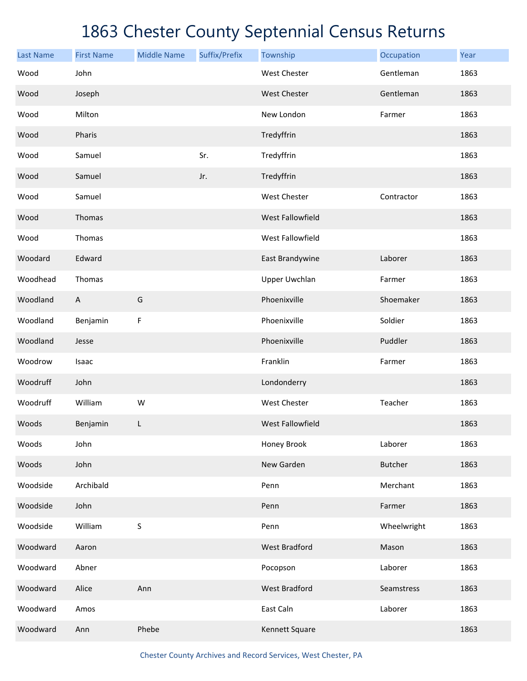| <b>Last Name</b> | <b>First Name</b>         | <b>Middle Name</b> | Suffix/Prefix | Township                | Occupation     | Year |
|------------------|---------------------------|--------------------|---------------|-------------------------|----------------|------|
| Wood             | John                      |                    |               | <b>West Chester</b>     | Gentleman      | 1863 |
| Wood             | Joseph                    |                    |               | West Chester            | Gentleman      | 1863 |
| Wood             | Milton                    |                    |               | New London              | Farmer         | 1863 |
| Wood             | Pharis                    |                    |               | Tredyffrin              |                | 1863 |
| Wood             | Samuel                    |                    | Sr.           | Tredyffrin              |                | 1863 |
| Wood             | Samuel                    |                    | Jr.           | Tredyffrin              |                | 1863 |
| Wood             | Samuel                    |                    |               | West Chester            | Contractor     | 1863 |
| Wood             | Thomas                    |                    |               | West Fallowfield        |                | 1863 |
| Wood             | Thomas                    |                    |               | West Fallowfield        |                | 1863 |
| Woodard          | Edward                    |                    |               | East Brandywine         | Laborer        | 1863 |
| Woodhead         | Thomas                    |                    |               | <b>Upper Uwchlan</b>    | Farmer         | 1863 |
| Woodland         | $\boldsymbol{\mathsf{A}}$ | G                  |               | Phoenixville            | Shoemaker      | 1863 |
| Woodland         | Benjamin                  | F                  |               | Phoenixville            | Soldier        | 1863 |
| Woodland         | Jesse                     |                    |               | Phoenixville            | Puddler        | 1863 |
| Woodrow          | Isaac                     |                    |               | Franklin                | Farmer         | 1863 |
| Woodruff         | John                      |                    |               | Londonderry             |                | 1863 |
| Woodruff         | William                   | W                  |               | <b>West Chester</b>     | Teacher        | 1863 |
| Woods            | Benjamin                  | L                  |               | <b>West Fallowfield</b> |                | 1863 |
| Woods            | John                      |                    |               | Honey Brook             | Laborer        | 1863 |
| Woods            | John                      |                    |               | New Garden              | <b>Butcher</b> | 1863 |
| Woodside         | Archibald                 |                    |               | Penn                    | Merchant       | 1863 |
| Woodside         | John                      |                    |               | Penn                    | Farmer         | 1863 |
| Woodside         | William                   | $\sf S$            |               | Penn                    | Wheelwright    | 1863 |
| Woodward         | Aaron                     |                    |               | <b>West Bradford</b>    | Mason          | 1863 |
| Woodward         | Abner                     |                    |               | Pocopson                | Laborer        | 1863 |
| Woodward         | Alice                     | Ann                |               | <b>West Bradford</b>    | Seamstress     | 1863 |
| Woodward         | Amos                      |                    |               | East Caln               | Laborer        | 1863 |
| Woodward         | Ann                       | Phebe              |               | Kennett Square          |                | 1863 |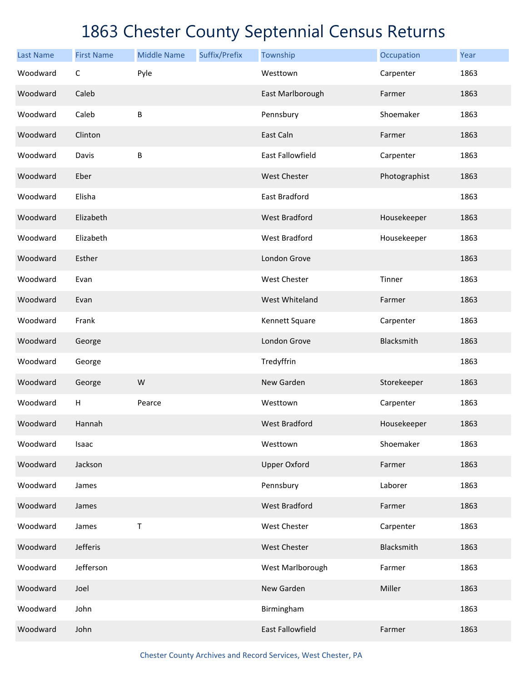| <b>Last Name</b> | <b>First Name</b> | <b>Middle Name</b> | Suffix/Prefix | Township             | Occupation    | Year |
|------------------|-------------------|--------------------|---------------|----------------------|---------------|------|
| Woodward         | $\mathsf C$       | Pyle               |               | Westtown             | Carpenter     | 1863 |
| Woodward         | Caleb             |                    |               | East Marlborough     | Farmer        | 1863 |
| Woodward         | Caleb             | B                  |               | Pennsbury            | Shoemaker     | 1863 |
| Woodward         | Clinton           |                    |               | East Caln            | Farmer        | 1863 |
| Woodward         | Davis             | B                  |               | East Fallowfield     | Carpenter     | 1863 |
| Woodward         | Eber              |                    |               | <b>West Chester</b>  | Photographist | 1863 |
| Woodward         | Elisha            |                    |               | East Bradford        |               | 1863 |
| Woodward         | Elizabeth         |                    |               | <b>West Bradford</b> | Housekeeper   | 1863 |
| Woodward         | Elizabeth         |                    |               | <b>West Bradford</b> | Housekeeper   | 1863 |
| Woodward         | Esther            |                    |               | London Grove         |               | 1863 |
| Woodward         | Evan              |                    |               | <b>West Chester</b>  | Tinner        | 1863 |
| Woodward         | Evan              |                    |               | West Whiteland       | Farmer        | 1863 |
| Woodward         | Frank             |                    |               | Kennett Square       | Carpenter     | 1863 |
| Woodward         | George            |                    |               | London Grove         | Blacksmith    | 1863 |
| Woodward         | George            |                    |               | Tredyffrin           |               | 1863 |
| Woodward         | George            | W                  |               | New Garden           | Storekeeper   | 1863 |
| Woodward         | H                 | Pearce             |               | Westtown             | Carpenter     | 1863 |
| Woodward         | Hannah            |                    |               | <b>West Bradford</b> | Housekeeper   | 1863 |
| Woodward         | Isaac             |                    |               | Westtown             | Shoemaker     | 1863 |
| Woodward         | Jackson           |                    |               | <b>Upper Oxford</b>  | Farmer        | 1863 |
| Woodward         | James             |                    |               | Pennsbury            | Laborer       | 1863 |
| Woodward         | James             |                    |               | <b>West Bradford</b> | Farmer        | 1863 |
| Woodward         | James             | $\mathsf T$        |               | West Chester         | Carpenter     | 1863 |
| Woodward         | Jefferis          |                    |               | West Chester         | Blacksmith    | 1863 |
| Woodward         | Jefferson         |                    |               | West Marlborough     | Farmer        | 1863 |
| Woodward         | Joel              |                    |               | New Garden           | Miller        | 1863 |
| Woodward         | John              |                    |               | Birmingham           |               | 1863 |
| Woodward         | John              |                    |               | East Fallowfield     | Farmer        | 1863 |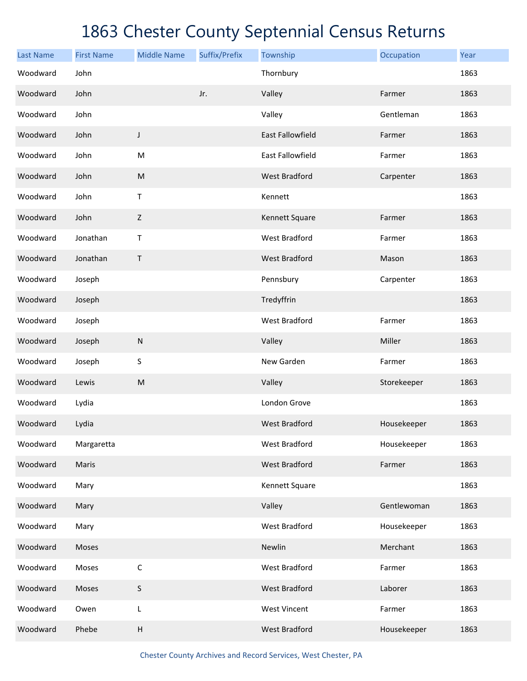| <b>Last Name</b> | <b>First Name</b> | <b>Middle Name</b>                                                                                         | Suffix/Prefix | Township                | Occupation  | Year |
|------------------|-------------------|------------------------------------------------------------------------------------------------------------|---------------|-------------------------|-------------|------|
| Woodward         | John              |                                                                                                            |               | Thornbury               |             | 1863 |
| Woodward         | John              |                                                                                                            | Jr.           | Valley                  | Farmer      | 1863 |
| Woodward         | John              |                                                                                                            |               | Valley                  | Gentleman   | 1863 |
| Woodward         | John              | J                                                                                                          |               | <b>East Fallowfield</b> | Farmer      | 1863 |
| Woodward         | John              | ${\sf M}$                                                                                                  |               | East Fallowfield        | Farmer      | 1863 |
| Woodward         | John              | $\mathsf{M}% _{T}=\mathsf{M}_{T}\!\left( a,b\right) ,\ \mathsf{M}_{T}=\mathsf{M}_{T}\!\left( a,b\right) ,$ |               | <b>West Bradford</b>    | Carpenter   | 1863 |
| Woodward         | John              | $\mathsf T$                                                                                                |               | Kennett                 |             | 1863 |
| Woodward         | John              | Z                                                                                                          |               | Kennett Square          | Farmer      | 1863 |
| Woodward         | Jonathan          | Τ                                                                                                          |               | <b>West Bradford</b>    | Farmer      | 1863 |
| Woodward         | Jonathan          | $\mathsf T$                                                                                                |               | <b>West Bradford</b>    | Mason       | 1863 |
| Woodward         | Joseph            |                                                                                                            |               | Pennsbury               | Carpenter   | 1863 |
| Woodward         | Joseph            |                                                                                                            |               | Tredyffrin              |             | 1863 |
| Woodward         | Joseph            |                                                                                                            |               | <b>West Bradford</b>    | Farmer      | 1863 |
| Woodward         | Joseph            | ${\sf N}$                                                                                                  |               | Valley                  | Miller      | 1863 |
| Woodward         | Joseph            | $\mathsf S$                                                                                                |               | New Garden              | Farmer      | 1863 |
| Woodward         | Lewis             | ${\sf M}$                                                                                                  |               | Valley                  | Storekeeper | 1863 |
| Woodward         | Lydia             |                                                                                                            |               | London Grove            |             | 1863 |
| Woodward         | Lydia             |                                                                                                            |               | <b>West Bradford</b>    | Housekeeper | 1863 |
| Woodward         | Margaretta        |                                                                                                            |               | West Bradford           | Housekeeper | 1863 |
| Woodward         | Maris             |                                                                                                            |               | <b>West Bradford</b>    | Farmer      | 1863 |
| Woodward         | Mary              |                                                                                                            |               | Kennett Square          |             | 1863 |
| Woodward         | Mary              |                                                                                                            |               | Valley                  | Gentlewoman | 1863 |
| Woodward         | Mary              |                                                                                                            |               | West Bradford           | Housekeeper | 1863 |
| Woodward         | Moses             |                                                                                                            |               | Newlin                  | Merchant    | 1863 |
| Woodward         | Moses             | $\mathsf C$                                                                                                |               | West Bradford           | Farmer      | 1863 |
| Woodward         | Moses             | $\mathsf S$                                                                                                |               | <b>West Bradford</b>    | Laborer     | 1863 |
| Woodward         | Owen              | $\mathsf L$                                                                                                |               | <b>West Vincent</b>     | Farmer      | 1863 |
| Woodward         | Phebe             | $\sf H$                                                                                                    |               | <b>West Bradford</b>    | Housekeeper | 1863 |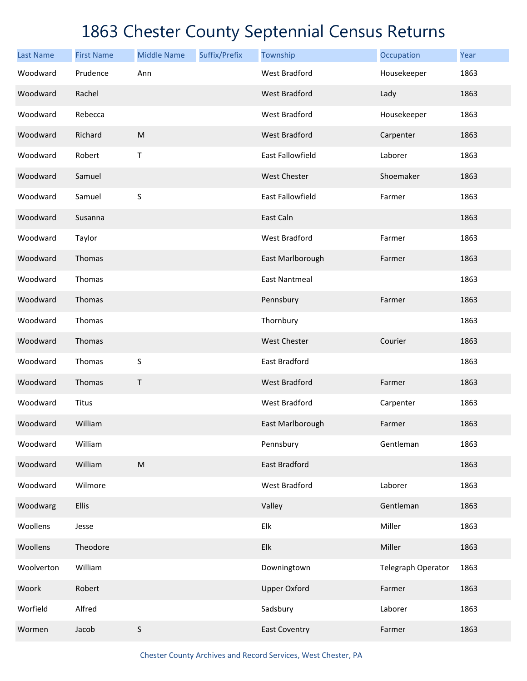| <b>Last Name</b> | <b>First Name</b> | <b>Middle Name</b> | Suffix/Prefix | Township                | Occupation         | Year |
|------------------|-------------------|--------------------|---------------|-------------------------|--------------------|------|
| Woodward         | Prudence          | Ann                |               | <b>West Bradford</b>    | Housekeeper        | 1863 |
| Woodward         | Rachel            |                    |               | <b>West Bradford</b>    | Lady               | 1863 |
| Woodward         | Rebecca           |                    |               | <b>West Bradford</b>    | Housekeeper        | 1863 |
| Woodward         | Richard           | M                  |               | <b>West Bradford</b>    | Carpenter          | 1863 |
| Woodward         | Robert            | Τ                  |               | <b>East Fallowfield</b> | Laborer            | 1863 |
| Woodward         | Samuel            |                    |               | <b>West Chester</b>     | Shoemaker          | 1863 |
| Woodward         | Samuel            | S                  |               | <b>East Fallowfield</b> | Farmer             | 1863 |
| Woodward         | Susanna           |                    |               | East Caln               |                    | 1863 |
| Woodward         | Taylor            |                    |               | <b>West Bradford</b>    | Farmer             | 1863 |
| Woodward         | Thomas            |                    |               | East Marlborough        | Farmer             | 1863 |
| Woodward         | Thomas            |                    |               | <b>East Nantmeal</b>    |                    | 1863 |
| Woodward         | Thomas            |                    |               | Pennsbury               | Farmer             | 1863 |
| Woodward         | Thomas            |                    |               | Thornbury               |                    | 1863 |
| Woodward         | Thomas            |                    |               | <b>West Chester</b>     | Courier            | 1863 |
| Woodward         | Thomas            | S                  |               | East Bradford           |                    | 1863 |
| Woodward         | Thomas            | $\mathsf T$        |               | <b>West Bradford</b>    | Farmer             | 1863 |
| Woodward         | Titus             |                    |               | <b>West Bradford</b>    | Carpenter          | 1863 |
| Woodward         | William           |                    |               | East Marlborough        | Farmer             | 1863 |
| Woodward         | William           |                    |               | Pennsbury               | Gentleman          | 1863 |
| Woodward         | William           | ${\sf M}$          |               | East Bradford           |                    | 1863 |
| Woodward         | Wilmore           |                    |               | West Bradford           | Laborer            | 1863 |
| Woodwarg         | <b>Ellis</b>      |                    |               | Valley                  | Gentleman          | 1863 |
| Woollens         | Jesse             |                    |               | Elk                     | Miller             | 1863 |
| Woollens         | Theodore          |                    |               | Elk                     | Miller             | 1863 |
| Woolverton       | William           |                    |               | Downingtown             | Telegraph Operator | 1863 |
| Woork            | Robert            |                    |               | <b>Upper Oxford</b>     | Farmer             | 1863 |
| Worfield         | Alfred            |                    |               | Sadsbury                | Laborer            | 1863 |
| Wormen           | Jacob             | S                  |               | <b>East Coventry</b>    | Farmer             | 1863 |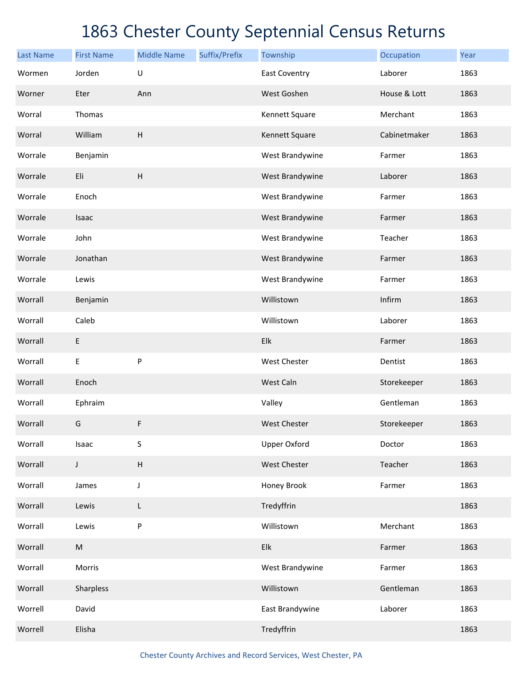| <b>Last Name</b> | <b>First Name</b> | <b>Middle Name</b> | Suffix/Prefix | Township             | Occupation   | Year |
|------------------|-------------------|--------------------|---------------|----------------------|--------------|------|
| Wormen           | Jorden            | $\cup$             |               | <b>East Coventry</b> | Laborer      | 1863 |
| Worner           | Eter              | Ann                |               | West Goshen          | House & Lott | 1863 |
| Worral           | Thomas            |                    |               | Kennett Square       | Merchant     | 1863 |
| Worral           | William           | H                  |               | Kennett Square       | Cabinetmaker | 1863 |
| Worrale          | Benjamin          |                    |               | West Brandywine      | Farmer       | 1863 |
| Worrale          | Eli               | H                  |               | West Brandywine      | Laborer      | 1863 |
| Worrale          | Enoch             |                    |               | West Brandywine      | Farmer       | 1863 |
| Worrale          | Isaac             |                    |               | West Brandywine      | Farmer       | 1863 |
| Worrale          | John              |                    |               | West Brandywine      | Teacher      | 1863 |
| Worrale          | Jonathan          |                    |               | West Brandywine      | Farmer       | 1863 |
| Worrale          | Lewis             |                    |               | West Brandywine      | Farmer       | 1863 |
| Worrall          | Benjamin          |                    |               | Willistown           | Infirm       | 1863 |
| Worrall          | Caleb             |                    |               | Willistown           | Laborer      | 1863 |
| Worrall          | E                 |                    |               | Elk                  | Farmer       | 1863 |
| Worrall          | E                 | P                  |               | <b>West Chester</b>  | Dentist      | 1863 |
| Worrall          | Enoch             |                    |               | West Caln            | Storekeeper  | 1863 |
| Worrall          | Ephraim           |                    |               | Valley               | Gentleman    | 1863 |
| Worrall          | G                 | F                  |               | <b>West Chester</b>  | Storekeeper  | 1863 |
| Worrall          | Isaac             | S                  |               | <b>Upper Oxford</b>  | Doctor       | 1863 |
| Worrall          | J                 | H                  |               | West Chester         | Teacher      | 1863 |
| Worrall          | James             | J                  |               | Honey Brook          | Farmer       | 1863 |
| Worrall          | Lewis             | L                  |               | Tredyffrin           |              | 1863 |
| Worrall          | Lewis             | P                  |               | Willistown           | Merchant     | 1863 |
| Worrall          | ${\sf M}$         |                    |               | Elk                  | Farmer       | 1863 |
| Worrall          | Morris            |                    |               | West Brandywine      | Farmer       | 1863 |
| Worrall          | Sharpless         |                    |               | Willistown           | Gentleman    | 1863 |
| Worrell          | David             |                    |               | East Brandywine      | Laborer      | 1863 |
| Worrell          | Elisha            |                    |               | Tredyffrin           |              | 1863 |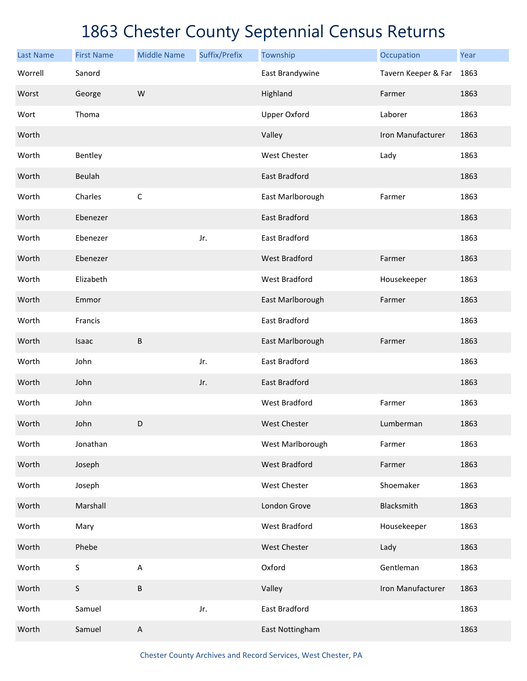| <b>Last Name</b> | <b>First Name</b> | <b>Middle Name</b> | Suffix/Prefix | Township             | Occupation          | Year |
|------------------|-------------------|--------------------|---------------|----------------------|---------------------|------|
| Worrell          | Sanord            |                    |               | East Brandywine      | Tavern Keeper & Far | 1863 |
| Worst            | George            | W                  |               | Highland             | Farmer              | 1863 |
| Wort             | Thoma             |                    |               | <b>Upper Oxford</b>  | Laborer             | 1863 |
| Worth            |                   |                    |               | Valley               | Iron Manufacturer   | 1863 |
| Worth            | Bentley           |                    |               | <b>West Chester</b>  | Lady                | 1863 |
| Worth            | Beulah            |                    |               | East Bradford        |                     | 1863 |
| Worth            | Charles           | $\mathsf C$        |               | East Marlborough     | Farmer              | 1863 |
| Worth            | Ebenezer          |                    |               | <b>East Bradford</b> |                     | 1863 |
| Worth            | Ebenezer          |                    | Jr.           | <b>East Bradford</b> |                     | 1863 |
| Worth            | Ebenezer          |                    |               | <b>West Bradford</b> | Farmer              | 1863 |
| Worth            | Elizabeth         |                    |               | <b>West Bradford</b> | Housekeeper         | 1863 |
| Worth            | Emmor             |                    |               | East Marlborough     | Farmer              | 1863 |
| Worth            | Francis           |                    |               | East Bradford        |                     | 1863 |
| Worth            | Isaac             | B                  |               | East Marlborough     | Farmer              | 1863 |
| Worth            | John              |                    | Jr.           | East Bradford        |                     | 1863 |
| Worth            | John              |                    | Jr.           | <b>East Bradford</b> |                     | 1863 |
| Worth            | John              |                    |               | <b>West Bradford</b> | Farmer              | 1863 |
| Worth            | John              | $\mathsf D$        |               | <b>West Chester</b>  | Lumberman           | 1863 |
| Worth            | Jonathan          |                    |               | West Marlborough     | Farmer              | 1863 |
| Worth            | Joseph            |                    |               | <b>West Bradford</b> | Farmer              | 1863 |
| Worth            | Joseph            |                    |               | West Chester         | Shoemaker           | 1863 |
| Worth            | Marshall          |                    |               | London Grove         | Blacksmith          | 1863 |
| Worth            | Mary              |                    |               | West Bradford        | Housekeeper         | 1863 |
| Worth            | Phebe             |                    |               | West Chester         | Lady                | 1863 |
| Worth            | $\sf S$           | $\sf A$            |               | Oxford               | Gentleman           | 1863 |
| Worth            | $\mathsf S$       | $\sf B$            |               | Valley               | Iron Manufacturer   | 1863 |
| Worth            | Samuel            |                    | Jr.           | East Bradford        |                     | 1863 |
| Worth            | Samuel            | $\sf A$            |               | East Nottingham      |                     | 1863 |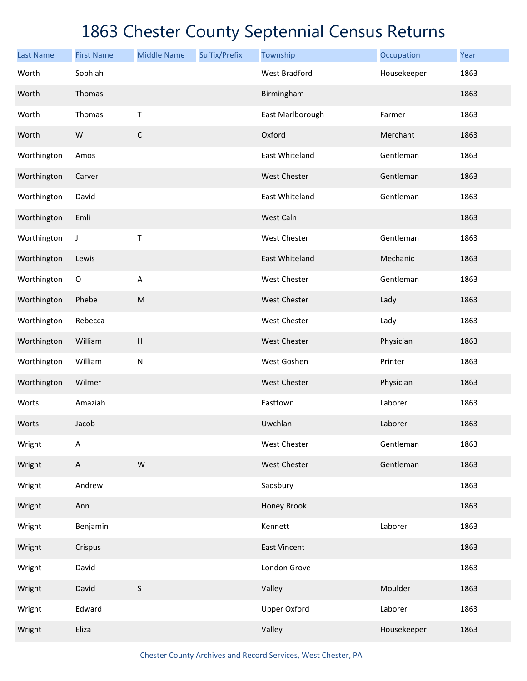| <b>Last Name</b> | <b>First Name</b>         | <b>Middle Name</b>        | Suffix/Prefix | Township             | Occupation  | Year |
|------------------|---------------------------|---------------------------|---------------|----------------------|-------------|------|
| Worth            | Sophiah                   |                           |               | <b>West Bradford</b> | Housekeeper | 1863 |
| Worth            | Thomas                    |                           |               | Birmingham           |             | 1863 |
| Worth            | Thomas                    | Τ                         |               | East Marlborough     | Farmer      | 1863 |
| Worth            | W                         | $\mathsf C$               |               | Oxford               | Merchant    | 1863 |
| Worthington      | Amos                      |                           |               | East Whiteland       | Gentleman   | 1863 |
| Worthington      | Carver                    |                           |               | West Chester         | Gentleman   | 1863 |
| Worthington      | David                     |                           |               | East Whiteland       | Gentleman   | 1863 |
| Worthington      | Emli                      |                           |               | West Caln            |             | 1863 |
| Worthington      | J                         | Τ                         |               | West Chester         | Gentleman   | 1863 |
| Worthington      | Lewis                     |                           |               | East Whiteland       | Mechanic    | 1863 |
| Worthington      | $\mathsf O$               | $\boldsymbol{\mathsf{A}}$ |               | West Chester         | Gentleman   | 1863 |
| Worthington      | Phebe                     | ${\sf M}$                 |               | West Chester         | Lady        | 1863 |
| Worthington      | Rebecca                   |                           |               | West Chester         | Lady        | 1863 |
| Worthington      | William                   | $\boldsymbol{\mathsf{H}}$ |               | West Chester         | Physician   | 1863 |
| Worthington      | William                   | ${\sf N}$                 |               | West Goshen          | Printer     | 1863 |
| Worthington      | Wilmer                    |                           |               | <b>West Chester</b>  | Physician   | 1863 |
| Worts            | Amaziah                   |                           |               | Easttown             | Laborer     | 1863 |
| Worts            | Jacob                     |                           |               | Uwchlan              | Laborer     | 1863 |
| Wright           | A                         |                           |               | <b>West Chester</b>  | Gentleman   | 1863 |
| Wright           | $\boldsymbol{\mathsf{A}}$ | ${\sf W}$                 |               | West Chester         | Gentleman   | 1863 |
| Wright           | Andrew                    |                           |               | Sadsbury             |             | 1863 |
| Wright           | Ann                       |                           |               | Honey Brook          |             | 1863 |
| Wright           | Benjamin                  |                           |               | Kennett              | Laborer     | 1863 |
| Wright           | Crispus                   |                           |               | East Vincent         |             | 1863 |
| Wright           | David                     |                           |               | London Grove         |             | 1863 |
| Wright           | David                     | $\mathsf S$               |               | Valley               | Moulder     | 1863 |
| Wright           | Edward                    |                           |               | <b>Upper Oxford</b>  | Laborer     | 1863 |
| Wright           | Eliza                     |                           |               | Valley               | Housekeeper | 1863 |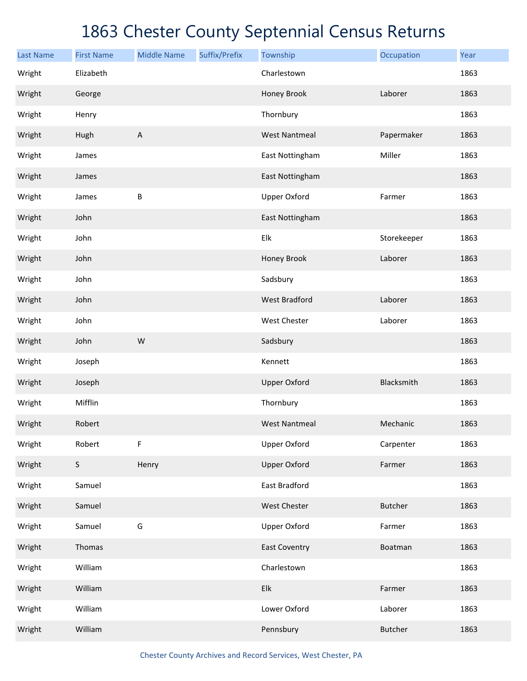| <b>Last Name</b> | <b>First Name</b> | <b>Middle Name</b>        | Suffix/Prefix | Township             | Occupation     | Year |
|------------------|-------------------|---------------------------|---------------|----------------------|----------------|------|
| Wright           | Elizabeth         |                           |               | Charlestown          |                | 1863 |
| Wright           | George            |                           |               | Honey Brook          | Laborer        | 1863 |
| Wright           | Henry             |                           |               | Thornbury            |                | 1863 |
| Wright           | Hugh              | $\boldsymbol{\mathsf{A}}$ |               | <b>West Nantmeal</b> | Papermaker     | 1863 |
| Wright           | James             |                           |               | East Nottingham      | Miller         | 1863 |
| Wright           | James             |                           |               | East Nottingham      |                | 1863 |
| Wright           | James             | $\sf B$                   |               | <b>Upper Oxford</b>  | Farmer         | 1863 |
| Wright           | John              |                           |               | East Nottingham      |                | 1863 |
| Wright           | John              |                           |               | Elk                  | Storekeeper    | 1863 |
| Wright           | John              |                           |               | Honey Brook          | Laborer        | 1863 |
| Wright           | John              |                           |               | Sadsbury             |                | 1863 |
| Wright           | John              |                           |               | <b>West Bradford</b> | Laborer        | 1863 |
| Wright           | John              |                           |               | West Chester         | Laborer        | 1863 |
| Wright           | John              | W                         |               | Sadsbury             |                | 1863 |
| Wright           | Joseph            |                           |               | Kennett              |                | 1863 |
| Wright           | Joseph            |                           |               | <b>Upper Oxford</b>  | Blacksmith     | 1863 |
| Wright           | Mifflin           |                           |               | Thornbury            |                | 1863 |
| Wright           | Robert            |                           |               | <b>West Nantmeal</b> | Mechanic       | 1863 |
| Wright           | Robert            | $\mathsf F$               |               | <b>Upper Oxford</b>  | Carpenter      | 1863 |
| Wright           | $\sf S$           | Henry                     |               | <b>Upper Oxford</b>  | Farmer         | 1863 |
| Wright           | Samuel            |                           |               | East Bradford        |                | 1863 |
| Wright           | Samuel            |                           |               | West Chester         | <b>Butcher</b> | 1863 |
| Wright           | Samuel            | G                         |               | <b>Upper Oxford</b>  | Farmer         | 1863 |
| Wright           | Thomas            |                           |               | <b>East Coventry</b> | Boatman        | 1863 |
| Wright           | William           |                           |               | Charlestown          |                | 1863 |
| Wright           | William           |                           |               | Elk                  | Farmer         | 1863 |
| Wright           | William           |                           |               | Lower Oxford         | Laborer        | 1863 |
| Wright           | William           |                           |               | Pennsbury            | <b>Butcher</b> | 1863 |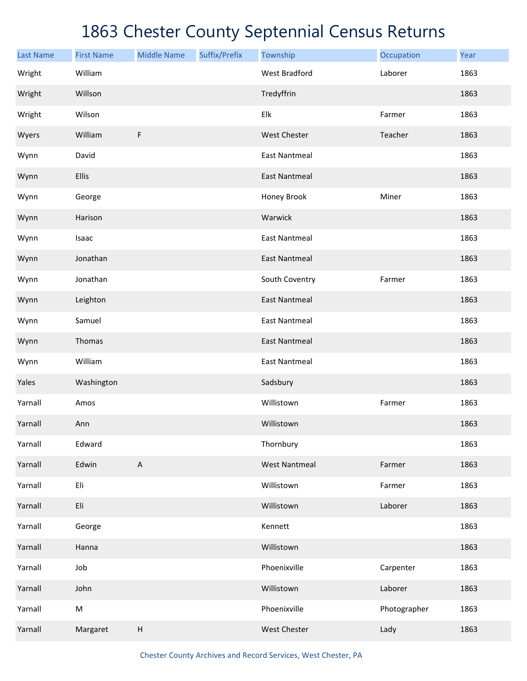| <b>Last Name</b> | <b>First Name</b> | <b>Middle Name</b>        | Suffix/Prefix | Township             | Occupation   | Year |
|------------------|-------------------|---------------------------|---------------|----------------------|--------------|------|
| Wright           | William           |                           |               | <b>West Bradford</b> | Laborer      | 1863 |
| Wright           | Willson           |                           |               | Tredyffrin           |              | 1863 |
| Wright           | Wilson            |                           |               | Elk                  | Farmer       | 1863 |
| Wyers            | William           | F                         |               | <b>West Chester</b>  | Teacher      | 1863 |
| Wynn             | David             |                           |               | <b>East Nantmeal</b> |              | 1863 |
| Wynn             | Ellis             |                           |               | <b>East Nantmeal</b> |              | 1863 |
| Wynn             | George            |                           |               | Honey Brook          | Miner        | 1863 |
| Wynn             | Harison           |                           |               | Warwick              |              | 1863 |
| Wynn             | Isaac             |                           |               | <b>East Nantmeal</b> |              | 1863 |
| Wynn             | Jonathan          |                           |               | <b>East Nantmeal</b> |              | 1863 |
| Wynn             | Jonathan          |                           |               | South Coventry       | Farmer       | 1863 |
| Wynn             | Leighton          |                           |               | <b>East Nantmeal</b> |              | 1863 |
| Wynn             | Samuel            |                           |               | <b>East Nantmeal</b> |              | 1863 |
| Wynn             | Thomas            |                           |               | <b>East Nantmeal</b> |              | 1863 |
| Wynn             | William           |                           |               | <b>East Nantmeal</b> |              | 1863 |
| Yales            | Washington        |                           |               | Sadsbury             |              | 1863 |
| Yarnall          | Amos              |                           |               | Willistown           | Farmer       | 1863 |
| Yarnall          | Ann               |                           |               | Willistown           |              | 1863 |
| Yarnall          | Edward            |                           |               | Thornbury            |              | 1863 |
| Yarnall          | Edwin             | $\boldsymbol{\mathsf{A}}$ |               | <b>West Nantmeal</b> | Farmer       | 1863 |
| Yarnall          | Eli               |                           |               | Willistown           | Farmer       | 1863 |
| Yarnall          | Eli               |                           |               | Willistown           | Laborer      | 1863 |
| Yarnall          | George            |                           |               | Kennett              |              | 1863 |
| Yarnall          | Hanna             |                           |               | Willistown           |              | 1863 |
| Yarnall          | Job               |                           |               | Phoenixville         | Carpenter    | 1863 |
| Yarnall          | John              |                           |               | Willistown           | Laborer      | 1863 |
| Yarnall          | ${\sf M}$         |                           |               | Phoenixville         | Photographer | 1863 |
| Yarnall          | Margaret          | $\sf H$                   |               | West Chester         | Lady         | 1863 |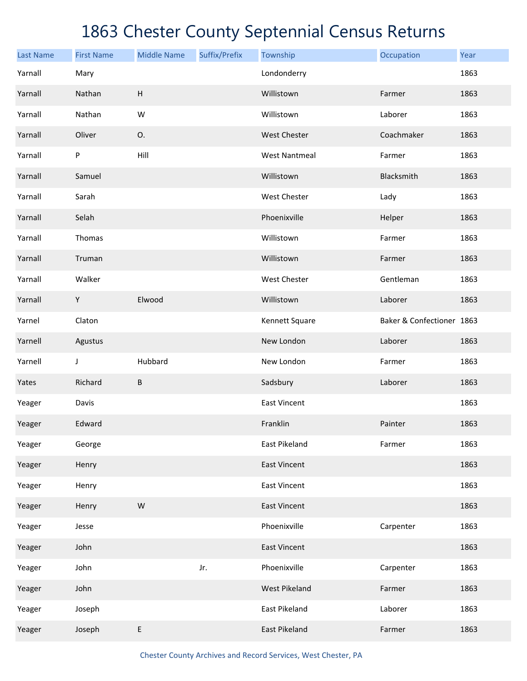| <b>Last Name</b> | <b>First Name</b> | <b>Middle Name</b>        | Suffix/Prefix | Township             | Occupation                | Year |
|------------------|-------------------|---------------------------|---------------|----------------------|---------------------------|------|
| Yarnall          | Mary              |                           |               | Londonderry          |                           | 1863 |
| Yarnall          | Nathan            | $\boldsymbol{\mathsf{H}}$ |               | Willistown           | Farmer                    | 1863 |
| Yarnall          | Nathan            | W                         |               | Willistown           | Laborer                   | 1863 |
| Yarnall          | Oliver            | 0.                        |               | <b>West Chester</b>  | Coachmaker                | 1863 |
| Yarnall          | P                 | Hill                      |               | <b>West Nantmeal</b> | Farmer                    | 1863 |
| Yarnall          | Samuel            |                           |               | Willistown           | Blacksmith                | 1863 |
| Yarnall          | Sarah             |                           |               | West Chester         | Lady                      | 1863 |
| Yarnall          | Selah             |                           |               | Phoenixville         | Helper                    | 1863 |
| Yarnall          | Thomas            |                           |               | Willistown           | Farmer                    | 1863 |
| Yarnall          | Truman            |                           |               | Willistown           | Farmer                    | 1863 |
| Yarnall          | Walker            |                           |               | West Chester         | Gentleman                 | 1863 |
| Yarnall          | Υ                 | Elwood                    |               | Willistown           | Laborer                   | 1863 |
| Yarnel           | Claton            |                           |               | Kennett Square       | Baker & Confectioner 1863 |      |
| Yarnell          | Agustus           |                           |               | New London           | Laborer                   | 1863 |
| Yarnell          | J                 | Hubbard                   |               | New London           | Farmer                    | 1863 |
| Yates            | Richard           | B                         |               | Sadsbury             | Laborer                   | 1863 |
| Yeager           | Davis             |                           |               | <b>East Vincent</b>  |                           | 1863 |
| Yeager           | Edward            |                           |               | Franklin             | Painter                   | 1863 |
| Yeager           | George            |                           |               | East Pikeland        | Farmer                    | 1863 |
| Yeager           | Henry             |                           |               | <b>East Vincent</b>  |                           | 1863 |
| Yeager           | Henry             |                           |               | <b>East Vincent</b>  |                           | 1863 |
| Yeager           | Henry             | ${\sf W}$                 |               | <b>East Vincent</b>  |                           | 1863 |
| Yeager           | Jesse             |                           |               | Phoenixville         | Carpenter                 | 1863 |
| Yeager           | John              |                           |               | <b>East Vincent</b>  |                           | 1863 |
| Yeager           | John              |                           | Jr.           | Phoenixville         | Carpenter                 | 1863 |
| Yeager           | John              |                           |               | <b>West Pikeland</b> | Farmer                    | 1863 |
| Yeager           | Joseph            |                           |               | East Pikeland        | Laborer                   | 1863 |
| Yeager           | Joseph            | E                         |               | East Pikeland        | Farmer                    | 1863 |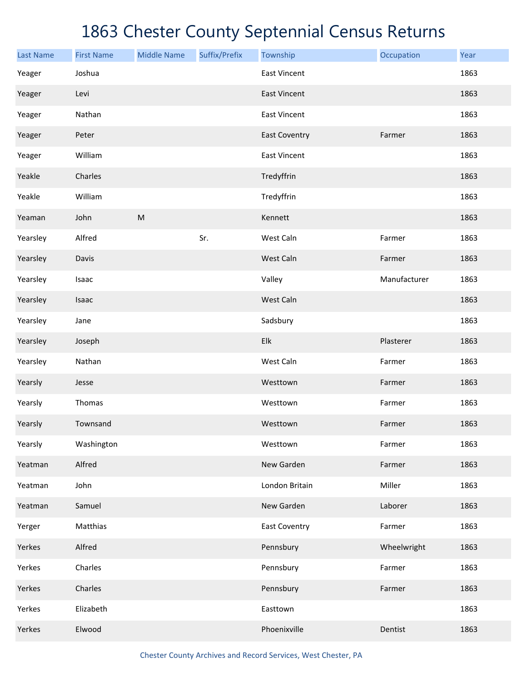| <b>Last Name</b> | <b>First Name</b> | <b>Middle Name</b> | Suffix/Prefix | Township             | Occupation   | Year |
|------------------|-------------------|--------------------|---------------|----------------------|--------------|------|
| Yeager           | Joshua            |                    |               | <b>East Vincent</b>  |              | 1863 |
| Yeager           | Levi              |                    |               | <b>East Vincent</b>  |              | 1863 |
| Yeager           | Nathan            |                    |               | <b>East Vincent</b>  |              | 1863 |
| Yeager           | Peter             |                    |               | <b>East Coventry</b> | Farmer       | 1863 |
| Yeager           | William           |                    |               | <b>East Vincent</b>  |              | 1863 |
| Yeakle           | Charles           |                    |               | Tredyffrin           |              | 1863 |
| Yeakle           | William           |                    |               | Tredyffrin           |              | 1863 |
| Yeaman           | John              | ${\sf M}$          |               | Kennett              |              | 1863 |
| Yearsley         | Alfred            |                    | Sr.           | West Caln            | Farmer       | 1863 |
| Yearsley         | Davis             |                    |               | West Caln            | Farmer       | 1863 |
| Yearsley         | Isaac             |                    |               | Valley               | Manufacturer | 1863 |
| Yearsley         | Isaac             |                    |               | West Caln            |              | 1863 |
| Yearsley         | Jane              |                    |               | Sadsbury             |              | 1863 |
| Yearsley         | Joseph            |                    |               | Elk                  | Plasterer    | 1863 |
| Yearsley         | Nathan            |                    |               | West Caln            | Farmer       | 1863 |
| Yearsly          | Jesse             |                    |               | Westtown             | Farmer       | 1863 |
| Yearsly          | Thomas            |                    |               | Westtown             | Farmer       | 1863 |
| Yearsly          | Townsand          |                    |               | Westtown             | Farmer       | 1863 |
| Yearsly          | Washington        |                    |               | Westtown             | Farmer       | 1863 |
| Yeatman          | Alfred            |                    |               | New Garden           | Farmer       | 1863 |
| Yeatman          | John              |                    |               | London Britain       | Miller       | 1863 |
| Yeatman          | Samuel            |                    |               | New Garden           | Laborer      | 1863 |
| Yerger           | Matthias          |                    |               | <b>East Coventry</b> | Farmer       | 1863 |
| Yerkes           | Alfred            |                    |               | Pennsbury            | Wheelwright  | 1863 |
| Yerkes           | Charles           |                    |               | Pennsbury            | Farmer       | 1863 |
| Yerkes           | Charles           |                    |               | Pennsbury            | Farmer       | 1863 |
| Yerkes           | Elizabeth         |                    |               | Easttown             |              | 1863 |
| Yerkes           | Elwood            |                    |               | Phoenixville         | Dentist      | 1863 |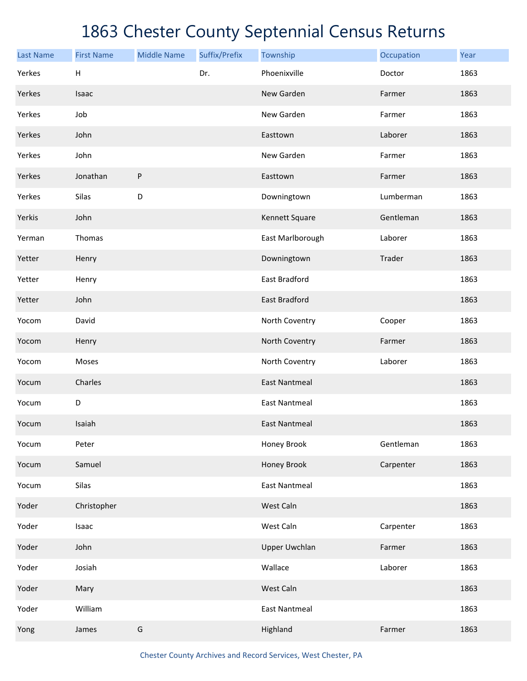| <b>Last Name</b> | <b>First Name</b> | <b>Middle Name</b> | Suffix/Prefix | Township             | Occupation | Year |
|------------------|-------------------|--------------------|---------------|----------------------|------------|------|
| Yerkes           | H                 |                    | Dr.           | Phoenixville         | Doctor     | 1863 |
| Yerkes           | Isaac             |                    |               | New Garden           | Farmer     | 1863 |
| Yerkes           | Job               |                    |               | New Garden           | Farmer     | 1863 |
| Yerkes           | John              |                    |               | Easttown             | Laborer    | 1863 |
| Yerkes           | John              |                    |               | New Garden           | Farmer     | 1863 |
| Yerkes           | Jonathan          | ${\sf P}$          |               | Easttown             | Farmer     | 1863 |
| Yerkes           | Silas             | D                  |               | Downingtown          | Lumberman  | 1863 |
| Yerkis           | John              |                    |               | Kennett Square       | Gentleman  | 1863 |
| Yerman           | Thomas            |                    |               | East Marlborough     | Laborer    | 1863 |
| Yetter           | Henry             |                    |               | Downingtown          | Trader     | 1863 |
| Yetter           | Henry             |                    |               | East Bradford        |            | 1863 |
| Yetter           | John              |                    |               | East Bradford        |            | 1863 |
| Yocom            | David             |                    |               | North Coventry       | Cooper     | 1863 |
| Yocom            | Henry             |                    |               | North Coventry       | Farmer     | 1863 |
| Yocom            | Moses             |                    |               | North Coventry       | Laborer    | 1863 |
| Yocum            | Charles           |                    |               | <b>East Nantmeal</b> |            | 1863 |
| Yocum            | D                 |                    |               | <b>East Nantmeal</b> |            | 1863 |
| Yocum            | Isaiah            |                    |               | <b>East Nantmeal</b> |            | 1863 |
| Yocum            | Peter             |                    |               | Honey Brook          | Gentleman  | 1863 |
| Yocum            | Samuel            |                    |               | Honey Brook          | Carpenter  | 1863 |
| Yocum            | Silas             |                    |               | <b>East Nantmeal</b> |            | 1863 |
| Yoder            | Christopher       |                    |               | West Caln            |            | 1863 |
| Yoder            | Isaac             |                    |               | West Caln            | Carpenter  | 1863 |
| Yoder            | John              |                    |               | <b>Upper Uwchlan</b> | Farmer     | 1863 |
| Yoder            | Josiah            |                    |               | Wallace              | Laborer    | 1863 |
| Yoder            | Mary              |                    |               | West Caln            |            | 1863 |
| Yoder            | William           |                    |               | <b>East Nantmeal</b> |            | 1863 |
| Yong             | James             | G                  |               | Highland             | Farmer     | 1863 |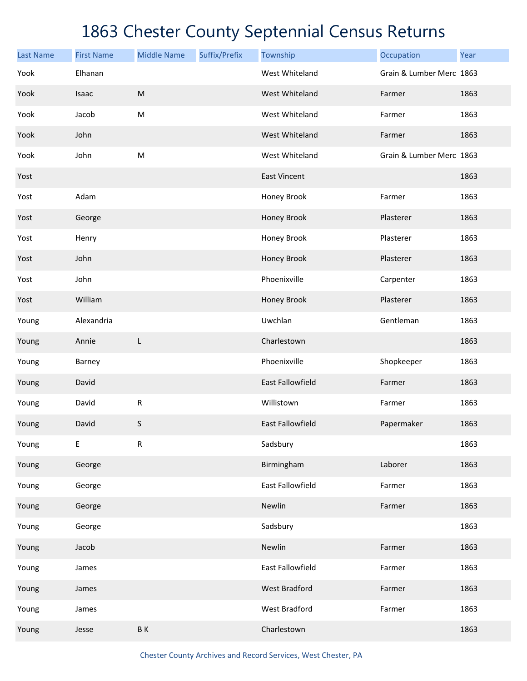| <b>Last Name</b> | <b>First Name</b> | <b>Middle Name</b>                                                                                         | Suffix/Prefix | Township                | Occupation               | Year |
|------------------|-------------------|------------------------------------------------------------------------------------------------------------|---------------|-------------------------|--------------------------|------|
| Yook             | Elhanan           |                                                                                                            |               | West Whiteland          | Grain & Lumber Merc 1863 |      |
| Yook             | Isaac             | $\mathsf{M}% _{T}=\mathsf{M}_{T}\!\left( a,b\right) ,\ \mathsf{M}_{T}=\mathsf{M}_{T}\!\left( a,b\right) ,$ |               | West Whiteland          | Farmer                   | 1863 |
| Yook             | Jacob             | M                                                                                                          |               | West Whiteland          | Farmer                   | 1863 |
| Yook             | John              |                                                                                                            |               | West Whiteland          | Farmer                   | 1863 |
| Yook             | John              | ${\sf M}$                                                                                                  |               | West Whiteland          | Grain & Lumber Merc 1863 |      |
| Yost             |                   |                                                                                                            |               | <b>East Vincent</b>     |                          | 1863 |
| Yost             | Adam              |                                                                                                            |               | Honey Brook             | Farmer                   | 1863 |
| Yost             | George            |                                                                                                            |               | Honey Brook             | Plasterer                | 1863 |
| Yost             | Henry             |                                                                                                            |               | Honey Brook             | Plasterer                | 1863 |
| Yost             | John              |                                                                                                            |               | Honey Brook             | Plasterer                | 1863 |
| Yost             | John              |                                                                                                            |               | Phoenixville            | Carpenter                | 1863 |
| Yost             | William           |                                                                                                            |               | Honey Brook             | Plasterer                | 1863 |
| Young            | Alexandria        |                                                                                                            |               | Uwchlan                 | Gentleman                | 1863 |
| Young            | Annie             | L                                                                                                          |               | Charlestown             |                          | 1863 |
| Young            | Barney            |                                                                                                            |               | Phoenixville            | Shopkeeper               | 1863 |
| Young            | David             |                                                                                                            |               | East Fallowfield        | Farmer                   | 1863 |
| Young            | David             | ${\sf R}$                                                                                                  |               | Willistown              | Farmer                   | 1863 |
| Young            | David             | $\sf S$                                                                                                    |               | <b>East Fallowfield</b> | Papermaker               | 1863 |
| Young            | E                 | ${\sf R}$                                                                                                  |               | Sadsbury                |                          | 1863 |
| Young            | George            |                                                                                                            |               | Birmingham              | Laborer                  | 1863 |
| Young            | George            |                                                                                                            |               | East Fallowfield        | Farmer                   | 1863 |
| Young            | George            |                                                                                                            |               | Newlin                  | Farmer                   | 1863 |
| Young            | George            |                                                                                                            |               | Sadsbury                |                          | 1863 |
| Young            | Jacob             |                                                                                                            |               | Newlin                  | Farmer                   | 1863 |
| Young            | James             |                                                                                                            |               | East Fallowfield        | Farmer                   | 1863 |
| Young            | James             |                                                                                                            |               | <b>West Bradford</b>    | Farmer                   | 1863 |
| Young            | James             |                                                                                                            |               | West Bradford           | Farmer                   | 1863 |
| Young            | Jesse             | BK                                                                                                         |               | Charlestown             |                          | 1863 |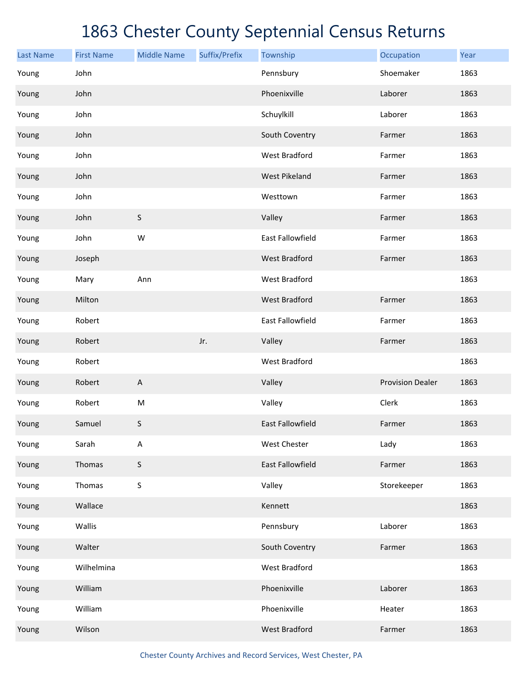| <b>Last Name</b> | <b>First Name</b> | <b>Middle Name</b>        | Suffix/Prefix | Township                | Occupation              | Year |
|------------------|-------------------|---------------------------|---------------|-------------------------|-------------------------|------|
| Young            | John              |                           |               | Pennsbury               | Shoemaker               | 1863 |
| Young            | John              |                           |               | Phoenixville            | Laborer                 | 1863 |
| Young            | John              |                           |               | Schuylkill              | Laborer                 | 1863 |
| Young            | John              |                           |               | South Coventry          | Farmer                  | 1863 |
| Young            | John              |                           |               | <b>West Bradford</b>    | Farmer                  | 1863 |
| Young            | John              |                           |               | <b>West Pikeland</b>    | Farmer                  | 1863 |
| Young            | John              |                           |               | Westtown                | Farmer                  | 1863 |
| Young            | John              | $\sf S$                   |               | Valley                  | Farmer                  | 1863 |
| Young            | John              | W                         |               | <b>East Fallowfield</b> | Farmer                  | 1863 |
| Young            | Joseph            |                           |               | <b>West Bradford</b>    | Farmer                  | 1863 |
| Young            | Mary              | Ann                       |               | <b>West Bradford</b>    |                         | 1863 |
| Young            | Milton            |                           |               | <b>West Bradford</b>    | Farmer                  | 1863 |
| Young            | Robert            |                           |               | East Fallowfield        | Farmer                  | 1863 |
| Young            | Robert            |                           | Jr.           | Valley                  | Farmer                  | 1863 |
| Young            | Robert            |                           |               | West Bradford           |                         | 1863 |
| Young            | Robert            | $\boldsymbol{\mathsf{A}}$ |               | Valley                  | <b>Provision Dealer</b> | 1863 |
| Young            | Robert            | ${\sf M}$                 |               | Valley                  | Clerk                   | 1863 |
| Young            | Samuel            | $\sf S$                   |               | <b>East Fallowfield</b> | Farmer                  | 1863 |
| Young            | Sarah             | A                         |               | West Chester            | Lady                    | 1863 |
| Young            | Thomas            | S                         |               | East Fallowfield        | Farmer                  | 1863 |
| Young            | Thomas            | $\sf S$                   |               | Valley                  | Storekeeper             | 1863 |
| Young            | Wallace           |                           |               | Kennett                 |                         | 1863 |
| Young            | Wallis            |                           |               | Pennsbury               | Laborer                 | 1863 |
| Young            | Walter            |                           |               | South Coventry          | Farmer                  | 1863 |
| Young            | Wilhelmina        |                           |               | West Bradford           |                         | 1863 |
| Young            | William           |                           |               | Phoenixville            | Laborer                 | 1863 |
| Young            | William           |                           |               | Phoenixville            | Heater                  | 1863 |
| Young            | Wilson            |                           |               | <b>West Bradford</b>    | Farmer                  | 1863 |